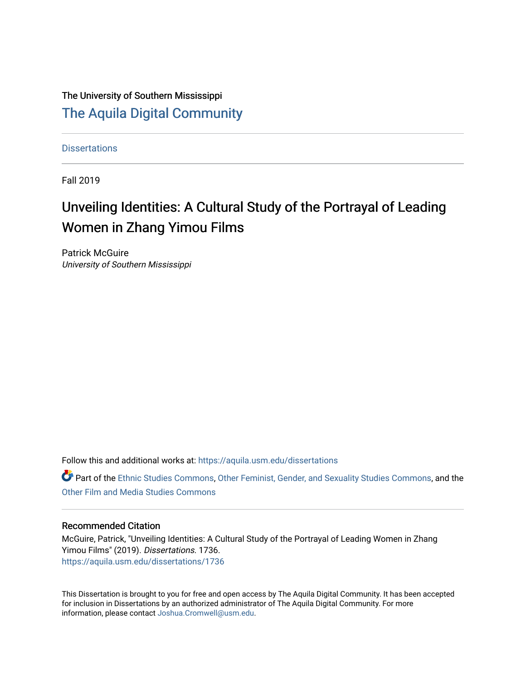The University of Southern Mississippi [The Aquila Digital Community](https://aquila.usm.edu/)

**Dissertations** 

Fall 2019

# Unveiling Identities: A Cultural Study of the Portrayal of Leading Women in Zhang Yimou Films

Patrick McGuire University of Southern Mississippi

Follow this and additional works at: [https://aquila.usm.edu/dissertations](https://aquila.usm.edu/dissertations?utm_source=aquila.usm.edu%2Fdissertations%2F1736&utm_medium=PDF&utm_campaign=PDFCoverPages) 

**P** Part of the [Ethnic Studies Commons](http://network.bepress.com/hgg/discipline/570?utm_source=aquila.usm.edu%2Fdissertations%2F1736&utm_medium=PDF&utm_campaign=PDFCoverPages), [Other Feminist, Gender, and Sexuality Studies Commons](http://network.bepress.com/hgg/discipline/562?utm_source=aquila.usm.edu%2Fdissertations%2F1736&utm_medium=PDF&utm_campaign=PDFCoverPages), and the [Other Film and Media Studies Commons](http://network.bepress.com/hgg/discipline/565?utm_source=aquila.usm.edu%2Fdissertations%2F1736&utm_medium=PDF&utm_campaign=PDFCoverPages)

#### Recommended Citation

McGuire, Patrick, "Unveiling Identities: A Cultural Study of the Portrayal of Leading Women in Zhang Yimou Films" (2019). Dissertations. 1736. [https://aquila.usm.edu/dissertations/1736](https://aquila.usm.edu/dissertations/1736?utm_source=aquila.usm.edu%2Fdissertations%2F1736&utm_medium=PDF&utm_campaign=PDFCoverPages)

This Dissertation is brought to you for free and open access by The Aquila Digital Community. It has been accepted for inclusion in Dissertations by an authorized administrator of The Aquila Digital Community. For more information, please contact [Joshua.Cromwell@usm.edu.](mailto:Joshua.Cromwell@usm.edu)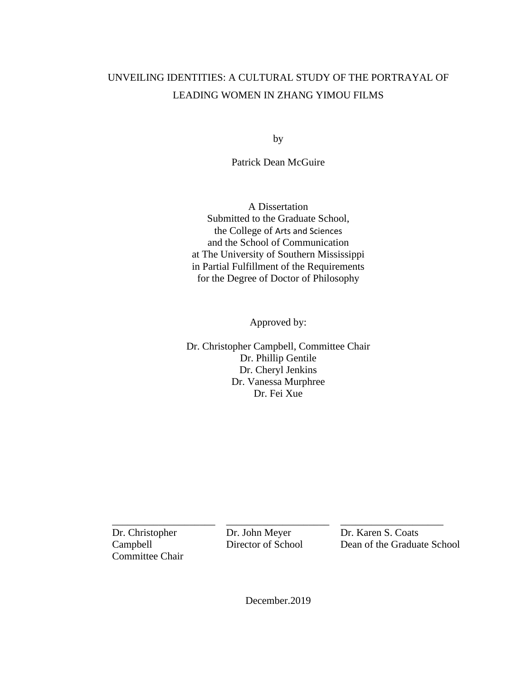# UNVEILING IDENTITIES: A CULTURAL STUDY OF THE PORTRAYAL OF LEADING WOMEN IN ZHANG YIMOU FILMS

by

Patrick Dean McGuire

A Dissertation Submitted to the Graduate School, the College of Arts and Sciences and the School of Communication at The University of Southern Mississippi in Partial Fulfillment of the Requirements for the Degree of Doctor of Philosophy

Approved by:

Dr. Christopher Campbell, Committee Chair Dr. Phillip Gentile Dr. Cheryl Jenkins Dr. Vanessa Murphree Dr. Fei Xue

Dr. Christopher Campbell Committee Chair Dr. John Meyer Director of School Dr. Karen S. Coats Dean of the Graduate School

December.2019

*\_\_\_\_\_\_\_\_\_\_\_\_\_\_\_\_\_\_\_\_ \_\_\_\_\_\_\_\_\_\_\_\_\_\_\_\_\_\_\_\_ \_\_\_\_\_\_\_\_\_\_\_\_\_\_\_\_\_\_\_\_*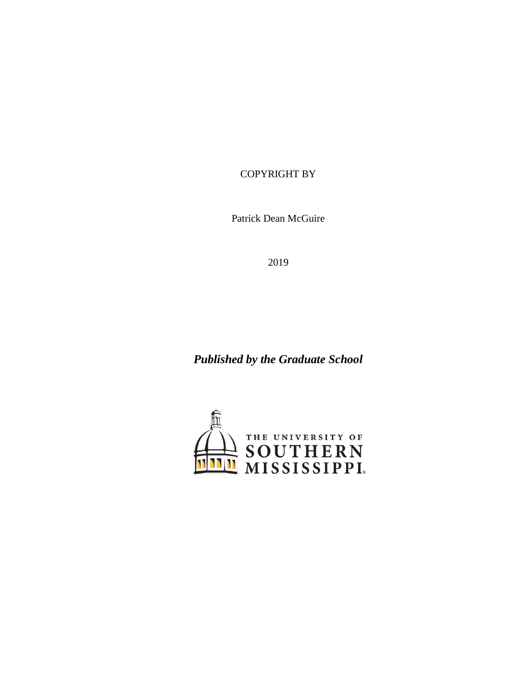COPYRIGHT BY

Patrick Dean McGuire

2019

*Published by the Graduate School* 

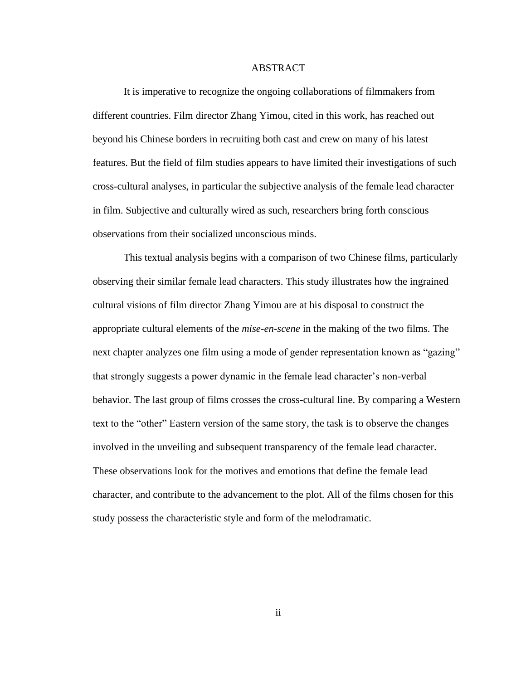#### ABSTRACT

It is imperative to recognize the ongoing collaborations of filmmakers from different countries. Film director Zhang Yimou, cited in this work, has reached out beyond his Chinese borders in recruiting both cast and crew on many of his latest features. But the field of film studies appears to have limited their investigations of such cross-cultural analyses, in particular the subjective analysis of the female lead character in film. Subjective and culturally wired as such, researchers bring forth conscious observations from their socialized unconscious minds.

This textual analysis begins with a comparison of two Chinese films, particularly observing their similar female lead characters. This study illustrates how the ingrained cultural visions of film director Zhang Yimou are at his disposal to construct the appropriate cultural elements of the *mise-en-scene* in the making of the two films. The next chapter analyzes one film using a mode of gender representation known as "gazing" that strongly suggests a power dynamic in the female lead character's non-verbal behavior. The last group of films crosses the cross-cultural line. By comparing a Western text to the "other" Eastern version of the same story, the task is to observe the changes involved in the unveiling and subsequent transparency of the female lead character. These observations look for the motives and emotions that define the female lead character, and contribute to the advancement to the plot. All of the films chosen for this study possess the characteristic style and form of the melodramatic.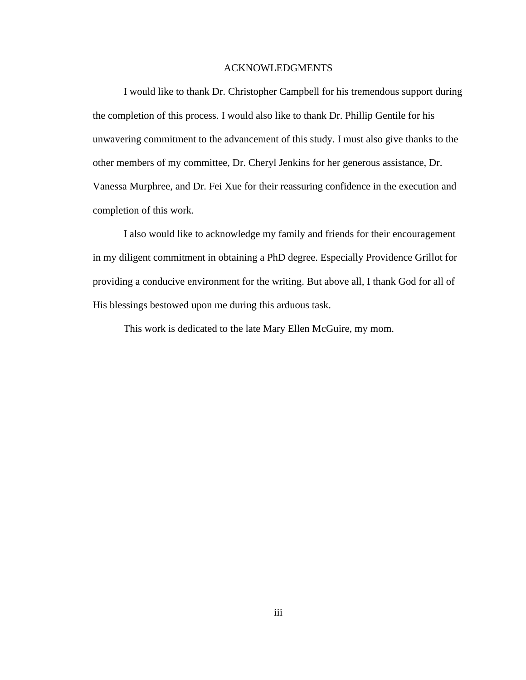#### ACKNOWLEDGMENTS

I would like to thank Dr. Christopher Campbell for his tremendous support during the completion of this process. I would also like to thank Dr. Phillip Gentile for his unwavering commitment to the advancement of this study. I must also give thanks to the other members of my committee, Dr. Cheryl Jenkins for her generous assistance, Dr. Vanessa Murphree, and Dr. Fei Xue for their reassuring confidence in the execution and completion of this work.

I also would like to acknowledge my family and friends for their encouragement in my diligent commitment in obtaining a PhD degree. Especially Providence Grillot for providing a conducive environment for the writing. But above all, I thank God for all of His blessings bestowed upon me during this arduous task.

This work is dedicated to the late Mary Ellen McGuire, my mom.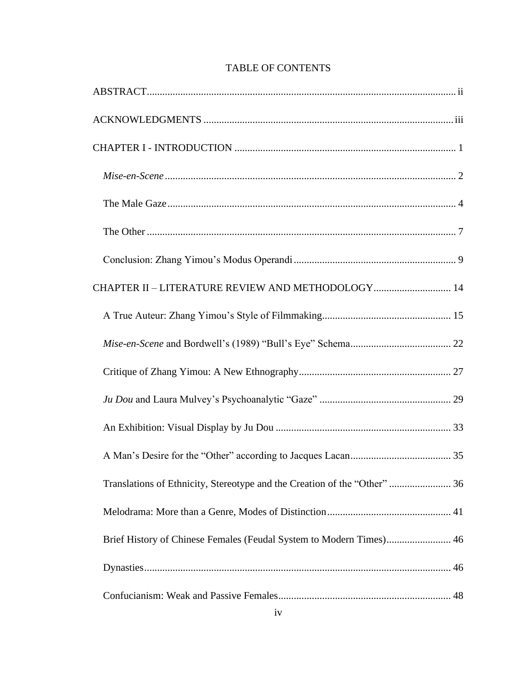| CHAPTER II - LITERATURE REVIEW AND METHODOLOGY 14                         |
|---------------------------------------------------------------------------|
|                                                                           |
|                                                                           |
|                                                                           |
|                                                                           |
|                                                                           |
|                                                                           |
| Translations of Ethnicity, Stereotype and the Creation of the "Other"  36 |
|                                                                           |
| Brief History of Chinese Females (Feudal System to Modern Times) 46       |
|                                                                           |
|                                                                           |

## TABLE OF CONTENTS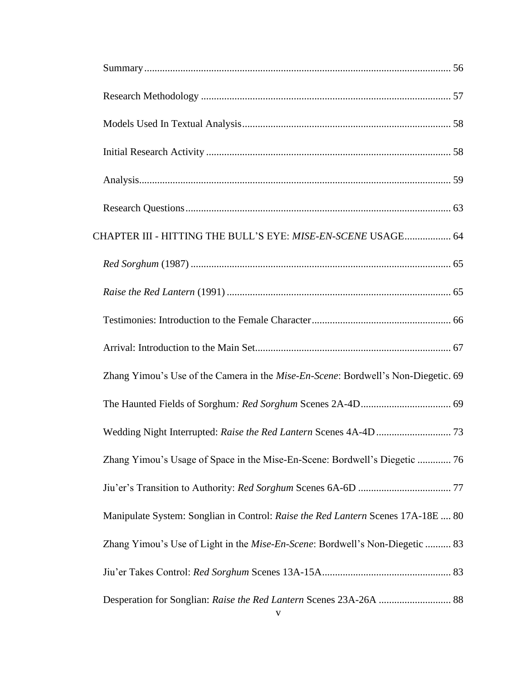| CHAPTER III - HITTING THE BULL'S EYE: MISE-EN-SCENE USAGE 64                      |
|-----------------------------------------------------------------------------------|
|                                                                                   |
|                                                                                   |
|                                                                                   |
|                                                                                   |
| Zhang Yimou's Use of the Camera in the Mise-En-Scene: Bordwell's Non-Diegetic. 69 |
|                                                                                   |
|                                                                                   |
| Zhang Yimou's Usage of Space in the Mise-En-Scene: Bordwell's Diegetic  76        |
|                                                                                   |
| Manipulate System: Songlian in Control: Raise the Red Lantern Scenes 17A-18E  80  |
| Zhang Yimou's Use of Light in the Mise-En-Scene: Bordwell's Non-Diegetic  83      |
|                                                                                   |
| $\mathbf V$                                                                       |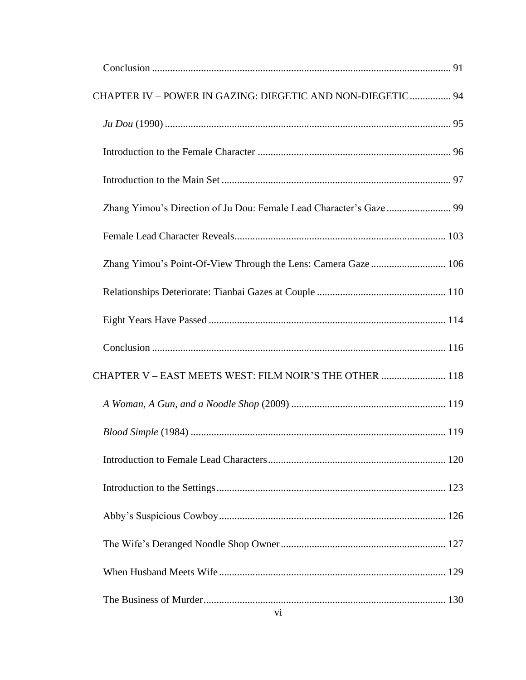| CHAPTER IV - POWER IN GAZING: DIEGETIC AND NON-DIEGETIC 94     |  |
|----------------------------------------------------------------|--|
|                                                                |  |
|                                                                |  |
|                                                                |  |
|                                                                |  |
|                                                                |  |
| Zhang Yimou's Point-Of-View Through the Lens: Camera Gaze  106 |  |
|                                                                |  |
|                                                                |  |
|                                                                |  |
| CHAPTER V - EAST MEETS WEST: FILM NOIR'S THE OTHER  118        |  |
|                                                                |  |
|                                                                |  |
|                                                                |  |
|                                                                |  |
|                                                                |  |
|                                                                |  |
|                                                                |  |
|                                                                |  |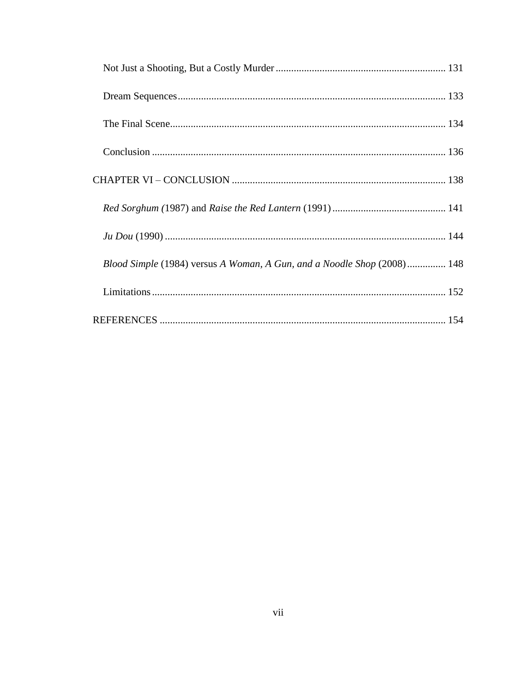| Blood Simple (1984) versus A Woman, A Gun, and a Noodle Shop (2008) 148 |  |
|-------------------------------------------------------------------------|--|
|                                                                         |  |
|                                                                         |  |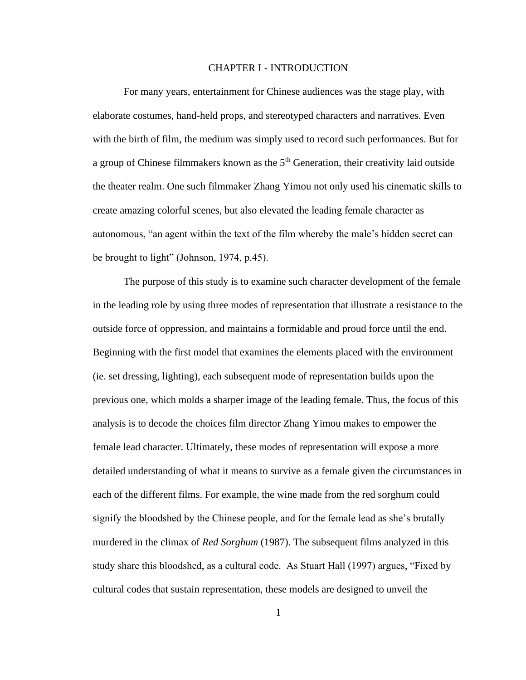#### CHAPTER I - INTRODUCTION

For many years, entertainment for Chinese audiences was the stage play, with elaborate costumes, hand-held props, and stereotyped characters and narratives. Even with the birth of film, the medium was simply used to record such performances. But for a group of Chinese filmmakers known as the  $5<sup>th</sup>$  Generation, their creativity laid outside the theater realm. One such filmmaker Zhang Yimou not only used his cinematic skills to create amazing colorful scenes, but also elevated the leading female character as autonomous, "an agent within the text of the film whereby the male's hidden secret can be brought to light" (Johnson, 1974, p.45).

The purpose of this study is to examine such character development of the female in the leading role by using three modes of representation that illustrate a resistance to the outside force of oppression, and maintains a formidable and proud force until the end. Beginning with the first model that examines the elements placed with the environment (ie. set dressing, lighting), each subsequent mode of representation builds upon the previous one, which molds a sharper image of the leading female. Thus, the focus of this analysis is to decode the choices film director Zhang Yimou makes to empower the female lead character. Ultimately, these modes of representation will expose a more detailed understanding of what it means to survive as a female given the circumstances in each of the different films. For example, the wine made from the red sorghum could signify the bloodshed by the Chinese people, and for the female lead as she's brutally murdered in the climax of *Red Sorghum* (1987). The subsequent films analyzed in this study share this bloodshed, as a cultural code. As Stuart Hall (1997) argues, "Fixed by cultural codes that sustain representation, these models are designed to unveil the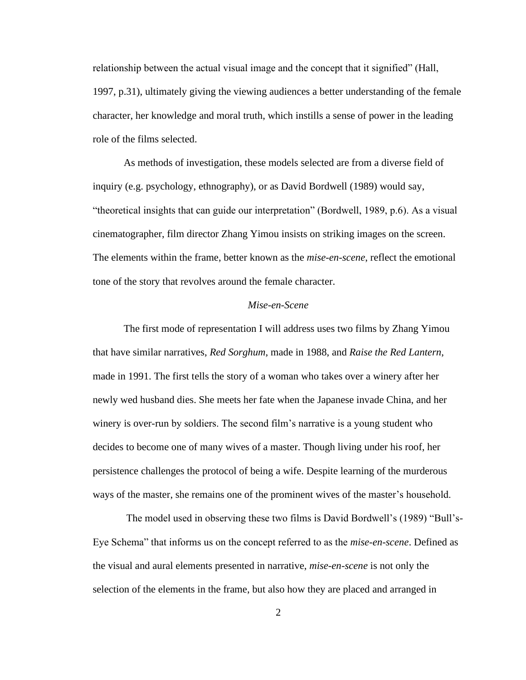relationship between the actual visual image and the concept that it signified" (Hall, 1997, p.31), ultimately giving the viewing audiences a better understanding of the female character, her knowledge and moral truth, which instills a sense of power in the leading role of the films selected.

As methods of investigation, these models selected are from a diverse field of inquiry (e.g. psychology, ethnography), or as David Bordwell (1989) would say, "theoretical insights that can guide our interpretation" (Bordwell, 1989, p.6). As a visual cinematographer, film director Zhang Yimou insists on striking images on the screen. The elements within the frame, better known as the *mise-en-scene*, reflect the emotional tone of the story that revolves around the female character.

#### *Mise-en-Scene*

The first mode of representation I will address uses two films by Zhang Yimou that have similar narratives, *Red Sorghum*, made in 1988, and *Raise the Red Lantern*, made in 1991. The first tells the story of a woman who takes over a winery after her newly wed husband dies. She meets her fate when the Japanese invade China, and her winery is over-run by soldiers. The second film's narrative is a young student who decides to become one of many wives of a master. Though living under his roof, her persistence challenges the protocol of being a wife. Despite learning of the murderous ways of the master, she remains one of the prominent wives of the master's household.

The model used in observing these two films is David Bordwell's (1989) "Bull's-Eye Schema" that informs us on the concept referred to as the *mise-en-scene*. Defined as the visual and aural elements presented in narrative, *mise-en-scene* is not only the selection of the elements in the frame, but also how they are placed and arranged in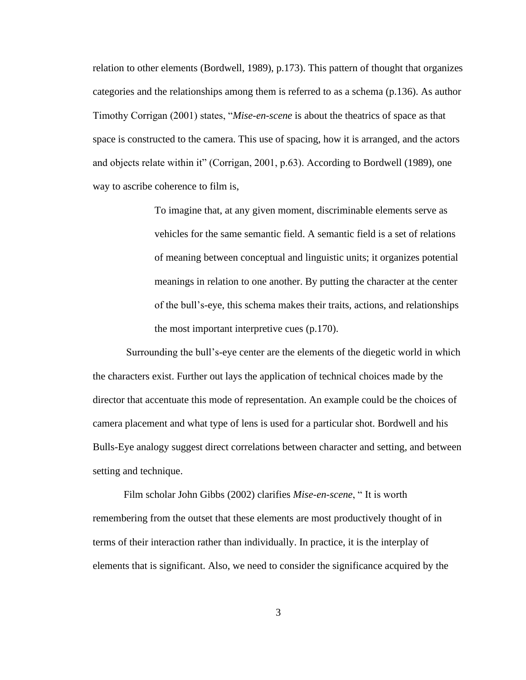relation to other elements (Bordwell, 1989), p.173). This pattern of thought that organizes categories and the relationships among them is referred to as a schema (p.136). As author Timothy Corrigan (2001) states, "*Mise-en-scene* is about the theatrics of space as that space is constructed to the camera. This use of spacing, how it is arranged, and the actors and objects relate within it" (Corrigan, 2001, p.63). According to Bordwell (1989), one way to ascribe coherence to film is,

> To imagine that, at any given moment, discriminable elements serve as vehicles for the same semantic field. A semantic field is a set of relations of meaning between conceptual and linguistic units; it organizes potential meanings in relation to one another. By putting the character at the center of the bull's-eye, this schema makes their traits, actions, and relationships the most important interpretive cues (p.170).

Surrounding the bull's-eye center are the elements of the diegetic world in which the characters exist. Further out lays the application of technical choices made by the director that accentuate this mode of representation. An example could be the choices of camera placement and what type of lens is used for a particular shot. Bordwell and his Bulls-Eye analogy suggest direct correlations between character and setting, and between setting and technique.

Film scholar John Gibbs (2002) clarifies *Mise-en-scene*, " It is worth remembering from the outset that these elements are most productively thought of in terms of their interaction rather than individually. In practice, it is the interplay of elements that is significant. Also, we need to consider the significance acquired by the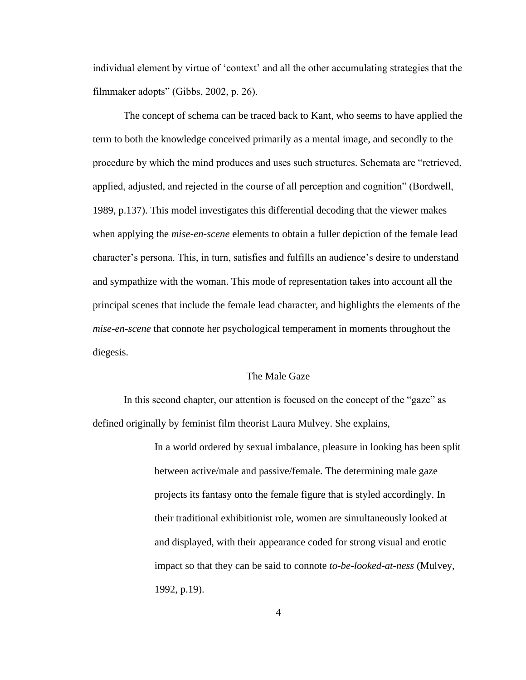individual element by virtue of 'context' and all the other accumulating strategies that the filmmaker adopts" (Gibbs, 2002, p. 26).

The concept of schema can be traced back to Kant, who seems to have applied the term to both the knowledge conceived primarily as a mental image, and secondly to the procedure by which the mind produces and uses such structures. Schemata are "retrieved, applied, adjusted, and rejected in the course of all perception and cognition" (Bordwell, 1989, p.137). This model investigates this differential decoding that the viewer makes when applying the *mise-en-scene* elements to obtain a fuller depiction of the female lead character's persona. This, in turn, satisfies and fulfills an audience's desire to understand and sympathize with the woman. This mode of representation takes into account all the principal scenes that include the female lead character, and highlights the elements of the *mise-en-scene* that connote her psychological temperament in moments throughout the diegesis.

#### The Male Gaze

In this second chapter, our attention is focused on the concept of the "gaze" as defined originally by feminist film theorist Laura Mulvey. She explains,

> In a world ordered by sexual imbalance, pleasure in looking has been split between active/male and passive/female. The determining male gaze projects its fantasy onto the female figure that is styled accordingly. In their traditional exhibitionist role, women are simultaneously looked at and displayed, with their appearance coded for strong visual and erotic impact so that they can be said to connote *to-be-looked-at-ness* (Mulvey, 1992, p.19).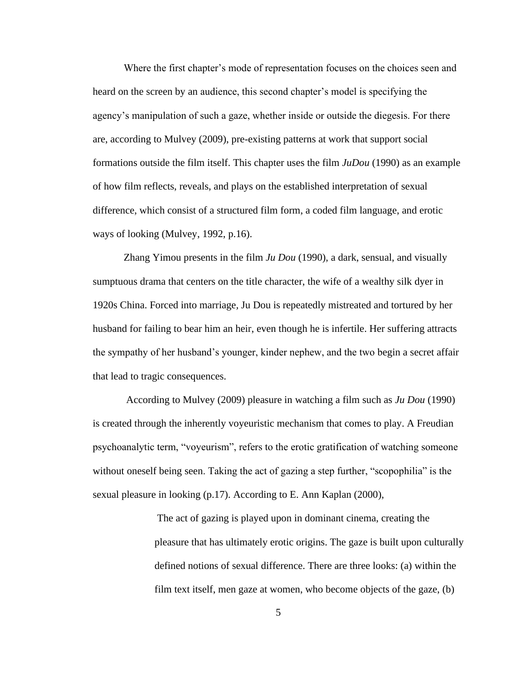Where the first chapter's mode of representation focuses on the choices seen and heard on the screen by an audience, this second chapter's model is specifying the agency's manipulation of such a gaze, whether inside or outside the diegesis. For there are, according to Mulvey (2009), pre-existing patterns at work that support social formations outside the film itself. This chapter uses the film *JuDou* (1990) as an example of how film reflects, reveals, and plays on the established interpretation of sexual difference, which consist of a structured film form, a coded film language, and erotic ways of looking (Mulvey, 1992, p.16).

Zhang Yimou presents in the film *Ju Dou* (1990), a dark, sensual, and visually sumptuous drama that centers on the title character, the wife of a wealthy silk dyer in 1920s China. Forced into marriage*,* Ju Dou is repeatedly mistreated and tortured by her husband for failing to bear him an heir, even though he is infertile. Her suffering attracts the sympathy of her husband's younger, kinder nephew, and the two begin a secret affair that lead to tragic consequences.

According to Mulvey (2009) pleasure in watching a film such as *Ju Dou* (1990) is created through the inherently voyeuristic mechanism that comes to play. A Freudian psychoanalytic term, "voyeurism", refers to the erotic gratification of watching someone without oneself being seen. Taking the act of gazing a step further, "scopophilia" is the sexual pleasure in looking (p.17). According to E. Ann Kaplan (2000),

> The act of gazing is played upon in dominant cinema, creating the pleasure that has ultimately erotic origins. The gaze is built upon culturally defined notions of sexual difference. There are three looks: (a) within the film text itself, men gaze at women, who become objects of the gaze, (b)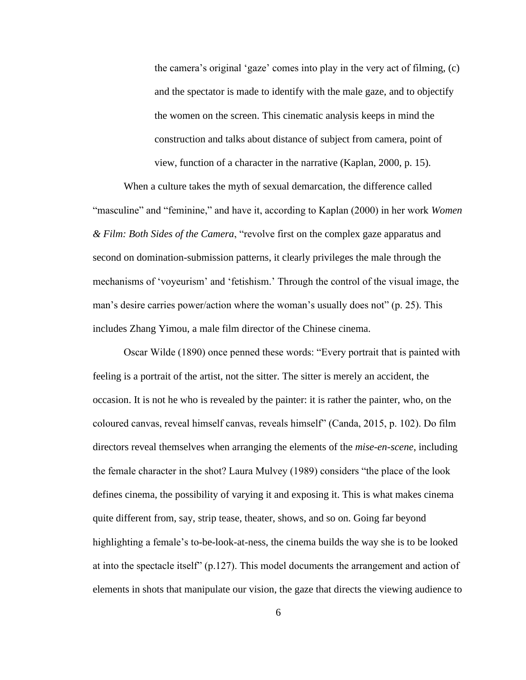the camera's original 'gaze' comes into play in the very act of filming, (c) and the spectator is made to identify with the male gaze, and to objectify the women on the screen. This cinematic analysis keeps in mind the construction and talks about distance of subject from camera, point of view, function of a character in the narrative (Kaplan, 2000, p. 15).

When a culture takes the myth of sexual demarcation, the difference called "masculine" and "feminine," and have it, according to Kaplan (2000) in her work *Women & Film: Both Sides of the Camera*, "revolve first on the complex gaze apparatus and second on domination-submission patterns, it clearly privileges the male through the mechanisms of 'voyeurism' and 'fetishism.' Through the control of the visual image, the man's desire carries power/action where the woman's usually does not" (p. 25). This includes Zhang Yimou, a male film director of the Chinese cinema.

Oscar Wilde (1890) once penned these words: "Every portrait that is painted with feeling is a portrait of the artist, not the sitter. The sitter is merely an accident, the occasion. It is not he who is revealed by the painter: it is rather the painter, who, on the coloured canvas, reveal himself canvas, reveals himself" (Canda, 2015, p. 102). Do film directors reveal themselves when arranging the elements of the *mise-en-scene*, including the female character in the shot? Laura Mulvey (1989) considers "the place of the look defines cinema, the possibility of varying it and exposing it. This is what makes cinema quite different from, say, strip tease, theater, shows, and so on. Going far beyond highlighting a female's to-be-look-at-ness, the cinema builds the way she is to be looked at into the spectacle itself" (p.127). This model documents the arrangement and action of elements in shots that manipulate our vision, the gaze that directs the viewing audience to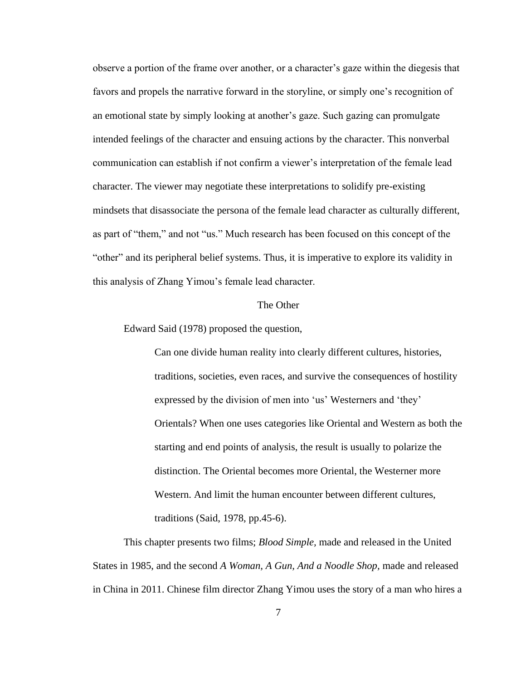observe a portion of the frame over another, or a character's gaze within the diegesis that favors and propels the narrative forward in the storyline, or simply one's recognition of an emotional state by simply looking at another's gaze. Such gazing can promulgate intended feelings of the character and ensuing actions by the character. This nonverbal communication can establish if not confirm a viewer's interpretation of the female lead character. The viewer may negotiate these interpretations to solidify pre-existing mindsets that disassociate the persona of the female lead character as culturally different, as part of "them," and not "us." Much research has been focused on this concept of the "other" and its peripheral belief systems. Thus, it is imperative to explore its validity in this analysis of Zhang Yimou's female lead character.

#### The Other

Edward Said (1978) proposed the question,

Can one divide human reality into clearly different cultures, histories, traditions, societies, even races, and survive the consequences of hostility expressed by the division of men into 'us' Westerners and 'they' Orientals? When one uses categories like Oriental and Western as both the starting and end points of analysis, the result is usually to polarize the distinction. The Oriental becomes more Oriental, the Westerner more Western. And limit the human encounter between different cultures, traditions (Said, 1978, pp.45-6).

This chapter presents two films; *Blood Simple,* made and released in the United States in 1985, and the second *A Woman, A Gun, And a Noodle Shop,* made and released in China in 2011. Chinese film director Zhang Yimou uses the story of a man who hires a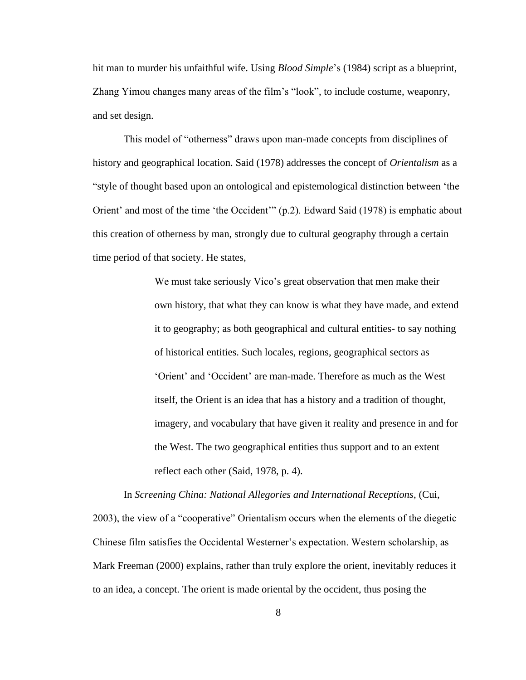hit man to murder his unfaithful wife. Using *Blood Simple*'s (1984) script as a blueprint, Zhang Yimou changes many areas of the film's "look", to include costume, weaponry, and set design.

This model of "otherness" draws upon man-made concepts from disciplines of history and geographical location. Said (1978) addresses the concept of *Orientalism* as a "style of thought based upon an ontological and epistemological distinction between 'the Orient' and most of the time 'the Occident'" (p.2). Edward Said (1978) is emphatic about this creation of otherness by man, strongly due to cultural geography through a certain time period of that society. He states,

> We must take seriously Vico's great observation that men make their own history, that what they can know is what they have made, and extend it to geography; as both geographical and cultural entities- to say nothing of historical entities. Such locales, regions, geographical sectors as 'Orient' and 'Occident' are man-made. Therefore as much as the West itself, the Orient is an idea that has a history and a tradition of thought, imagery, and vocabulary that have given it reality and presence in and for the West. The two geographical entities thus support and to an extent reflect each other (Said, 1978, p. 4).

In *Screening China: National Allegories and International Receptions*, (Cui, 2003), the view of a "cooperative" Orientalism occurs when the elements of the diegetic Chinese film satisfies the Occidental Westerner's expectation. Western scholarship, as Mark Freeman (2000) explains, rather than truly explore the orient, inevitably reduces it to an idea, a concept. The orient is made oriental by the occident, thus posing the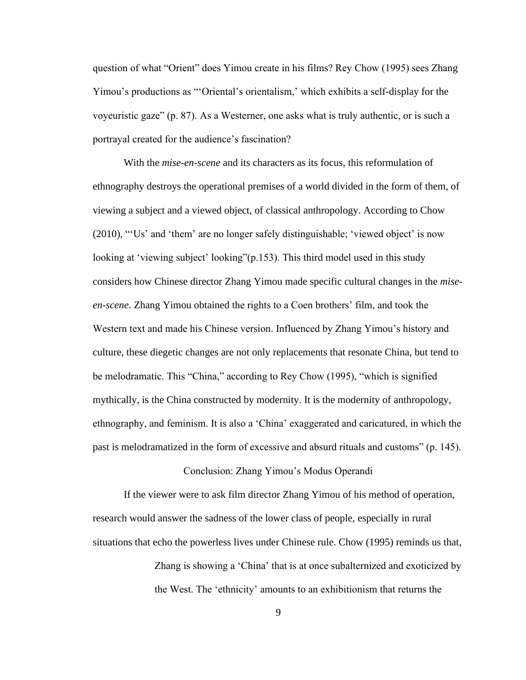question of what "Orient" does Yimou create in his films? Rey Chow (1995) sees Zhang Yimou's productions as "'Oriental's orientalism,' which exhibits a self-display for the voyeuristic gaze" (p. 87). As a Westerner, one asks what is truly authentic, or is such a portrayal created for the audience's fascination?

With the *mise-en-scene* and its characters as its focus, this reformulation of ethnography destroys the operational premises of a world divided in the form of them, of viewing a subject and a viewed object, of classical anthropology. According to Chow (2010), "'Us' and 'them' are no longer safely distinguishable; 'viewed object' is now looking at 'viewing subject' looking"(p.153). This third model used in this study considers how Chinese director Zhang Yimou made specific cultural changes in the *miseen-scene*. Zhang Yimou obtained the rights to a Coen brothers' film, and took the Western text and made his Chinese version. Influenced by Zhang Yimou's history and culture, these diegetic changes are not only replacements that resonate China, but tend to be melodramatic. This "China," according to Rey Chow (1995), "which is signified mythically, is the China constructed by modernity. It is the modernity of anthropology, ethnography, and feminism. It is also a 'China' exaggerated and caricatured, in which the past is melodramatized in the form of excessive and absurd rituals and customs" (p. 145).

### Conclusion: Zhang Yimou's Modus Operandi

If the viewer were to ask film director Zhang Yimou of his method of operation, research would answer the sadness of the lower class of people, especially in rural situations that echo the powerless lives under Chinese rule. Chow (1995) reminds us that,

> Zhang is showing a 'China' that is at once subalternized and exoticized by the West. The 'ethnicity' amounts to an exhibitionism that returns the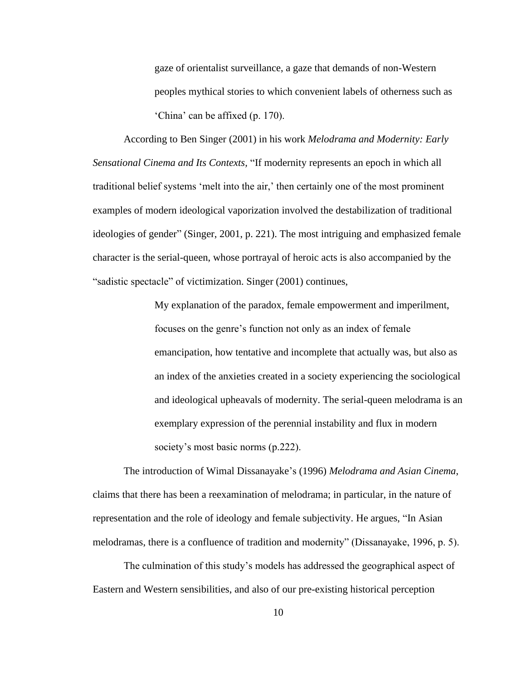gaze of orientalist surveillance, a gaze that demands of non-Western peoples mythical stories to which convenient labels of otherness such as 'China' can be affixed (p. 170).

According to Ben Singer (2001) in his work *Melodrama and Modernity: Early Sensational Cinema and Its Contexts,* "If modernity represents an epoch in which all traditional belief systems 'melt into the air,' then certainly one of the most prominent examples of modern ideological vaporization involved the destabilization of traditional ideologies of gender" (Singer, 2001, p. 221). The most intriguing and emphasized female character is the serial-queen, whose portrayal of heroic acts is also accompanied by the "sadistic spectacle" of victimization. Singer (2001) continues,

> My explanation of the paradox, female empowerment and imperilment, focuses on the genre's function not only as an index of female emancipation, how tentative and incomplete that actually was, but also as an index of the anxieties created in a society experiencing the sociological and ideological upheavals of modernity. The serial-queen melodrama is an exemplary expression of the perennial instability and flux in modern society's most basic norms (p.222).

The introduction of Wimal Dissanayake's (1996) *Melodrama and Asian Cinema*, claims that there has been a reexamination of melodrama; in particular, in the nature of representation and the role of ideology and female subjectivity. He argues, "In Asian melodramas, there is a confluence of tradition and modernity" (Dissanayake, 1996, p. 5).

The culmination of this study's models has addressed the geographical aspect of Eastern and Western sensibilities, and also of our pre-existing historical perception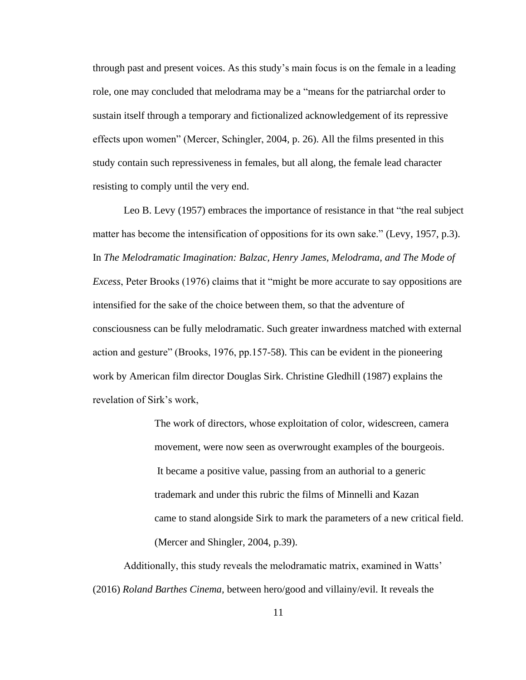through past and present voices. As this study's main focus is on the female in a leading role, one may concluded that melodrama may be a "means for the patriarchal order to sustain itself through a temporary and fictionalized acknowledgement of its repressive effects upon women" (Mercer, Schingler, 2004, p. 26). All the films presented in this study contain such repressiveness in females, but all along, the female lead character resisting to comply until the very end.

Leo B. Levy (1957) embraces the importance of resistance in that "the real subject matter has become the intensification of oppositions for its own sake." (Levy, 1957, p.3). In *The Melodramatic Imagination: Balzac, Henry James, Melodrama, and The Mode of Excess*, Peter Brooks (1976) claims that it "might be more accurate to say oppositions are intensified for the sake of the choice between them, so that the adventure of consciousness can be fully melodramatic. Such greater inwardness matched with external action and gesture" (Brooks, 1976, pp.157-58). This can be evident in the pioneering work by American film director Douglas Sirk. Christine Gledhill (1987) explains the revelation of Sirk's work,

> The work of directors, whose exploitation of color, widescreen, camera movement, were now seen as overwrought examples of the bourgeois. It became a positive value, passing from an authorial to a generic trademark and under this rubric the films of Minnelli and Kazan came to stand alongside Sirk to mark the parameters of a new critical field. (Mercer and Shingler, 2004, p.39).

Additionally, this study reveals the melodramatic matrix, examined in Watts' (2016) *Roland Barthes Cinema,* between hero/good and villainy/evil. It reveals the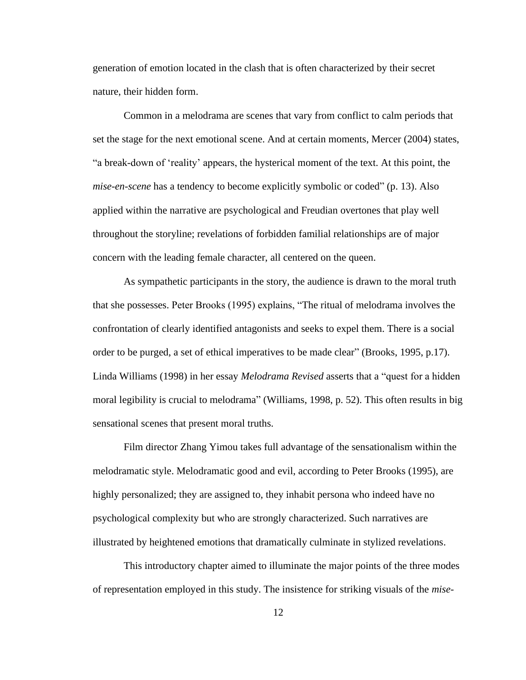generation of emotion located in the clash that is often characterized by their secret nature, their hidden form.

Common in a melodrama are scenes that vary from conflict to calm periods that set the stage for the next emotional scene. And at certain moments, Mercer (2004) states, "a break-down of 'reality' appears, the hysterical moment of the text. At this point, the *mise-en-scene* has a tendency to become explicitly symbolic or coded" (p. 13). Also applied within the narrative are psychological and Freudian overtones that play well throughout the storyline; revelations of forbidden familial relationships are of major concern with the leading female character, all centered on the queen.

As sympathetic participants in the story, the audience is drawn to the moral truth that she possesses. Peter Brooks (1995) explains, "The ritual of melodrama involves the confrontation of clearly identified antagonists and seeks to expel them. There is a social order to be purged, a set of ethical imperatives to be made clear" (Brooks, 1995, p.17). Linda Williams (1998) in her essay *Melodrama Revised* asserts that a "quest for a hidden moral legibility is crucial to melodrama" (Williams, 1998, p. 52). This often results in big sensational scenes that present moral truths.

 Film director Zhang Yimou takes full advantage of the sensationalism within the melodramatic style. Melodramatic good and evil, according to Peter Brooks (1995), are highly personalized; they are assigned to, they inhabit persona who indeed have no psychological complexity but who are strongly characterized. Such narratives are illustrated by heightened emotions that dramatically culminate in stylized revelations.

This introductory chapter aimed to illuminate the major points of the three modes of representation employed in this study. The insistence for striking visuals of the *mise-*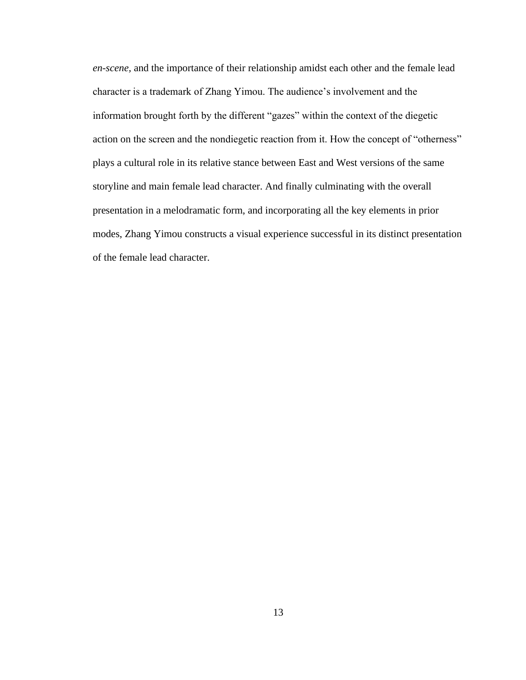*en-scene,* and the importance of their relationship amidst each other and the female lead character is a trademark of Zhang Yimou. The audience's involvement and the information brought forth by the different "gazes" within the context of the diegetic action on the screen and the nondiegetic reaction from it. How the concept of "otherness" plays a cultural role in its relative stance between East and West versions of the same storyline and main female lead character. And finally culminating with the overall presentation in a melodramatic form, and incorporating all the key elements in prior modes, Zhang Yimou constructs a visual experience successful in its distinct presentation of the female lead character.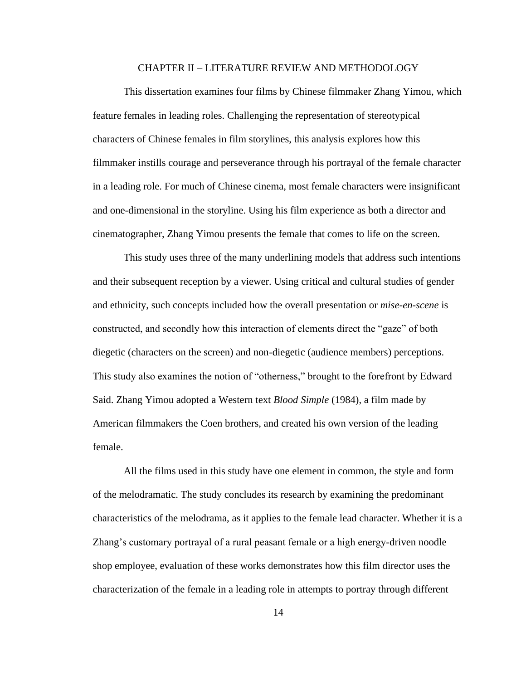#### CHAPTER II – LITERATURE REVIEW AND METHODOLOGY

This dissertation examines four films by Chinese filmmaker Zhang Yimou, which feature females in leading roles. Challenging the representation of stereotypical characters of Chinese females in film storylines, this analysis explores how this filmmaker instills courage and perseverance through his portrayal of the female character in a leading role. For much of Chinese cinema, most female characters were insignificant and one-dimensional in the storyline. Using his film experience as both a director and cinematographer, Zhang Yimou presents the female that comes to life on the screen.

This study uses three of the many underlining models that address such intentions and their subsequent reception by a viewer. Using critical and cultural studies of gender and ethnicity, such concepts included how the overall presentation or *mise-en-scene* is constructed, and secondly how this interaction of elements direct the "gaze" of both diegetic (characters on the screen) and non-diegetic (audience members) perceptions. This study also examines the notion of "otherness," brought to the forefront by Edward Said. Zhang Yimou adopted a Western text *Blood Simple* (1984), a film made by American filmmakers the Coen brothers, and created his own version of the leading female.

All the films used in this study have one element in common, the style and form of the melodramatic. The study concludes its research by examining the predominant characteristics of the melodrama, as it applies to the female lead character. Whether it is a Zhang's customary portrayal of a rural peasant female or a high energy-driven noodle shop employee, evaluation of these works demonstrates how this film director uses the characterization of the female in a leading role in attempts to portray through different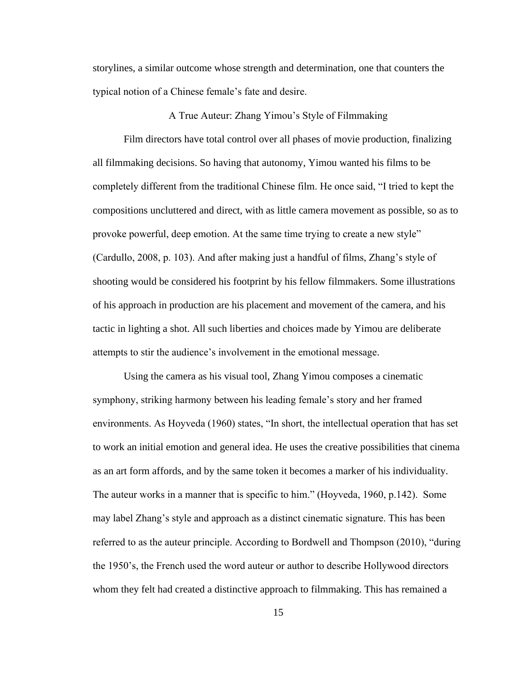storylines, a similar outcome whose strength and determination, one that counters the typical notion of a Chinese female's fate and desire.

A True Auteur: Zhang Yimou's Style of Filmmaking

Film directors have total control over all phases of movie production, finalizing all filmmaking decisions. So having that autonomy, Yimou wanted his films to be completely different from the traditional Chinese film. He once said, "I tried to kept the compositions uncluttered and direct, with as little camera movement as possible, so as to provoke powerful, deep emotion. At the same time trying to create a new style" (Cardullo, 2008, p. 103). And after making just a handful of films, Zhang's style of shooting would be considered his footprint by his fellow filmmakers. Some illustrations of his approach in production are his placement and movement of the camera, and his tactic in lighting a shot. All such liberties and choices made by Yimou are deliberate attempts to stir the audience's involvement in the emotional message.

Using the camera as his visual tool, Zhang Yimou composes a cinematic symphony, striking harmony between his leading female's story and her framed environments. As Hoyveda (1960) states, "In short, the intellectual operation that has set to work an initial emotion and general idea. He uses the creative possibilities that cinema as an art form affords, and by the same token it becomes a marker of his individuality. The auteur works in a manner that is specific to him." (Hoyveda, 1960, p.142). Some may label Zhang's style and approach as a distinct cinematic signature. This has been referred to as the auteur principle. According to Bordwell and Thompson (2010), "during the 1950's, the French used the word auteur or author to describe Hollywood directors whom they felt had created a distinctive approach to filmmaking. This has remained a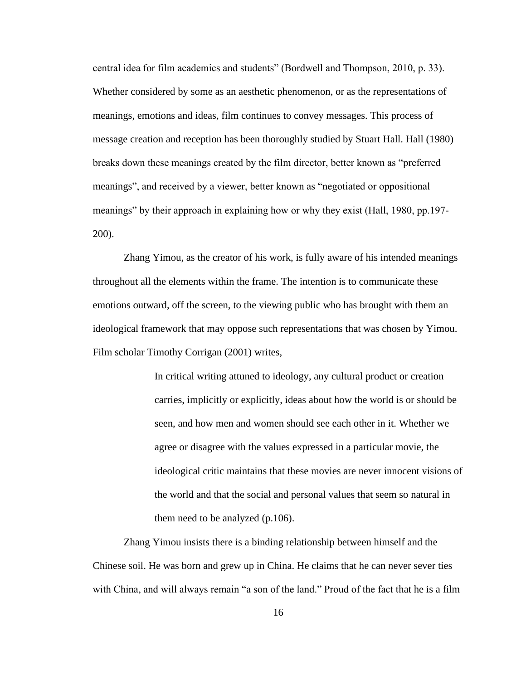central idea for film academics and students" (Bordwell and Thompson, 2010, p. 33). Whether considered by some as an aesthetic phenomenon, or as the representations of meanings, emotions and ideas, film continues to convey messages. This process of message creation and reception has been thoroughly studied by Stuart Hall. Hall (1980) breaks down these meanings created by the film director, better known as "preferred meanings", and received by a viewer, better known as "negotiated or oppositional meanings" by their approach in explaining how or why they exist (Hall, 1980, pp.197- 200).

Zhang Yimou, as the creator of his work, is fully aware of his intended meanings throughout all the elements within the frame. The intention is to communicate these emotions outward, off the screen, to the viewing public who has brought with them an ideological framework that may oppose such representations that was chosen by Yimou. Film scholar Timothy Corrigan (2001) writes,

> In critical writing attuned to ideology, any cultural product or creation carries, implicitly or explicitly, ideas about how the world is or should be seen, and how men and women should see each other in it. Whether we agree or disagree with the values expressed in a particular movie, the ideological critic maintains that these movies are never innocent visions of the world and that the social and personal values that seem so natural in them need to be analyzed (p.106).

Zhang Yimou insists there is a binding relationship between himself and the Chinese soil. He was born and grew up in China. He claims that he can never sever ties with China, and will always remain "a son of the land." Proud of the fact that he is a film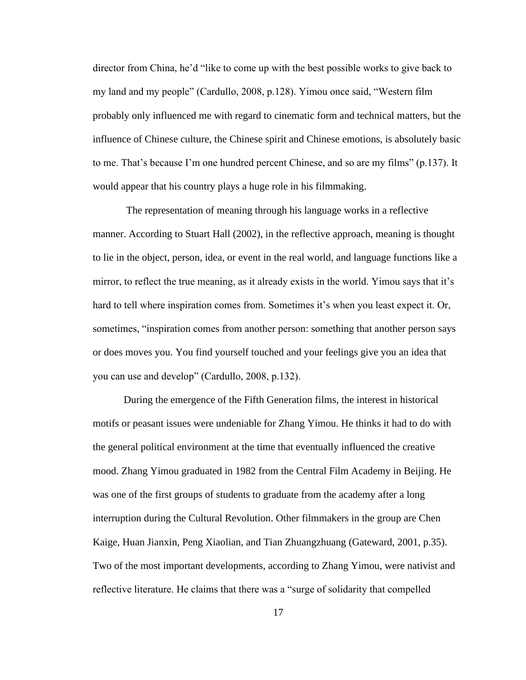director from China, he'd "like to come up with the best possible works to give back to my land and my people" (Cardullo, 2008, p.128). Yimou once said, "Western film probably only influenced me with regard to cinematic form and technical matters, but the influence of Chinese culture, the Chinese spirit and Chinese emotions, is absolutely basic to me. That's because I'm one hundred percent Chinese, and so are my films" (p.137). It would appear that his country plays a huge role in his filmmaking.

The representation of meaning through his language works in a reflective manner. According to Stuart Hall (2002), in the reflective approach, meaning is thought to lie in the object, person, idea, or event in the real world, and language functions like a mirror, to reflect the true meaning, as it already exists in the world. Yimou says that it's hard to tell where inspiration comes from. Sometimes it's when you least expect it. Or, sometimes, "inspiration comes from another person: something that another person says or does moves you. You find yourself touched and your feelings give you an idea that you can use and develop" (Cardullo, 2008, p.132).

During the emergence of the Fifth Generation films, the interest in historical motifs or peasant issues were undeniable for Zhang Yimou. He thinks it had to do with the general political environment at the time that eventually influenced the creative mood. Zhang Yimou graduated in 1982 from the Central Film Academy in Beijing. He was one of the first groups of students to graduate from the academy after a long interruption during the Cultural Revolution. Other filmmakers in the group are Chen Kaige, Huan Jianxin, Peng Xiaolian, and Tian Zhuangzhuang (Gateward, 2001, p.35). Two of the most important developments, according to Zhang Yimou, were nativist and reflective literature. He claims that there was a "surge of solidarity that compelled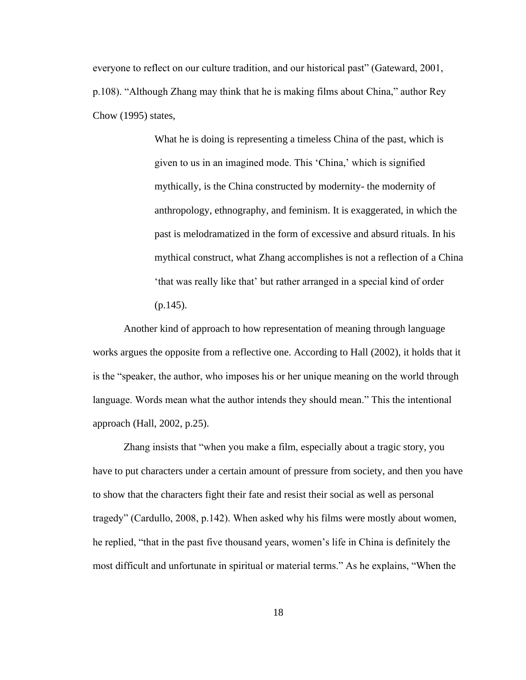everyone to reflect on our culture tradition, and our historical past" (Gateward, 2001, p.108). "Although Zhang may think that he is making films about China," author Rey Chow (1995) states,

> What he is doing is representing a timeless China of the past, which is given to us in an imagined mode. This 'China,' which is signified mythically, is the China constructed by modernity- the modernity of anthropology, ethnography, and feminism. It is exaggerated, in which the past is melodramatized in the form of excessive and absurd rituals. In his mythical construct, what Zhang accomplishes is not a reflection of a China 'that was really like that' but rather arranged in a special kind of order (p.145).

Another kind of approach to how representation of meaning through language works argues the opposite from a reflective one. According to Hall (2002), it holds that it is the "speaker, the author, who imposes his or her unique meaning on the world through language. Words mean what the author intends they should mean." This the intentional approach (Hall, 2002, p.25).

Zhang insists that "when you make a film, especially about a tragic story, you have to put characters under a certain amount of pressure from society, and then you have to show that the characters fight their fate and resist their social as well as personal tragedy" (Cardullo, 2008, p.142). When asked why his films were mostly about women, he replied, "that in the past five thousand years, women's life in China is definitely the most difficult and unfortunate in spiritual or material terms." As he explains, "When the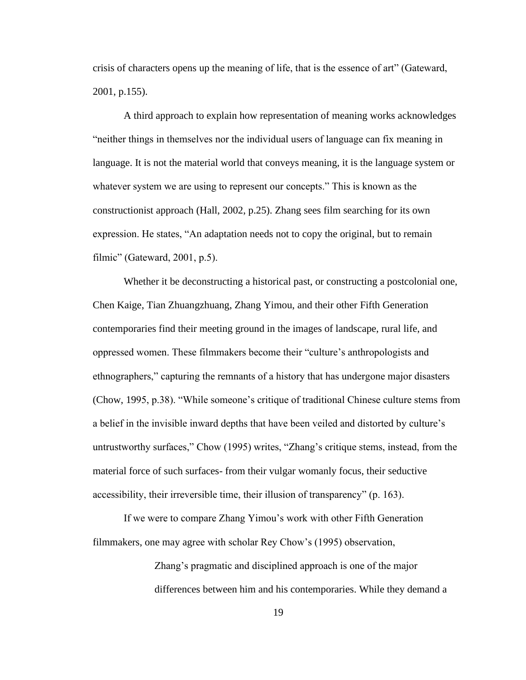crisis of characters opens up the meaning of life, that is the essence of art" (Gateward, 2001, p.155).

A third approach to explain how representation of meaning works acknowledges "neither things in themselves nor the individual users of language can fix meaning in language. It is not the material world that conveys meaning, it is the language system or whatever system we are using to represent our concepts." This is known as the constructionist approach (Hall, 2002, p.25). Zhang sees film searching for its own expression. He states, "An adaptation needs not to copy the original, but to remain filmic" (Gateward, 2001, p.5).

Whether it be deconstructing a historical past, or constructing a postcolonial one, Chen Kaige, Tian Zhuangzhuang, Zhang Yimou, and their other Fifth Generation contemporaries find their meeting ground in the images of landscape, rural life, and oppressed women. These filmmakers become their "culture's anthropologists and ethnographers," capturing the remnants of a history that has undergone major disasters (Chow, 1995, p.38). "While someone's critique of traditional Chinese culture stems from a belief in the invisible inward depths that have been veiled and distorted by culture's untrustworthy surfaces," Chow (1995) writes, "Zhang's critique stems, instead, from the material force of such surfaces- from their vulgar womanly focus, their seductive accessibility, their irreversible time, their illusion of transparency" (p. 163).

If we were to compare Zhang Yimou's work with other Fifth Generation filmmakers, one may agree with scholar Rey Chow's (1995) observation,

> Zhang's pragmatic and disciplined approach is one of the major differences between him and his contemporaries. While they demand a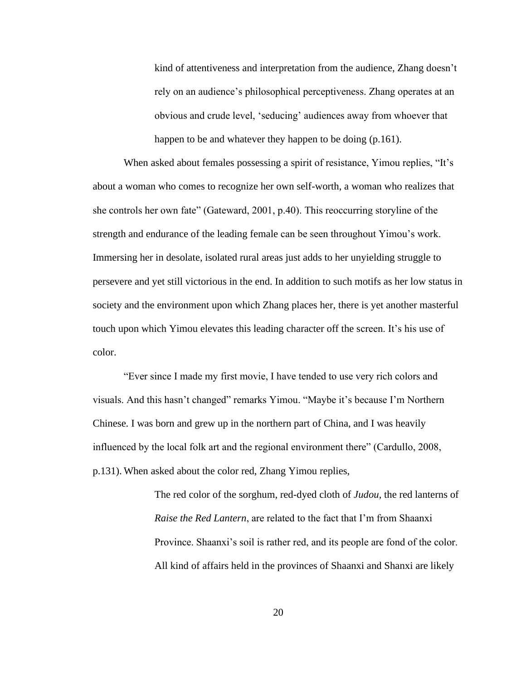kind of attentiveness and interpretation from the audience, Zhang doesn't rely on an audience's philosophical perceptiveness. Zhang operates at an obvious and crude level, 'seducing' audiences away from whoever that happen to be and whatever they happen to be doing (p.161).

When asked about females possessing a spirit of resistance, Yimou replies, "It's about a woman who comes to recognize her own self-worth, a woman who realizes that she controls her own fate" (Gateward, 2001, p.40). This reoccurring storyline of the strength and endurance of the leading female can be seen throughout Yimou's work. Immersing her in desolate, isolated rural areas just adds to her unyielding struggle to persevere and yet still victorious in the end. In addition to such motifs as her low status in society and the environment upon which Zhang places her, there is yet another masterful touch upon which Yimou elevates this leading character off the screen. It's his use of color.

"Ever since I made my first movie, I have tended to use very rich colors and visuals. And this hasn't changed" remarks Yimou. "Maybe it's because I'm Northern Chinese. I was born and grew up in the northern part of China, and I was heavily influenced by the local folk art and the regional environment there" (Cardullo, 2008, p.131). When asked about the color red, Zhang Yimou replies,

> The red color of the sorghum, red-dyed cloth of *Judou*, the red lanterns of *Raise the Red Lantern*, are related to the fact that I'm from Shaanxi Province. Shaanxi's soil is rather red, and its people are fond of the color. All kind of affairs held in the provinces of Shaanxi and Shanxi are likely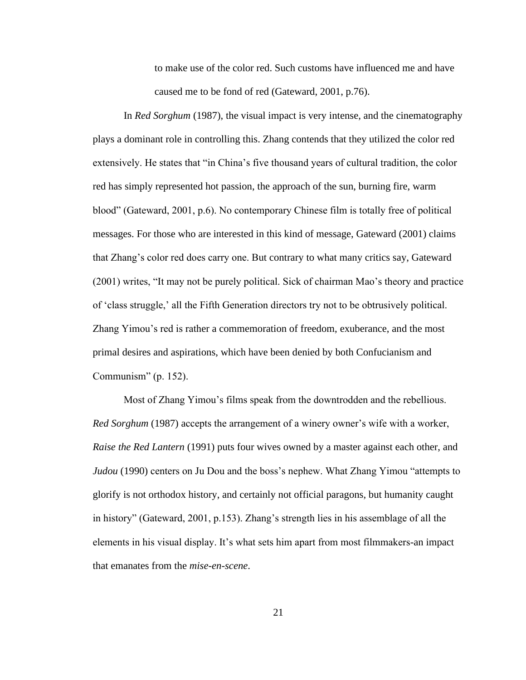to make use of the color red. Such customs have influenced me and have caused me to be fond of red (Gateward, 2001, p.76).

In *Red Sorghum* (1987), the visual impact is very intense, and the cinematography plays a dominant role in controlling this. Zhang contends that they utilized the color red extensively. He states that "in China's five thousand years of cultural tradition, the color red has simply represented hot passion, the approach of the sun, burning fire, warm blood" (Gateward, 2001, p.6). No contemporary Chinese film is totally free of political messages. For those who are interested in this kind of message, Gateward (2001) claims that Zhang's color red does carry one. But contrary to what many critics say, Gateward (2001) writes, "It may not be purely political. Sick of chairman Mao's theory and practice of 'class struggle,' all the Fifth Generation directors try not to be obtrusively political. Zhang Yimou's red is rather a commemoration of freedom, exuberance, and the most primal desires and aspirations, which have been denied by both Confucianism and Communism" (p. 152).

Most of Zhang Yimou's films speak from the downtrodden and the rebellious. *Red Sorghum* (1987) accepts the arrangement of a winery owner's wife with a worker, *Raise the Red Lantern* (1991) puts four wives owned by a master against each other, and *Judou* (1990) centers on Ju Dou and the boss's nephew. What Zhang Yimou "attempts to glorify is not orthodox history, and certainly not official paragons, but humanity caught in history" (Gateward, 2001, p.153). Zhang's strength lies in his assemblage of all the elements in his visual display. It's what sets him apart from most filmmakers-an impact that emanates from the *mise-en-scene*.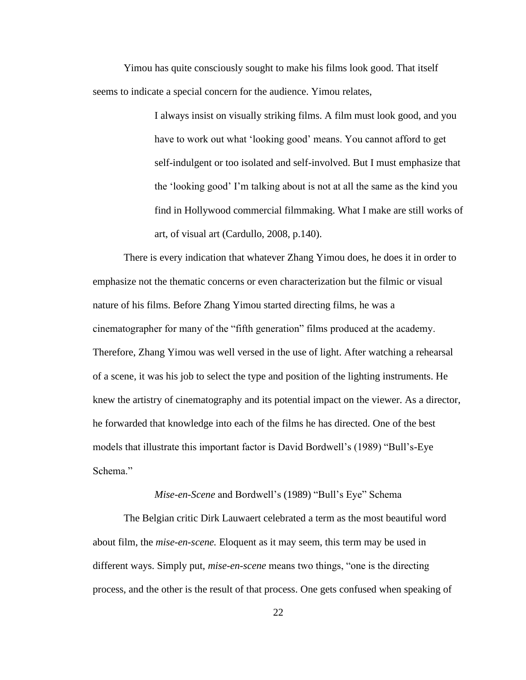Yimou has quite consciously sought to make his films look good. That itself seems to indicate a special concern for the audience. Yimou relates,

> I always insist on visually striking films. A film must look good, and you have to work out what 'looking good' means. You cannot afford to get self-indulgent or too isolated and self-involved. But I must emphasize that the 'looking good' I'm talking about is not at all the same as the kind you find in Hollywood commercial filmmaking. What I make are still works of art, of visual art (Cardullo, 2008, p.140).

There is every indication that whatever Zhang Yimou does, he does it in order to emphasize not the thematic concerns or even characterization but the filmic or visual nature of his films. Before Zhang Yimou started directing films, he was a cinematographer for many of the "fifth generation" films produced at the academy. Therefore, Zhang Yimou was well versed in the use of light. After watching a rehearsal of a scene, it was his job to select the type and position of the lighting instruments. He knew the artistry of cinematography and its potential impact on the viewer. As a director, he forwarded that knowledge into each of the films he has directed. One of the best models that illustrate this important factor is David Bordwell's (1989) "Bull's-Eye Schema."

*Mise-en-Scene* and Bordwell's (1989) "Bull's Eye" Schema

The Belgian critic Dirk Lauwaert celebrated a term as the most beautiful word about film, the *mise-en-scene.* Eloquent as it may seem, this term may be used in different ways. Simply put, *mise-en-scene* means two things, "one is the directing process, and the other is the result of that process. One gets confused when speaking of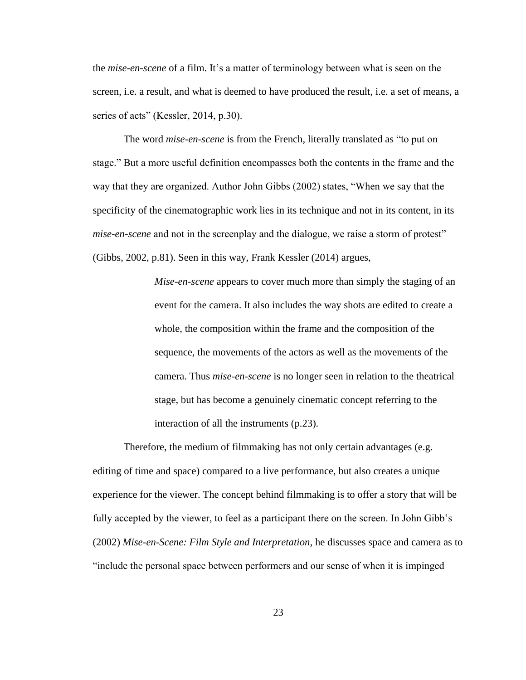the *mise-en-scene* of a film. It's a matter of terminology between what is seen on the screen, i.e. a result, and what is deemed to have produced the result, i.e. a set of means, a series of acts" (Kessler, 2014, p.30).

The word *mise-en-scene* is from the French, literally translated as "to put on stage." But a more useful definition encompasses both the contents in the frame and the way that they are organized. Author John Gibbs (2002) states, "When we say that the specificity of the cinematographic work lies in its technique and not in its content, in its *mise-en-scene* and not in the screenplay and the dialogue, we raise a storm of protest" (Gibbs, 2002, p.81). Seen in this way, Frank Kessler (2014) argues,

> *Mise-en-scene* appears to cover much more than simply the staging of an event for the camera. It also includes the way shots are edited to create a whole, the composition within the frame and the composition of the sequence, the movements of the actors as well as the movements of the camera. Thus *mise-en-scene* is no longer seen in relation to the theatrical stage, but has become a genuinely cinematic concept referring to the interaction of all the instruments (p.23).

Therefore, the medium of filmmaking has not only certain advantages (e.g. editing of time and space) compared to a live performance, but also creates a unique experience for the viewer. The concept behind filmmaking is to offer a story that will be fully accepted by the viewer, to feel as a participant there on the screen. In John Gibb's (2002) *Mise-en-Scene: Film Style and Interpretation*, he discusses space and camera as to "include the personal space between performers and our sense of when it is impinged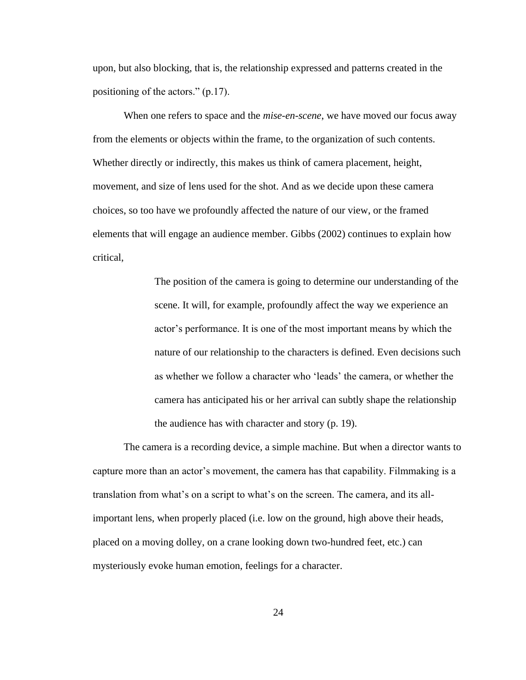upon, but also blocking, that is, the relationship expressed and patterns created in the positioning of the actors." (p.17).

When one refers to space and the *mise-en-scene*, we have moved our focus away from the elements or objects within the frame, to the organization of such contents. Whether directly or indirectly, this makes us think of camera placement, height, movement, and size of lens used for the shot. And as we decide upon these camera choices, so too have we profoundly affected the nature of our view, or the framed elements that will engage an audience member. Gibbs (2002) continues to explain how critical,

> The position of the camera is going to determine our understanding of the scene. It will, for example, profoundly affect the way we experience an actor's performance. It is one of the most important means by which the nature of our relationship to the characters is defined. Even decisions such as whether we follow a character who 'leads' the camera, or whether the camera has anticipated his or her arrival can subtly shape the relationship the audience has with character and story (p. 19).

The camera is a recording device, a simple machine. But when a director wants to capture more than an actor's movement, the camera has that capability. Filmmaking is a translation from what's on a script to what's on the screen. The camera, and its allimportant lens, when properly placed (i.e. low on the ground, high above their heads, placed on a moving dolley, on a crane looking down two-hundred feet, etc.) can mysteriously evoke human emotion, feelings for a character.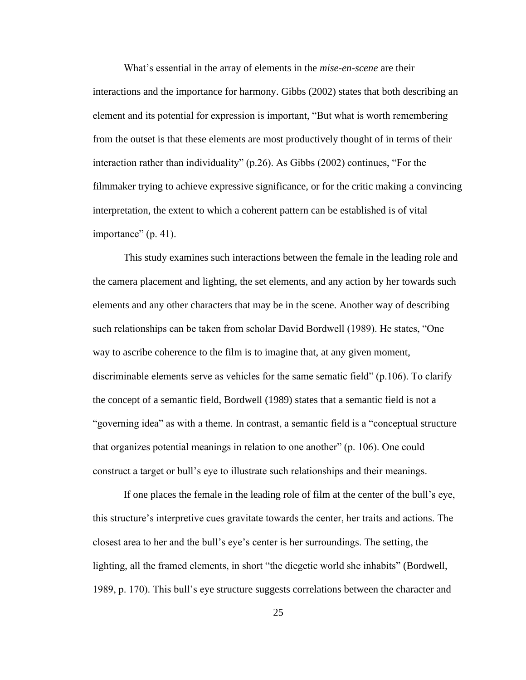What's essential in the array of elements in the *mise-en-scene* are their interactions and the importance for harmony. Gibbs (2002) states that both describing an element and its potential for expression is important, "But what is worth remembering from the outset is that these elements are most productively thought of in terms of their interaction rather than individuality" (p.26). As Gibbs (2002) continues, "For the filmmaker trying to achieve expressive significance, or for the critic making a convincing interpretation, the extent to which a coherent pattern can be established is of vital importance" (p. 41).

This study examines such interactions between the female in the leading role and the camera placement and lighting, the set elements, and any action by her towards such elements and any other characters that may be in the scene. Another way of describing such relationships can be taken from scholar David Bordwell (1989). He states, "One way to ascribe coherence to the film is to imagine that, at any given moment, discriminable elements serve as vehicles for the same sematic field" (p.106). To clarify the concept of a semantic field, Bordwell (1989) states that a semantic field is not a "governing idea" as with a theme. In contrast, a semantic field is a "conceptual structure that organizes potential meanings in relation to one another" (p. 106). One could construct a target or bull's eye to illustrate such relationships and their meanings.

If one places the female in the leading role of film at the center of the bull's eye, this structure's interpretive cues gravitate towards the center, her traits and actions. The closest area to her and the bull's eye's center is her surroundings. The setting, the lighting, all the framed elements, in short "the diegetic world she inhabits" (Bordwell, 1989, p. 170). This bull's eye structure suggests correlations between the character and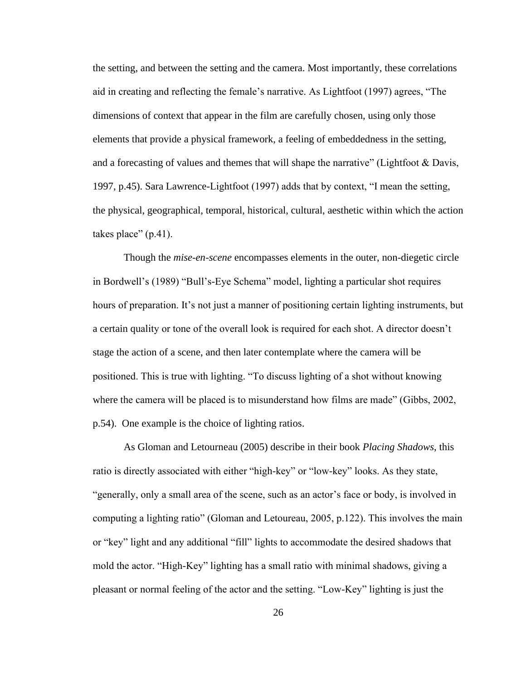the setting, and between the setting and the camera. Most importantly, these correlations aid in creating and reflecting the female's narrative. As Lightfoot (1997) agrees, "The dimensions of context that appear in the film are carefully chosen, using only those elements that provide a physical framework, a feeling of embeddedness in the setting, and a forecasting of values and themes that will shape the narrative" (Lightfoot & Davis, 1997, p.45). Sara Lawrence-Lightfoot (1997) adds that by context, "I mean the setting, the physical, geographical, temporal, historical, cultural, aesthetic within which the action takes place" (p.41).

Though the *mise-en-scene* encompasses elements in the outer, non-diegetic circle in Bordwell's (1989) "Bull's-Eye Schema" model, lighting a particular shot requires hours of preparation. It's not just a manner of positioning certain lighting instruments, but a certain quality or tone of the overall look is required for each shot. A director doesn't stage the action of a scene, and then later contemplate where the camera will be positioned. This is true with lighting. "To discuss lighting of a shot without knowing where the camera will be placed is to misunderstand how films are made" (Gibbs, 2002, p.54). One example is the choice of lighting ratios.

As Gloman and Letourneau (2005) describe in their book *Placing Shadows*, this ratio is directly associated with either "high-key" or "low-key" looks. As they state, "generally, only a small area of the scene, such as an actor's face or body, is involved in computing a lighting ratio" (Gloman and Letoureau, 2005, p.122). This involves the main or "key" light and any additional "fill" lights to accommodate the desired shadows that mold the actor. "High-Key" lighting has a small ratio with minimal shadows, giving a pleasant or normal feeling of the actor and the setting. "Low-Key" lighting is just the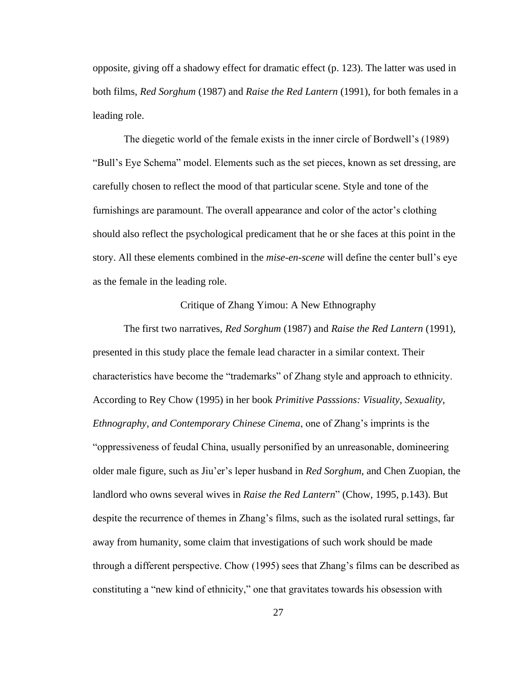opposite, giving off a shadowy effect for dramatic effect (p. 123). The latter was used in both films, *Red Sorghum* (1987) and *Raise the Red Lantern* (1991), for both females in a leading role.

The diegetic world of the female exists in the inner circle of Bordwell's (1989) "Bull's Eye Schema" model. Elements such as the set pieces, known as set dressing, are carefully chosen to reflect the mood of that particular scene. Style and tone of the furnishings are paramount. The overall appearance and color of the actor's clothing should also reflect the psychological predicament that he or she faces at this point in the story. All these elements combined in the *mise-en-scene* will define the center bull's eye as the female in the leading role.

#### Critique of Zhang Yimou: A New Ethnography

The first two narratives, *Red Sorghum* (1987) and *Raise the Red Lantern* (1991), presented in this study place the female lead character in a similar context. Their characteristics have become the "trademarks" of Zhang style and approach to ethnicity. According to Rey Chow (1995) in her book *Primitive Passsions: Visuality, Sexuality, Ethnography, and Contemporary Chinese Cinema*, one of Zhang's imprints is the "oppressiveness of feudal China, usually personified by an unreasonable, domineering older male figure, such as Jiu'er's leper husband in *Red Sorghum*, and Chen Zuopian, the landlord who owns several wives in *Raise the Red Lantern*" (Chow, 1995, p.143). But despite the recurrence of themes in Zhang's films, such as the isolated rural settings, far away from humanity, some claim that investigations of such work should be made through a different perspective. Chow (1995) sees that Zhang's films can be described as constituting a "new kind of ethnicity," one that gravitates towards his obsession with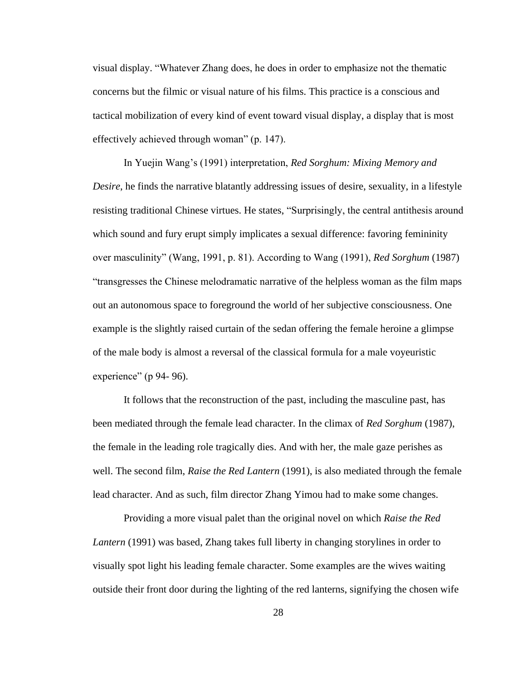visual display. "Whatever Zhang does, he does in order to emphasize not the thematic concerns but the filmic or visual nature of his films. This practice is a conscious and tactical mobilization of every kind of event toward visual display, a display that is most effectively achieved through woman" (p. 147).

In Yuejin Wang's (1991) interpretation, *Red Sorghum: Mixing Memory and Desire*, he finds the narrative blatantly addressing issues of desire, sexuality, in a lifestyle resisting traditional Chinese virtues. He states, "Surprisingly, the central antithesis around which sound and fury erupt simply implicates a sexual difference: favoring femininity over masculinity" (Wang, 1991, p. 81). According to Wang (1991), *Red Sorghum* (1987) "transgresses the Chinese melodramatic narrative of the helpless woman as the film maps out an autonomous space to foreground the world of her subjective consciousness. One example is the slightly raised curtain of the sedan offering the female heroine a glimpse of the male body is almost a reversal of the classical formula for a male voyeuristic experience" (p 94- 96).

It follows that the reconstruction of the past, including the masculine past, has been mediated through the female lead character. In the climax of *Red Sorghum* (1987), the female in the leading role tragically dies. And with her, the male gaze perishes as well. The second film, *Raise the Red Lantern* (1991), is also mediated through the female lead character. And as such, film director Zhang Yimou had to make some changes.

Providing a more visual palet than the original novel on which *Raise the Red Lantern* (1991) was based, Zhang takes full liberty in changing storylines in order to visually spot light his leading female character. Some examples are the wives waiting outside their front door during the lighting of the red lanterns, signifying the chosen wife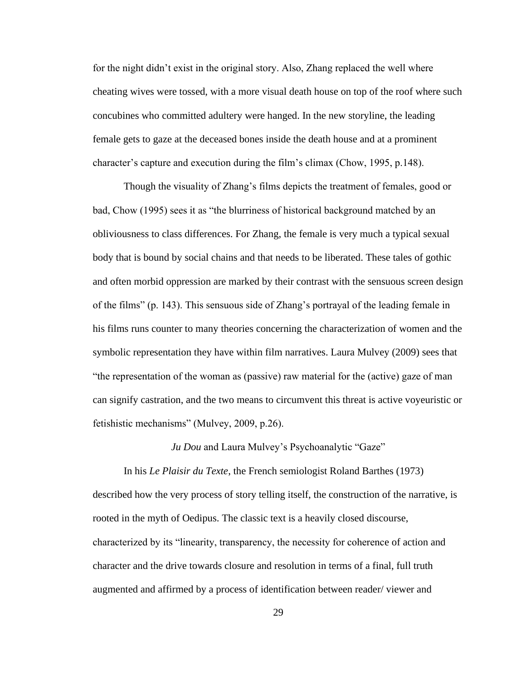for the night didn't exist in the original story. Also, Zhang replaced the well where cheating wives were tossed, with a more visual death house on top of the roof where such concubines who committed adultery were hanged. In the new storyline, the leading female gets to gaze at the deceased bones inside the death house and at a prominent character's capture and execution during the film's climax (Chow, 1995, p.148).

Though the visuality of Zhang's films depicts the treatment of females, good or bad, Chow (1995) sees it as "the blurriness of historical background matched by an obliviousness to class differences. For Zhang, the female is very much a typical sexual body that is bound by social chains and that needs to be liberated. These tales of gothic and often morbid oppression are marked by their contrast with the sensuous screen design of the films" (p. 143). This sensuous side of Zhang's portrayal of the leading female in his films runs counter to many theories concerning the characterization of women and the symbolic representation they have within film narratives. Laura Mulvey (2009) sees that "the representation of the woman as (passive) raw material for the (active) gaze of man can signify castration, and the two means to circumvent this threat is active voyeuristic or fetishistic mechanisms" (Mulvey, 2009, p.26).

*Ju Dou* and Laura Mulvey's Psychoanalytic "Gaze"

In his *Le Plaisir du Texte*, the French semiologist Roland Barthes (1973) described how the very process of story telling itself, the construction of the narrative, is rooted in the myth of Oedipus. The classic text is a heavily closed discourse, characterized by its "linearity, transparency, the necessity for coherence of action and character and the drive towards closure and resolution in terms of a final, full truth augmented and affirmed by a process of identification between reader/ viewer and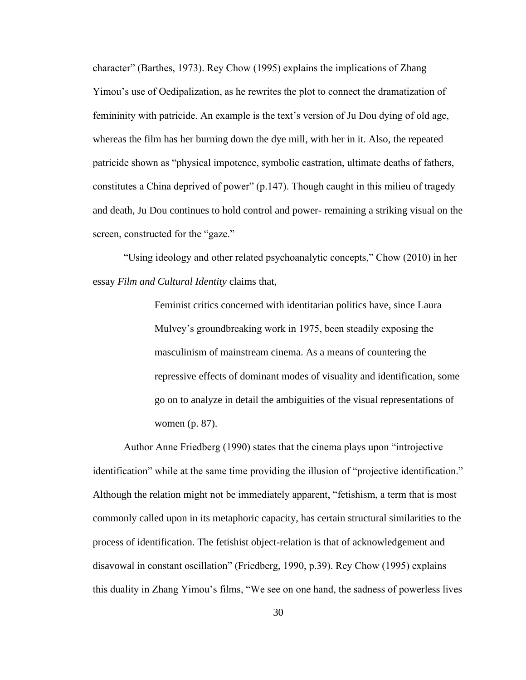character" (Barthes, 1973). Rey Chow (1995) explains the implications of Zhang Yimou's use of Oedipalization, as he rewrites the plot to connect the dramatization of femininity with patricide. An example is the text's version of Ju Dou dying of old age, whereas the film has her burning down the dye mill, with her in it. Also, the repeated patricide shown as "physical impotence, symbolic castration, ultimate deaths of fathers, constitutes a China deprived of power" (p.147). Though caught in this milieu of tragedy and death, Ju Dou continues to hold control and power- remaining a striking visual on the screen, constructed for the "gaze."

"Using ideology and other related psychoanalytic concepts," Chow (2010) in her essay *Film and Cultural Identity* claims that,

> Feminist critics concerned with identitarian politics have, since Laura Mulvey's groundbreaking work in 1975, been steadily exposing the masculinism of mainstream cinema. As a means of countering the repressive effects of dominant modes of visuality and identification, some go on to analyze in detail the ambiguities of the visual representations of women (p. 87).

Author Anne Friedberg (1990) states that the cinema plays upon "introjective identification" while at the same time providing the illusion of "projective identification." Although the relation might not be immediately apparent, "fetishism, a term that is most commonly called upon in its metaphoric capacity, has certain structural similarities to the process of identification. The fetishist object-relation is that of acknowledgement and disavowal in constant oscillation" (Friedberg, 1990, p.39). Rey Chow (1995) explains this duality in Zhang Yimou's films, "We see on one hand, the sadness of powerless lives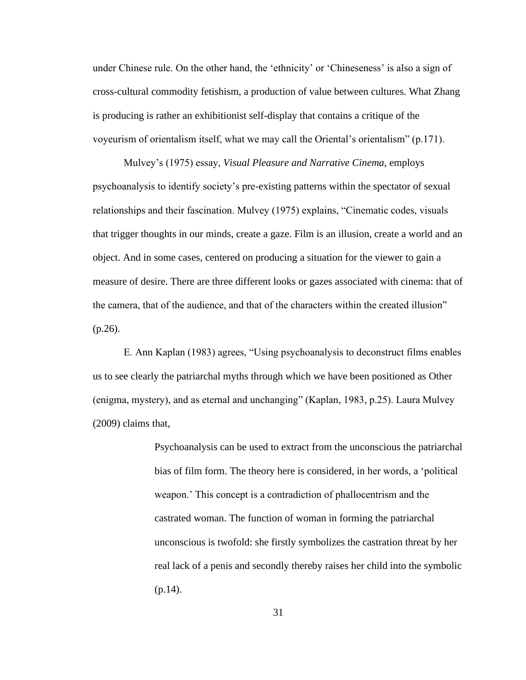under Chinese rule. On the other hand, the 'ethnicity' or 'Chineseness' is also a sign of cross-cultural commodity fetishism, a production of value between cultures. What Zhang is producing is rather an exhibitionist self-display that contains a critique of the voyeurism of orientalism itself, what we may call the Oriental's orientalism" (p.171).

Mulvey's (1975) essay, *Visual Pleasure and Narrative Cinema*, employs psychoanalysis to identify society's pre-existing patterns within the spectator of sexual relationships and their fascination. Mulvey (1975) explains, "Cinematic codes, visuals that trigger thoughts in our minds, create a gaze. Film is an illusion, create a world and an object. And in some cases, centered on producing a situation for the viewer to gain a measure of desire. There are three different looks or gazes associated with cinema: that of the camera, that of the audience, and that of the characters within the created illusion" (p.26).

E. Ann Kaplan (1983) agrees, "Using psychoanalysis to deconstruct films enables us to see clearly the patriarchal myths through which we have been positioned as Other (enigma, mystery), and as eternal and unchanging" (Kaplan, 1983, p.25). Laura Mulvey (2009) claims that,

> Psychoanalysis can be used to extract from the unconscious the patriarchal bias of film form. The theory here is considered, in her words, a 'political weapon.' This concept is a contradiction of phallocentrism and the castrated woman. The function of woman in forming the patriarchal unconscious is twofold: she firstly symbolizes the castration threat by her real lack of a penis and secondly thereby raises her child into the symbolic (p.14).

> > 31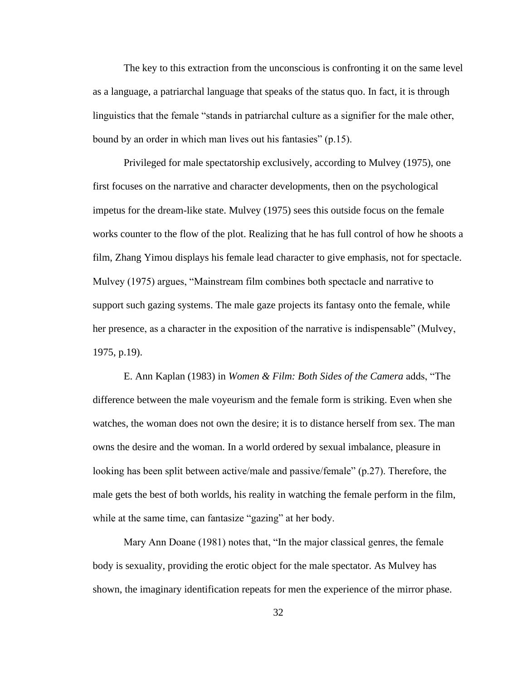The key to this extraction from the unconscious is confronting it on the same level as a language, a patriarchal language that speaks of the status quo. In fact, it is through linguistics that the female "stands in patriarchal culture as a signifier for the male other, bound by an order in which man lives out his fantasies" (p.15).

Privileged for male spectatorship exclusively, according to Mulvey (1975), one first focuses on the narrative and character developments, then on the psychological impetus for the dream-like state. Mulvey (1975) sees this outside focus on the female works counter to the flow of the plot. Realizing that he has full control of how he shoots a film, Zhang Yimou displays his female lead character to give emphasis, not for spectacle. Mulvey (1975) argues, "Mainstream film combines both spectacle and narrative to support such gazing systems. The male gaze projects its fantasy onto the female, while her presence, as a character in the exposition of the narrative is indispensable" (Mulvey, 1975, p.19).

E. Ann Kaplan (1983) in *Women & Film: Both Sides of the Camera* adds, "The difference between the male voyeurism and the female form is striking. Even when she watches, the woman does not own the desire; it is to distance herself from sex. The man owns the desire and the woman. In a world ordered by sexual imbalance, pleasure in looking has been split between active/male and passive/female" (p.27). Therefore, the male gets the best of both worlds, his reality in watching the female perform in the film, while at the same time, can fantasize "gazing" at her body.

Mary Ann Doane (1981) notes that, "In the major classical genres, the female body is sexuality, providing the erotic object for the male spectator. As Mulvey has shown, the imaginary identification repeats for men the experience of the mirror phase.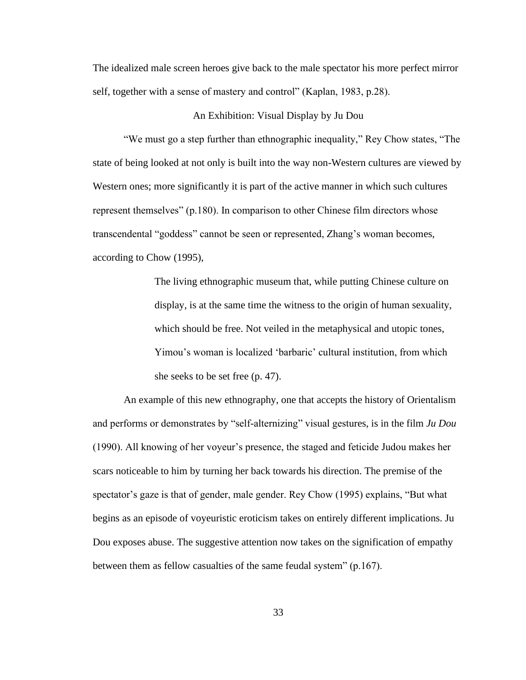The idealized male screen heroes give back to the male spectator his more perfect mirror self, together with a sense of mastery and control" (Kaplan, 1983, p.28).

An Exhibition: Visual Display by Ju Dou

"We must go a step further than ethnographic inequality," Rey Chow states, "The state of being looked at not only is built into the way non-Western cultures are viewed by Western ones; more significantly it is part of the active manner in which such cultures represent themselves" (p.180). In comparison to other Chinese film directors whose transcendental "goddess" cannot be seen or represented, Zhang's woman becomes, according to Chow (1995),

> The living ethnographic museum that, while putting Chinese culture on display, is at the same time the witness to the origin of human sexuality, which should be free. Not veiled in the metaphysical and utopic tones, Yimou's woman is localized 'barbaric' cultural institution, from which she seeks to be set free (p. 47).

An example of this new ethnography, one that accepts the history of Orientalism and performs or demonstrates by "self-alternizing" visual gestures, is in the film *Ju Dou* (1990). All knowing of her voyeur's presence, the staged and feticide Judou makes her scars noticeable to him by turning her back towards his direction. The premise of the spectator's gaze is that of gender, male gender. Rey Chow (1995) explains, "But what begins as an episode of voyeuristic eroticism takes on entirely different implications. Ju Dou exposes abuse. The suggestive attention now takes on the signification of empathy between them as fellow casualties of the same feudal system" (p.167).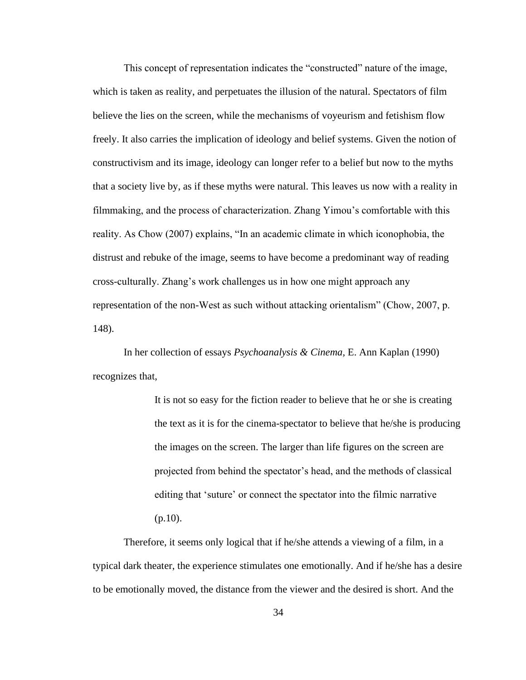This concept of representation indicates the "constructed" nature of the image, which is taken as reality, and perpetuates the illusion of the natural. Spectators of film believe the lies on the screen, while the mechanisms of voyeurism and fetishism flow freely. It also carries the implication of ideology and belief systems. Given the notion of constructivism and its image, ideology can longer refer to a belief but now to the myths that a society live by, as if these myths were natural. This leaves us now with a reality in filmmaking, and the process of characterization. Zhang Yimou's comfortable with this reality. As Chow (2007) explains, "In an academic climate in which iconophobia, the distrust and rebuke of the image, seems to have become a predominant way of reading cross-culturally. Zhang's work challenges us in how one might approach any representation of the non-West as such without attacking orientalism" (Chow, 2007, p. 148).

In her collection of essays *Psychoanalysis & Cinema,* E. Ann Kaplan (1990) recognizes that,

> It is not so easy for the fiction reader to believe that he or she is creating the text as it is for the cinema-spectator to believe that he/she is producing the images on the screen. The larger than life figures on the screen are projected from behind the spectator's head, and the methods of classical editing that 'suture' or connect the spectator into the filmic narrative  $(p.10)$ .

Therefore, it seems only logical that if he/she attends a viewing of a film, in a typical dark theater, the experience stimulates one emotionally. And if he/she has a desire to be emotionally moved, the distance from the viewer and the desired is short. And the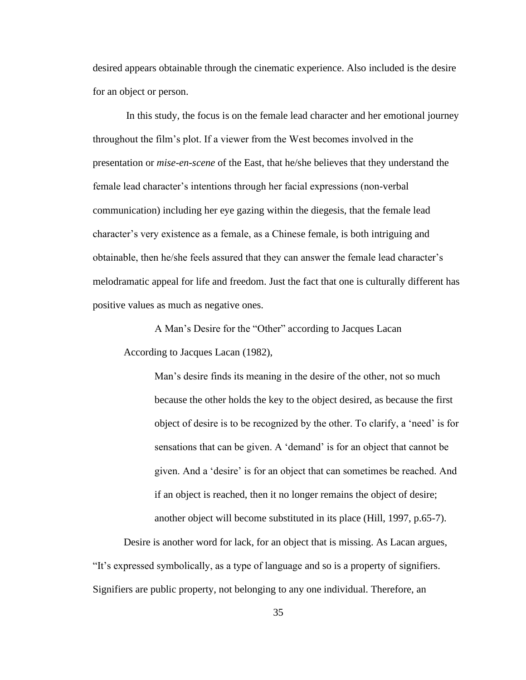desired appears obtainable through the cinematic experience. Also included is the desire for an object or person.

In this study, the focus is on the female lead character and her emotional journey throughout the film's plot. If a viewer from the West becomes involved in the presentation or *mise-en-scene* of the East, that he/she believes that they understand the female lead character's intentions through her facial expressions (non-verbal communication) including her eye gazing within the diegesis, that the female lead character's very existence as a female, as a Chinese female, is both intriguing and obtainable, then he/she feels assured that they can answer the female lead character's melodramatic appeal for life and freedom. Just the fact that one is culturally different has positive values as much as negative ones.

A Man's Desire for the "Other" according to Jacques Lacan According to Jacques Lacan (1982),

> Man's desire finds its meaning in the desire of the other, not so much because the other holds the key to the object desired, as because the first object of desire is to be recognized by the other. To clarify, a 'need' is for sensations that can be given. A 'demand' is for an object that cannot be given. And a 'desire' is for an object that can sometimes be reached. And if an object is reached, then it no longer remains the object of desire; another object will become substituted in its place (Hill, 1997, p.65-7).

Desire is another word for lack, for an object that is missing. As Lacan argues, "It's expressed symbolically, as a type of language and so is a property of signifiers. Signifiers are public property, not belonging to any one individual. Therefore, an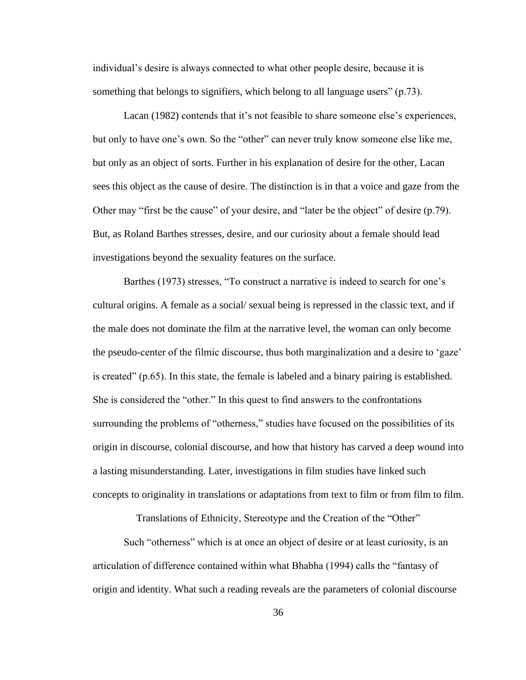individual's desire is always connected to what other people desire, because it is something that belongs to signifiers, which belong to all language users" (p.73).

Lacan (1982) contends that it's not feasible to share someone else's experiences, but only to have one's own. So the "other" can never truly know someone else like me, but only as an object of sorts. Further in his explanation of desire for the other, Lacan sees this object as the cause of desire. The distinction is in that a voice and gaze from the Other may "first be the cause" of your desire, and "later be the object" of desire (p.79). But, as Roland Barthes stresses, desire, and our curiosity about a female should lead investigations beyond the sexuality features on the surface.

Barthes (1973) stresses, "To construct a narrative is indeed to search for one's cultural origins. A female as a social/ sexual being is repressed in the classic text, and if the male does not dominate the film at the narrative level, the woman can only become the pseudo-center of the filmic discourse, thus both marginalization and a desire to 'gaze' is created" (p.65). In this state, the female is labeled and a binary pairing is established. She is considered the "other." In this quest to find answers to the confrontations surrounding the problems of "otherness," studies have focused on the possibilities of its origin in discourse, colonial discourse, and how that history has carved a deep wound into a lasting misunderstanding. Later, investigations in film studies have linked such concepts to originality in translations or adaptations from text to film or from film to film.

Translations of Ethnicity, Stereotype and the Creation of the "Other"

Such "otherness" which is at once an object of desire or at least curiosity, is an articulation of difference contained within what Bhabha (1994) calls the "fantasy of origin and identity. What such a reading reveals are the parameters of colonial discourse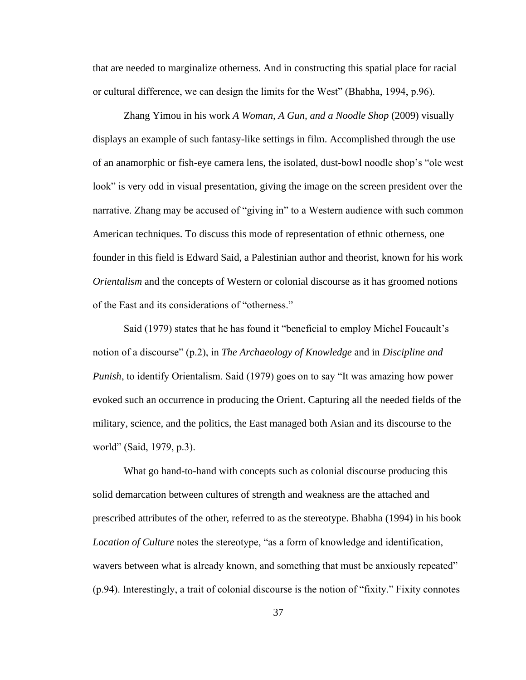that are needed to marginalize otherness. And in constructing this spatial place for racial or cultural difference, we can design the limits for the West" (Bhabha, 1994, p.96).

Zhang Yimou in his work *A Woman, A Gun, and a Noodle Shop* (2009) visually displays an example of such fantasy-like settings in film. Accomplished through the use of an anamorphic or fish-eye camera lens, the isolated, dust-bowl noodle shop's "ole west look" is very odd in visual presentation, giving the image on the screen president over the narrative. Zhang may be accused of "giving in" to a Western audience with such common American techniques. To discuss this mode of representation of ethnic otherness, one founder in this field is Edward Said, a Palestinian author and theorist, known for his work *Orientalism* and the concepts of Western or colonial discourse as it has groomed notions of the East and its considerations of "otherness."

Said (1979) states that he has found it "beneficial to employ Michel Foucault's notion of a discourse" (p.2), in *The Archaeology of Knowledge* and in *Discipline and Punish*, to identify Orientalism. Said (1979) goes on to say "It was amazing how power evoked such an occurrence in producing the Orient. Capturing all the needed fields of the military, science, and the politics, the East managed both Asian and its discourse to the world" (Said, 1979, p.3).

What go hand-to-hand with concepts such as colonial discourse producing this solid demarcation between cultures of strength and weakness are the attached and prescribed attributes of the other, referred to as the stereotype. Bhabha (1994) in his book *Location of Culture* notes the stereotype, "as a form of knowledge and identification, wavers between what is already known, and something that must be anxiously repeated" (p.94). Interestingly, a trait of colonial discourse is the notion of "fixity." Fixity connotes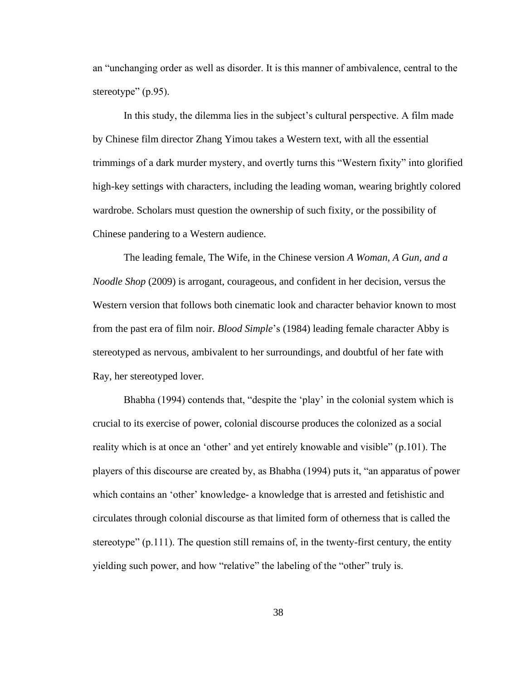an "unchanging order as well as disorder. It is this manner of ambivalence, central to the stereotype" (p.95).

In this study, the dilemma lies in the subject's cultural perspective. A film made by Chinese film director Zhang Yimou takes a Western text, with all the essential trimmings of a dark murder mystery, and overtly turns this "Western fixity" into glorified high-key settings with characters, including the leading woman, wearing brightly colored wardrobe. Scholars must question the ownership of such fixity, or the possibility of Chinese pandering to a Western audience.

The leading female, The Wife, in the Chinese version *A Woman, A Gun, and a Noodle Shop* (2009) is arrogant, courageous, and confident in her decision, versus the Western version that follows both cinematic look and character behavior known to most from the past era of film noir. *Blood Simple*'s (1984) leading female character Abby is stereotyped as nervous, ambivalent to her surroundings, and doubtful of her fate with Ray, her stereotyped lover.

Bhabha (1994) contends that, "despite the 'play' in the colonial system which is crucial to its exercise of power, colonial discourse produces the colonized as a social reality which is at once an 'other' and yet entirely knowable and visible" (p.101). The players of this discourse are created by, as Bhabha (1994) puts it, "an apparatus of power which contains an 'other' knowledge- a knowledge that is arrested and fetishistic and circulates through colonial discourse as that limited form of otherness that is called the stereotype"  $(p.111)$ . The question still remains of, in the twenty-first century, the entity yielding such power, and how "relative" the labeling of the "other" truly is.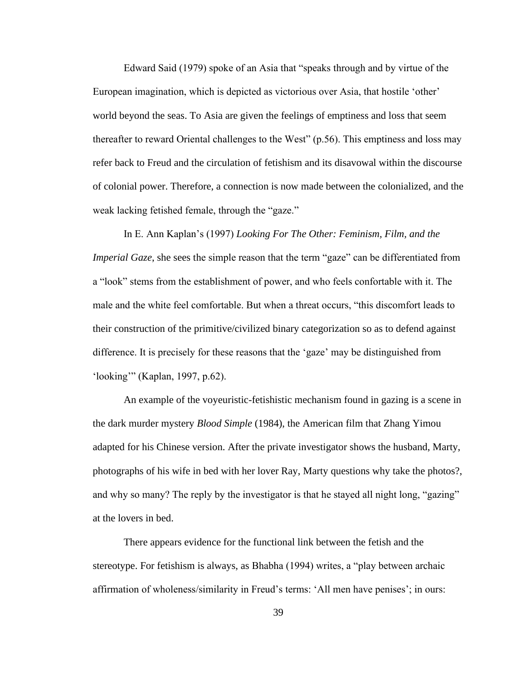Edward Said (1979) spoke of an Asia that "speaks through and by virtue of the European imagination, which is depicted as victorious over Asia, that hostile 'other' world beyond the seas. To Asia are given the feelings of emptiness and loss that seem thereafter to reward Oriental challenges to the West" (p.56). This emptiness and loss may refer back to Freud and the circulation of fetishism and its disavowal within the discourse of colonial power. Therefore, a connection is now made between the colonialized, and the weak lacking fetished female, through the "gaze."

In E. Ann Kaplan's (1997) *Looking For The Other: Feminism, Film, and the Imperial Gaze*, she sees the simple reason that the term "gaze" can be differentiated from a "look" stems from the establishment of power, and who feels confortable with it. The male and the white feel comfortable. But when a threat occurs, "this discomfort leads to their construction of the primitive/civilized binary categorization so as to defend against difference. It is precisely for these reasons that the 'gaze' may be distinguished from 'looking'" (Kaplan, 1997, p.62).

An example of the voyeuristic-fetishistic mechanism found in gazing is a scene in the dark murder mystery *Blood Simple* (1984), the American film that Zhang Yimou adapted for his Chinese version. After the private investigator shows the husband, Marty, photographs of his wife in bed with her lover Ray, Marty questions why take the photos?, and why so many? The reply by the investigator is that he stayed all night long, "gazing" at the lovers in bed.

There appears evidence for the functional link between the fetish and the stereotype. For fetishism is always, as Bhabha (1994) writes, a "play between archaic affirmation of wholeness/similarity in Freud's terms: 'All men have penises'; in ours: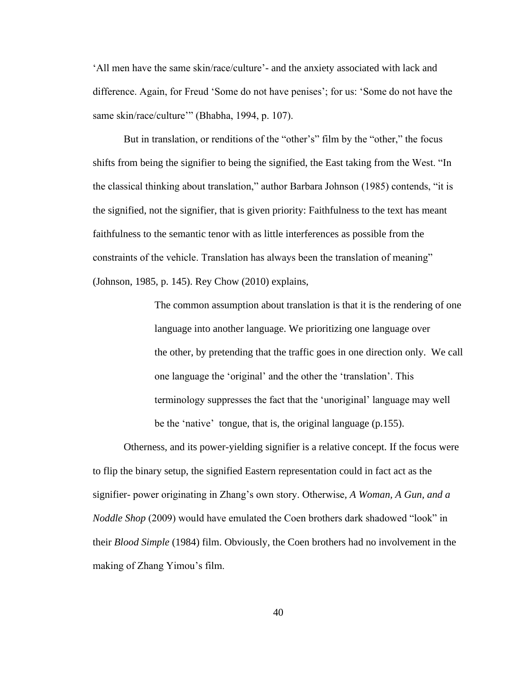'All men have the same skin/race/culture'- and the anxiety associated with lack and difference. Again, for Freud 'Some do not have penises'; for us: 'Some do not have the same skin/race/culture" (Bhabha, 1994, p. 107).

But in translation, or renditions of the "other's" film by the "other," the focus shifts from being the signifier to being the signified, the East taking from the West. "In the classical thinking about translation," author Barbara Johnson (1985) contends, "it is the signified, not the signifier, that is given priority: Faithfulness to the text has meant faithfulness to the semantic tenor with as little interferences as possible from the constraints of the vehicle. Translation has always been the translation of meaning" (Johnson, 1985, p. 145). Rey Chow (2010) explains,

> The common assumption about translation is that it is the rendering of one language into another language. We prioritizing one language over the other, by pretending that the traffic goes in one direction only. We call one language the 'original' and the other the 'translation'. This terminology suppresses the fact that the 'unoriginal' language may well be the 'native' tongue, that is, the original language (p.155).

Otherness, and its power-yielding signifier is a relative concept. If the focus were to flip the binary setup, the signified Eastern representation could in fact act as the signifier- power originating in Zhang's own story. Otherwise*, A Woman, A Gun, and a Noddle Shop* (2009) would have emulated the Coen brothers dark shadowed "look" in their *Blood Simple* (1984) film. Obviously, the Coen brothers had no involvement in the making of Zhang Yimou's film.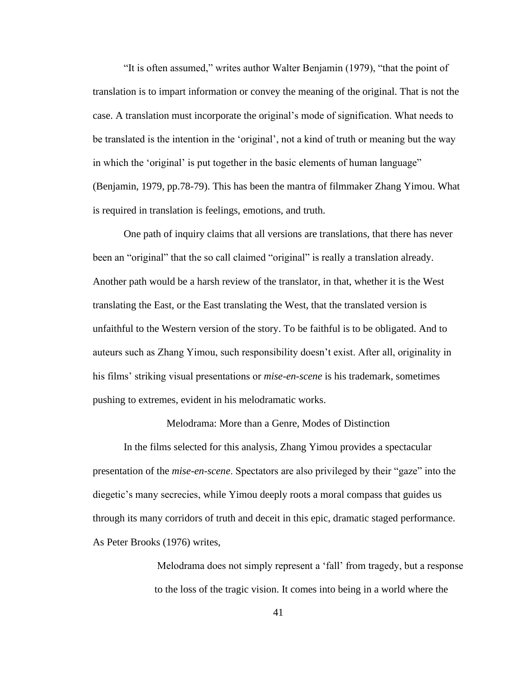"It is often assumed," writes author Walter Benjamin (1979), "that the point of translation is to impart information or convey the meaning of the original. That is not the case. A translation must incorporate the original's mode of signification. What needs to be translated is the intention in the 'original', not a kind of truth or meaning but the way in which the 'original' is put together in the basic elements of human language" (Benjamin, 1979, pp.78-79). This has been the mantra of filmmaker Zhang Yimou. What is required in translation is feelings, emotions, and truth.

One path of inquiry claims that all versions are translations, that there has never been an "original" that the so call claimed "original" is really a translation already. Another path would be a harsh review of the translator, in that, whether it is the West translating the East, or the East translating the West, that the translated version is unfaithful to the Western version of the story. To be faithful is to be obligated. And to auteurs such as Zhang Yimou, such responsibility doesn't exist. After all, originality in his films' striking visual presentations or *mise-en-scene* is his trademark, sometimes pushing to extremes, evident in his melodramatic works.

Melodrama: More than a Genre, Modes of Distinction

In the films selected for this analysis*,* Zhang Yimou provides a spectacular presentation of the *mise-en-scene*. Spectators are also privileged by their "gaze" into the diegetic's many secrecies, while Yimou deeply roots a moral compass that guides us through its many corridors of truth and deceit in this epic, dramatic staged performance. As Peter Brooks (1976) writes,

> Melodrama does not simply represent a 'fall' from tragedy, but a response to the loss of the tragic vision. It comes into being in a world where the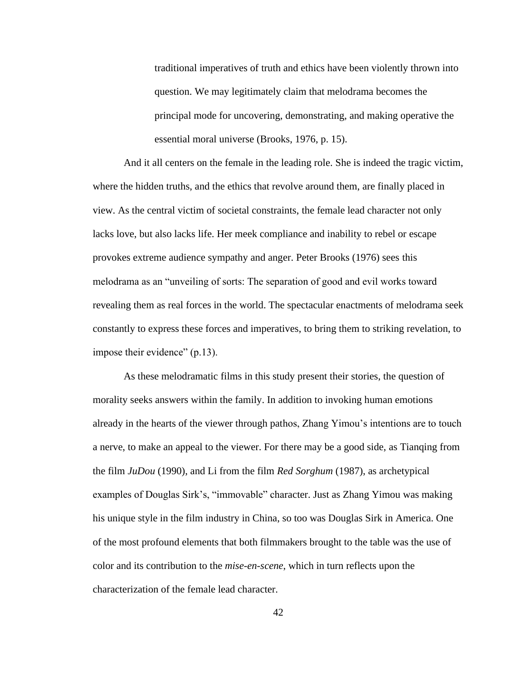traditional imperatives of truth and ethics have been violently thrown into question. We may legitimately claim that melodrama becomes the principal mode for uncovering, demonstrating, and making operative the essential moral universe (Brooks, 1976, p. 15).

And it all centers on the female in the leading role. She is indeed the tragic victim, where the hidden truths, and the ethics that revolve around them, are finally placed in view. As the central victim of societal constraints, the female lead character not only lacks love, but also lacks life. Her meek compliance and inability to rebel or escape provokes extreme audience sympathy and anger. Peter Brooks (1976) sees this melodrama as an "unveiling of sorts: The separation of good and evil works toward revealing them as real forces in the world. The spectacular enactments of melodrama seek constantly to express these forces and imperatives, to bring them to striking revelation, to impose their evidence" (p.13).

As these melodramatic films in this study present their stories, the question of morality seeks answers within the family. In addition to invoking human emotions already in the hearts of the viewer through pathos, Zhang Yimou's intentions are to touch a nerve, to make an appeal to the viewer. For there may be a good side, as Tianqing from the film *JuDou* (1990), and Li from the film *Red Sorghum* (1987), as archetypical examples of Douglas Sirk's, "immovable" character. Just as Zhang Yimou was making his unique style in the film industry in China, so too was Douglas Sirk in America. One of the most profound elements that both filmmakers brought to the table was the use of color and its contribution to the *mise-en-scene*, which in turn reflects upon the characterization of the female lead character.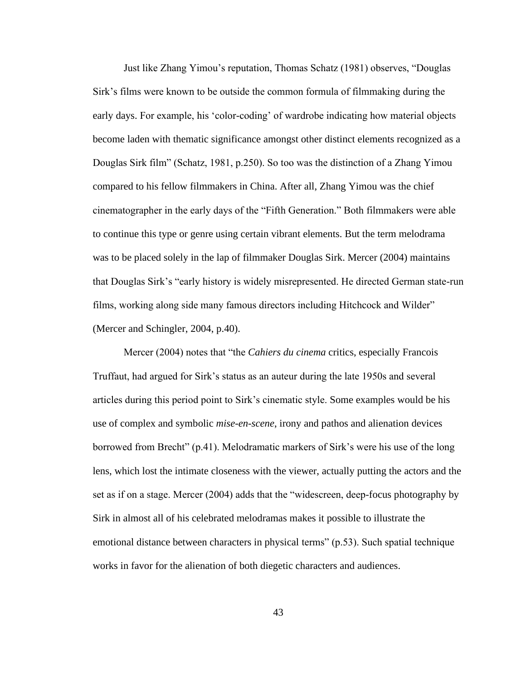Just like Zhang Yimou's reputation, Thomas Schatz (1981) observes, "Douglas Sirk's films were known to be outside the common formula of filmmaking during the early days. For example, his 'color-coding' of wardrobe indicating how material objects become laden with thematic significance amongst other distinct elements recognized as a Douglas Sirk film" (Schatz, 1981, p.250). So too was the distinction of a Zhang Yimou compared to his fellow filmmakers in China. After all, Zhang Yimou was the chief cinematographer in the early days of the "Fifth Generation." Both filmmakers were able to continue this type or genre using certain vibrant elements. But the term melodrama was to be placed solely in the lap of filmmaker Douglas Sirk. Mercer (2004) maintains that Douglas Sirk's "early history is widely misrepresented. He directed German state-run films, working along side many famous directors including Hitchcock and Wilder" (Mercer and Schingler, 2004, p.40).

Mercer (2004) notes that "the *Cahiers du cinema* critics, especially Francois Truffaut, had argued for Sirk's status as an auteur during the late 1950s and several articles during this period point to Sirk's cinematic style. Some examples would be his use of complex and symbolic *mise-en-scene*, irony and pathos and alienation devices borrowed from Brecht" (p.41). Melodramatic markers of Sirk's were his use of the long lens, which lost the intimate closeness with the viewer, actually putting the actors and the set as if on a stage. Mercer (2004) adds that the "widescreen, deep-focus photography by Sirk in almost all of his celebrated melodramas makes it possible to illustrate the emotional distance between characters in physical terms" (p.53). Such spatial technique works in favor for the alienation of both diegetic characters and audiences.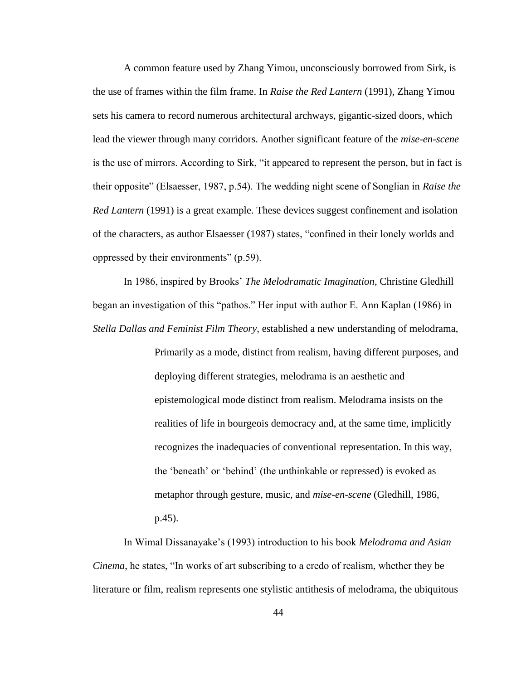A common feature used by Zhang Yimou, unconsciously borrowed from Sirk, is the use of frames within the film frame. In *Raise the Red Lantern* (1991), Zhang Yimou sets his camera to record numerous architectural archways, gigantic-sized doors, which lead the viewer through many corridors. Another significant feature of the *mise-en-scene* is the use of mirrors. According to Sirk, "it appeared to represent the person, but in fact is their opposite" (Elsaesser, 1987, p.54). The wedding night scene of Songlian in *Raise the Red Lantern* (1991) is a great example. These devices suggest confinement and isolation of the characters, as author Elsaesser (1987) states, "confined in their lonely worlds and oppressed by their environments" (p.59).

In 1986, inspired by Brooks' *The Melodramatic Imagination*, Christine Gledhill began an investigation of this "pathos." Her input with author E. Ann Kaplan (1986) in *Stella Dallas and Feminist Film Theory,* established a new understanding of melodrama,

> Primarily as a mode, distinct from realism, having different purposes, and deploying different strategies, melodrama is an aesthetic and epistemological mode distinct from realism. Melodrama insists on the realities of life in bourgeois democracy and, at the same time, implicitly recognizes the inadequacies of conventional representation. In this way, the 'beneath' or 'behind' (the unthinkable or repressed) is evoked as metaphor through gesture, music, and *mise-en-scene* (Gledhill, 1986, p.45).

In Wimal Dissanayake's (1993) introduction to his book *Melodrama and Asian Cinema*, he states, "In works of art subscribing to a credo of realism, whether they be literature or film, realism represents one stylistic antithesis of melodrama, the ubiquitous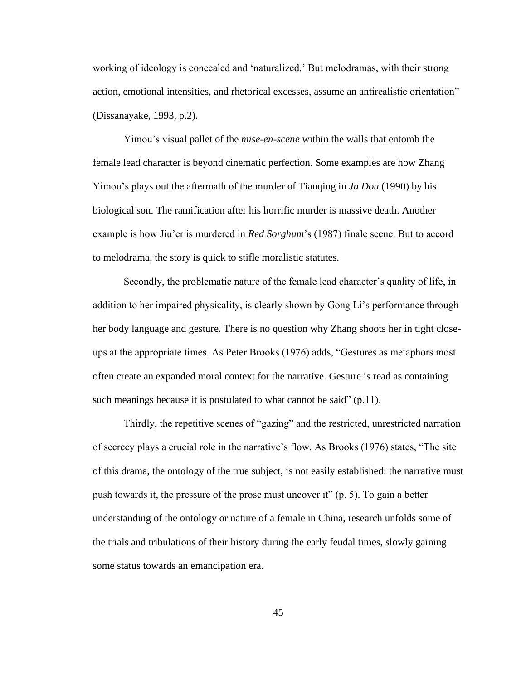working of ideology is concealed and 'naturalized.' But melodramas, with their strong action, emotional intensities, and rhetorical excesses, assume an antirealistic orientation" (Dissanayake, 1993, p.2).

Yimou's visual pallet of the *mise-en-scene* within the walls that entomb the female lead character is beyond cinematic perfection. Some examples are how Zhang Yimou's plays out the aftermath of the murder of Tianqing in *Ju Dou* (1990) by his biological son. The ramification after his horrific murder is massive death. Another example is how Jiu'er is murdered in *Red Sorghum*'s (1987) finale scene. But to accord to melodrama, the story is quick to stifle moralistic statutes.

Secondly, the problematic nature of the female lead character's quality of life, in addition to her impaired physicality, is clearly shown by Gong Li's performance through her body language and gesture. There is no question why Zhang shoots her in tight closeups at the appropriate times. As Peter Brooks (1976) adds, "Gestures as metaphors most often create an expanded moral context for the narrative. Gesture is read as containing such meanings because it is postulated to what cannot be said" (p.11).

Thirdly, the repetitive scenes of "gazing" and the restricted, unrestricted narration of secrecy plays a crucial role in the narrative's flow. As Brooks (1976) states, "The site of this drama, the ontology of the true subject, is not easily established: the narrative must push towards it, the pressure of the prose must uncover it" (p. 5). To gain a better understanding of the ontology or nature of a female in China, research unfolds some of the trials and tribulations of their history during the early feudal times, slowly gaining some status towards an emancipation era.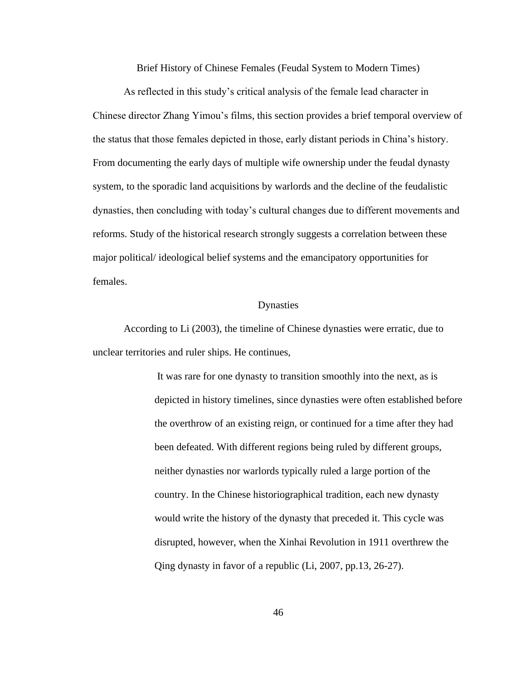Brief History of Chinese Females (Feudal System to Modern Times)

As reflected in this study's critical analysis of the female lead character in Chinese director Zhang Yimou's films, this section provides a brief temporal overview of the status that those females depicted in those, early distant periods in China's history. From documenting the early days of multiple wife ownership under the feudal dynasty system, to the sporadic land acquisitions by warlords and the decline of the feudalistic dynasties, then concluding with today's cultural changes due to different movements and reforms. Study of the historical research strongly suggests a correlation between these major political/ ideological belief systems and the emancipatory opportunities for females.

#### Dynasties

According to Li (2003), the timeline of Chinese dynasties were erratic, due to unclear territories and ruler ships. He continues,

> It was rare for one dynasty to transition smoothly into the next, as is depicted in history timelines, since dynasties were often established before the overthrow of an existing reign, or continued for a time after they had been defeated. With different regions being ruled by different groups, neither dynasties nor warlords typically ruled a large portion of the country. In the Chinese historiographical tradition, each new dynasty would write the history of the dynasty that preceded it. This cycle was disrupted, however, when the Xinhai Revolution in 1911 overthrew the Qing dynasty in favor of a republic (Li, 2007, pp.13, 26-27).

> > 46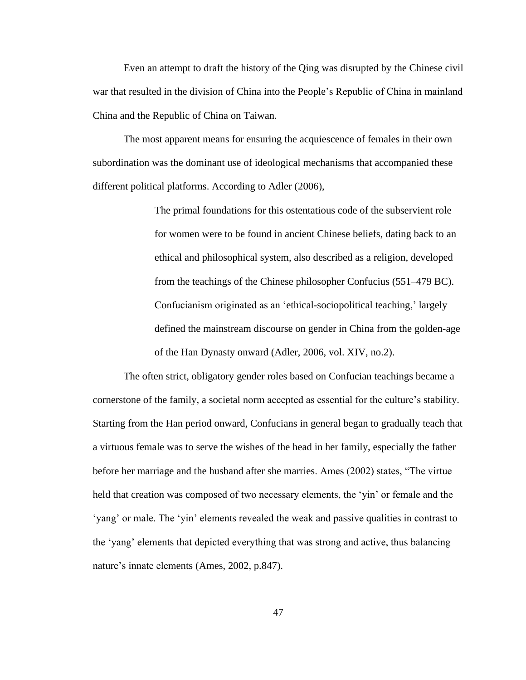Even an attempt to draft the history of the Qing was disrupted by the Chinese civil war that resulted in the division of China into the People's Republic of China in mainland China and the Republic of China on Taiwan.

The most apparent means for ensuring the acquiescence of females in their own subordination was the dominant use of ideological mechanisms that accompanied these different political platforms. According to Adler (2006),

> The primal foundations for this ostentatious code of the subservient role for women were to be found in ancient Chinese beliefs, dating back to an ethical and philosophical system, also described as a religion, developed from the teachings of the Chinese philosopher Confucius (551–479 BC). Confucianism originated as an 'ethical-sociopolitical teaching,' largely defined the mainstream discourse on gender in China from the golden-age of the Han Dynasty onward (Adler, 2006, vol. XIV, no.2).

The often strict, obligatory gender roles based on Confucian teachings became a cornerstone of the family, a societal norm accepted as essential for the culture's stability. Starting from the Han period onward, Confucians in general began to gradually teach that a virtuous female was to serve the wishes of the head in her family, especially the father before her marriage and the husband after she marries. Ames (2002) states, "The virtue held that creation was composed of two necessary elements, the 'yin' or female and the 'yang' or male. The 'yin' elements revealed the weak and passive qualities in contrast to the 'yang' elements that depicted everything that was strong and active, thus balancing nature's innate elements (Ames, 2002, p.847).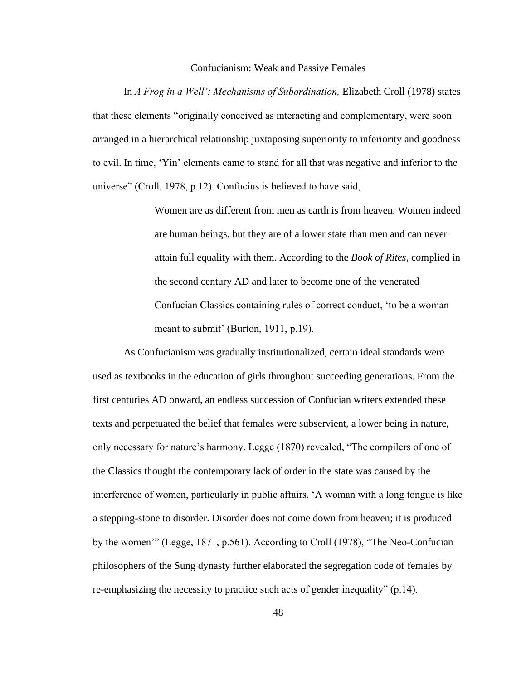# Confucianism: Weak and Passive Females

In *A Frog in a Well': Mechanisms of Subordination,* Elizabeth Croll (1978) states that these elements "originally conceived as interacting and complementary, were soon arranged in a hierarchical relationship juxtaposing superiority to inferiority and goodness to evil. In time, 'Yin' elements came to stand for all that was negative and inferior to the universe" (Croll, 1978, p.12). Confucius is believed to have said,

> Women are as different from men as earth is from heaven. Women indeed are human beings, but they are of a lower state than men and can never attain full equality with them. According to the *Book of Rites*, complied in the second century AD and later to become one of the venerated Confucian Classics containing rules of correct conduct, 'to be a woman meant to submit' (Burton, 1911, p.19).

As Confucianism was gradually institutionalized, certain ideal standards were used as textbooks in the education of girls throughout succeeding generations. From the first centuries AD onward, an endless succession of Confucian writers extended these texts and perpetuated the belief that females were subservient, a lower being in nature, only necessary for nature's harmony. Legge (1870) revealed, "The compilers of one of the Classics thought the contemporary lack of order in the state was caused by the interference of women, particularly in public affairs. 'A woman with a long tongue is like a stepping-stone to disorder. Disorder does not come down from heaven; it is produced by the women'" (Legge, 1871, p.561). According to Croll (1978), "The Neo-Confucian philosophers of the Sung dynasty further elaborated the segregation code of females by re-emphasizing the necessity to practice such acts of gender inequality" (p.14).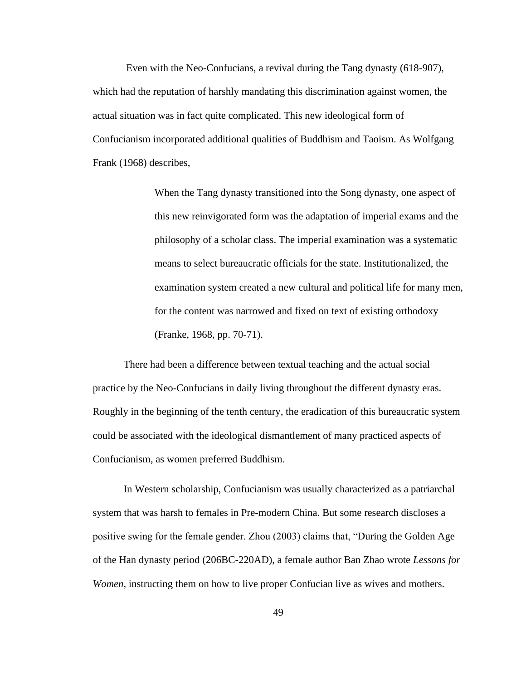Even with the Neo-Confucians, a revival during the Tang dynasty (618-907), which had the reputation of harshly mandating this discrimination against women, the actual situation was in fact quite complicated. This new ideological form of Confucianism incorporated additional qualities of Buddhism and Taoism. As Wolfgang Frank (1968) describes,

> When the Tang dynasty transitioned into the Song dynasty, one aspect of this new reinvigorated form was the adaptation of imperial exams and the philosophy of a scholar class. The imperial examination was a systematic means to select bureaucratic officials for the state. Institutionalized, the examination system created a new cultural and political life for many men, for the content was narrowed and fixed on text of existing orthodoxy (Franke, 1968, pp. 70-71).

There had been a difference between textual teaching and the actual social practice by the Neo-Confucians in daily living throughout the different dynasty eras. Roughly in the beginning of the tenth century, the eradication of this bureaucratic system could be associated with the ideological dismantlement of many practiced aspects of Confucianism, as women preferred Buddhism.

In Western scholarship, Confucianism was usually characterized as a patriarchal system that was harsh to females in Pre-modern China. But some research discloses a positive swing for the female gender. Zhou (2003) claims that, "During the Golden Age of the Han dynasty period (206BC-220AD), a female author Ban Zhao wrote *Lessons for Women*, instructing them on how to live proper Confucian live as wives and mothers.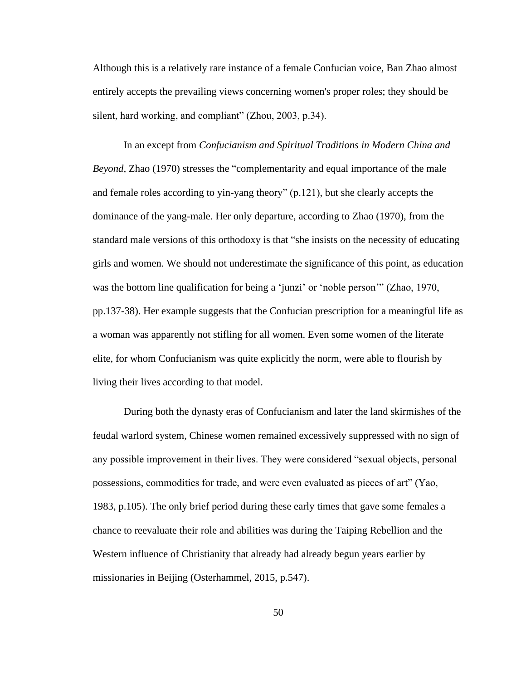Although this is a relatively rare instance of a female Confucian voice, Ban Zhao almost entirely accepts the prevailing views concerning women's proper roles; they should be silent, hard working, and compliant" (Zhou, 2003, p.34).

In an except from *Confucianism and Spiritual Traditions in Modern China and Beyond,* Zhao (1970) stresses the "complementarity and equal importance of the male and female roles according to yin-yang theory" (p.121), but she clearly accepts the dominance of the yang-male. Her only departure, according to Zhao (1970), from the standard male versions of this orthodoxy is that "she insists on the necessity of educating girls and women. We should not underestimate the significance of this point, as education was the bottom line qualification for being a 'junzi' or 'noble person'" (Zhao, 1970, pp.137-38). Her example suggests that the Confucian prescription for a meaningful life as a woman was apparently not stifling for all women. Even some women of the literate elite, for whom Confucianism was quite explicitly the norm, were able to flourish by living their lives according to that model.

During both the dynasty eras of Confucianism and later the land skirmishes of the feudal warlord system, Chinese women remained excessively suppressed with no sign of any possible improvement in their lives. They were considered "sexual objects, personal possessions, commodities for trade, and were even evaluated as pieces of art" (Yao, 1983, p.105). The only brief period during these early times that gave some females a chance to reevaluate their role and abilities was during the Taiping Rebellion and the Western influence of Christianity that already had already begun years earlier by missionaries in Beijing (Osterhammel, 2015, p.547).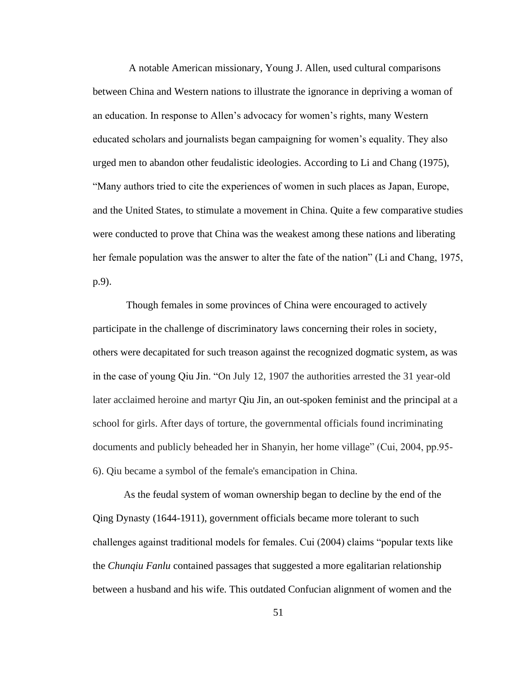A notable American missionary, Young J. Allen, used cultural comparisons between China and Western nations to illustrate the ignorance in depriving a woman of an education. In response to Allen's advocacy for women's rights, many Western educated scholars and journalists began campaigning for women's equality. They also urged men to abandon other feudalistic ideologies. According to Li and Chang (1975), "Many authors tried to cite the experiences of women in such places as Japan, Europe, and the United States, to stimulate a movement in China. Quite a few comparative studies were conducted to prove that China was the weakest among these nations and liberating her female population was the answer to alter the fate of the nation" (Li and Chang, 1975, p.9).

Though females in some provinces of China were encouraged to actively participate in the challenge of discriminatory laws concerning their roles in society, others were decapitated for such treason against the recognized dogmatic system, as was in the case of young Qiu Jin. "On July 12, 1907 the authorities arrested the 31 year-old later acclaimed heroine and martyr Qiu Jin, an out-spoken feminist and the principal at a school for girls. After days of torture, the governmental officials found incriminating documents and publicly beheaded her in Shanyin, her home village" (Cui, 2004, pp.95- 6). Qiu became a symbol of the female's emancipation in China.

As the feudal system of woman ownership began to decline by the end of the Qing Dynasty (1644-1911), government officials became more tolerant to such challenges against traditional models for females. Cui (2004) claims "popular texts like the *Chunqiu Fanlu* contained passages that suggested a more egalitarian relationship between a husband and his wife. This outdated Confucian alignment of women and the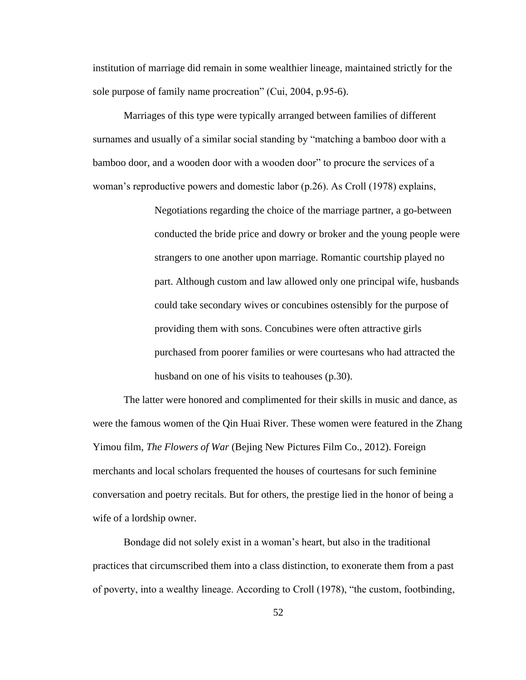institution of marriage did remain in some wealthier lineage, maintained strictly for the sole purpose of family name procreation" (Cui, 2004, p.95-6).

Marriages of this type were typically arranged between families of different surnames and usually of a similar social standing by "matching a bamboo door with a bamboo door, and a wooden door with a wooden door" to procure the services of a woman's reproductive powers and domestic labor (p.26). As Croll (1978) explains,

> Negotiations regarding the choice of the marriage partner, a go-between conducted the bride price and dowry or broker and the young people were strangers to one another upon marriage. Romantic courtship played no part. Although custom and law allowed only one principal wife, husbands could take secondary wives or concubines ostensibly for the purpose of providing them with sons. Concubines were often attractive girls purchased from poorer families or were courtesans who had attracted the husband on one of his visits to teahouses (p.30).

The latter were honored and complimented for their skills in music and dance, as were the famous women of the Qin Huai River. These women were featured in the Zhang Yimou film, *The Flowers of War* (Bejing New Pictures Film Co., 2012). Foreign merchants and local scholars frequented the houses of courtesans for such feminine conversation and poetry recitals. But for others, the prestige lied in the honor of being a wife of a lordship owner.

Bondage did not solely exist in a woman's heart, but also in the traditional practices that circumscribed them into a class distinction, to exonerate them from a past of poverty, into a wealthy lineage. According to Croll (1978), "the custom, footbinding,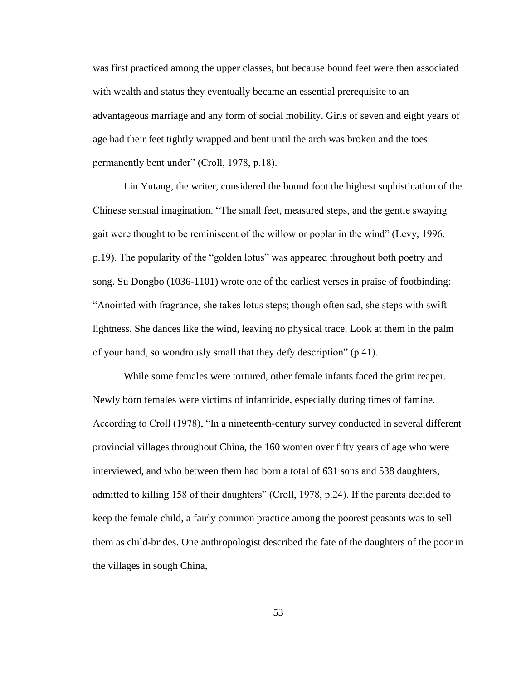was first practiced among the upper classes, but because bound feet were then associated with wealth and status they eventually became an essential prerequisite to an advantageous marriage and any form of social mobility. Girls of seven and eight years of age had their feet tightly wrapped and bent until the arch was broken and the toes permanently bent under" (Croll, 1978, p.18).

Lin Yutang, the writer, considered the bound foot the highest sophistication of the Chinese sensual imagination. "The small feet, measured steps, and the gentle swaying gait were thought to be reminiscent of the willow or poplar in the wind" (Levy, 1996, p.19). The popularity of the "golden lotus" was appeared throughout both poetry and song. Su Dongbo (1036-1101) wrote one of the earliest verses in praise of footbinding: "Anointed with fragrance, she takes lotus steps; though often sad, she steps with swift lightness. She dances like the wind, leaving no physical trace. Look at them in the palm of your hand, so wondrously small that they defy description" (p.41).

While some females were tortured, other female infants faced the grim reaper. Newly born females were victims of infanticide, especially during times of famine. According to Croll (1978), "In a nineteenth-century survey conducted in several different provincial villages throughout China, the 160 women over fifty years of age who were interviewed, and who between them had born a total of 631 sons and 538 daughters, admitted to killing 158 of their daughters" (Croll, 1978, p.24). If the parents decided to keep the female child, a fairly common practice among the poorest peasants was to sell them as child-brides. One anthropologist described the fate of the daughters of the poor in the villages in sough China,

53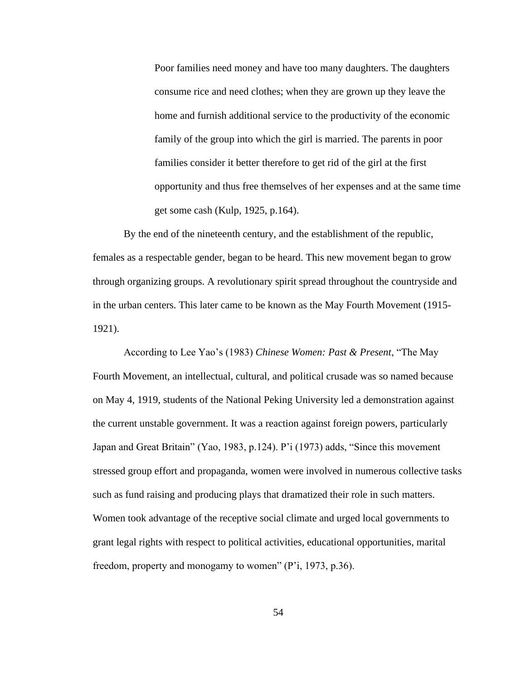Poor families need money and have too many daughters. The daughters consume rice and need clothes; when they are grown up they leave the home and furnish additional service to the productivity of the economic family of the group into which the girl is married. The parents in poor families consider it better therefore to get rid of the girl at the first opportunity and thus free themselves of her expenses and at the same time get some cash (Kulp, 1925, p.164).

By the end of the nineteenth century, and the establishment of the republic, females as a respectable gender, began to be heard. This new movement began to grow through organizing groups. A revolutionary spirit spread throughout the countryside and in the urban centers. This later came to be known as the May Fourth Movement (1915- 1921).

According to Lee Yao's (1983) *Chinese Women: Past & Present*, "The May Fourth Movement, an intellectual, cultural, and political crusade was so named because on May 4, 1919, students of the National Peking University led a demonstration against the current unstable government. It was a reaction against foreign powers, particularly Japan and Great Britain" (Yao, 1983, p.124). P'i (1973) adds, "Since this movement stressed group effort and propaganda, women were involved in numerous collective tasks such as fund raising and producing plays that dramatized their role in such matters. Women took advantage of the receptive social climate and urged local governments to grant legal rights with respect to political activities, educational opportunities, marital freedom, property and monogamy to women" (P'i, 1973, p.36).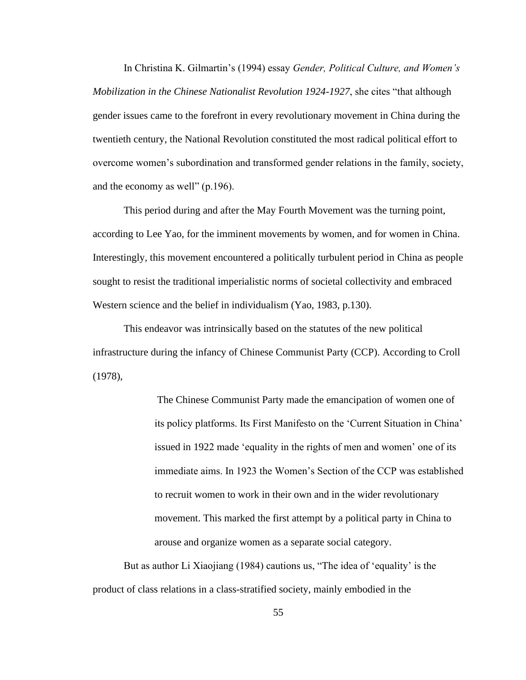In Christina K. Gilmartin's (1994) essay *Gender, Political Culture, and Women's Mobilization in the Chinese Nationalist Revolution 1924-1927*, she cites "that although gender issues came to the forefront in every revolutionary movement in China during the twentieth century, the National Revolution constituted the most radical political effort to overcome women's subordination and transformed gender relations in the family, society, and the economy as well" (p.196).

This period during and after the May Fourth Movement was the turning point, according to Lee Yao, for the imminent movements by women, and for women in China. Interestingly, this movement encountered a politically turbulent period in China as people sought to resist the traditional imperialistic norms of societal collectivity and embraced Western science and the belief in individualism (Yao, 1983, p.130).

This endeavor was intrinsically based on the statutes of the new political infrastructure during the infancy of Chinese Communist Party (CCP). According to Croll (1978),

> The Chinese Communist Party made the emancipation of women one of its policy platforms. Its First Manifesto on the 'Current Situation in China' issued in 1922 made 'equality in the rights of men and women' one of its immediate aims. In 1923 the Women's Section of the CCP was established to recruit women to work in their own and in the wider revolutionary movement. This marked the first attempt by a political party in China to arouse and organize women as a separate social category.

But as author Li Xiaojiang (1984) cautions us, "The idea of 'equality' is the product of class relations in a class-stratified society, mainly embodied in the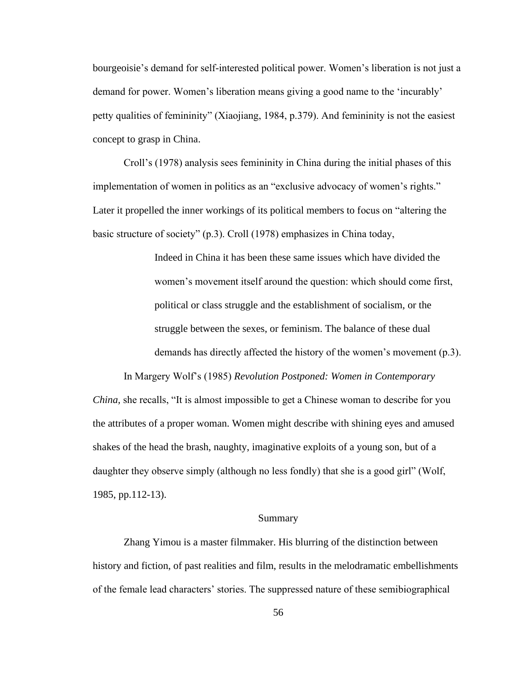bourgeoisie's demand for self-interested political power. Women's liberation is not just a demand for power. Women's liberation means giving a good name to the 'incurably' petty qualities of femininity" (Xiaojiang, 1984, p.379). And femininity is not the easiest concept to grasp in China.

Croll's (1978) analysis sees femininity in China during the initial phases of this implementation of women in politics as an "exclusive advocacy of women's rights." Later it propelled the inner workings of its political members to focus on "altering the basic structure of society" (p.3). Croll (1978) emphasizes in China today,

> Indeed in China it has been these same issues which have divided the women's movement itself around the question: which should come first, political or class struggle and the establishment of socialism, or the struggle between the sexes, or feminism. The balance of these dual demands has directly affected the history of the women's movement (p.3).

In Margery Wolf's (1985) *Revolution Postponed: Women in Contemporary* 

*China,* she recalls, "It is almost impossible to get a Chinese woman to describe for you the attributes of a proper woman. Women might describe with shining eyes and amused shakes of the head the brash, naughty, imaginative exploits of a young son, but of a daughter they observe simply (although no less fondly) that she is a good girl" (Wolf, 1985, pp.112-13).

## Summary

Zhang Yimou is a master filmmaker. His blurring of the distinction between history and fiction, of past realities and film, results in the melodramatic embellishments of the female lead characters' stories. The suppressed nature of these semibiographical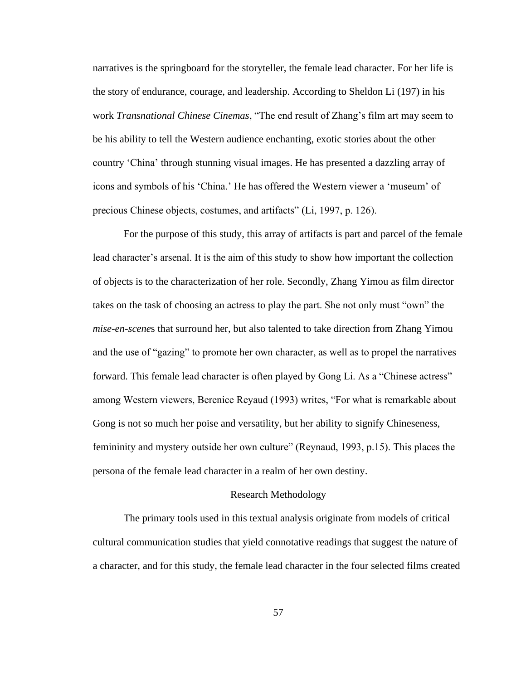narratives is the springboard for the storyteller, the female lead character. For her life is the story of endurance, courage, and leadership. According to Sheldon Li (197) in his work *Transnational Chinese Cinemas*, "The end result of Zhang's film art may seem to be his ability to tell the Western audience enchanting, exotic stories about the other country 'China' through stunning visual images. He has presented a dazzling array of icons and symbols of his 'China.' He has offered the Western viewer a 'museum' of precious Chinese objects, costumes, and artifacts" (Li, 1997, p. 126).

For the purpose of this study, this array of artifacts is part and parcel of the female lead character's arsenal. It is the aim of this study to show how important the collection of objects is to the characterization of her role. Secondly, Zhang Yimou as film director takes on the task of choosing an actress to play the part. She not only must "own" the *mise-en-scene*s that surround her, but also talented to take direction from Zhang Yimou and the use of "gazing" to promote her own character, as well as to propel the narratives forward. This female lead character is often played by Gong Li. As a "Chinese actress" among Western viewers, Berenice Reyaud (1993) writes, "For what is remarkable about Gong is not so much her poise and versatility, but her ability to signify Chineseness, femininity and mystery outside her own culture" (Reynaud, 1993, p.15). This places the persona of the female lead character in a realm of her own destiny.

## Research Methodology

The primary tools used in this textual analysis originate from models of critical cultural communication studies that yield connotative readings that suggest the nature of a character, and for this study, the female lead character in the four selected films created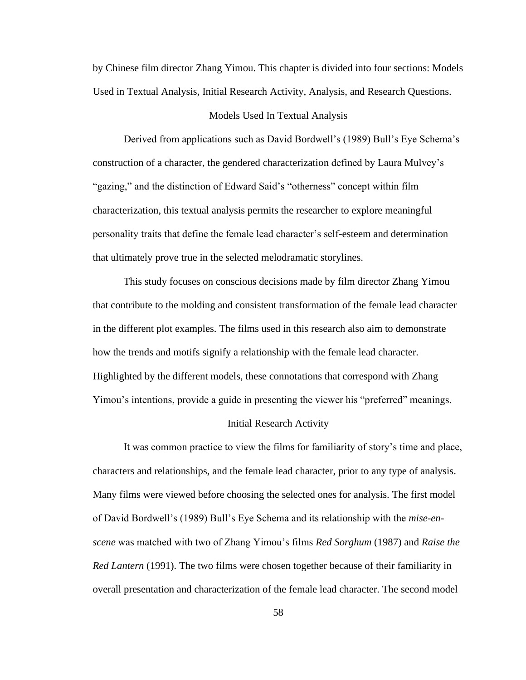by Chinese film director Zhang Yimou. This chapter is divided into four sections: Models Used in Textual Analysis, Initial Research Activity, Analysis, and Research Questions.

#### Models Used In Textual Analysis

Derived from applications such as David Bordwell's (1989) Bull's Eye Schema's construction of a character, the gendered characterization defined by Laura Mulvey's "gazing," and the distinction of Edward Said's "otherness" concept within film characterization, this textual analysis permits the researcher to explore meaningful personality traits that define the female lead character's self-esteem and determination that ultimately prove true in the selected melodramatic storylines.

This study focuses on conscious decisions made by film director Zhang Yimou that contribute to the molding and consistent transformation of the female lead character in the different plot examples. The films used in this research also aim to demonstrate how the trends and motifs signify a relationship with the female lead character. Highlighted by the different models, these connotations that correspond with Zhang Yimou's intentions, provide a guide in presenting the viewer his "preferred" meanings.

## Initial Research Activity

It was common practice to view the films for familiarity of story's time and place, characters and relationships, and the female lead character, prior to any type of analysis. Many films were viewed before choosing the selected ones for analysis. The first model of David Bordwell's (1989) Bull's Eye Schema and its relationship with the *mise-enscene* was matched with two of Zhang Yimou's films *Red Sorghum* (1987) and *Raise the Red Lantern* (1991). The two films were chosen together because of their familiarity in overall presentation and characterization of the female lead character. The second model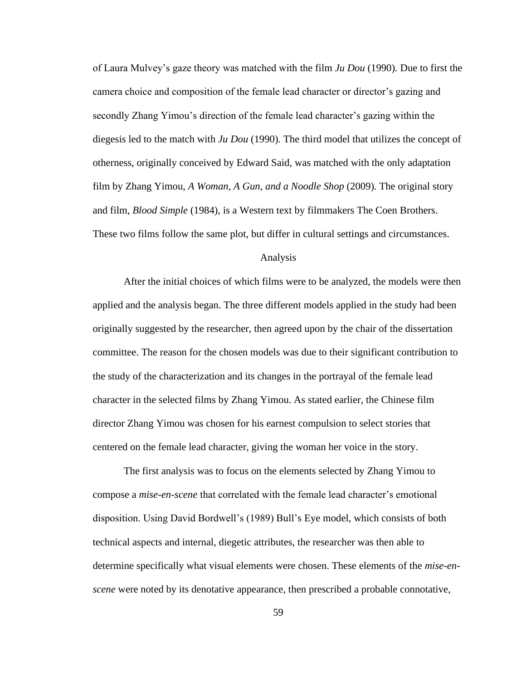of Laura Mulvey's gaze theory was matched with the film *Ju Dou* (1990)*.* Due to first the camera choice and composition of the female lead character or director's gazing and secondly Zhang Yimou's direction of the female lead character's gazing within the diegesis led to the match with *Ju Dou* (1990)*.* The third model that utilizes the concept of otherness, originally conceived by Edward Said, was matched with the only adaptation film by Zhang Yimou, *A Woman, A Gun, and a Noodle Shop* (2009)*.* The original story and film, *Blood Simple* (1984), is a Western text by filmmakers The Coen Brothers. These two films follow the same plot, but differ in cultural settings and circumstances.

# Analysis

After the initial choices of which films were to be analyzed, the models were then applied and the analysis began. The three different models applied in the study had been originally suggested by the researcher, then agreed upon by the chair of the dissertation committee. The reason for the chosen models was due to their significant contribution to the study of the characterization and its changes in the portrayal of the female lead character in the selected films by Zhang Yimou. As stated earlier, the Chinese film director Zhang Yimou was chosen for his earnest compulsion to select stories that centered on the female lead character, giving the woman her voice in the story.

The first analysis was to focus on the elements selected by Zhang Yimou to compose a *mise-en-scene* that correlated with the female lead character's emotional disposition. Using David Bordwell's (1989) Bull's Eye model, which consists of both technical aspects and internal, diegetic attributes, the researcher was then able to determine specifically what visual elements were chosen. These elements of the *mise-enscene* were noted by its denotative appearance, then prescribed a probable connotative,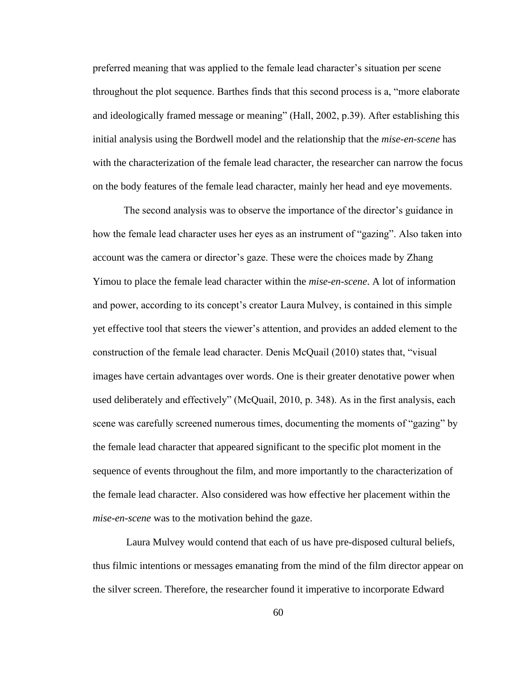preferred meaning that was applied to the female lead character's situation per scene throughout the plot sequence. Barthes finds that this second process is a, "more elaborate and ideologically framed message or meaning" (Hall, 2002, p.39). After establishing this initial analysis using the Bordwell model and the relationship that the *mise-en-scene* has with the characterization of the female lead character, the researcher can narrow the focus on the body features of the female lead character, mainly her head and eye movements.

The second analysis was to observe the importance of the director's guidance in how the female lead character uses her eyes as an instrument of "gazing". Also taken into account was the camera or director's gaze. These were the choices made by Zhang Yimou to place the female lead character within the *mise-en-scene*. A lot of information and power, according to its concept's creator Laura Mulvey, is contained in this simple yet effective tool that steers the viewer's attention, and provides an added element to the construction of the female lead character. Denis McQuail (2010) states that, "visual images have certain advantages over words. One is their greater denotative power when used deliberately and effectively" (McQuail, 2010, p. 348). As in the first analysis, each scene was carefully screened numerous times, documenting the moments of "gazing" by the female lead character that appeared significant to the specific plot moment in the sequence of events throughout the film, and more importantly to the characterization of the female lead character. Also considered was how effective her placement within the *mise-en-scene* was to the motivation behind the gaze.

Laura Mulvey would contend that each of us have pre-disposed cultural beliefs, thus filmic intentions or messages emanating from the mind of the film director appear on the silver screen. Therefore, the researcher found it imperative to incorporate Edward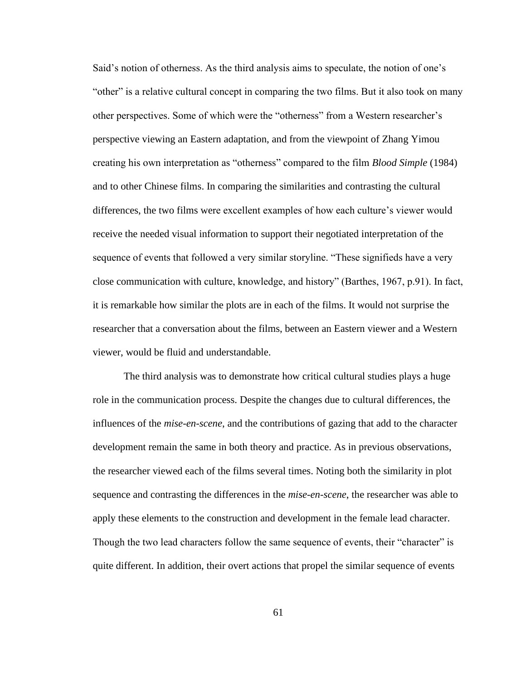Said's notion of otherness. As the third analysis aims to speculate, the notion of one's "other" is a relative cultural concept in comparing the two films. But it also took on many other perspectives. Some of which were the "otherness" from a Western researcher's perspective viewing an Eastern adaptation, and from the viewpoint of Zhang Yimou creating his own interpretation as "otherness" compared to the film *Blood Simple* (1984) and to other Chinese films. In comparing the similarities and contrasting the cultural differences, the two films were excellent examples of how each culture's viewer would receive the needed visual information to support their negotiated interpretation of the sequence of events that followed a very similar storyline. "These signifieds have a very close communication with culture, knowledge, and history" (Barthes, 1967, p.91). In fact, it is remarkable how similar the plots are in each of the films. It would not surprise the researcher that a conversation about the films, between an Eastern viewer and a Western viewer, would be fluid and understandable.

The third analysis was to demonstrate how critical cultural studies plays a huge role in the communication process. Despite the changes due to cultural differences, the influences of the *mise-en-scene*, and the contributions of gazing that add to the character development remain the same in both theory and practice. As in previous observations, the researcher viewed each of the films several times. Noting both the similarity in plot sequence and contrasting the differences in the *mise-en-scene*, the researcher was able to apply these elements to the construction and development in the female lead character. Though the two lead characters follow the same sequence of events, their "character" is quite different. In addition, their overt actions that propel the similar sequence of events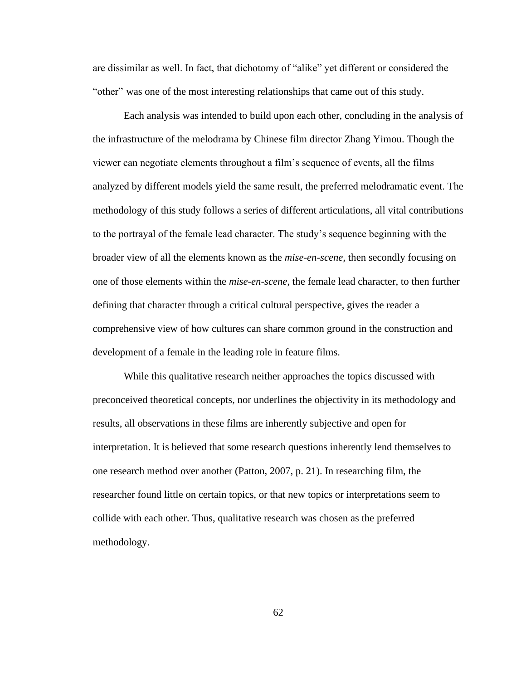are dissimilar as well. In fact, that dichotomy of "alike" yet different or considered the "other" was one of the most interesting relationships that came out of this study.

Each analysis was intended to build upon each other, concluding in the analysis of the infrastructure of the melodrama by Chinese film director Zhang Yimou. Though the viewer can negotiate elements throughout a film's sequence of events, all the films analyzed by different models yield the same result, the preferred melodramatic event. The methodology of this study follows a series of different articulations, all vital contributions to the portrayal of the female lead character. The study's sequence beginning with the broader view of all the elements known as the *mise-en-scene,* then secondly focusing on one of those elements within the *mise-en-scene*, the female lead character, to then further defining that character through a critical cultural perspective, gives the reader a comprehensive view of how cultures can share common ground in the construction and development of a female in the leading role in feature films.

While this qualitative research neither approaches the topics discussed with preconceived theoretical concepts, nor underlines the objectivity in its methodology and results, all observations in these films are inherently subjective and open for interpretation. It is believed that some research questions inherently lend themselves to one research method over another (Patton, 2007, p. 21). In researching film, the researcher found little on certain topics, or that new topics or interpretations seem to collide with each other. Thus, qualitative research was chosen as the preferred methodology.

62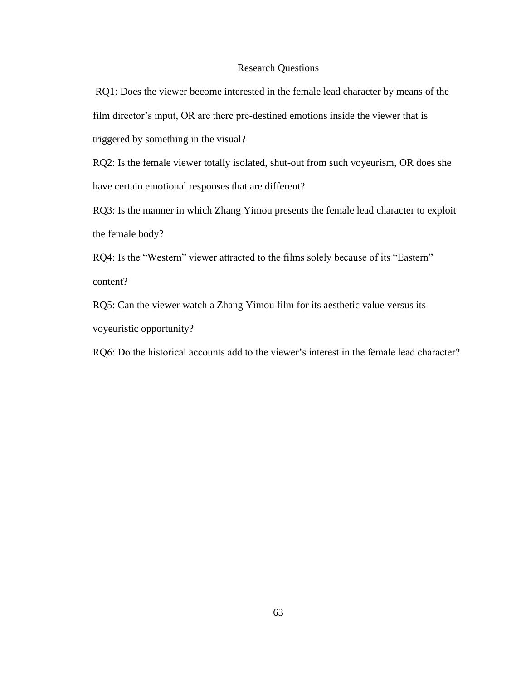# Research Questions

RQ1: Does the viewer become interested in the female lead character by means of the film director's input, OR are there pre-destined emotions inside the viewer that is triggered by something in the visual?

RQ2: Is the female viewer totally isolated, shut-out from such voyeurism, OR does she have certain emotional responses that are different?

RQ3: Is the manner in which Zhang Yimou presents the female lead character to exploit the female body?

RQ4: Is the "Western" viewer attracted to the films solely because of its "Eastern" content?

RQ5: Can the viewer watch a Zhang Yimou film for its aesthetic value versus its voyeuristic opportunity?

RQ6: Do the historical accounts add to the viewer's interest in the female lead character?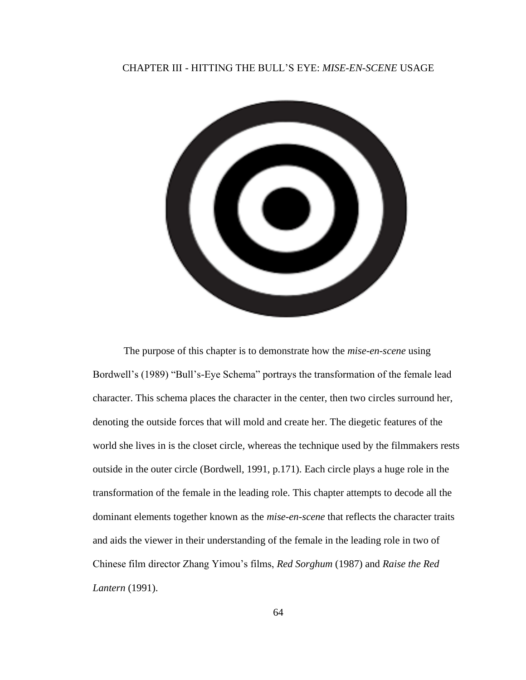

The purpose of this chapter is to demonstrate how the *mise-en-scene* using Bordwell's (1989) "Bull's-Eye Schema" portrays the transformation of the female lead character. This schema places the character in the center, then two circles surround her, denoting the outside forces that will mold and create her. The diegetic features of the world she lives in is the closet circle, whereas the technique used by the filmmakers rests outside in the outer circle (Bordwell, 1991, p.171). Each circle plays a huge role in the transformation of the female in the leading role. This chapter attempts to decode all the dominant elements together known as the *mise-en-scene* that reflects the character traits and aids the viewer in their understanding of the female in the leading role in two of Chinese film director Zhang Yimou's films, *Red Sorghum* (1987) and *Raise the Red Lantern* (1991).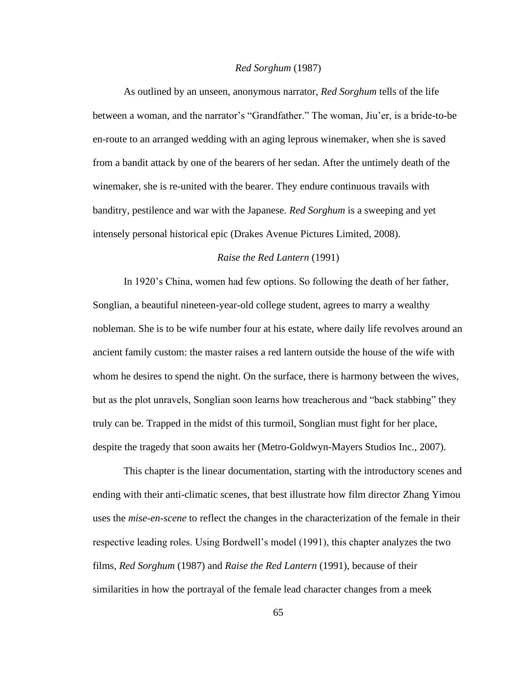### *Red Sorghum* (1987)

As outlined by an unseen, anonymous narrator, *Red Sorghum* tells of the life between a woman, and the narrator's "Grandfather." The woman, Jiu'er, is a bride-to-be en-route to an arranged wedding with an aging leprous winemaker, when she is saved from a bandit attack by one of the bearers of her sedan. After the untimely death of the winemaker, she is re-united with the bearer. They endure continuous travails with banditry, pestilence and war with the Japanese. *Red Sorghum* is a sweeping and yet intensely personal historical epic (Drakes Avenue Pictures Limited, 2008).

### *Raise the Red Lantern* (1991)

In 1920's China, women had few options. So following the death of her father, Songlian, a beautiful nineteen-year-old college student, agrees to marry a wealthy nobleman. She is to be wife number four at his estate, where daily life revolves around an ancient family custom: the master raises a red lantern outside the house of the wife with whom he desires to spend the night. On the surface, there is harmony between the wives, but as the plot unravels, Songlian soon learns how treacherous and "back stabbing" they truly can be. Trapped in the midst of this turmoil, Songlian must fight for her place, despite the tragedy that soon awaits her (Metro-Goldwyn-Mayers Studios Inc., 2007).

This chapter is the linear documentation, starting with the introductory scenes and ending with their anti-climatic scenes, that best illustrate how film director Zhang Yimou uses the *mise-en-scene* to reflect the changes in the characterization of the female in their respective leading roles. Using Bordwell's model (1991), this chapter analyzes the two films, *Red Sorghum* (1987) and *Raise the Red Lantern* (1991), because of their similarities in how the portrayal of the female lead character changes from a meek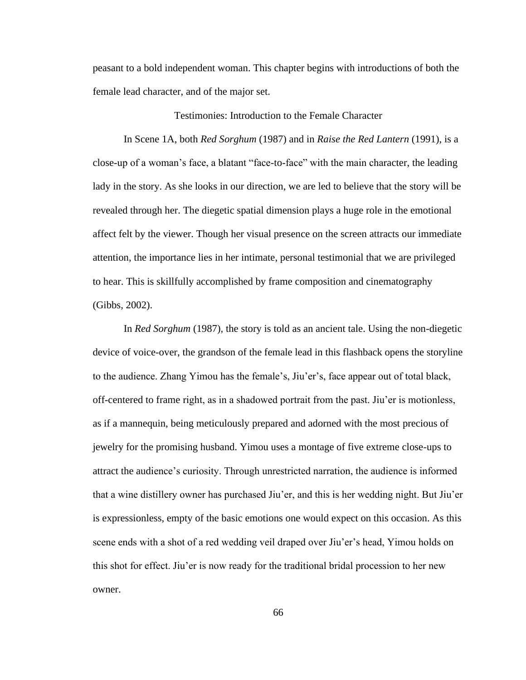peasant to a bold independent woman. This chapter begins with introductions of both the female lead character, and of the major set.

Testimonies: Introduction to the Female Character

In Scene 1A, both *Red Sorghum* (1987) and in *Raise the Red Lantern* (1991), is a close-up of a woman's face, a blatant "face-to-face" with the main character, the leading lady in the story. As she looks in our direction, we are led to believe that the story will be revealed through her. The diegetic spatial dimension plays a huge role in the emotional affect felt by the viewer. Though her visual presence on the screen attracts our immediate attention, the importance lies in her intimate, personal testimonial that we are privileged to hear. This is skillfully accomplished by frame composition and cinematography (Gibbs, 2002).

In *Red Sorghum* (1987)*,* the story is told as an ancient tale. Using the non-diegetic device of voice-over, the grandson of the female lead in this flashback opens the storyline to the audience. Zhang Yimou has the female's, Jiu'er's, face appear out of total black, off-centered to frame right, as in a shadowed portrait from the past. Jiu'er is motionless, as if a mannequin, being meticulously prepared and adorned with the most precious of jewelry for the promising husband. Yimou uses a montage of five extreme close-ups to attract the audience's curiosity. Through unrestricted narration, the audience is informed that a wine distillery owner has purchased Jiu'er, and this is her wedding night. But Jiu'er is expressionless, empty of the basic emotions one would expect on this occasion. As this scene ends with a shot of a red wedding veil draped over Jiu'er's head, Yimou holds on this shot for effect. Jiu'er is now ready for the traditional bridal procession to her new owner.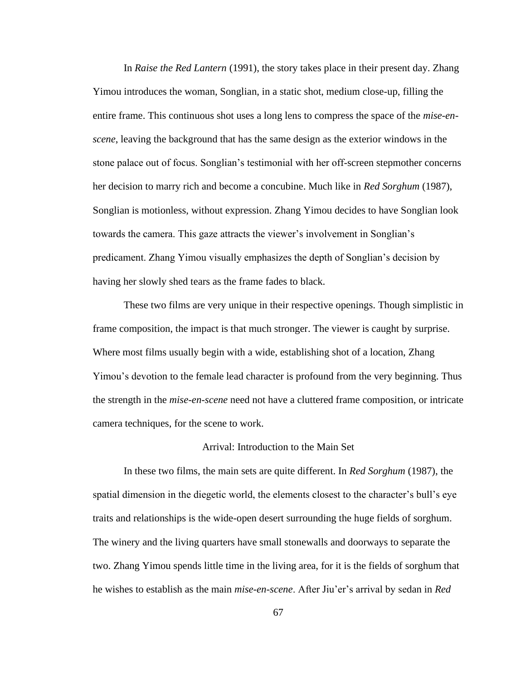In *Raise the Red Lantern* (1991), the story takes place in their present day. Zhang Yimou introduces the woman, Songlian, in a static shot, medium close-up, filling the entire frame. This continuous shot uses a long lens to compress the space of the *mise-enscene*, leaving the background that has the same design as the exterior windows in the stone palace out of focus. Songlian's testimonial with her off-screen stepmother concerns her decision to marry rich and become a concubine. Much like in *Red Sorghum* (1987), Songlian is motionless, without expression. Zhang Yimou decides to have Songlian look towards the camera. This gaze attracts the viewer's involvement in Songlian's predicament. Zhang Yimou visually emphasizes the depth of Songlian's decision by having her slowly shed tears as the frame fades to black.

These two films are very unique in their respective openings. Though simplistic in frame composition, the impact is that much stronger. The viewer is caught by surprise. Where most films usually begin with a wide, establishing shot of a location, Zhang Yimou's devotion to the female lead character is profound from the very beginning. Thus the strength in the *mise-en-scene* need not have a cluttered frame composition, or intricate camera techniques, for the scene to work.

## Arrival: Introduction to the Main Set

In these two films, the main sets are quite different. In *Red Sorghum* (1987), the spatial dimension in the diegetic world, the elements closest to the character's bull's eye traits and relationships is the wide-open desert surrounding the huge fields of sorghum. The winery and the living quarters have small stonewalls and doorways to separate the two. Zhang Yimou spends little time in the living area, for it is the fields of sorghum that he wishes to establish as the main *mise-en-scene*. After Jiu'er's arrival by sedan in *Red*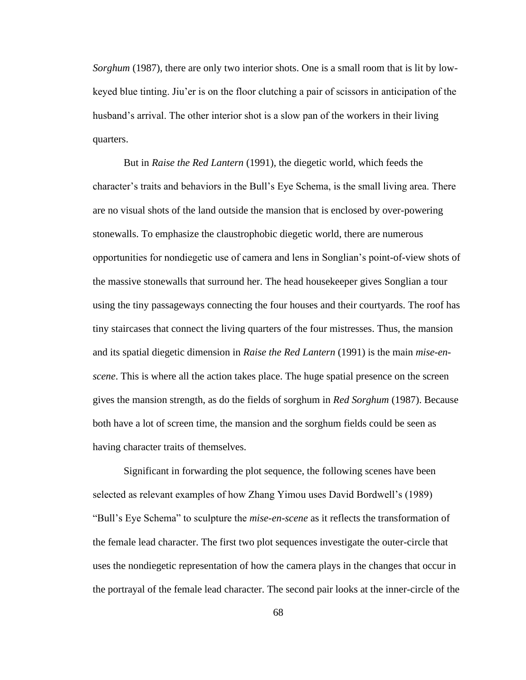*Sorghum* (1987)*,* there are only two interior shots. One is a small room that is lit by lowkeyed blue tinting. Jiu'er is on the floor clutching a pair of scissors in anticipation of the husband's arrival. The other interior shot is a slow pan of the workers in their living quarters.

But in *Raise the Red Lantern* (1991), the diegetic world, which feeds the character's traits and behaviors in the Bull's Eye Schema, is the small living area. There are no visual shots of the land outside the mansion that is enclosed by over-powering stonewalls. To emphasize the claustrophobic diegetic world, there are numerous opportunities for nondiegetic use of camera and lens in Songlian's point-of-view shots of the massive stonewalls that surround her. The head housekeeper gives Songlian a tour using the tiny passageways connecting the four houses and their courtyards. The roof has tiny staircases that connect the living quarters of the four mistresses. Thus, the mansion and its spatial diegetic dimension in *Raise the Red Lantern* (1991) is the main *mise-enscene*. This is where all the action takes place. The huge spatial presence on the screen gives the mansion strength, as do the fields of sorghum in *Red Sorghum* (1987). Because both have a lot of screen time, the mansion and the sorghum fields could be seen as having character traits of themselves.

Significant in forwarding the plot sequence, the following scenes have been selected as relevant examples of how Zhang Yimou uses David Bordwell's (1989) "Bull's Eye Schema" to sculpture the *mise-en-scene* as it reflects the transformation of the female lead character. The first two plot sequences investigate the outer-circle that uses the nondiegetic representation of how the camera plays in the changes that occur in the portrayal of the female lead character. The second pair looks at the inner-circle of the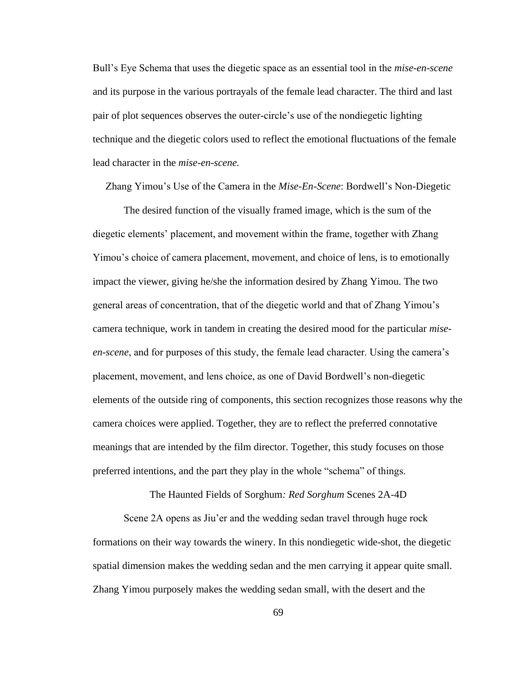Bull's Eye Schema that uses the diegetic space as an essential tool in the *mise-en-scene* and its purpose in the various portrayals of the female lead character. The third and last pair of plot sequences observes the outer-circle's use of the nondiegetic lighting technique and the diegetic colors used to reflect the emotional fluctuations of the female lead character in the *mise-en-scene.*

Zhang Yimou's Use of the Camera in the *Mise-En-Scene*: Bordwell's Non-Diegetic

The desired function of the visually framed image, which is the sum of the diegetic elements' placement, and movement within the frame, together with Zhang Yimou's choice of camera placement, movement, and choice of lens, is to emotionally impact the viewer, giving he/she the information desired by Zhang Yimou. The two general areas of concentration, that of the diegetic world and that of Zhang Yimou's camera technique, work in tandem in creating the desired mood for the particular *miseen-scene*, and for purposes of this study, the female lead character. Using the camera's placement, movement, and lens choice, as one of David Bordwell's non-diegetic elements of the outside ring of components, this section recognizes those reasons why the camera choices were applied. Together, they are to reflect the preferred connotative meanings that are intended by the film director. Together, this study focuses on those preferred intentions, and the part they play in the whole "schema" of things.

The Haunted Fields of Sorghum*: Red Sorghum* Scenes 2A-4D

Scene 2A opens as Jiu'er and the wedding sedan travel through huge rock formations on their way towards the winery. In this nondiegetic wide-shot, the diegetic spatial dimension makes the wedding sedan and the men carrying it appear quite small. Zhang Yimou purposely makes the wedding sedan small, with the desert and the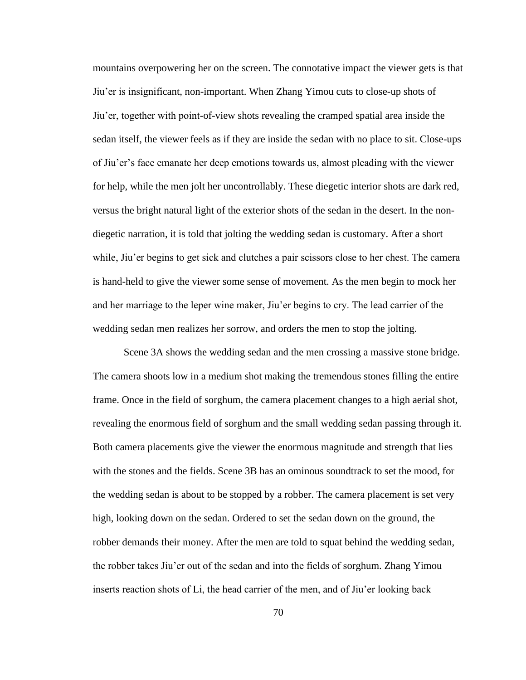mountains overpowering her on the screen. The connotative impact the viewer gets is that Jiu'er is insignificant, non-important. When Zhang Yimou cuts to close-up shots of Jiu'er, together with point-of-view shots revealing the cramped spatial area inside the sedan itself, the viewer feels as if they are inside the sedan with no place to sit. Close-ups of Jiu'er's face emanate her deep emotions towards us, almost pleading with the viewer for help, while the men jolt her uncontrollably. These diegetic interior shots are dark red, versus the bright natural light of the exterior shots of the sedan in the desert. In the nondiegetic narration, it is told that jolting the wedding sedan is customary. After a short while, Jiu'er begins to get sick and clutches a pair scissors close to her chest. The camera is hand-held to give the viewer some sense of movement. As the men begin to mock her and her marriage to the leper wine maker, Jiu'er begins to cry. The lead carrier of the wedding sedan men realizes her sorrow, and orders the men to stop the jolting.

Scene 3A shows the wedding sedan and the men crossing a massive stone bridge. The camera shoots low in a medium shot making the tremendous stones filling the entire frame. Once in the field of sorghum, the camera placement changes to a high aerial shot, revealing the enormous field of sorghum and the small wedding sedan passing through it. Both camera placements give the viewer the enormous magnitude and strength that lies with the stones and the fields. Scene 3B has an ominous soundtrack to set the mood, for the wedding sedan is about to be stopped by a robber. The camera placement is set very high, looking down on the sedan. Ordered to set the sedan down on the ground, the robber demands their money. After the men are told to squat behind the wedding sedan, the robber takes Jiu'er out of the sedan and into the fields of sorghum. Zhang Yimou inserts reaction shots of Li, the head carrier of the men, and of Jiu'er looking back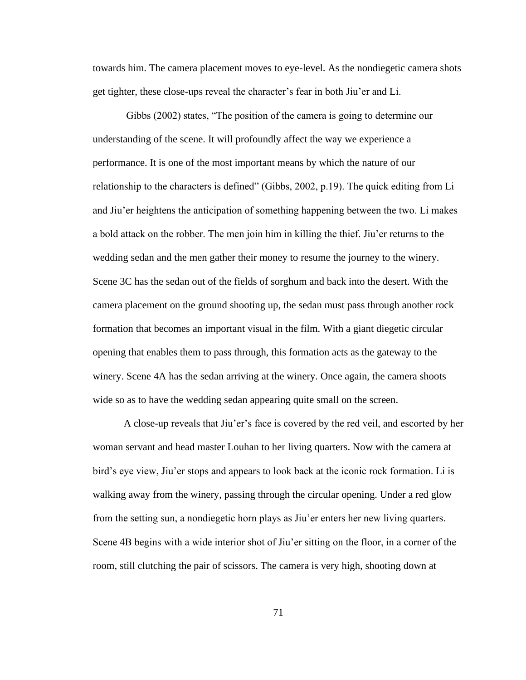towards him. The camera placement moves to eye-level. As the nondiegetic camera shots get tighter, these close-ups reveal the character's fear in both Jiu'er and Li.

Gibbs (2002) states, "The position of the camera is going to determine our understanding of the scene. It will profoundly affect the way we experience a performance. It is one of the most important means by which the nature of our relationship to the characters is defined" (Gibbs, 2002, p.19). The quick editing from Li and Jiu'er heightens the anticipation of something happening between the two. Li makes a bold attack on the robber. The men join him in killing the thief. Jiu'er returns to the wedding sedan and the men gather their money to resume the journey to the winery. Scene 3C has the sedan out of the fields of sorghum and back into the desert. With the camera placement on the ground shooting up, the sedan must pass through another rock formation that becomes an important visual in the film. With a giant diegetic circular opening that enables them to pass through, this formation acts as the gateway to the winery. Scene 4A has the sedan arriving at the winery. Once again, the camera shoots wide so as to have the wedding sedan appearing quite small on the screen.

A close-up reveals that Jiu'er's face is covered by the red veil, and escorted by her woman servant and head master Louhan to her living quarters. Now with the camera at bird's eye view, Jiu'er stops and appears to look back at the iconic rock formation. Li is walking away from the winery, passing through the circular opening. Under a red glow from the setting sun, a nondiegetic horn plays as Jiu'er enters her new living quarters. Scene 4B begins with a wide interior shot of Jiu'er sitting on the floor, in a corner of the room, still clutching the pair of scissors. The camera is very high, shooting down at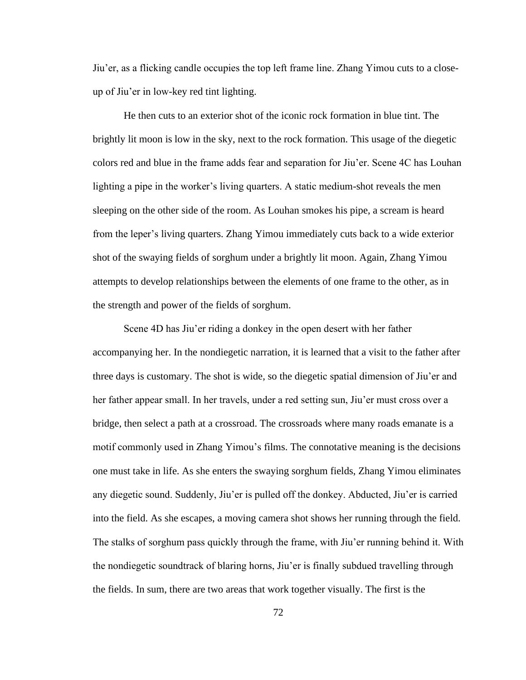Jiu'er, as a flicking candle occupies the top left frame line. Zhang Yimou cuts to a closeup of Jiu'er in low-key red tint lighting.

He then cuts to an exterior shot of the iconic rock formation in blue tint. The brightly lit moon is low in the sky, next to the rock formation. This usage of the diegetic colors red and blue in the frame adds fear and separation for Jiu'er. Scene 4C has Louhan lighting a pipe in the worker's living quarters. A static medium-shot reveals the men sleeping on the other side of the room. As Louhan smokes his pipe, a scream is heard from the leper's living quarters. Zhang Yimou immediately cuts back to a wide exterior shot of the swaying fields of sorghum under a brightly lit moon. Again, Zhang Yimou attempts to develop relationships between the elements of one frame to the other, as in the strength and power of the fields of sorghum.

Scene 4D has Jiu'er riding a donkey in the open desert with her father accompanying her. In the nondiegetic narration, it is learned that a visit to the father after three days is customary. The shot is wide, so the diegetic spatial dimension of Jiu'er and her father appear small. In her travels, under a red setting sun, Jiu'er must cross over a bridge, then select a path at a crossroad. The crossroads where many roads emanate is a motif commonly used in Zhang Yimou's films. The connotative meaning is the decisions one must take in life. As she enters the swaying sorghum fields, Zhang Yimou eliminates any diegetic sound. Suddenly, Jiu'er is pulled off the donkey. Abducted, Jiu'er is carried into the field. As she escapes, a moving camera shot shows her running through the field. The stalks of sorghum pass quickly through the frame, with Jiu'er running behind it. With the nondiegetic soundtrack of blaring horns, Jiu'er is finally subdued travelling through the fields. In sum, there are two areas that work together visually. The first is the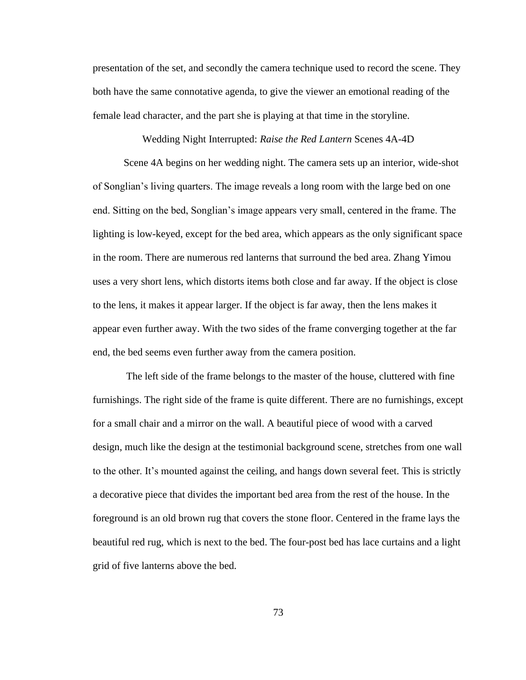presentation of the set, and secondly the camera technique used to record the scene. They both have the same connotative agenda, to give the viewer an emotional reading of the female lead character, and the part she is playing at that time in the storyline.

Wedding Night Interrupted: *Raise the Red Lantern* Scenes 4A-4D

Scene 4A begins on her wedding night. The camera sets up an interior, wide-shot of Songlian's living quarters. The image reveals a long room with the large bed on one end. Sitting on the bed, Songlian's image appears very small, centered in the frame. The lighting is low-keyed, except for the bed area, which appears as the only significant space in the room. There are numerous red lanterns that surround the bed area. Zhang Yimou uses a very short lens, which distorts items both close and far away. If the object is close to the lens, it makes it appear larger. If the object is far away, then the lens makes it appear even further away. With the two sides of the frame converging together at the far end, the bed seems even further away from the camera position.

The left side of the frame belongs to the master of the house, cluttered with fine furnishings. The right side of the frame is quite different. There are no furnishings, except for a small chair and a mirror on the wall. A beautiful piece of wood with a carved design, much like the design at the testimonial background scene, stretches from one wall to the other. It's mounted against the ceiling, and hangs down several feet. This is strictly a decorative piece that divides the important bed area from the rest of the house. In the foreground is an old brown rug that covers the stone floor. Centered in the frame lays the beautiful red rug, which is next to the bed. The four-post bed has lace curtains and a light grid of five lanterns above the bed.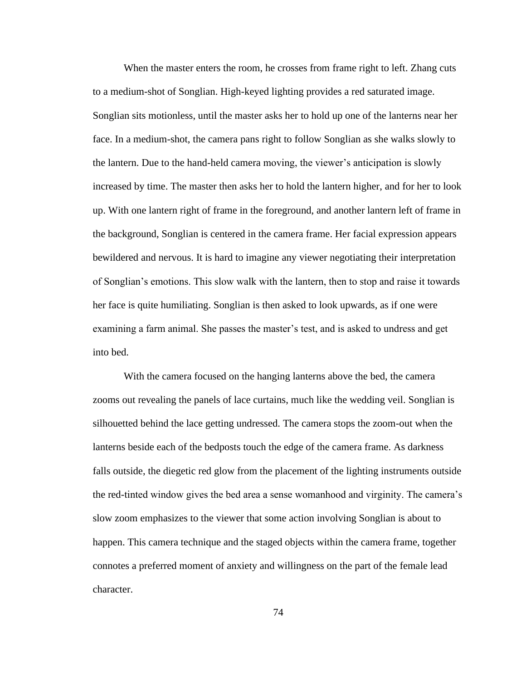When the master enters the room, he crosses from frame right to left. Zhang cuts to a medium-shot of Songlian. High-keyed lighting provides a red saturated image. Songlian sits motionless, until the master asks her to hold up one of the lanterns near her face. In a medium-shot, the camera pans right to follow Songlian as she walks slowly to the lantern. Due to the hand-held camera moving, the viewer's anticipation is slowly increased by time. The master then asks her to hold the lantern higher, and for her to look up. With one lantern right of frame in the foreground, and another lantern left of frame in the background, Songlian is centered in the camera frame. Her facial expression appears bewildered and nervous. It is hard to imagine any viewer negotiating their interpretation of Songlian's emotions. This slow walk with the lantern, then to stop and raise it towards her face is quite humiliating. Songlian is then asked to look upwards, as if one were examining a farm animal. She passes the master's test, and is asked to undress and get into bed.

With the camera focused on the hanging lanterns above the bed, the camera zooms out revealing the panels of lace curtains, much like the wedding veil. Songlian is silhouetted behind the lace getting undressed. The camera stops the zoom-out when the lanterns beside each of the bedposts touch the edge of the camera frame. As darkness falls outside, the diegetic red glow from the placement of the lighting instruments outside the red-tinted window gives the bed area a sense womanhood and virginity. The camera's slow zoom emphasizes to the viewer that some action involving Songlian is about to happen. This camera technique and the staged objects within the camera frame, together connotes a preferred moment of anxiety and willingness on the part of the female lead character.

74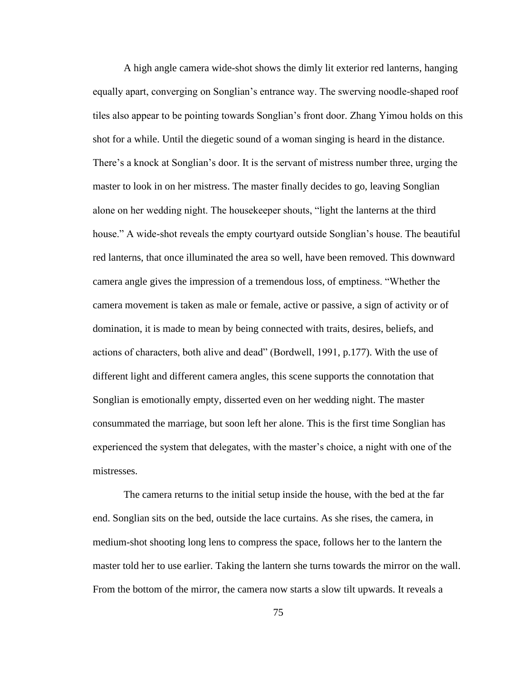A high angle camera wide-shot shows the dimly lit exterior red lanterns, hanging equally apart, converging on Songlian's entrance way. The swerving noodle-shaped roof tiles also appear to be pointing towards Songlian's front door. Zhang Yimou holds on this shot for a while. Until the diegetic sound of a woman singing is heard in the distance. There's a knock at Songlian's door. It is the servant of mistress number three, urging the master to look in on her mistress. The master finally decides to go, leaving Songlian alone on her wedding night. The housekeeper shouts, "light the lanterns at the third house." A wide-shot reveals the empty courtyard outside Songlian's house. The beautiful red lanterns, that once illuminated the area so well, have been removed. This downward camera angle gives the impression of a tremendous loss, of emptiness. "Whether the camera movement is taken as male or female, active or passive, a sign of activity or of domination, it is made to mean by being connected with traits, desires, beliefs, and actions of characters, both alive and dead" (Bordwell, 1991, p.177). With the use of different light and different camera angles, this scene supports the connotation that Songlian is emotionally empty, disserted even on her wedding night. The master consummated the marriage, but soon left her alone. This is the first time Songlian has experienced the system that delegates, with the master's choice, a night with one of the mistresses.

The camera returns to the initial setup inside the house, with the bed at the far end. Songlian sits on the bed, outside the lace curtains. As she rises, the camera, in medium-shot shooting long lens to compress the space, follows her to the lantern the master told her to use earlier. Taking the lantern she turns towards the mirror on the wall. From the bottom of the mirror, the camera now starts a slow tilt upwards. It reveals a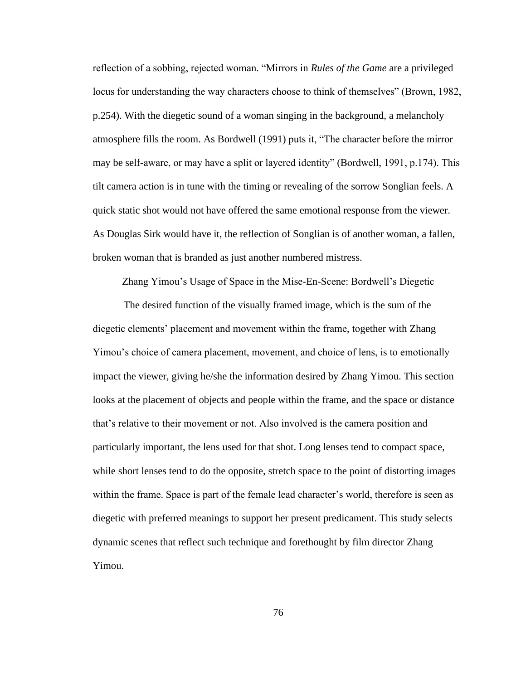reflection of a sobbing, rejected woman. "Mirrors in *Rules of the Game* are a privileged locus for understanding the way characters choose to think of themselves" (Brown, 1982, p.254). With the diegetic sound of a woman singing in the background, a melancholy atmosphere fills the room. As Bordwell (1991) puts it, "The character before the mirror may be self-aware, or may have a split or layered identity" (Bordwell, 1991, p.174). This tilt camera action is in tune with the timing or revealing of the sorrow Songlian feels. A quick static shot would not have offered the same emotional response from the viewer. As Douglas Sirk would have it, the reflection of Songlian is of another woman, a fallen, broken woman that is branded as just another numbered mistress.

Zhang Yimou's Usage of Space in the Mise-En-Scene: Bordwell's Diegetic

The desired function of the visually framed image, which is the sum of the diegetic elements' placement and movement within the frame, together with Zhang Yimou's choice of camera placement, movement, and choice of lens, is to emotionally impact the viewer, giving he/she the information desired by Zhang Yimou. This section looks at the placement of objects and people within the frame, and the space or distance that's relative to their movement or not. Also involved is the camera position and particularly important, the lens used for that shot. Long lenses tend to compact space, while short lenses tend to do the opposite, stretch space to the point of distorting images within the frame. Space is part of the female lead character's world, therefore is seen as diegetic with preferred meanings to support her present predicament. This study selects dynamic scenes that reflect such technique and forethought by film director Zhang Yimou.

76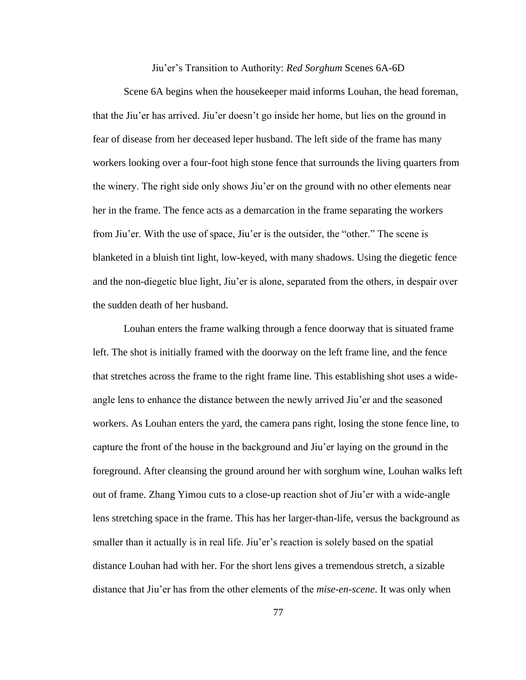Jiu'er's Transition to Authority: *Red Sorghum* Scenes 6A-6D

Scene 6A begins when the housekeeper maid informs Louhan, the head foreman, that the Jiu'er has arrived. Jiu'er doesn't go inside her home, but lies on the ground in fear of disease from her deceased leper husband. The left side of the frame has many workers looking over a four-foot high stone fence that surrounds the living quarters from the winery. The right side only shows Jiu'er on the ground with no other elements near her in the frame. The fence acts as a demarcation in the frame separating the workers from Jiu'er. With the use of space, Jiu'er is the outsider, the "other." The scene is blanketed in a bluish tint light, low-keyed, with many shadows. Using the diegetic fence and the non-diegetic blue light, Jiu'er is alone, separated from the others, in despair over the sudden death of her husband.

Louhan enters the frame walking through a fence doorway that is situated frame left. The shot is initially framed with the doorway on the left frame line, and the fence that stretches across the frame to the right frame line. This establishing shot uses a wideangle lens to enhance the distance between the newly arrived Jiu'er and the seasoned workers. As Louhan enters the yard, the camera pans right, losing the stone fence line, to capture the front of the house in the background and Jiu'er laying on the ground in the foreground. After cleansing the ground around her with sorghum wine, Louhan walks left out of frame. Zhang Yimou cuts to a close-up reaction shot of Jiu'er with a wide-angle lens stretching space in the frame. This has her larger-than-life, versus the background as smaller than it actually is in real life. Jiu'er's reaction is solely based on the spatial distance Louhan had with her. For the short lens gives a tremendous stretch, a sizable distance that Jiu'er has from the other elements of the *mise-en-scene*. It was only when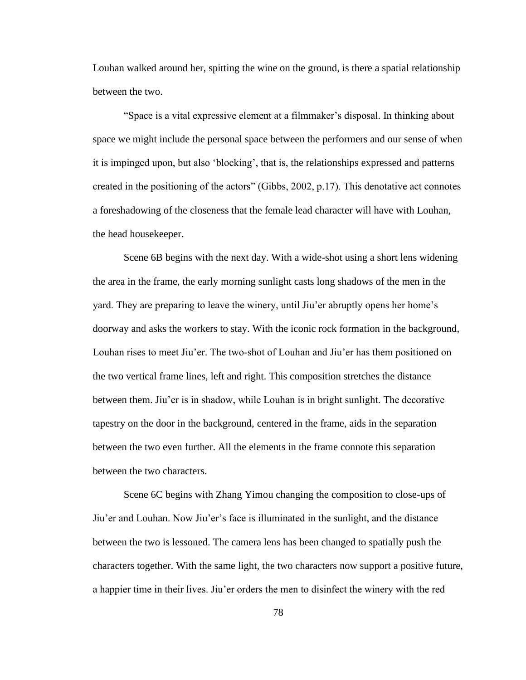Louhan walked around her, spitting the wine on the ground, is there a spatial relationship between the two.

"Space is a vital expressive element at a filmmaker's disposal. In thinking about space we might include the personal space between the performers and our sense of when it is impinged upon, but also 'blocking', that is, the relationships expressed and patterns created in the positioning of the actors" (Gibbs, 2002, p.17). This denotative act connotes a foreshadowing of the closeness that the female lead character will have with Louhan, the head housekeeper.

Scene 6B begins with the next day. With a wide-shot using a short lens widening the area in the frame, the early morning sunlight casts long shadows of the men in the yard. They are preparing to leave the winery, until Jiu'er abruptly opens her home's doorway and asks the workers to stay. With the iconic rock formation in the background, Louhan rises to meet Jiu'er. The two-shot of Louhan and Jiu'er has them positioned on the two vertical frame lines, left and right. This composition stretches the distance between them. Jiu'er is in shadow, while Louhan is in bright sunlight. The decorative tapestry on the door in the background, centered in the frame, aids in the separation between the two even further. All the elements in the frame connote this separation between the two characters.

Scene 6C begins with Zhang Yimou changing the composition to close-ups of Jiu'er and Louhan. Now Jiu'er's face is illuminated in the sunlight, and the distance between the two is lessoned. The camera lens has been changed to spatially push the characters together. With the same light, the two characters now support a positive future, a happier time in their lives. Jiu'er orders the men to disinfect the winery with the red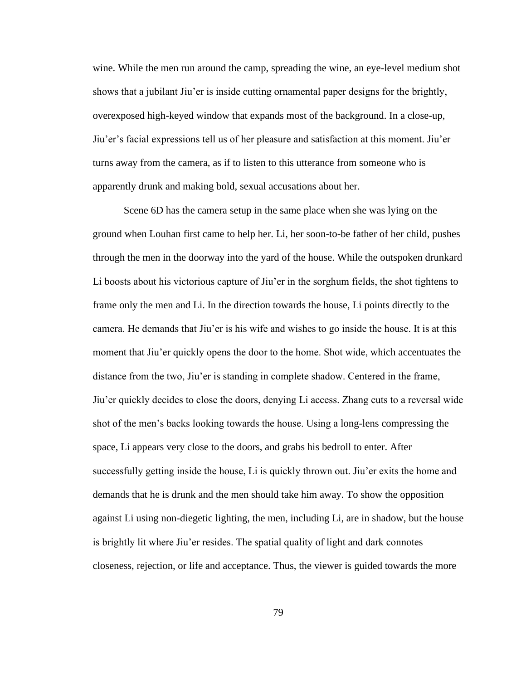wine. While the men run around the camp, spreading the wine, an eye-level medium shot shows that a jubilant Jiu'er is inside cutting ornamental paper designs for the brightly, overexposed high-keyed window that expands most of the background. In a close-up, Jiu'er's facial expressions tell us of her pleasure and satisfaction at this moment. Jiu'er turns away from the camera, as if to listen to this utterance from someone who is apparently drunk and making bold, sexual accusations about her.

Scene 6D has the camera setup in the same place when she was lying on the ground when Louhan first came to help her. Li, her soon-to-be father of her child, pushes through the men in the doorway into the yard of the house. While the outspoken drunkard Li boosts about his victorious capture of Jiu'er in the sorghum fields, the shot tightens to frame only the men and Li. In the direction towards the house, Li points directly to the camera. He demands that Jiu'er is his wife and wishes to go inside the house. It is at this moment that Jiu'er quickly opens the door to the home. Shot wide, which accentuates the distance from the two, Jiu'er is standing in complete shadow. Centered in the frame, Jiu'er quickly decides to close the doors, denying Li access. Zhang cuts to a reversal wide shot of the men's backs looking towards the house. Using a long-lens compressing the space, Li appears very close to the doors, and grabs his bedroll to enter. After successfully getting inside the house, Li is quickly thrown out. Jiu'er exits the home and demands that he is drunk and the men should take him away. To show the opposition against Li using non-diegetic lighting, the men, including Li, are in shadow, but the house is brightly lit where Jiu'er resides. The spatial quality of light and dark connotes closeness, rejection, or life and acceptance. Thus, the viewer is guided towards the more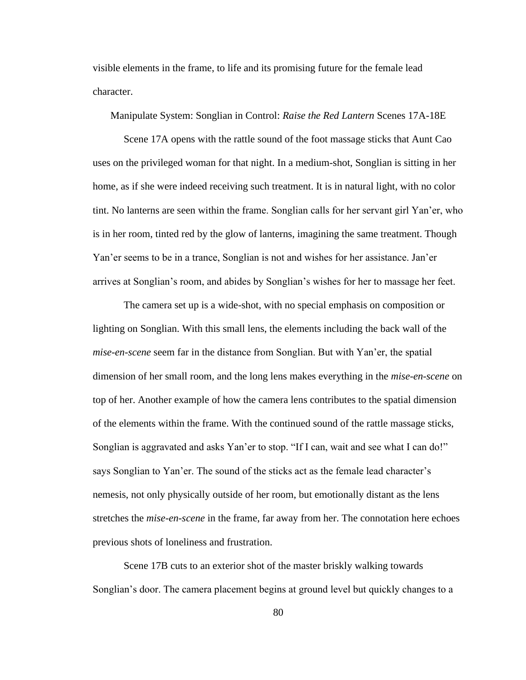visible elements in the frame, to life and its promising future for the female lead character.

Manipulate System: Songlian in Control: *Raise the Red Lantern* Scenes 17A-18E

Scene 17A opens with the rattle sound of the foot massage sticks that Aunt Cao uses on the privileged woman for that night. In a medium-shot, Songlian is sitting in her home, as if she were indeed receiving such treatment. It is in natural light, with no color tint. No lanterns are seen within the frame. Songlian calls for her servant girl Yan'er, who is in her room, tinted red by the glow of lanterns, imagining the same treatment. Though Yan'er seems to be in a trance, Songlian is not and wishes for her assistance. Jan'er arrives at Songlian's room, and abides by Songlian's wishes for her to massage her feet.

The camera set up is a wide-shot, with no special emphasis on composition or lighting on Songlian. With this small lens, the elements including the back wall of the *mise-en-scene* seem far in the distance from Songlian. But with Yan'er, the spatial dimension of her small room, and the long lens makes everything in the *mise-en-scene* on top of her. Another example of how the camera lens contributes to the spatial dimension of the elements within the frame. With the continued sound of the rattle massage sticks, Songlian is aggravated and asks Yan'er to stop. "If I can, wait and see what I can do!" says Songlian to Yan'er. The sound of the sticks act as the female lead character's nemesis, not only physically outside of her room, but emotionally distant as the lens stretches the *mise-en-scene* in the frame, far away from her. The connotation here echoes previous shots of loneliness and frustration.

Scene 17B cuts to an exterior shot of the master briskly walking towards Songlian's door. The camera placement begins at ground level but quickly changes to a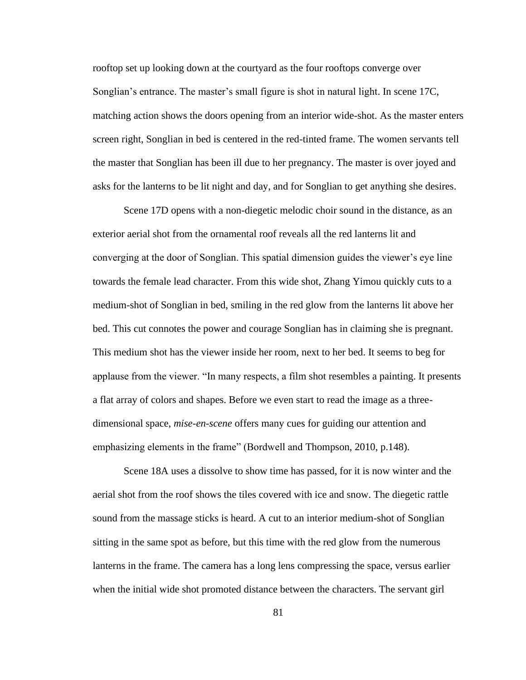rooftop set up looking down at the courtyard as the four rooftops converge over Songlian's entrance. The master's small figure is shot in natural light. In scene 17C, matching action shows the doors opening from an interior wide-shot. As the master enters screen right, Songlian in bed is centered in the red-tinted frame. The women servants tell the master that Songlian has been ill due to her pregnancy. The master is over joyed and asks for the lanterns to be lit night and day, and for Songlian to get anything she desires.

Scene 17D opens with a non-diegetic melodic choir sound in the distance, as an exterior aerial shot from the ornamental roof reveals all the red lanterns lit and converging at the door of Songlian. This spatial dimension guides the viewer's eye line towards the female lead character. From this wide shot, Zhang Yimou quickly cuts to a medium-shot of Songlian in bed, smiling in the red glow from the lanterns lit above her bed. This cut connotes the power and courage Songlian has in claiming she is pregnant. This medium shot has the viewer inside her room, next to her bed. It seems to beg for applause from the viewer. "In many respects, a film shot resembles a painting. It presents a flat array of colors and shapes. Before we even start to read the image as a threedimensional space, *mise-en-scene* offers many cues for guiding our attention and emphasizing elements in the frame" (Bordwell and Thompson, 2010, p.148).

Scene 18A uses a dissolve to show time has passed, for it is now winter and the aerial shot from the roof shows the tiles covered with ice and snow. The diegetic rattle sound from the massage sticks is heard. A cut to an interior medium-shot of Songlian sitting in the same spot as before, but this time with the red glow from the numerous lanterns in the frame. The camera has a long lens compressing the space, versus earlier when the initial wide shot promoted distance between the characters. The servant girl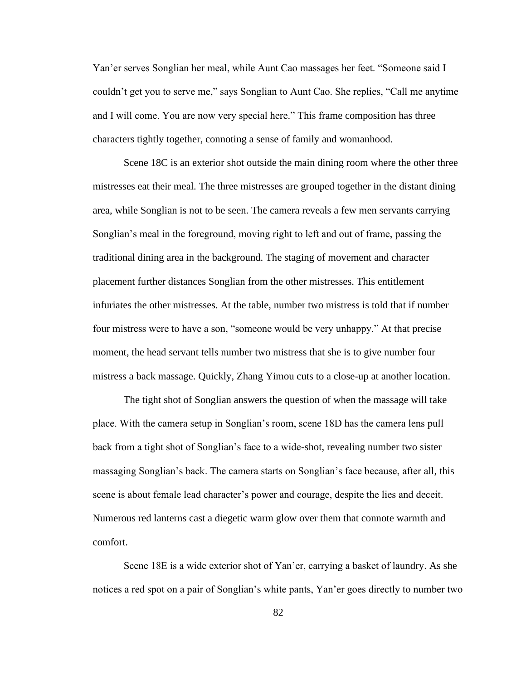Yan'er serves Songlian her meal, while Aunt Cao massages her feet. "Someone said I couldn't get you to serve me," says Songlian to Aunt Cao. She replies, "Call me anytime and I will come. You are now very special here." This frame composition has three characters tightly together, connoting a sense of family and womanhood.

Scene 18C is an exterior shot outside the main dining room where the other three mistresses eat their meal. The three mistresses are grouped together in the distant dining area, while Songlian is not to be seen. The camera reveals a few men servants carrying Songlian's meal in the foreground, moving right to left and out of frame, passing the traditional dining area in the background. The staging of movement and character placement further distances Songlian from the other mistresses. This entitlement infuriates the other mistresses. At the table, number two mistress is told that if number four mistress were to have a son, "someone would be very unhappy." At that precise moment, the head servant tells number two mistress that she is to give number four mistress a back massage. Quickly, Zhang Yimou cuts to a close-up at another location.

The tight shot of Songlian answers the question of when the massage will take place. With the camera setup in Songlian's room, scene 18D has the camera lens pull back from a tight shot of Songlian's face to a wide-shot, revealing number two sister massaging Songlian's back. The camera starts on Songlian's face because, after all, this scene is about female lead character's power and courage, despite the lies and deceit. Numerous red lanterns cast a diegetic warm glow over them that connote warmth and comfort.

Scene 18E is a wide exterior shot of Yan'er, carrying a basket of laundry. As she notices a red spot on a pair of Songlian's white pants, Yan'er goes directly to number two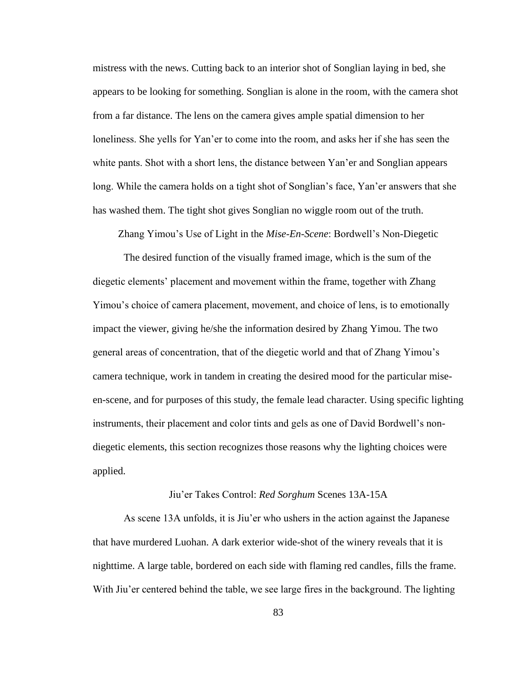mistress with the news. Cutting back to an interior shot of Songlian laying in bed, she appears to be looking for something. Songlian is alone in the room, with the camera shot from a far distance. The lens on the camera gives ample spatial dimension to her loneliness. She yells for Yan'er to come into the room, and asks her if she has seen the white pants. Shot with a short lens, the distance between Yan'er and Songlian appears long. While the camera holds on a tight shot of Songlian's face, Yan'er answers that she has washed them. The tight shot gives Songlian no wiggle room out of the truth.

Zhang Yimou's Use of Light in the *Mise-En-Scene*: Bordwell's Non-Diegetic

The desired function of the visually framed image, which is the sum of the diegetic elements' placement and movement within the frame, together with Zhang Yimou's choice of camera placement, movement, and choice of lens, is to emotionally impact the viewer, giving he/she the information desired by Zhang Yimou. The two general areas of concentration, that of the diegetic world and that of Zhang Yimou's camera technique, work in tandem in creating the desired mood for the particular miseen-scene, and for purposes of this study, the female lead character. Using specific lighting instruments, their placement and color tints and gels as one of David Bordwell's nondiegetic elements, this section recognizes those reasons why the lighting choices were applied.

## Jiu'er Takes Control: *Red Sorghum* Scenes 13A-15A

As scene 13A unfolds, it is Jiu'er who ushers in the action against the Japanese that have murdered Luohan. A dark exterior wide-shot of the winery reveals that it is nighttime. A large table, bordered on each side with flaming red candles, fills the frame. With Jiu'er centered behind the table, we see large fires in the background. The lighting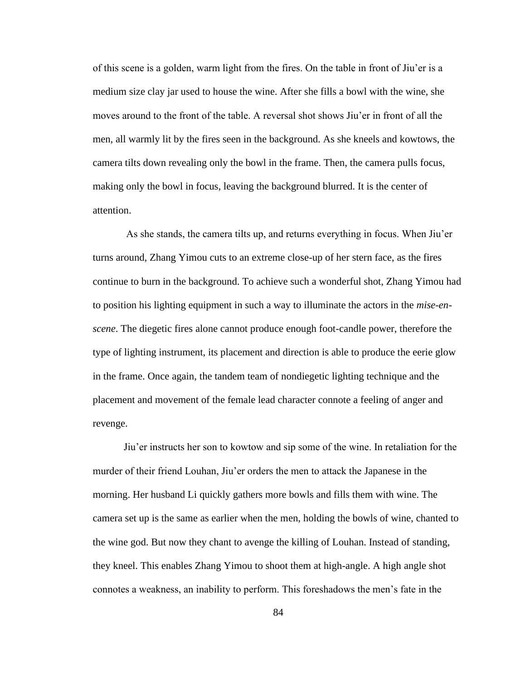of this scene is a golden, warm light from the fires. On the table in front of Jiu'er is a medium size clay jar used to house the wine. After she fills a bowl with the wine, she moves around to the front of the table. A reversal shot shows Jiu'er in front of all the men, all warmly lit by the fires seen in the background. As she kneels and kowtows, the camera tilts down revealing only the bowl in the frame. Then, the camera pulls focus, making only the bowl in focus, leaving the background blurred. It is the center of attention.

As she stands, the camera tilts up, and returns everything in focus. When Jiu'er turns around, Zhang Yimou cuts to an extreme close-up of her stern face, as the fires continue to burn in the background. To achieve such a wonderful shot, Zhang Yimou had to position his lighting equipment in such a way to illuminate the actors in the *mise-enscene*. The diegetic fires alone cannot produce enough foot-candle power, therefore the type of lighting instrument, its placement and direction is able to produce the eerie glow in the frame. Once again, the tandem team of nondiegetic lighting technique and the placement and movement of the female lead character connote a feeling of anger and revenge.

Jiu'er instructs her son to kowtow and sip some of the wine. In retaliation for the murder of their friend Louhan, Jiu'er orders the men to attack the Japanese in the morning. Her husband Li quickly gathers more bowls and fills them with wine. The camera set up is the same as earlier when the men, holding the bowls of wine, chanted to the wine god. But now they chant to avenge the killing of Louhan. Instead of standing, they kneel. This enables Zhang Yimou to shoot them at high-angle. A high angle shot connotes a weakness, an inability to perform. This foreshadows the men's fate in the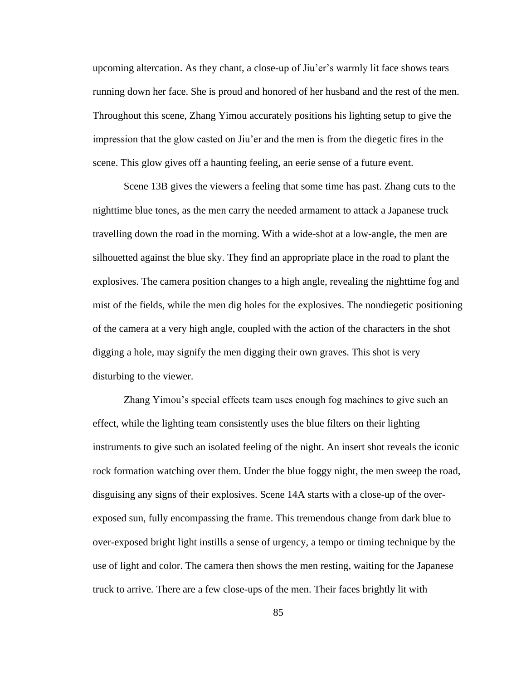upcoming altercation. As they chant, a close-up of Jiu'er's warmly lit face shows tears running down her face. She is proud and honored of her husband and the rest of the men. Throughout this scene, Zhang Yimou accurately positions his lighting setup to give the impression that the glow casted on Jiu'er and the men is from the diegetic fires in the scene. This glow gives off a haunting feeling, an eerie sense of a future event.

Scene 13B gives the viewers a feeling that some time has past. Zhang cuts to the nighttime blue tones, as the men carry the needed armament to attack a Japanese truck travelling down the road in the morning. With a wide-shot at a low-angle, the men are silhouetted against the blue sky. They find an appropriate place in the road to plant the explosives. The camera position changes to a high angle, revealing the nighttime fog and mist of the fields, while the men dig holes for the explosives. The nondiegetic positioning of the camera at a very high angle, coupled with the action of the characters in the shot digging a hole, may signify the men digging their own graves. This shot is very disturbing to the viewer.

Zhang Yimou's special effects team uses enough fog machines to give such an effect, while the lighting team consistently uses the blue filters on their lighting instruments to give such an isolated feeling of the night. An insert shot reveals the iconic rock formation watching over them. Under the blue foggy night, the men sweep the road, disguising any signs of their explosives. Scene 14A starts with a close-up of the overexposed sun, fully encompassing the frame. This tremendous change from dark blue to over-exposed bright light instills a sense of urgency, a tempo or timing technique by the use of light and color. The camera then shows the men resting, waiting for the Japanese truck to arrive. There are a few close-ups of the men. Their faces brightly lit with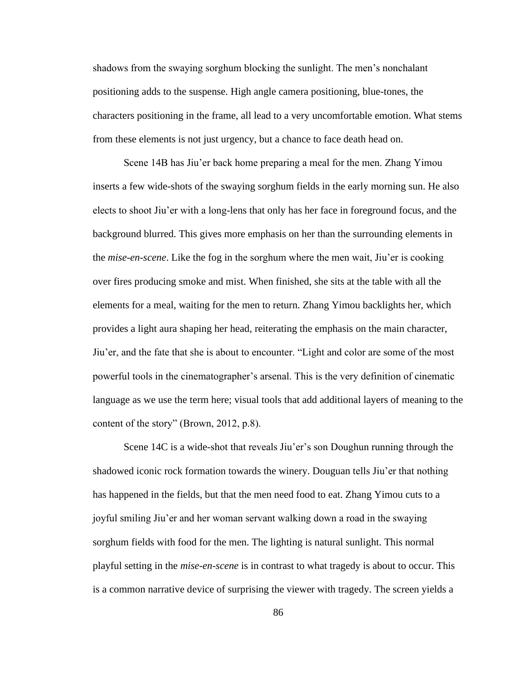shadows from the swaying sorghum blocking the sunlight. The men's nonchalant positioning adds to the suspense. High angle camera positioning, blue-tones, the characters positioning in the frame, all lead to a very uncomfortable emotion. What stems from these elements is not just urgency, but a chance to face death head on.

Scene 14B has Jiu'er back home preparing a meal for the men. Zhang Yimou inserts a few wide-shots of the swaying sorghum fields in the early morning sun. He also elects to shoot Jiu'er with a long-lens that only has her face in foreground focus, and the background blurred. This gives more emphasis on her than the surrounding elements in the *mise-en-scene*. Like the fog in the sorghum where the men wait, Jiu'er is cooking over fires producing smoke and mist. When finished, she sits at the table with all the elements for a meal, waiting for the men to return. Zhang Yimou backlights her, which provides a light aura shaping her head, reiterating the emphasis on the main character, Jiu'er, and the fate that she is about to encounter. "Light and color are some of the most powerful tools in the cinematographer's arsenal. This is the very definition of cinematic language as we use the term here; visual tools that add additional layers of meaning to the content of the story" (Brown, 2012, p.8).

Scene 14C is a wide-shot that reveals Jiu'er's son Doughun running through the shadowed iconic rock formation towards the winery. Douguan tells Jiu'er that nothing has happened in the fields, but that the men need food to eat. Zhang Yimou cuts to a joyful smiling Jiu'er and her woman servant walking down a road in the swaying sorghum fields with food for the men. The lighting is natural sunlight. This normal playful setting in the *mise-en-scene* is in contrast to what tragedy is about to occur. This is a common narrative device of surprising the viewer with tragedy. The screen yields a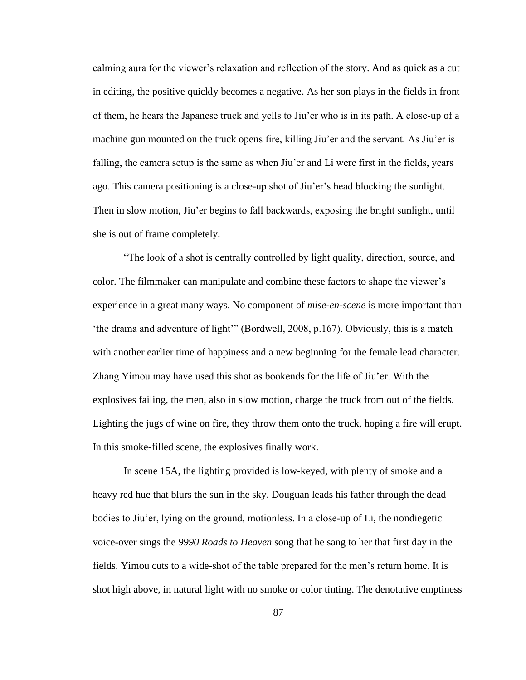calming aura for the viewer's relaxation and reflection of the story. And as quick as a cut in editing, the positive quickly becomes a negative. As her son plays in the fields in front of them, he hears the Japanese truck and yells to Jiu'er who is in its path. A close-up of a machine gun mounted on the truck opens fire, killing Jiu'er and the servant. As Jiu'er is falling, the camera setup is the same as when Jiu'er and Li were first in the fields, years ago. This camera positioning is a close-up shot of Jiu'er's head blocking the sunlight. Then in slow motion, Jiu'er begins to fall backwards, exposing the bright sunlight, until she is out of frame completely.

"The look of a shot is centrally controlled by light quality, direction, source, and color. The filmmaker can manipulate and combine these factors to shape the viewer's experience in a great many ways. No component of *mise-en-scene* is more important than 'the drama and adventure of light'" (Bordwell, 2008, p.167). Obviously, this is a match with another earlier time of happiness and a new beginning for the female lead character. Zhang Yimou may have used this shot as bookends for the life of Jiu'er. With the explosives failing, the men, also in slow motion, charge the truck from out of the fields. Lighting the jugs of wine on fire, they throw them onto the truck, hoping a fire will erupt. In this smoke-filled scene, the explosives finally work.

In scene 15A, the lighting provided is low-keyed, with plenty of smoke and a heavy red hue that blurs the sun in the sky. Douguan leads his father through the dead bodies to Jiu'er, lying on the ground, motionless. In a close-up of Li, the nondiegetic voice-over sings the *9990 Roads to Heaven* song that he sang to her that first day in the fields. Yimou cuts to a wide-shot of the table prepared for the men's return home. It is shot high above, in natural light with no smoke or color tinting. The denotative emptiness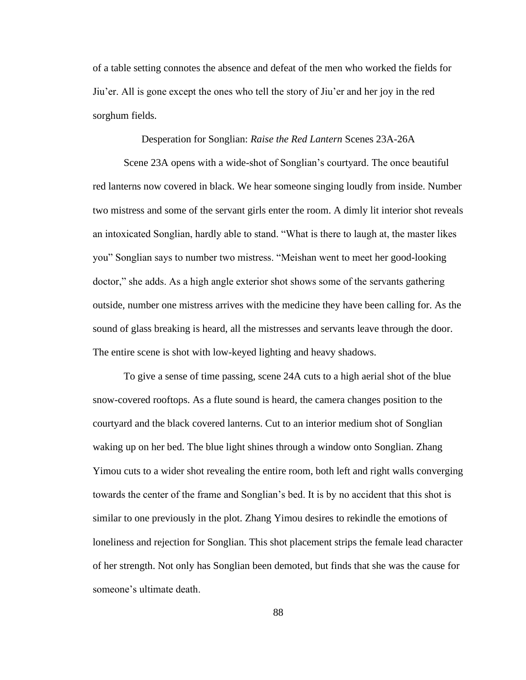of a table setting connotes the absence and defeat of the men who worked the fields for Jiu'er. All is gone except the ones who tell the story of Jiu'er and her joy in the red sorghum fields.

### Desperation for Songlian: *Raise the Red Lantern* Scenes 23A-26A

Scene 23A opens with a wide-shot of Songlian's courtyard. The once beautiful red lanterns now covered in black. We hear someone singing loudly from inside. Number two mistress and some of the servant girls enter the room. A dimly lit interior shot reveals an intoxicated Songlian, hardly able to stand. "What is there to laugh at, the master likes you" Songlian says to number two mistress. "Meishan went to meet her good-looking doctor," she adds. As a high angle exterior shot shows some of the servants gathering outside, number one mistress arrives with the medicine they have been calling for. As the sound of glass breaking is heard, all the mistresses and servants leave through the door. The entire scene is shot with low-keyed lighting and heavy shadows.

To give a sense of time passing, scene 24A cuts to a high aerial shot of the blue snow-covered rooftops. As a flute sound is heard, the camera changes position to the courtyard and the black covered lanterns. Cut to an interior medium shot of Songlian waking up on her bed. The blue light shines through a window onto Songlian. Zhang Yimou cuts to a wider shot revealing the entire room, both left and right walls converging towards the center of the frame and Songlian's bed. It is by no accident that this shot is similar to one previously in the plot. Zhang Yimou desires to rekindle the emotions of loneliness and rejection for Songlian. This shot placement strips the female lead character of her strength. Not only has Songlian been demoted, but finds that she was the cause for someone's ultimate death.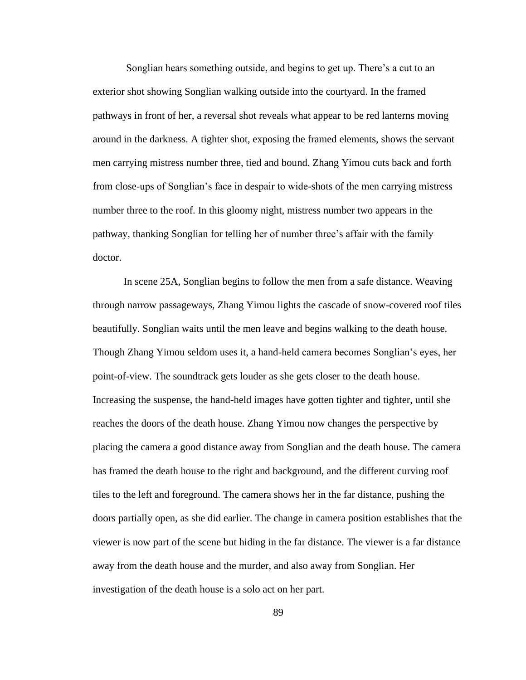Songlian hears something outside, and begins to get up. There's a cut to an exterior shot showing Songlian walking outside into the courtyard. In the framed pathways in front of her, a reversal shot reveals what appear to be red lanterns moving around in the darkness. A tighter shot, exposing the framed elements, shows the servant men carrying mistress number three, tied and bound. Zhang Yimou cuts back and forth from close-ups of Songlian's face in despair to wide-shots of the men carrying mistress number three to the roof. In this gloomy night, mistress number two appears in the pathway, thanking Songlian for telling her of number three's affair with the family doctor.

In scene 25A, Songlian begins to follow the men from a safe distance. Weaving through narrow passageways, Zhang Yimou lights the cascade of snow-covered roof tiles beautifully. Songlian waits until the men leave and begins walking to the death house. Though Zhang Yimou seldom uses it, a hand-held camera becomes Songlian's eyes, her point-of-view. The soundtrack gets louder as she gets closer to the death house. Increasing the suspense, the hand-held images have gotten tighter and tighter, until she reaches the doors of the death house. Zhang Yimou now changes the perspective by placing the camera a good distance away from Songlian and the death house. The camera has framed the death house to the right and background, and the different curving roof tiles to the left and foreground. The camera shows her in the far distance, pushing the doors partially open, as she did earlier. The change in camera position establishes that the viewer is now part of the scene but hiding in the far distance. The viewer is a far distance away from the death house and the murder, and also away from Songlian. Her investigation of the death house is a solo act on her part.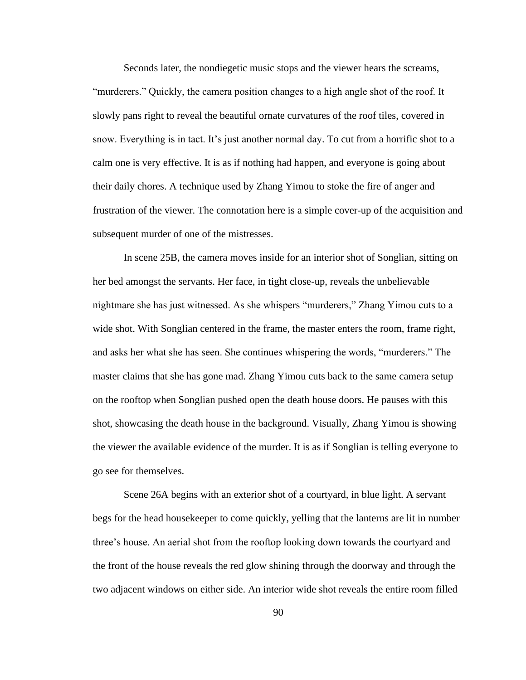Seconds later, the nondiegetic music stops and the viewer hears the screams, "murderers." Quickly, the camera position changes to a high angle shot of the roof. It slowly pans right to reveal the beautiful ornate curvatures of the roof tiles, covered in snow. Everything is in tact. It's just another normal day. To cut from a horrific shot to a calm one is very effective. It is as if nothing had happen, and everyone is going about their daily chores. A technique used by Zhang Yimou to stoke the fire of anger and frustration of the viewer. The connotation here is a simple cover-up of the acquisition and subsequent murder of one of the mistresses.

In scene 25B, the camera moves inside for an interior shot of Songlian, sitting on her bed amongst the servants. Her face, in tight close-up, reveals the unbelievable nightmare she has just witnessed. As she whispers "murderers," Zhang Yimou cuts to a wide shot. With Songlian centered in the frame, the master enters the room, frame right, and asks her what she has seen. She continues whispering the words, "murderers." The master claims that she has gone mad. Zhang Yimou cuts back to the same camera setup on the rooftop when Songlian pushed open the death house doors. He pauses with this shot, showcasing the death house in the background. Visually, Zhang Yimou is showing the viewer the available evidence of the murder. It is as if Songlian is telling everyone to go see for themselves.

Scene 26A begins with an exterior shot of a courtyard, in blue light. A servant begs for the head housekeeper to come quickly, yelling that the lanterns are lit in number three's house. An aerial shot from the rooftop looking down towards the courtyard and the front of the house reveals the red glow shining through the doorway and through the two adjacent windows on either side. An interior wide shot reveals the entire room filled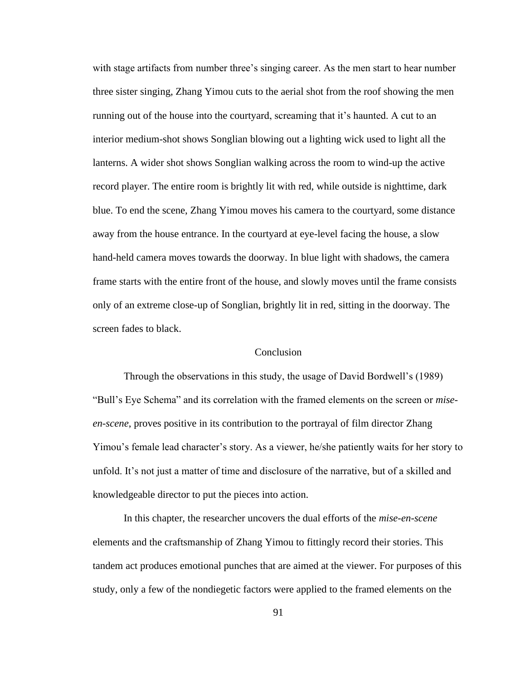with stage artifacts from number three's singing career. As the men start to hear number three sister singing, Zhang Yimou cuts to the aerial shot from the roof showing the men running out of the house into the courtyard, screaming that it's haunted. A cut to an interior medium-shot shows Songlian blowing out a lighting wick used to light all the lanterns. A wider shot shows Songlian walking across the room to wind-up the active record player. The entire room is brightly lit with red, while outside is nighttime, dark blue. To end the scene, Zhang Yimou moves his camera to the courtyard, some distance away from the house entrance. In the courtyard at eye-level facing the house, a slow hand-held camera moves towards the doorway. In blue light with shadows, the camera frame starts with the entire front of the house, and slowly moves until the frame consists only of an extreme close-up of Songlian, brightly lit in red, sitting in the doorway. The screen fades to black.

## Conclusion

Through the observations in this study, the usage of David Bordwell's (1989) "Bull's Eye Schema" and its correlation with the framed elements on the screen or *miseen-scene*, proves positive in its contribution to the portrayal of film director Zhang Yimou's female lead character's story. As a viewer, he/she patiently waits for her story to unfold. It's not just a matter of time and disclosure of the narrative, but of a skilled and knowledgeable director to put the pieces into action.

In this chapter, the researcher uncovers the dual efforts of the *mise-en-scene* elements and the craftsmanship of Zhang Yimou to fittingly record their stories. This tandem act produces emotional punches that are aimed at the viewer. For purposes of this study, only a few of the nondiegetic factors were applied to the framed elements on the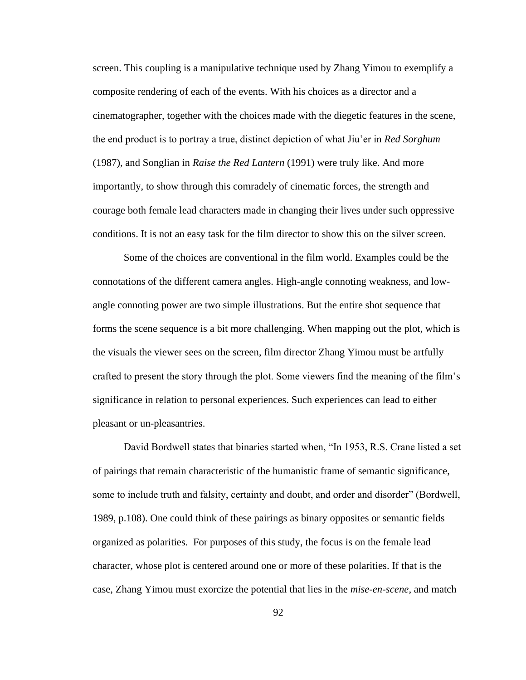screen. This coupling is a manipulative technique used by Zhang Yimou to exemplify a composite rendering of each of the events. With his choices as a director and a cinematographer, together with the choices made with the diegetic features in the scene, the end product is to portray a true, distinct depiction of what Jiu'er in *Red Sorghum* (1987)*,* and Songlian in *Raise the Red Lantern* (1991) were truly like. And more importantly, to show through this comradely of cinematic forces, the strength and courage both female lead characters made in changing their lives under such oppressive conditions. It is not an easy task for the film director to show this on the silver screen.

Some of the choices are conventional in the film world. Examples could be the connotations of the different camera angles. High-angle connoting weakness, and lowangle connoting power are two simple illustrations. But the entire shot sequence that forms the scene sequence is a bit more challenging. When mapping out the plot, which is the visuals the viewer sees on the screen, film director Zhang Yimou must be artfully crafted to present the story through the plot. Some viewers find the meaning of the film's significance in relation to personal experiences. Such experiences can lead to either pleasant or un-pleasantries.

David Bordwell states that binaries started when, "In 1953, R.S. Crane listed a set of pairings that remain characteristic of the humanistic frame of semantic significance, some to include truth and falsity, certainty and doubt, and order and disorder" (Bordwell, 1989, p.108). One could think of these pairings as binary opposites or semantic fields organized as polarities. For purposes of this study, the focus is on the female lead character, whose plot is centered around one or more of these polarities. If that is the case, Zhang Yimou must exorcize the potential that lies in the *mise-en-scene*, and match

92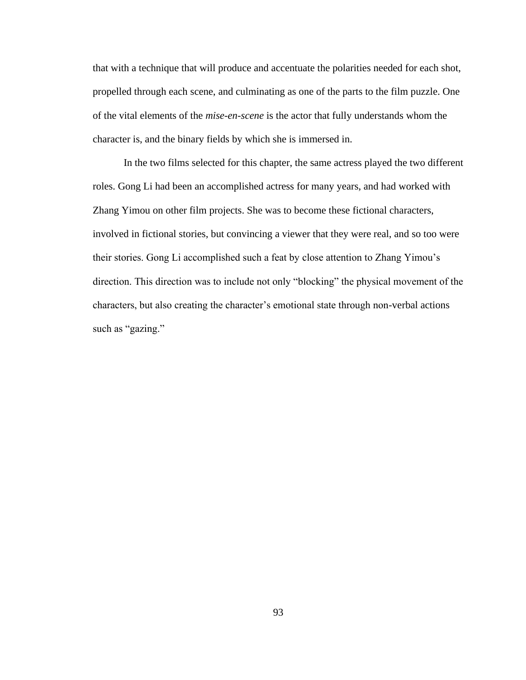that with a technique that will produce and accentuate the polarities needed for each shot, propelled through each scene, and culminating as one of the parts to the film puzzle. One of the vital elements of the *mise-en-scene* is the actor that fully understands whom the character is, and the binary fields by which she is immersed in.

In the two films selected for this chapter, the same actress played the two different roles. Gong Li had been an accomplished actress for many years, and had worked with Zhang Yimou on other film projects. She was to become these fictional characters, involved in fictional stories, but convincing a viewer that they were real, and so too were their stories. Gong Li accomplished such a feat by close attention to Zhang Yimou's direction. This direction was to include not only "blocking" the physical movement of the characters, but also creating the character's emotional state through non-verbal actions such as "gazing."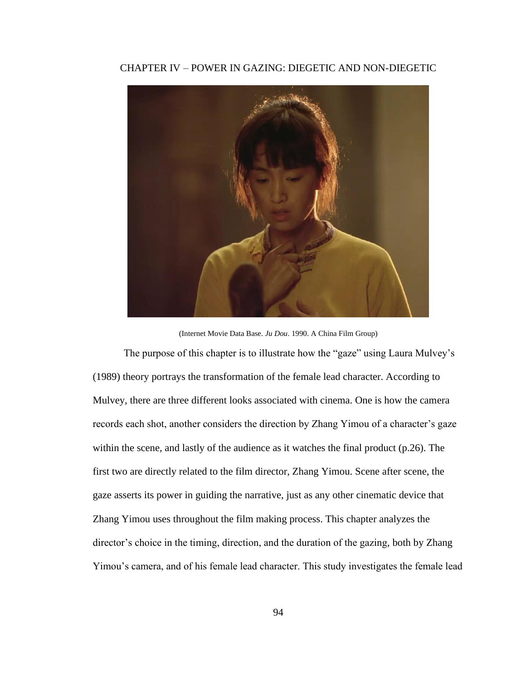# CHAPTER IV – POWER IN GAZING: DIEGETIC AND NON-DIEGETIC

(Internet Movie Data Base. *Ju Dou*. 1990. A China Film Group)

The purpose of this chapter is to illustrate how the "gaze" using Laura Mulvey's (1989) theory portrays the transformation of the female lead character. According to Mulvey, there are three different looks associated with cinema. One is how the camera records each shot, another considers the direction by Zhang Yimou of a character's gaze within the scene, and lastly of the audience as it watches the final product (p.26). The first two are directly related to the film director, Zhang Yimou. Scene after scene, the gaze asserts its power in guiding the narrative, just as any other cinematic device that Zhang Yimou uses throughout the film making process. This chapter analyzes the director's choice in the timing, direction, and the duration of the gazing, both by Zhang Yimou's camera, and of his female lead character. This study investigates the female lead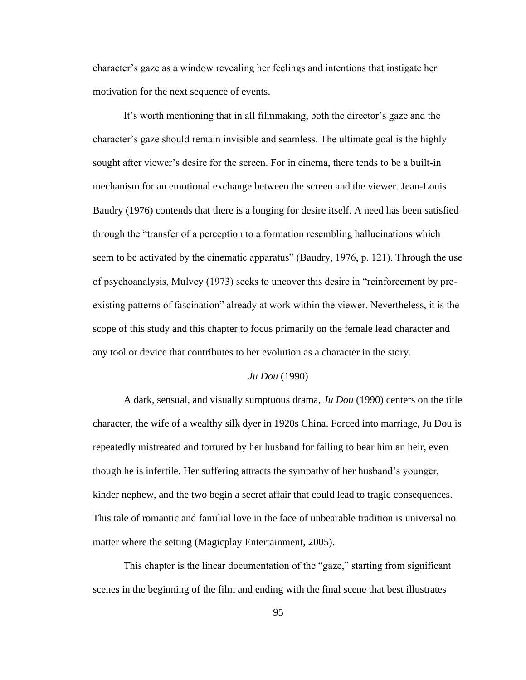character's gaze as a window revealing her feelings and intentions that instigate her motivation for the next sequence of events.

It's worth mentioning that in all filmmaking, both the director's gaze and the character's gaze should remain invisible and seamless. The ultimate goal is the highly sought after viewer's desire for the screen. For in cinema, there tends to be a built-in mechanism for an emotional exchange between the screen and the viewer. Jean-Louis Baudry (1976) contends that there is a longing for desire itself. A need has been satisfied through the "transfer of a perception to a formation resembling hallucinations which seem to be activated by the cinematic apparatus" (Baudry, 1976, p. 121). Through the use of psychoanalysis, Mulvey (1973) seeks to uncover this desire in "reinforcement by preexisting patterns of fascination" already at work within the viewer. Nevertheless, it is the scope of this study and this chapter to focus primarily on the female lead character and any tool or device that contributes to her evolution as a character in the story.

### *Ju Dou* (1990)

A dark, sensual, and visually sumptuous drama, *Ju Dou* (1990) centers on the title character, the wife of a wealthy silk dyer in 1920s China. Forced into marriage, Ju Dou is repeatedly mistreated and tortured by her husband for failing to bear him an heir, even though he is infertile. Her suffering attracts the sympathy of her husband's younger, kinder nephew, and the two begin a secret affair that could lead to tragic consequences. This tale of romantic and familial love in the face of unbearable tradition is universal no matter where the setting (Magicplay Entertainment, 2005).

This chapter is the linear documentation of the "gaze," starting from significant scenes in the beginning of the film and ending with the final scene that best illustrates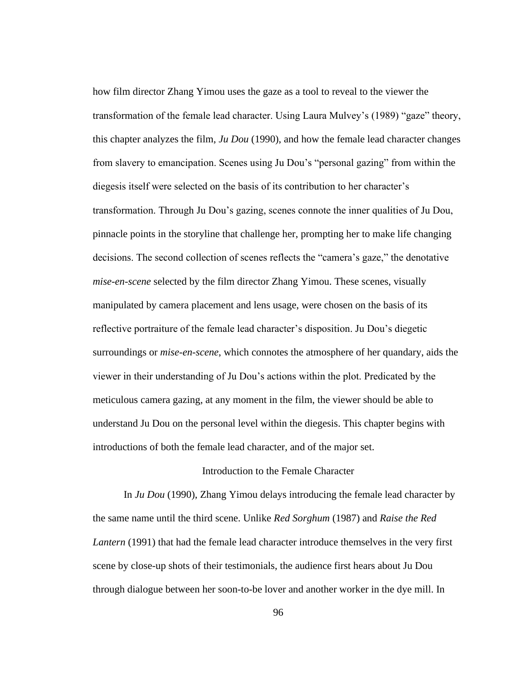how film director Zhang Yimou uses the gaze as a tool to reveal to the viewer the transformation of the female lead character. Using Laura Mulvey's (1989) "gaze" theory, this chapter analyzes the film, *Ju Dou* (1990), and how the female lead character changes from slavery to emancipation. Scenes using Ju Dou's "personal gazing" from within the diegesis itself were selected on the basis of its contribution to her character's transformation. Through Ju Dou's gazing, scenes connote the inner qualities of Ju Dou, pinnacle points in the storyline that challenge her, prompting her to make life changing decisions. The second collection of scenes reflects the "camera's gaze," the denotative *mise-en-scene* selected by the film director Zhang Yimou. These scenes, visually manipulated by camera placement and lens usage, were chosen on the basis of its reflective portraiture of the female lead character's disposition. Ju Dou's diegetic surroundings or *mise-en-scene*, which connotes the atmosphere of her quandary, aids the viewer in their understanding of Ju Dou's actions within the plot. Predicated by the meticulous camera gazing, at any moment in the film, the viewer should be able to understand Ju Dou on the personal level within the diegesis. This chapter begins with introductions of both the female lead character, and of the major set.

### Introduction to the Female Character

In *Ju Dou* (1990), Zhang Yimou delays introducing the female lead character by the same name until the third scene. Unlike *Red Sorghum* (1987) and *Raise the Red Lantern* (1991) that had the female lead character introduce themselves in the very first scene by close-up shots of their testimonials, the audience first hears about Ju Dou through dialogue between her soon-to-be lover and another worker in the dye mill. In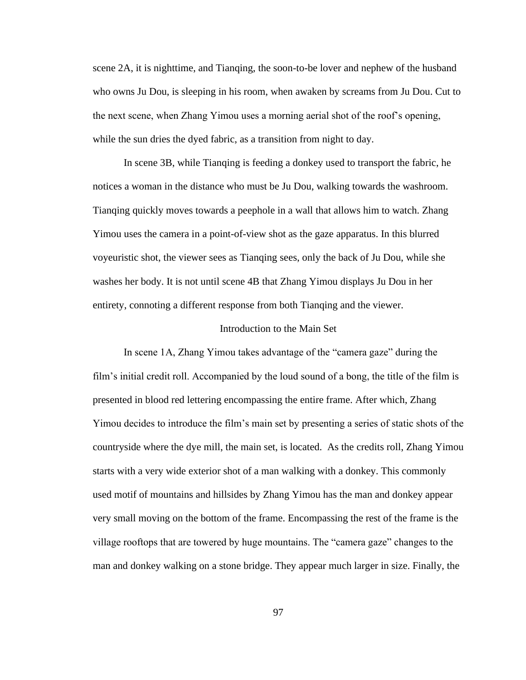scene 2A, it is nighttime, and Tianqing, the soon-to-be lover and nephew of the husband who owns Ju Dou, is sleeping in his room, when awaken by screams from Ju Dou. Cut to the next scene, when Zhang Yimou uses a morning aerial shot of the roof's opening, while the sun dries the dyed fabric, as a transition from night to day.

In scene 3B, while Tianqing is feeding a donkey used to transport the fabric, he notices a woman in the distance who must be Ju Dou, walking towards the washroom. Tianqing quickly moves towards a peephole in a wall that allows him to watch. Zhang Yimou uses the camera in a point-of-view shot as the gaze apparatus. In this blurred voyeuristic shot, the viewer sees as Tianqing sees, only the back of Ju Dou, while she washes her body. It is not until scene 4B that Zhang Yimou displays Ju Dou in her entirety, connoting a different response from both Tianqing and the viewer.

### Introduction to the Main Set

In scene 1A, Zhang Yimou takes advantage of the "camera gaze" during the film's initial credit roll. Accompanied by the loud sound of a bong, the title of the film is presented in blood red lettering encompassing the entire frame. After which, Zhang Yimou decides to introduce the film's main set by presenting a series of static shots of the countryside where the dye mill, the main set, is located. As the credits roll, Zhang Yimou starts with a very wide exterior shot of a man walking with a donkey. This commonly used motif of mountains and hillsides by Zhang Yimou has the man and donkey appear very small moving on the bottom of the frame. Encompassing the rest of the frame is the village rooftops that are towered by huge mountains. The "camera gaze" changes to the man and donkey walking on a stone bridge. They appear much larger in size. Finally, the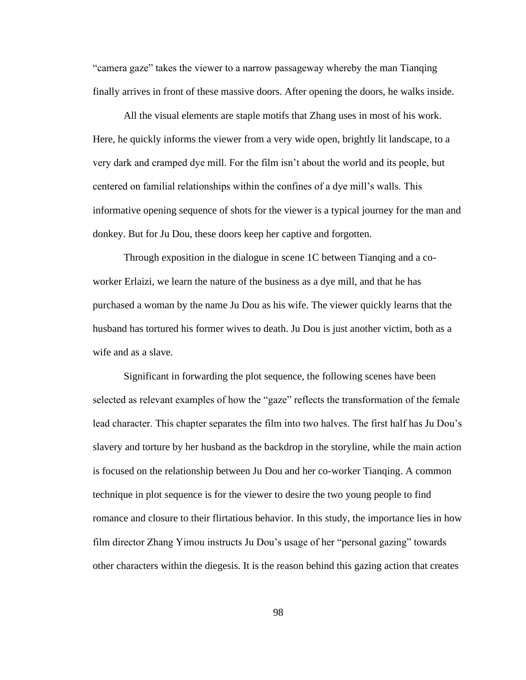"camera gaze" takes the viewer to a narrow passageway whereby the man Tianqing finally arrives in front of these massive doors. After opening the doors, he walks inside.

All the visual elements are staple motifs that Zhang uses in most of his work. Here, he quickly informs the viewer from a very wide open, brightly lit landscape, to a very dark and cramped dye mill. For the film isn't about the world and its people, but centered on familial relationships within the confines of a dye mill's walls. This informative opening sequence of shots for the viewer is a typical journey for the man and donkey. But for Ju Dou, these doors keep her captive and forgotten.

Through exposition in the dialogue in scene 1C between Tianqing and a coworker Erlaizi, we learn the nature of the business as a dye mill, and that he has purchased a woman by the name Ju Dou as his wife. The viewer quickly learns that the husband has tortured his former wives to death. Ju Dou is just another victim, both as a wife and as a slave.

Significant in forwarding the plot sequence, the following scenes have been selected as relevant examples of how the "gaze" reflects the transformation of the female lead character. This chapter separates the film into two halves. The first half has Ju Dou's slavery and torture by her husband as the backdrop in the storyline, while the main action is focused on the relationship between Ju Dou and her co-worker Tianqing. A common technique in plot sequence is for the viewer to desire the two young people to find romance and closure to their flirtatious behavior. In this study, the importance lies in how film director Zhang Yimou instructs Ju Dou's usage of her "personal gazing" towards other characters within the diegesis. It is the reason behind this gazing action that creates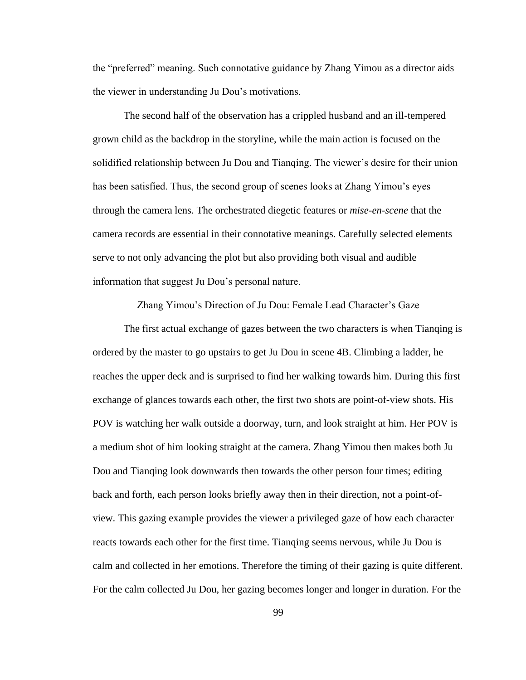the "preferred" meaning. Such connotative guidance by Zhang Yimou as a director aids the viewer in understanding Ju Dou's motivations.

The second half of the observation has a crippled husband and an ill-tempered grown child as the backdrop in the storyline, while the main action is focused on the solidified relationship between Ju Dou and Tianqing. The viewer's desire for their union has been satisfied. Thus, the second group of scenes looks at Zhang Yimou's eyes through the camera lens. The orchestrated diegetic features or *mise-en-scene* that the camera records are essential in their connotative meanings. Carefully selected elements serve to not only advancing the plot but also providing both visual and audible information that suggest Ju Dou's personal nature.

Zhang Yimou's Direction of Ju Dou: Female Lead Character's Gaze

The first actual exchange of gazes between the two characters is when Tianqing is ordered by the master to go upstairs to get Ju Dou in scene 4B. Climbing a ladder, he reaches the upper deck and is surprised to find her walking towards him. During this first exchange of glances towards each other, the first two shots are point-of-view shots. His POV is watching her walk outside a doorway, turn, and look straight at him. Her POV is a medium shot of him looking straight at the camera. Zhang Yimou then makes both Ju Dou and Tianqing look downwards then towards the other person four times; editing back and forth, each person looks briefly away then in their direction, not a point-ofview. This gazing example provides the viewer a privileged gaze of how each character reacts towards each other for the first time. Tianqing seems nervous, while Ju Dou is calm and collected in her emotions. Therefore the timing of their gazing is quite different. For the calm collected Ju Dou, her gazing becomes longer and longer in duration. For the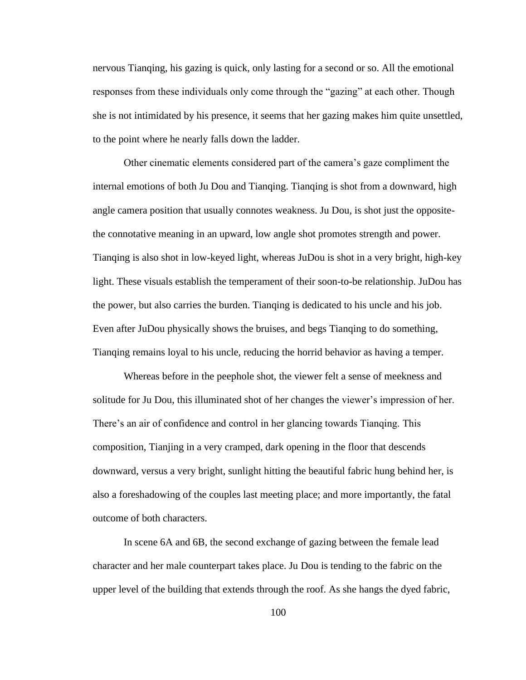nervous Tianqing, his gazing is quick, only lasting for a second or so. All the emotional responses from these individuals only come through the "gazing" at each other. Though she is not intimidated by his presence, it seems that her gazing makes him quite unsettled, to the point where he nearly falls down the ladder.

Other cinematic elements considered part of the camera's gaze compliment the internal emotions of both Ju Dou and Tianqing. Tianqing is shot from a downward, high angle camera position that usually connotes weakness. Ju Dou, is shot just the oppositethe connotative meaning in an upward, low angle shot promotes strength and power. Tianqing is also shot in low-keyed light, whereas JuDou is shot in a very bright, high-key light. These visuals establish the temperament of their soon-to-be relationship. JuDou has the power, but also carries the burden. Tianqing is dedicated to his uncle and his job. Even after JuDou physically shows the bruises, and begs Tianqing to do something, Tianqing remains loyal to his uncle, reducing the horrid behavior as having a temper.

Whereas before in the peephole shot, the viewer felt a sense of meekness and solitude for Ju Dou, this illuminated shot of her changes the viewer's impression of her. There's an air of confidence and control in her glancing towards Tianqing. This composition, Tianjing in a very cramped, dark opening in the floor that descends downward, versus a very bright, sunlight hitting the beautiful fabric hung behind her, is also a foreshadowing of the couples last meeting place; and more importantly, the fatal outcome of both characters.

In scene 6A and 6B, the second exchange of gazing between the female lead character and her male counterpart takes place. Ju Dou is tending to the fabric on the upper level of the building that extends through the roof. As she hangs the dyed fabric,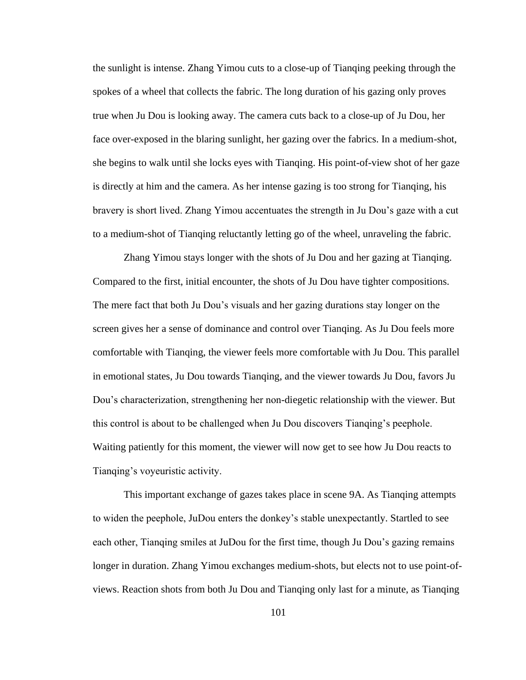the sunlight is intense. Zhang Yimou cuts to a close-up of Tianqing peeking through the spokes of a wheel that collects the fabric. The long duration of his gazing only proves true when Ju Dou is looking away. The camera cuts back to a close-up of Ju Dou, her face over-exposed in the blaring sunlight, her gazing over the fabrics. In a medium-shot, she begins to walk until she locks eyes with Tianqing. His point-of-view shot of her gaze is directly at him and the camera. As her intense gazing is too strong for Tianqing, his bravery is short lived. Zhang Yimou accentuates the strength in Ju Dou's gaze with a cut to a medium-shot of Tianqing reluctantly letting go of the wheel, unraveling the fabric.

Zhang Yimou stays longer with the shots of Ju Dou and her gazing at Tianqing. Compared to the first, initial encounter, the shots of Ju Dou have tighter compositions. The mere fact that both Ju Dou's visuals and her gazing durations stay longer on the screen gives her a sense of dominance and control over Tianqing. As Ju Dou feels more comfortable with Tianqing, the viewer feels more comfortable with Ju Dou. This parallel in emotional states, Ju Dou towards Tianqing, and the viewer towards Ju Dou, favors Ju Dou's characterization, strengthening her non-diegetic relationship with the viewer. But this control is about to be challenged when Ju Dou discovers Tianqing's peephole. Waiting patiently for this moment, the viewer will now get to see how Ju Dou reacts to Tianqing's voyeuristic activity.

This important exchange of gazes takes place in scene 9A. As Tianqing attempts to widen the peephole, JuDou enters the donkey's stable unexpectantly. Startled to see each other, Tianqing smiles at JuDou for the first time, though Ju Dou's gazing remains longer in duration. Zhang Yimou exchanges medium-shots, but elects not to use point-ofviews. Reaction shots from both Ju Dou and Tianqing only last for a minute, as Tianqing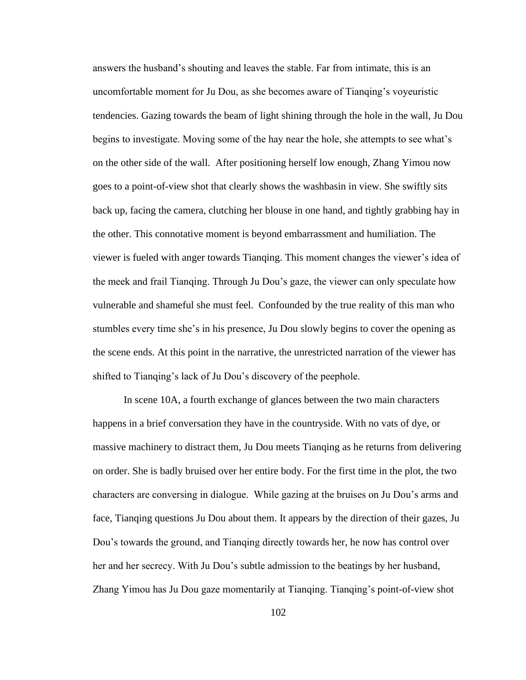answers the husband's shouting and leaves the stable. Far from intimate, this is an uncomfortable moment for Ju Dou, as she becomes aware of Tianqing's voyeuristic tendencies. Gazing towards the beam of light shining through the hole in the wall, Ju Dou begins to investigate. Moving some of the hay near the hole, she attempts to see what's on the other side of the wall. After positioning herself low enough, Zhang Yimou now goes to a point-of-view shot that clearly shows the washbasin in view. She swiftly sits back up, facing the camera, clutching her blouse in one hand, and tightly grabbing hay in the other. This connotative moment is beyond embarrassment and humiliation. The viewer is fueled with anger towards Tianqing. This moment changes the viewer's idea of the meek and frail Tianqing. Through Ju Dou's gaze, the viewer can only speculate how vulnerable and shameful she must feel. Confounded by the true reality of this man who stumbles every time she's in his presence, Ju Dou slowly begins to cover the opening as the scene ends. At this point in the narrative, the unrestricted narration of the viewer has shifted to Tianqing's lack of Ju Dou's discovery of the peephole.

In scene 10A, a fourth exchange of glances between the two main characters happens in a brief conversation they have in the countryside. With no vats of dye, or massive machinery to distract them, Ju Dou meets Tianqing as he returns from delivering on order. She is badly bruised over her entire body. For the first time in the plot, the two characters are conversing in dialogue. While gazing at the bruises on Ju Dou's arms and face, Tianqing questions Ju Dou about them. It appears by the direction of their gazes, Ju Dou's towards the ground, and Tianqing directly towards her, he now has control over her and her secrecy. With Ju Dou's subtle admission to the beatings by her husband, Zhang Yimou has Ju Dou gaze momentarily at Tianqing. Tianqing's point-of-view shot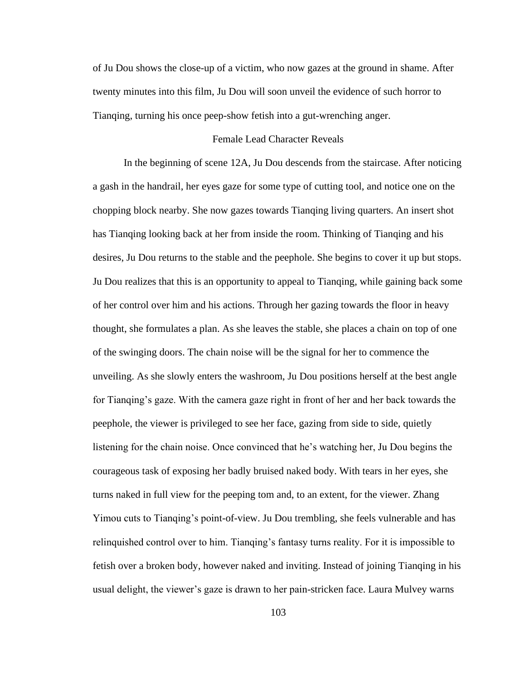of Ju Dou shows the close-up of a victim, who now gazes at the ground in shame. After twenty minutes into this film, Ju Dou will soon unveil the evidence of such horror to Tianqing, turning his once peep-show fetish into a gut-wrenching anger.

## Female Lead Character Reveals

In the beginning of scene 12A, Ju Dou descends from the staircase. After noticing a gash in the handrail, her eyes gaze for some type of cutting tool, and notice one on the chopping block nearby. She now gazes towards Tianqing living quarters. An insert shot has Tianqing looking back at her from inside the room. Thinking of Tianqing and his desires, Ju Dou returns to the stable and the peephole. She begins to cover it up but stops. Ju Dou realizes that this is an opportunity to appeal to Tianqing, while gaining back some of her control over him and his actions. Through her gazing towards the floor in heavy thought, she formulates a plan. As she leaves the stable, she places a chain on top of one of the swinging doors. The chain noise will be the signal for her to commence the unveiling. As she slowly enters the washroom, Ju Dou positions herself at the best angle for Tianqing's gaze. With the camera gaze right in front of her and her back towards the peephole, the viewer is privileged to see her face, gazing from side to side, quietly listening for the chain noise. Once convinced that he's watching her, Ju Dou begins the courageous task of exposing her badly bruised naked body. With tears in her eyes, she turns naked in full view for the peeping tom and, to an extent, for the viewer. Zhang Yimou cuts to Tianqing's point-of-view. Ju Dou trembling, she feels vulnerable and has relinquished control over to him. Tianqing's fantasy turns reality. For it is impossible to fetish over a broken body, however naked and inviting. Instead of joining Tianqing in his usual delight, the viewer's gaze is drawn to her pain-stricken face. Laura Mulvey warns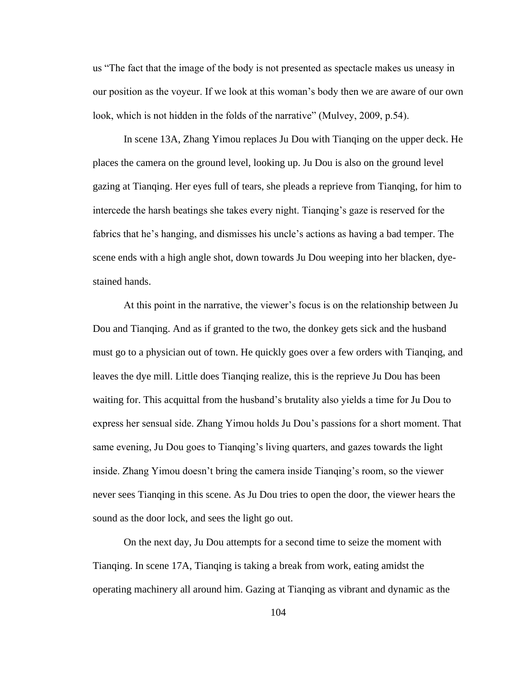us "The fact that the image of the body is not presented as spectacle makes us uneasy in our position as the voyeur. If we look at this woman's body then we are aware of our own look, which is not hidden in the folds of the narrative" (Mulvey, 2009, p.54).

In scene 13A, Zhang Yimou replaces Ju Dou with Tianqing on the upper deck. He places the camera on the ground level, looking up. Ju Dou is also on the ground level gazing at Tianqing. Her eyes full of tears, she pleads a reprieve from Tianqing, for him to intercede the harsh beatings she takes every night. Tianqing's gaze is reserved for the fabrics that he's hanging, and dismisses his uncle's actions as having a bad temper. The scene ends with a high angle shot, down towards Ju Dou weeping into her blacken, dyestained hands.

At this point in the narrative, the viewer's focus is on the relationship between Ju Dou and Tianqing. And as if granted to the two, the donkey gets sick and the husband must go to a physician out of town. He quickly goes over a few orders with Tianqing, and leaves the dye mill. Little does Tianqing realize, this is the reprieve Ju Dou has been waiting for. This acquittal from the husband's brutality also yields a time for Ju Dou to express her sensual side. Zhang Yimou holds Ju Dou's passions for a short moment. That same evening, Ju Dou goes to Tianqing's living quarters, and gazes towards the light inside. Zhang Yimou doesn't bring the camera inside Tianqing's room, so the viewer never sees Tianqing in this scene. As Ju Dou tries to open the door, the viewer hears the sound as the door lock, and sees the light go out.

On the next day, Ju Dou attempts for a second time to seize the moment with Tianqing. In scene 17A, Tianqing is taking a break from work, eating amidst the operating machinery all around him. Gazing at Tianqing as vibrant and dynamic as the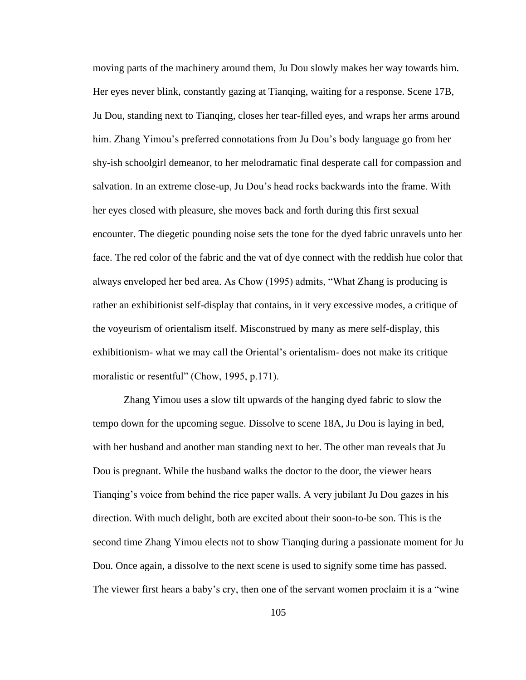moving parts of the machinery around them, Ju Dou slowly makes her way towards him. Her eyes never blink, constantly gazing at Tianqing, waiting for a response. Scene 17B, Ju Dou, standing next to Tianqing, closes her tear-filled eyes, and wraps her arms around him. Zhang Yimou's preferred connotations from Ju Dou's body language go from her shy-ish schoolgirl demeanor, to her melodramatic final desperate call for compassion and salvation. In an extreme close-up, Ju Dou's head rocks backwards into the frame. With her eyes closed with pleasure, she moves back and forth during this first sexual encounter. The diegetic pounding noise sets the tone for the dyed fabric unravels unto her face. The red color of the fabric and the vat of dye connect with the reddish hue color that always enveloped her bed area. As Chow (1995) admits, "What Zhang is producing is rather an exhibitionist self-display that contains, in it very excessive modes, a critique of the voyeurism of orientalism itself. Misconstrued by many as mere self-display, this exhibitionism- what we may call the Oriental's orientalism- does not make its critique moralistic or resentful" (Chow, 1995, p.171).

Zhang Yimou uses a slow tilt upwards of the hanging dyed fabric to slow the tempo down for the upcoming segue. Dissolve to scene 18A, Ju Dou is laying in bed, with her husband and another man standing next to her. The other man reveals that Ju Dou is pregnant. While the husband walks the doctor to the door, the viewer hears Tianqing's voice from behind the rice paper walls. A very jubilant Ju Dou gazes in his direction. With much delight, both are excited about their soon-to-be son. This is the second time Zhang Yimou elects not to show Tianqing during a passionate moment for Ju Dou. Once again, a dissolve to the next scene is used to signify some time has passed. The viewer first hears a baby's cry, then one of the servant women proclaim it is a "wine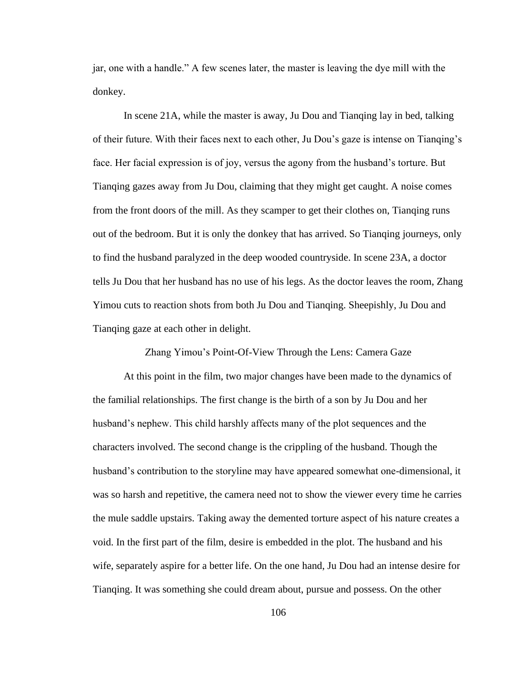jar, one with a handle." A few scenes later, the master is leaving the dye mill with the donkey.

In scene 21A, while the master is away, Ju Dou and Tianqing lay in bed, talking of their future. With their faces next to each other, Ju Dou's gaze is intense on Tianqing's face. Her facial expression is of joy, versus the agony from the husband's torture. But Tianqing gazes away from Ju Dou, claiming that they might get caught. A noise comes from the front doors of the mill. As they scamper to get their clothes on, Tianqing runs out of the bedroom. But it is only the donkey that has arrived. So Tianqing journeys, only to find the husband paralyzed in the deep wooded countryside. In scene 23A, a doctor tells Ju Dou that her husband has no use of his legs. As the doctor leaves the room, Zhang Yimou cuts to reaction shots from both Ju Dou and Tianqing. Sheepishly, Ju Dou and Tianqing gaze at each other in delight.

Zhang Yimou's Point-Of-View Through the Lens: Camera Gaze

At this point in the film, two major changes have been made to the dynamics of the familial relationships. The first change is the birth of a son by Ju Dou and her husband's nephew. This child harshly affects many of the plot sequences and the characters involved. The second change is the crippling of the husband. Though the husband's contribution to the storyline may have appeared somewhat one-dimensional, it was so harsh and repetitive, the camera need not to show the viewer every time he carries the mule saddle upstairs. Taking away the demented torture aspect of his nature creates a void. In the first part of the film, desire is embedded in the plot. The husband and his wife, separately aspire for a better life. On the one hand, Ju Dou had an intense desire for Tianqing. It was something she could dream about, pursue and possess. On the other

106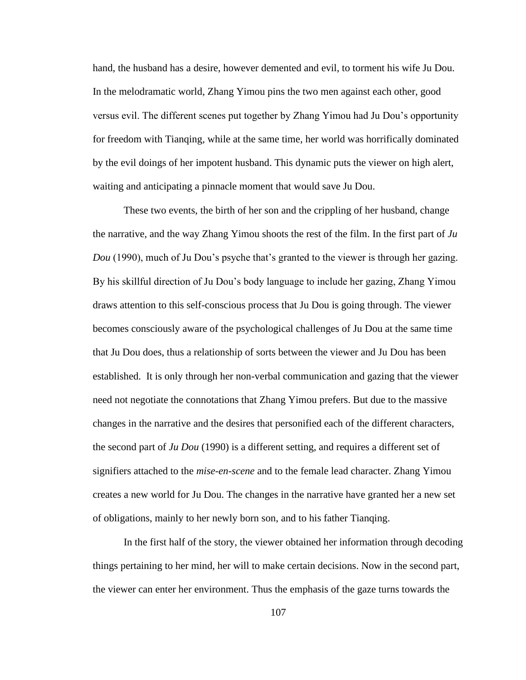hand, the husband has a desire, however demented and evil, to torment his wife Ju Dou. In the melodramatic world, Zhang Yimou pins the two men against each other, good versus evil. The different scenes put together by Zhang Yimou had Ju Dou's opportunity for freedom with Tianqing, while at the same time, her world was horrifically dominated by the evil doings of her impotent husband. This dynamic puts the viewer on high alert, waiting and anticipating a pinnacle moment that would save Ju Dou.

These two events, the birth of her son and the crippling of her husband, change the narrative, and the way Zhang Yimou shoots the rest of the film. In the first part of *Ju Dou* (1990), much of Ju Dou's psyche that's granted to the viewer is through her gazing. By his skillful direction of Ju Dou's body language to include her gazing, Zhang Yimou draws attention to this self-conscious process that Ju Dou is going through. The viewer becomes consciously aware of the psychological challenges of Ju Dou at the same time that Ju Dou does, thus a relationship of sorts between the viewer and Ju Dou has been established. It is only through her non-verbal communication and gazing that the viewer need not negotiate the connotations that Zhang Yimou prefers. But due to the massive changes in the narrative and the desires that personified each of the different characters, the second part of *Ju Dou* (1990) is a different setting, and requires a different set of signifiers attached to the *mise-en-scene* and to the female lead character. Zhang Yimou creates a new world for Ju Dou. The changes in the narrative have granted her a new set of obligations, mainly to her newly born son, and to his father Tianqing.

In the first half of the story, the viewer obtained her information through decoding things pertaining to her mind, her will to make certain decisions. Now in the second part, the viewer can enter her environment. Thus the emphasis of the gaze turns towards the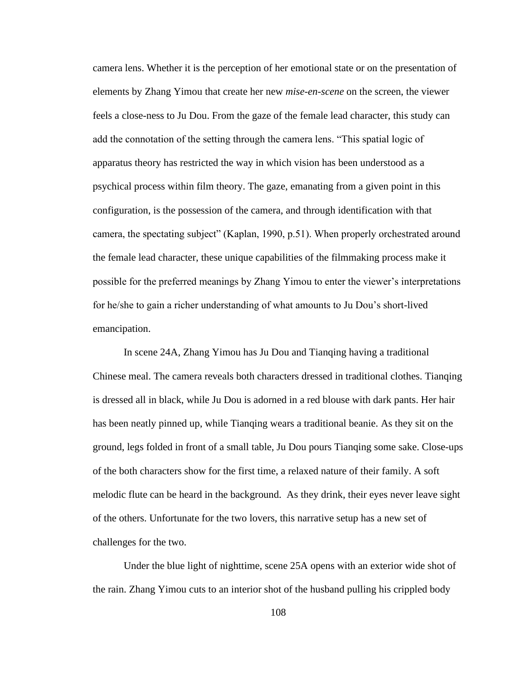camera lens. Whether it is the perception of her emotional state or on the presentation of elements by Zhang Yimou that create her new *mise-en-scene* on the screen, the viewer feels a close-ness to Ju Dou. From the gaze of the female lead character, this study can add the connotation of the setting through the camera lens. "This spatial logic of apparatus theory has restricted the way in which vision has been understood as a psychical process within film theory. The gaze, emanating from a given point in this configuration, is the possession of the camera, and through identification with that camera, the spectating subject" (Kaplan, 1990, p.51). When properly orchestrated around the female lead character, these unique capabilities of the filmmaking process make it possible for the preferred meanings by Zhang Yimou to enter the viewer's interpretations for he/she to gain a richer understanding of what amounts to Ju Dou's short-lived emancipation.

In scene 24A, Zhang Yimou has Ju Dou and Tianqing having a traditional Chinese meal. The camera reveals both characters dressed in traditional clothes. Tianqing is dressed all in black, while Ju Dou is adorned in a red blouse with dark pants. Her hair has been neatly pinned up, while Tianqing wears a traditional beanie. As they sit on the ground, legs folded in front of a small table, Ju Dou pours Tianqing some sake. Close-ups of the both characters show for the first time, a relaxed nature of their family. A soft melodic flute can be heard in the background. As they drink, their eyes never leave sight of the others. Unfortunate for the two lovers, this narrative setup has a new set of challenges for the two.

Under the blue light of nighttime, scene 25A opens with an exterior wide shot of the rain. Zhang Yimou cuts to an interior shot of the husband pulling his crippled body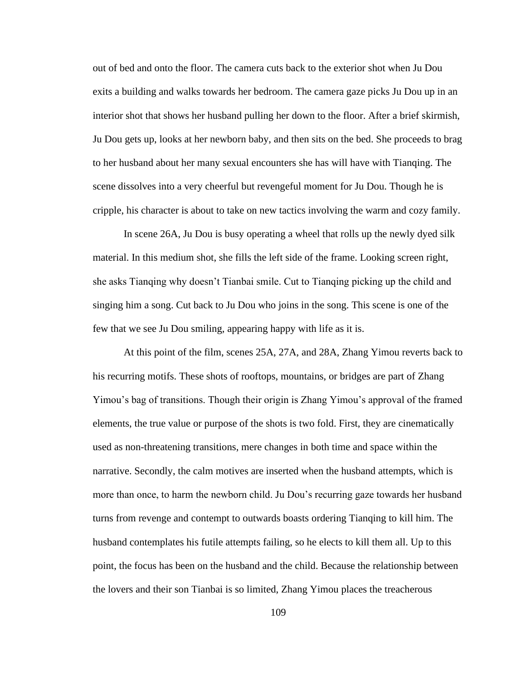out of bed and onto the floor. The camera cuts back to the exterior shot when Ju Dou exits a building and walks towards her bedroom. The camera gaze picks Ju Dou up in an interior shot that shows her husband pulling her down to the floor. After a brief skirmish, Ju Dou gets up, looks at her newborn baby, and then sits on the bed. She proceeds to brag to her husband about her many sexual encounters she has will have with Tianqing. The scene dissolves into a very cheerful but revengeful moment for Ju Dou. Though he is cripple, his character is about to take on new tactics involving the warm and cozy family.

In scene 26A, Ju Dou is busy operating a wheel that rolls up the newly dyed silk material. In this medium shot, she fills the left side of the frame. Looking screen right, she asks Tianqing why doesn't Tianbai smile. Cut to Tianqing picking up the child and singing him a song. Cut back to Ju Dou who joins in the song. This scene is one of the few that we see Ju Dou smiling, appearing happy with life as it is.

At this point of the film, scenes 25A, 27A, and 28A, Zhang Yimou reverts back to his recurring motifs. These shots of rooftops, mountains, or bridges are part of Zhang Yimou's bag of transitions. Though their origin is Zhang Yimou's approval of the framed elements, the true value or purpose of the shots is two fold. First, they are cinematically used as non-threatening transitions, mere changes in both time and space within the narrative. Secondly, the calm motives are inserted when the husband attempts, which is more than once, to harm the newborn child. Ju Dou's recurring gaze towards her husband turns from revenge and contempt to outwards boasts ordering Tianqing to kill him. The husband contemplates his futile attempts failing, so he elects to kill them all. Up to this point, the focus has been on the husband and the child. Because the relationship between the lovers and their son Tianbai is so limited, Zhang Yimou places the treacherous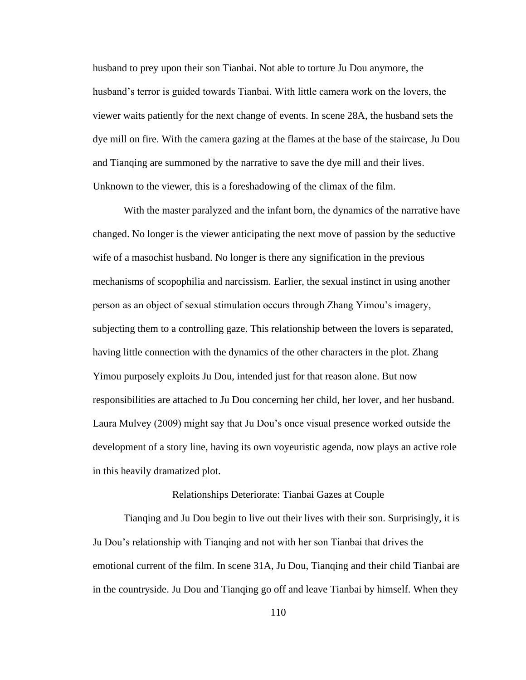husband to prey upon their son Tianbai. Not able to torture Ju Dou anymore, the husband's terror is guided towards Tianbai. With little camera work on the lovers, the viewer waits patiently for the next change of events. In scene 28A, the husband sets the dye mill on fire. With the camera gazing at the flames at the base of the staircase, Ju Dou and Tianqing are summoned by the narrative to save the dye mill and their lives. Unknown to the viewer, this is a foreshadowing of the climax of the film.

With the master paralyzed and the infant born, the dynamics of the narrative have changed. No longer is the viewer anticipating the next move of passion by the seductive wife of a masochist husband. No longer is there any signification in the previous mechanisms of scopophilia and narcissism. Earlier, the sexual instinct in using another person as an object of sexual stimulation occurs through Zhang Yimou's imagery, subjecting them to a controlling gaze. This relationship between the lovers is separated, having little connection with the dynamics of the other characters in the plot. Zhang Yimou purposely exploits Ju Dou, intended just for that reason alone. But now responsibilities are attached to Ju Dou concerning her child, her lover, and her husband. Laura Mulvey (2009) might say that Ju Dou's once visual presence worked outside the development of a story line, having its own voyeuristic agenda, now plays an active role in this heavily dramatized plot.

## Relationships Deteriorate: Tianbai Gazes at Couple

Tianqing and Ju Dou begin to live out their lives with their son. Surprisingly, it is Ju Dou's relationship with Tianqing and not with her son Tianbai that drives the emotional current of the film. In scene 31A, Ju Dou, Tianqing and their child Tianbai are in the countryside. Ju Dou and Tianqing go off and leave Tianbai by himself. When they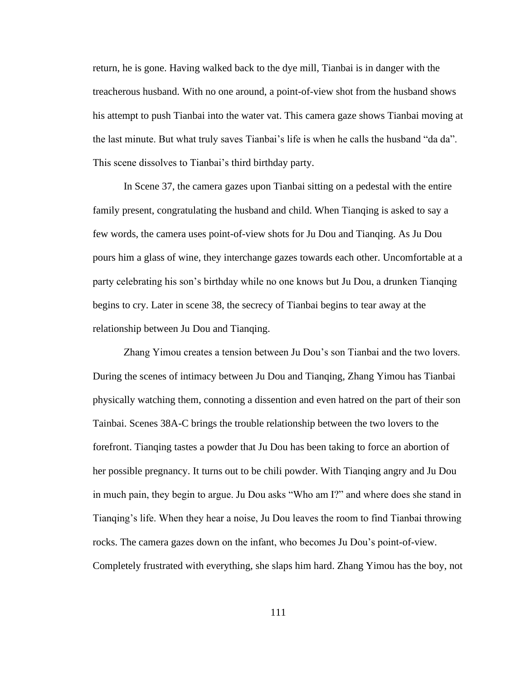return, he is gone. Having walked back to the dye mill, Tianbai is in danger with the treacherous husband. With no one around, a point-of-view shot from the husband shows his attempt to push Tianbai into the water vat. This camera gaze shows Tianbai moving at the last minute. But what truly saves Tianbai's life is when he calls the husband "da da". This scene dissolves to Tianbai's third birthday party.

In Scene 37, the camera gazes upon Tianbai sitting on a pedestal with the entire family present, congratulating the husband and child. When Tianqing is asked to say a few words, the camera uses point-of-view shots for Ju Dou and Tianqing. As Ju Dou pours him a glass of wine, they interchange gazes towards each other. Uncomfortable at a party celebrating his son's birthday while no one knows but Ju Dou, a drunken Tianqing begins to cry. Later in scene 38, the secrecy of Tianbai begins to tear away at the relationship between Ju Dou and Tianqing.

Zhang Yimou creates a tension between Ju Dou's son Tianbai and the two lovers. During the scenes of intimacy between Ju Dou and Tianqing, Zhang Yimou has Tianbai physically watching them, connoting a dissention and even hatred on the part of their son Tainbai. Scenes 38A-C brings the trouble relationship between the two lovers to the forefront. Tianqing tastes a powder that Ju Dou has been taking to force an abortion of her possible pregnancy. It turns out to be chili powder. With Tianqing angry and Ju Dou in much pain, they begin to argue. Ju Dou asks "Who am I?" and where does she stand in Tianqing's life. When they hear a noise, Ju Dou leaves the room to find Tianbai throwing rocks. The camera gazes down on the infant, who becomes Ju Dou's point-of-view. Completely frustrated with everything, she slaps him hard. Zhang Yimou has the boy, not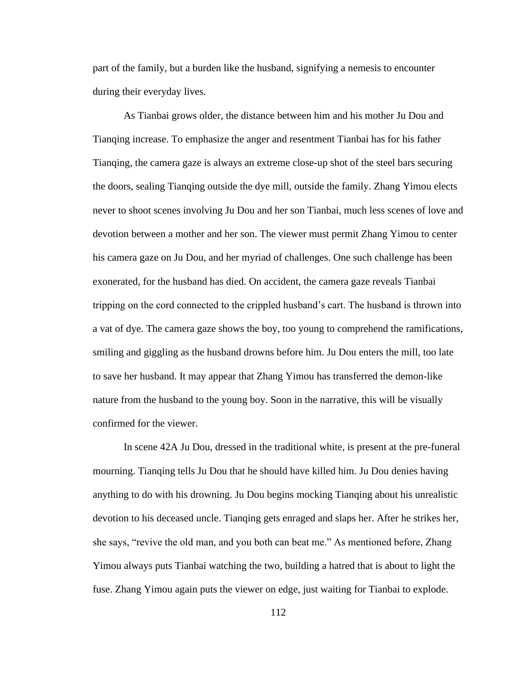part of the family, but a burden like the husband, signifying a nemesis to encounter during their everyday lives.

As Tianbai grows older, the distance between him and his mother Ju Dou and Tianqing increase. To emphasize the anger and resentment Tianbai has for his father Tianqing, the camera gaze is always an extreme close-up shot of the steel bars securing the doors, sealing Tianqing outside the dye mill, outside the family. Zhang Yimou elects never to shoot scenes involving Ju Dou and her son Tianbai, much less scenes of love and devotion between a mother and her son. The viewer must permit Zhang Yimou to center his camera gaze on Ju Dou, and her myriad of challenges. One such challenge has been exonerated, for the husband has died. On accident, the camera gaze reveals Tianbai tripping on the cord connected to the crippled husband's cart. The husband is thrown into a vat of dye. The camera gaze shows the boy, too young to comprehend the ramifications, smiling and giggling as the husband drowns before him. Ju Dou enters the mill, too late to save her husband. It may appear that Zhang Yimou has transferred the demon-like nature from the husband to the young boy. Soon in the narrative, this will be visually confirmed for the viewer.

In scene 42A Ju Dou, dressed in the traditional white, is present at the pre-funeral mourning. Tianqing tells Ju Dou that he should have killed him. Ju Dou denies having anything to do with his drowning. Ju Dou begins mocking Tianqing about his unrealistic devotion to his deceased uncle. Tianqing gets enraged and slaps her. After he strikes her, she says, "revive the old man, and you both can beat me." As mentioned before, Zhang Yimou always puts Tianbai watching the two, building a hatred that is about to light the fuse. Zhang Yimou again puts the viewer on edge, just waiting for Tianbai to explode.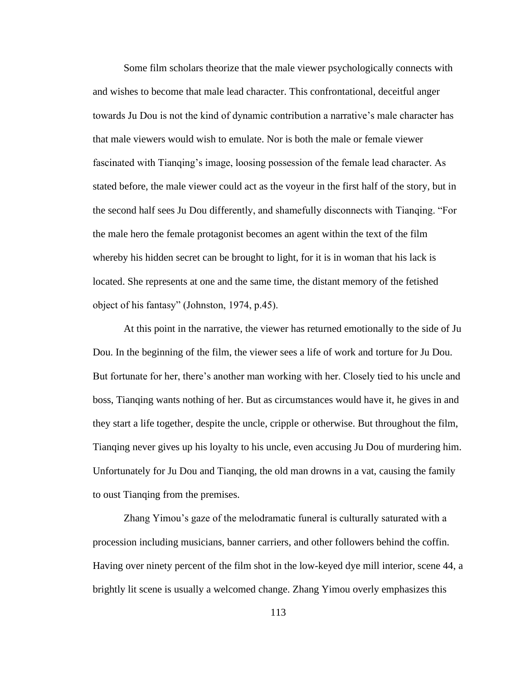Some film scholars theorize that the male viewer psychologically connects with and wishes to become that male lead character. This confrontational, deceitful anger towards Ju Dou is not the kind of dynamic contribution a narrative's male character has that male viewers would wish to emulate. Nor is both the male or female viewer fascinated with Tianqing's image, loosing possession of the female lead character. As stated before, the male viewer could act as the voyeur in the first half of the story, but in the second half sees Ju Dou differently, and shamefully disconnects with Tianqing. "For the male hero the female protagonist becomes an agent within the text of the film whereby his hidden secret can be brought to light, for it is in woman that his lack is located. She represents at one and the same time, the distant memory of the fetished object of his fantasy" (Johnston, 1974, p.45).

At this point in the narrative, the viewer has returned emotionally to the side of Ju Dou. In the beginning of the film, the viewer sees a life of work and torture for Ju Dou. But fortunate for her, there's another man working with her. Closely tied to his uncle and boss, Tianqing wants nothing of her. But as circumstances would have it, he gives in and they start a life together, despite the uncle, cripple or otherwise. But throughout the film, Tianqing never gives up his loyalty to his uncle, even accusing Ju Dou of murdering him. Unfortunately for Ju Dou and Tianqing, the old man drowns in a vat, causing the family to oust Tianqing from the premises.

Zhang Yimou's gaze of the melodramatic funeral is culturally saturated with a procession including musicians, banner carriers, and other followers behind the coffin. Having over ninety percent of the film shot in the low-keyed dye mill interior, scene 44, a brightly lit scene is usually a welcomed change. Zhang Yimou overly emphasizes this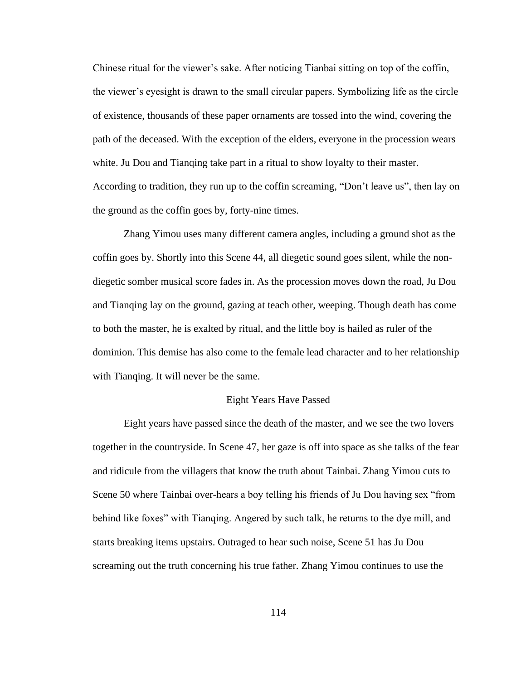Chinese ritual for the viewer's sake. After noticing Tianbai sitting on top of the coffin, the viewer's eyesight is drawn to the small circular papers. Symbolizing life as the circle of existence, thousands of these paper ornaments are tossed into the wind, covering the path of the deceased. With the exception of the elders, everyone in the procession wears white. Ju Dou and Tianqing take part in a ritual to show loyalty to their master. According to tradition, they run up to the coffin screaming, "Don't leave us", then lay on the ground as the coffin goes by, forty-nine times.

Zhang Yimou uses many different camera angles, including a ground shot as the coffin goes by. Shortly into this Scene 44, all diegetic sound goes silent, while the nondiegetic somber musical score fades in. As the procession moves down the road, Ju Dou and Tianqing lay on the ground, gazing at teach other, weeping. Though death has come to both the master, he is exalted by ritual, and the little boy is hailed as ruler of the dominion. This demise has also come to the female lead character and to her relationship with Tianqing. It will never be the same.

### Eight Years Have Passed

Eight years have passed since the death of the master, and we see the two lovers together in the countryside. In Scene 47, her gaze is off into space as she talks of the fear and ridicule from the villagers that know the truth about Tainbai. Zhang Yimou cuts to Scene 50 where Tainbai over-hears a boy telling his friends of Ju Dou having sex "from behind like foxes" with Tianqing. Angered by such talk, he returns to the dye mill, and starts breaking items upstairs. Outraged to hear such noise, Scene 51 has Ju Dou screaming out the truth concerning his true father. Zhang Yimou continues to use the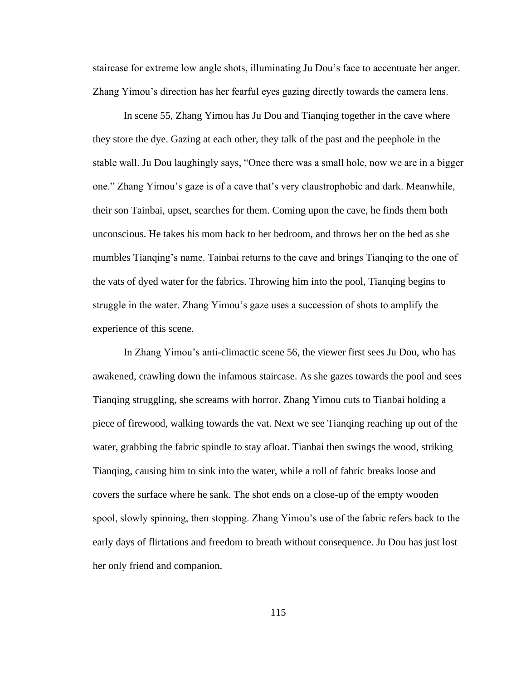staircase for extreme low angle shots, illuminating Ju Dou's face to accentuate her anger. Zhang Yimou's direction has her fearful eyes gazing directly towards the camera lens.

In scene 55, Zhang Yimou has Ju Dou and Tianqing together in the cave where they store the dye. Gazing at each other, they talk of the past and the peephole in the stable wall. Ju Dou laughingly says, "Once there was a small hole, now we are in a bigger one." Zhang Yimou's gaze is of a cave that's very claustrophobic and dark. Meanwhile, their son Tainbai, upset, searches for them. Coming upon the cave, he finds them both unconscious. He takes his mom back to her bedroom, and throws her on the bed as she mumbles Tianqing's name. Tainbai returns to the cave and brings Tianqing to the one of the vats of dyed water for the fabrics. Throwing him into the pool, Tianqing begins to struggle in the water. Zhang Yimou's gaze uses a succession of shots to amplify the experience of this scene.

In Zhang Yimou's anti-climactic scene 56, the viewer first sees Ju Dou, who has awakened, crawling down the infamous staircase. As she gazes towards the pool and sees Tianqing struggling, she screams with horror. Zhang Yimou cuts to Tianbai holding a piece of firewood, walking towards the vat. Next we see Tianqing reaching up out of the water, grabbing the fabric spindle to stay afloat. Tianbai then swings the wood, striking Tianqing, causing him to sink into the water, while a roll of fabric breaks loose and covers the surface where he sank. The shot ends on a close-up of the empty wooden spool, slowly spinning, then stopping. Zhang Yimou's use of the fabric refers back to the early days of flirtations and freedom to breath without consequence. Ju Dou has just lost her only friend and companion.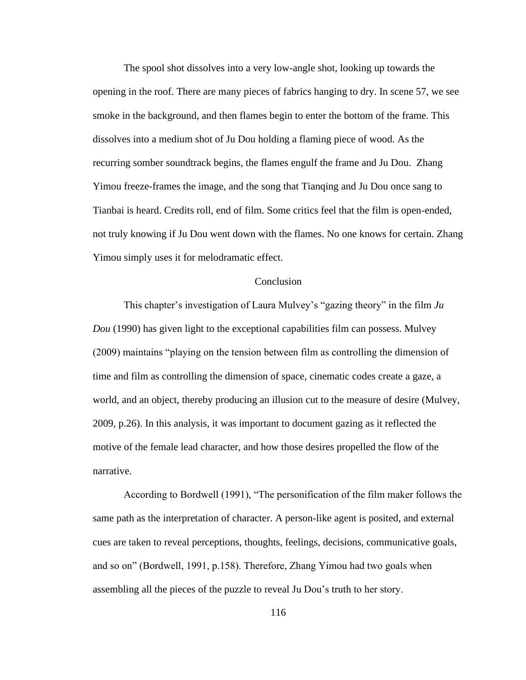The spool shot dissolves into a very low-angle shot, looking up towards the opening in the roof. There are many pieces of fabrics hanging to dry. In scene 57, we see smoke in the background, and then flames begin to enter the bottom of the frame. This dissolves into a medium shot of Ju Dou holding a flaming piece of wood. As the recurring somber soundtrack begins, the flames engulf the frame and Ju Dou. Zhang Yimou freeze-frames the image, and the song that Tianqing and Ju Dou once sang to Tianbai is heard. Credits roll, end of film. Some critics feel that the film is open-ended, not truly knowing if Ju Dou went down with the flames. No one knows for certain. Zhang Yimou simply uses it for melodramatic effect.

## Conclusion

This chapter's investigation of Laura Mulvey's "gazing theory" in the film *Ju Dou* (1990) has given light to the exceptional capabilities film can possess. Mulvey (2009) maintains "playing on the tension between film as controlling the dimension of time and film as controlling the dimension of space, cinematic codes create a gaze, a world, and an object, thereby producing an illusion cut to the measure of desire (Mulvey, 2009, p.26). In this analysis, it was important to document gazing as it reflected the motive of the female lead character, and how those desires propelled the flow of the narrative.

According to Bordwell (1991), "The personification of the film maker follows the same path as the interpretation of character. A person-like agent is posited, and external cues are taken to reveal perceptions, thoughts, feelings, decisions, communicative goals, and so on" (Bordwell, 1991, p.158). Therefore, Zhang Yimou had two goals when assembling all the pieces of the puzzle to reveal Ju Dou's truth to her story.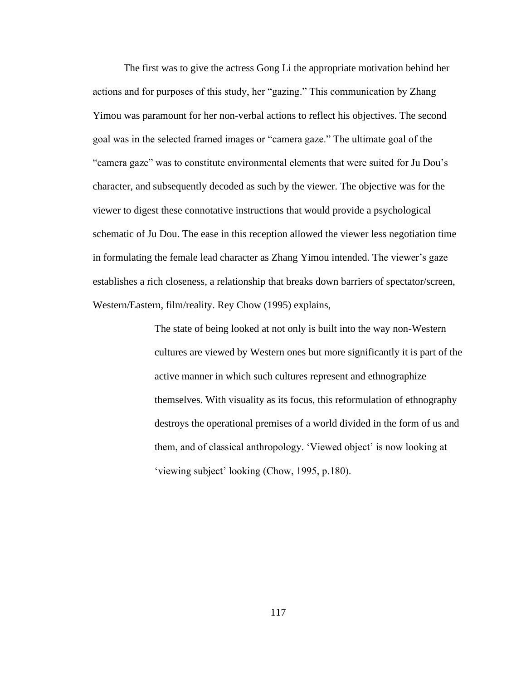The first was to give the actress Gong Li the appropriate motivation behind her actions and for purposes of this study, her "gazing." This communication by Zhang Yimou was paramount for her non-verbal actions to reflect his objectives. The second goal was in the selected framed images or "camera gaze." The ultimate goal of the "camera gaze" was to constitute environmental elements that were suited for Ju Dou's character, and subsequently decoded as such by the viewer. The objective was for the viewer to digest these connotative instructions that would provide a psychological schematic of Ju Dou. The ease in this reception allowed the viewer less negotiation time in formulating the female lead character as Zhang Yimou intended. The viewer's gaze establishes a rich closeness, a relationship that breaks down barriers of spectator/screen, Western/Eastern, film/reality. Rey Chow (1995) explains,

> The state of being looked at not only is built into the way non-Western cultures are viewed by Western ones but more significantly it is part of the active manner in which such cultures represent and ethnographize themselves. With visuality as its focus, this reformulation of ethnography destroys the operational premises of a world divided in the form of us and them, and of classical anthropology. 'Viewed object' is now looking at 'viewing subject' looking (Chow, 1995, p.180).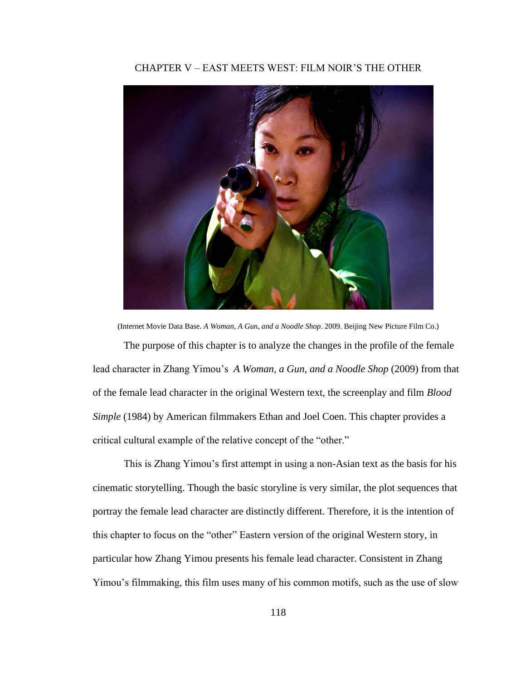

# CHAPTER V – EAST MEETS WEST: FILM NOIR'S THE OTHER

(Internet Movie Data Base*. A Woman, A Gun, and a Noodle Shop*. 2009. Beijing New Picture Film Co.)

The purpose of this chapter is to analyze the changes in the profile of the female lead character in Zhang Yimou's *A Woman, a Gun, and a Noodle Shop* (2009) from that of the female lead character in the original Western text, the screenplay and film *Blood Simple* (1984) by American filmmakers Ethan and Joel Coen. This chapter provides a critical cultural example of the relative concept of the "other."

This is Zhang Yimou's first attempt in using a non-Asian text as the basis for his cinematic storytelling. Though the basic storyline is very similar, the plot sequences that portray the female lead character are distinctly different. Therefore, it is the intention of this chapter to focus on the "other" Eastern version of the original Western story, in particular how Zhang Yimou presents his female lead character. Consistent in Zhang Yimou's filmmaking, this film uses many of his common motifs, such as the use of slow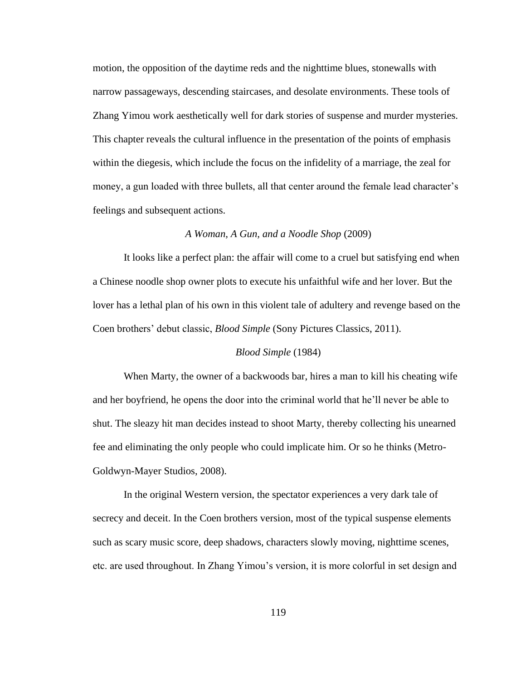motion, the opposition of the daytime reds and the nighttime blues, stonewalls with narrow passageways, descending staircases, and desolate environments. These tools of Zhang Yimou work aesthetically well for dark stories of suspense and murder mysteries. This chapter reveals the cultural influence in the presentation of the points of emphasis within the diegesis, which include the focus on the infidelity of a marriage, the zeal for money, a gun loaded with three bullets, all that center around the female lead character's feelings and subsequent actions.

# *A Woman, A Gun, and a Noodle Shop* (2009)

It looks like a perfect plan: the affair will come to a cruel but satisfying end when a Chinese noodle shop owner plots to execute his unfaithful wife and her lover. But the lover has a lethal plan of his own in this violent tale of adultery and revenge based on the Coen brothers' debut classic, *Blood Simple* (Sony Pictures Classics, 2011).

#### *Blood Simple* (1984)

When Marty, the owner of a backwoods bar, hires a man to kill his cheating wife and her boyfriend, he opens the door into the criminal world that he'll never be able to shut. The sleazy hit man decides instead to shoot Marty, thereby collecting his unearned fee and eliminating the only people who could implicate him. Or so he thinks (Metro-Goldwyn-Mayer Studios, 2008).

In the original Western version, the spectator experiences a very dark tale of secrecy and deceit. In the Coen brothers version, most of the typical suspense elements such as scary music score, deep shadows, characters slowly moving, nighttime scenes, etc. are used throughout. In Zhang Yimou's version, it is more colorful in set design and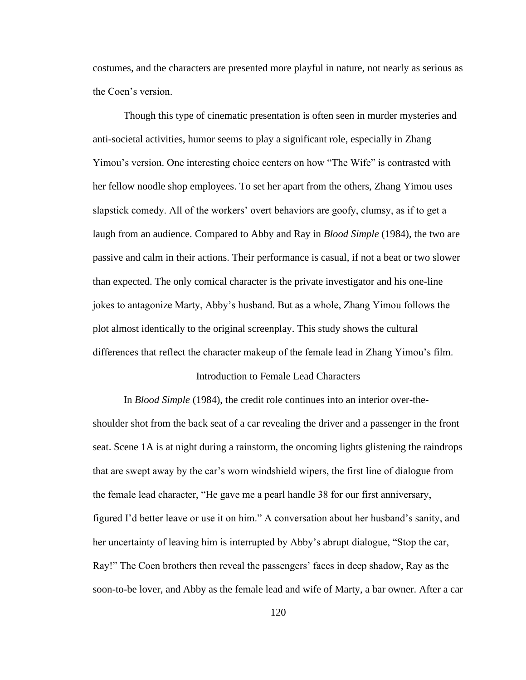costumes, and the characters are presented more playful in nature, not nearly as serious as the Coen's version.

Though this type of cinematic presentation is often seen in murder mysteries and anti-societal activities, humor seems to play a significant role, especially in Zhang Yimou's version. One interesting choice centers on how "The Wife" is contrasted with her fellow noodle shop employees. To set her apart from the others, Zhang Yimou uses slapstick comedy. All of the workers' overt behaviors are goofy, clumsy, as if to get a laugh from an audience. Compared to Abby and Ray in *Blood Simple* (1984), the two are passive and calm in their actions. Their performance is casual, if not a beat or two slower than expected. The only comical character is the private investigator and his one-line jokes to antagonize Marty, Abby's husband. But as a whole, Zhang Yimou follows the plot almost identically to the original screenplay. This study shows the cultural differences that reflect the character makeup of the female lead in Zhang Yimou's film.

#### Introduction to Female Lead Characters

In *Blood Simple* (1984), the credit role continues into an interior over-theshoulder shot from the back seat of a car revealing the driver and a passenger in the front seat. Scene 1A is at night during a rainstorm, the oncoming lights glistening the raindrops that are swept away by the car's worn windshield wipers, the first line of dialogue from the female lead character, "He gave me a pearl handle 38 for our first anniversary, figured I'd better leave or use it on him." A conversation about her husband's sanity, and her uncertainty of leaving him is interrupted by Abby's abrupt dialogue, "Stop the car, Ray!" The Coen brothers then reveal the passengers' faces in deep shadow, Ray as the soon-to-be lover, and Abby as the female lead and wife of Marty, a bar owner. After a car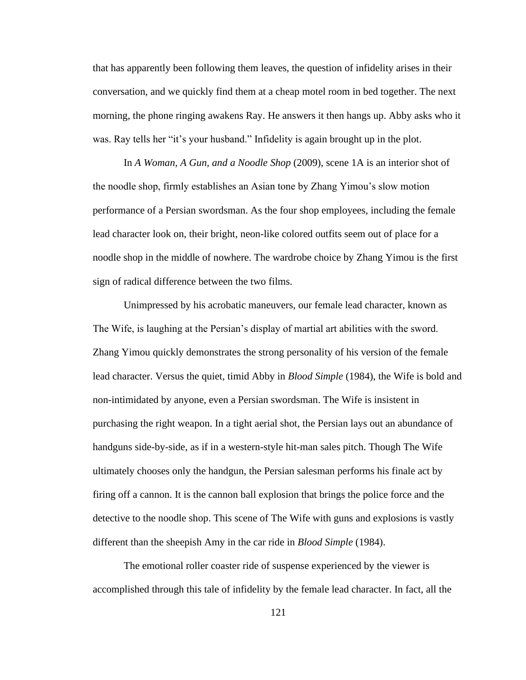that has apparently been following them leaves, the question of infidelity arises in their conversation, and we quickly find them at a cheap motel room in bed together. The next morning, the phone ringing awakens Ray. He answers it then hangs up. Abby asks who it was. Ray tells her "it's your husband." Infidelity is again brought up in the plot.

In *A Woman, A Gun, and a Noodle Shop* (2009), scene 1A is an interior shot of the noodle shop, firmly establishes an Asian tone by Zhang Yimou's slow motion performance of a Persian swordsman. As the four shop employees, including the female lead character look on, their bright, neon-like colored outfits seem out of place for a noodle shop in the middle of nowhere. The wardrobe choice by Zhang Yimou is the first sign of radical difference between the two films.

Unimpressed by his acrobatic maneuvers, our female lead character, known as The Wife, is laughing at the Persian's display of martial art abilities with the sword. Zhang Yimou quickly demonstrates the strong personality of his version of the female lead character. Versus the quiet, timid Abby in *Blood Simple* (1984), the Wife is bold and non-intimidated by anyone, even a Persian swordsman. The Wife is insistent in purchasing the right weapon. In a tight aerial shot, the Persian lays out an abundance of handguns side-by-side, as if in a western-style hit-man sales pitch. Though The Wife ultimately chooses only the handgun, the Persian salesman performs his finale act by firing off a cannon. It is the cannon ball explosion that brings the police force and the detective to the noodle shop. This scene of The Wife with guns and explosions is vastly different than the sheepish Amy in the car ride in *Blood Simple* (1984).

The emotional roller coaster ride of suspense experienced by the viewer is accomplished through this tale of infidelity by the female lead character. In fact, all the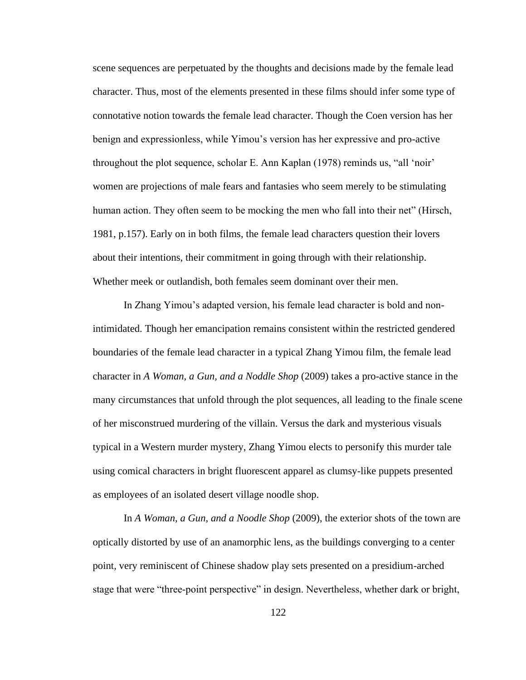scene sequences are perpetuated by the thoughts and decisions made by the female lead character. Thus, most of the elements presented in these films should infer some type of connotative notion towards the female lead character. Though the Coen version has her benign and expressionless, while Yimou's version has her expressive and pro-active throughout the plot sequence, scholar E. Ann Kaplan (1978) reminds us, "all 'noir' women are projections of male fears and fantasies who seem merely to be stimulating human action. They often seem to be mocking the men who fall into their net" (Hirsch, 1981, p.157). Early on in both films, the female lead characters question their lovers about their intentions, their commitment in going through with their relationship. Whether meek or outlandish, both females seem dominant over their men.

In Zhang Yimou's adapted version, his female lead character is bold and nonintimidated. Though her emancipation remains consistent within the restricted gendered boundaries of the female lead character in a typical Zhang Yimou film, the female lead character in *A Woman, a Gun, and a Noddle Shop* (2009) takes a pro-active stance in the many circumstances that unfold through the plot sequences, all leading to the finale scene of her misconstrued murdering of the villain. Versus the dark and mysterious visuals typical in a Western murder mystery, Zhang Yimou elects to personify this murder tale using comical characters in bright fluorescent apparel as clumsy-like puppets presented as employees of an isolated desert village noodle shop.

In *A Woman, a Gun, and a Noodle Shop* (2009), the exterior shots of the town are optically distorted by use of an anamorphic lens, as the buildings converging to a center point, very reminiscent of Chinese shadow play sets presented on a presidium-arched stage that were "three-point perspective" in design. Nevertheless, whether dark or bright,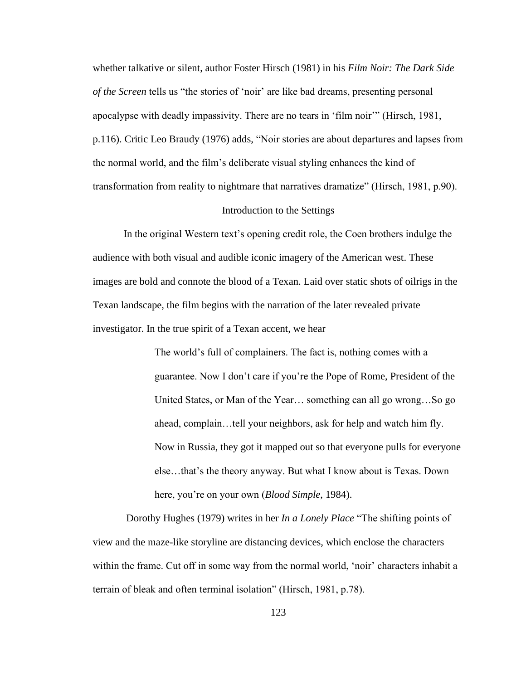whether talkative or silent, author Foster Hirsch (1981) in his *Film Noir: The Dark Side of the Screen* tells us "the stories of 'noir' are like bad dreams, presenting personal apocalypse with deadly impassivity. There are no tears in 'film noir'" (Hirsch, 1981, p.116). Critic Leo Braudy (1976) adds, "Noir stories are about departures and lapses from the normal world, and the film's deliberate visual styling enhances the kind of transformation from reality to nightmare that narratives dramatize" (Hirsch, 1981, p.90).

# Introduction to the Settings

In the original Western text's opening credit role, the Coen brothers indulge the audience with both visual and audible iconic imagery of the American west. These images are bold and connote the blood of a Texan. Laid over static shots of oilrigs in the Texan landscape, the film begins with the narration of the later revealed private investigator. In the true spirit of a Texan accent, we hear

> The world's full of complainers. The fact is, nothing comes with a guarantee. Now I don't care if you're the Pope of Rome, President of the United States, or Man of the Year… something can all go wrong…So go ahead, complain…tell your neighbors, ask for help and watch him fly. Now in Russia, they got it mapped out so that everyone pulls for everyone else…that's the theory anyway. But what I know about is Texas. Down here, you're on your own (*Blood Simple*, 1984).

Dorothy Hughes (1979) writes in her *In a Lonely Place* "The shifting points of view and the maze-like storyline are distancing devices, which enclose the characters within the frame. Cut off in some way from the normal world, 'noir' characters inhabit a terrain of bleak and often terminal isolation" (Hirsch, 1981, p.78).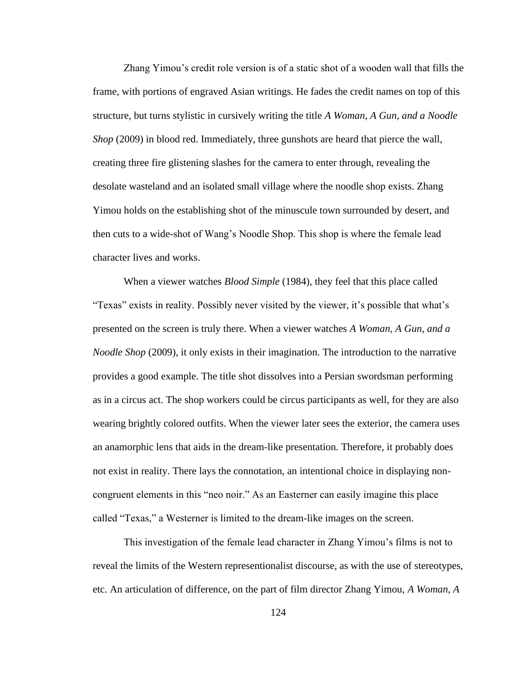Zhang Yimou's credit role version is of a static shot of a wooden wall that fills the frame, with portions of engraved Asian writings. He fades the credit names on top of this structure, but turns stylistic in cursively writing the title *A Woman, A Gun, and a Noodle Shop* (2009) in blood red. Immediately, three gunshots are heard that pierce the wall, creating three fire glistening slashes for the camera to enter through, revealing the desolate wasteland and an isolated small village where the noodle shop exists. Zhang Yimou holds on the establishing shot of the minuscule town surrounded by desert, and then cuts to a wide-shot of Wang's Noodle Shop. This shop is where the female lead character lives and works.

When a viewer watches *Blood Simple* (1984), they feel that this place called "Texas" exists in reality. Possibly never visited by the viewer, it's possible that what's presented on the screen is truly there. When a viewer watches *A Woman, A Gun, and a Noodle Shop* (2009), it only exists in their imagination. The introduction to the narrative provides a good example. The title shot dissolves into a Persian swordsman performing as in a circus act. The shop workers could be circus participants as well, for they are also wearing brightly colored outfits. When the viewer later sees the exterior, the camera uses an anamorphic lens that aids in the dream-like presentation. Therefore, it probably does not exist in reality. There lays the connotation, an intentional choice in displaying noncongruent elements in this "neo noir." As an Easterner can easily imagine this place called "Texas," a Westerner is limited to the dream-like images on the screen.

This investigation of the female lead character in Zhang Yimou's films is not to reveal the limits of the Western representionalist discourse, as with the use of stereotypes, etc. An articulation of difference, on the part of film director Zhang Yimou, *A Woman, A*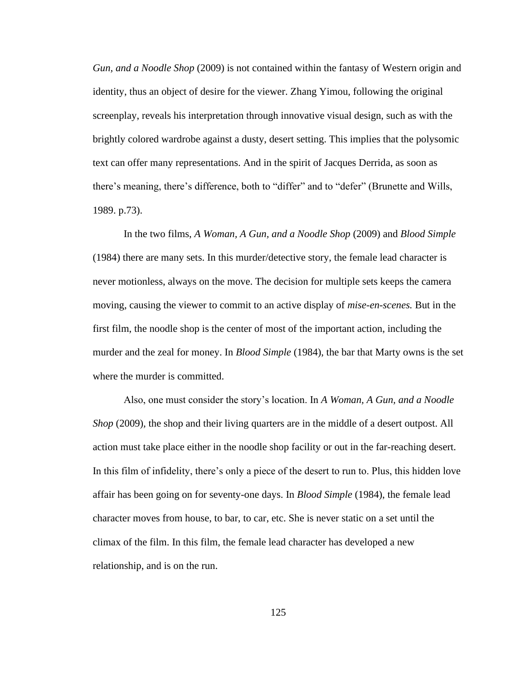*Gun, and a Noodle Shop* (2009) is not contained within the fantasy of Western origin and identity, thus an object of desire for the viewer. Zhang Yimou, following the original screenplay, reveals his interpretation through innovative visual design, such as with the brightly colored wardrobe against a dusty, desert setting. This implies that the polysomic text can offer many representations. And in the spirit of Jacques Derrida, as soon as there's meaning, there's difference, both to "differ" and to "defer" (Brunette and Wills, 1989. p.73).

In the two films, *A Woman, A Gun, and a Noodle Shop* (2009) and *Blood Simple* (1984) there are many sets. In this murder/detective story, the female lead character is never motionless, always on the move. The decision for multiple sets keeps the camera moving, causing the viewer to commit to an active display of *mise-en-scenes.* But in the first film, the noodle shop is the center of most of the important action, including the murder and the zeal for money. In *Blood Simple* (1984), the bar that Marty owns is the set where the murder is committed.

Also, one must consider the story's location. In *A Woman, A Gun, and a Noodle Shop* (2009)*,* the shop and their living quarters are in the middle of a desert outpost. All action must take place either in the noodle shop facility or out in the far-reaching desert. In this film of infidelity, there's only a piece of the desert to run to. Plus, this hidden love affair has been going on for seventy-one days. In *Blood Simple* (1984), the female lead character moves from house, to bar, to car, etc. She is never static on a set until the climax of the film. In this film, the female lead character has developed a new relationship, and is on the run.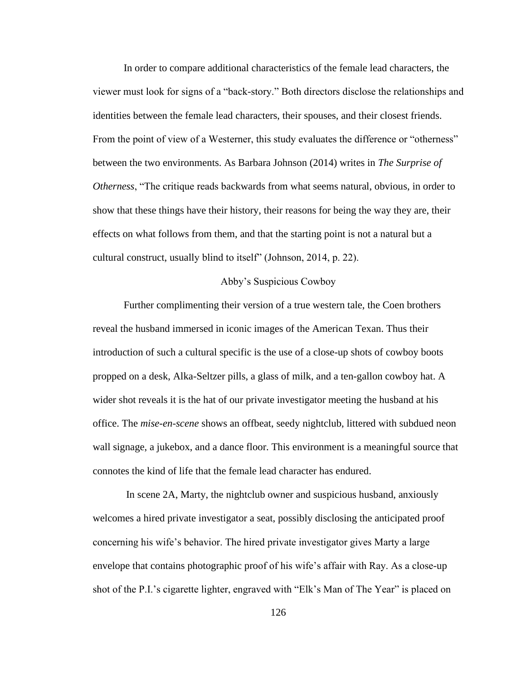In order to compare additional characteristics of the female lead characters, the viewer must look for signs of a "back-story." Both directors disclose the relationships and identities between the female lead characters, their spouses, and their closest friends. From the point of view of a Westerner, this study evaluates the difference or "otherness" between the two environments. As Barbara Johnson (2014) writes in *The Surprise of Otherness*, "The critique reads backwards from what seems natural, obvious, in order to show that these things have their history, their reasons for being the way they are, their effects on what follows from them, and that the starting point is not a natural but a cultural construct, usually blind to itself" (Johnson, 2014, p. 22).

# Abby's Suspicious Cowboy

Further complimenting their version of a true western tale, the Coen brothers reveal the husband immersed in iconic images of the American Texan. Thus their introduction of such a cultural specific is the use of a close-up shots of cowboy boots propped on a desk, Alka-Seltzer pills, a glass of milk, and a ten-gallon cowboy hat. A wider shot reveals it is the hat of our private investigator meeting the husband at his office. The *mise-en-scene* shows an offbeat, seedy nightclub, littered with subdued neon wall signage, a jukebox, and a dance floor. This environment is a meaningful source that connotes the kind of life that the female lead character has endured.

In scene 2A, Marty, the nightclub owner and suspicious husband, anxiously welcomes a hired private investigator a seat, possibly disclosing the anticipated proof concerning his wife's behavior. The hired private investigator gives Marty a large envelope that contains photographic proof of his wife's affair with Ray. As a close-up shot of the P.I.'s cigarette lighter, engraved with "Elk's Man of The Year" is placed on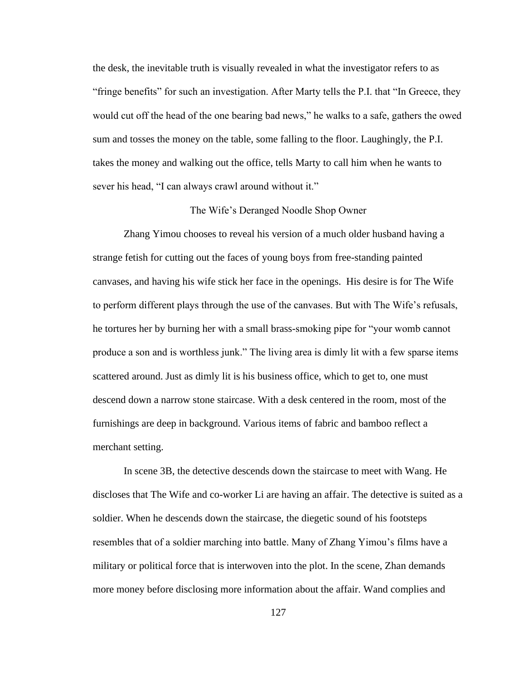the desk, the inevitable truth is visually revealed in what the investigator refers to as "fringe benefits" for such an investigation. After Marty tells the P.I. that "In Greece, they would cut off the head of the one bearing bad news," he walks to a safe, gathers the owed sum and tosses the money on the table, some falling to the floor. Laughingly, the P.I. takes the money and walking out the office, tells Marty to call him when he wants to sever his head, "I can always crawl around without it."

#### The Wife's Deranged Noodle Shop Owner

Zhang Yimou chooses to reveal his version of a much older husband having a strange fetish for cutting out the faces of young boys from free-standing painted canvases, and having his wife stick her face in the openings. His desire is for The Wife to perform different plays through the use of the canvases. But with The Wife's refusals, he tortures her by burning her with a small brass-smoking pipe for "your womb cannot produce a son and is worthless junk." The living area is dimly lit with a few sparse items scattered around. Just as dimly lit is his business office, which to get to, one must descend down a narrow stone staircase. With a desk centered in the room, most of the furnishings are deep in background. Various items of fabric and bamboo reflect a merchant setting.

In scene 3B, the detective descends down the staircase to meet with Wang. He discloses that The Wife and co-worker Li are having an affair. The detective is suited as a soldier. When he descends down the staircase, the diegetic sound of his footsteps resembles that of a soldier marching into battle. Many of Zhang Yimou's films have a military or political force that is interwoven into the plot. In the scene, Zhan demands more money before disclosing more information about the affair. Wand complies and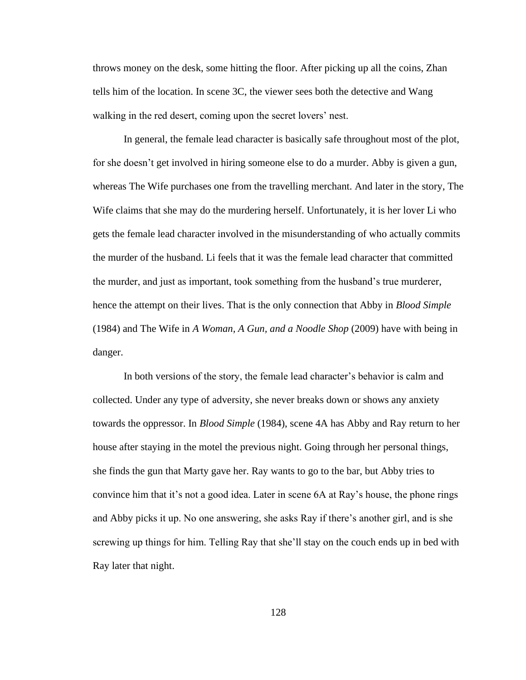throws money on the desk, some hitting the floor. After picking up all the coins, Zhan tells him of the location. In scene 3C, the viewer sees both the detective and Wang walking in the red desert, coming upon the secret lovers' nest.

In general, the female lead character is basically safe throughout most of the plot, for she doesn't get involved in hiring someone else to do a murder. Abby is given a gun, whereas The Wife purchases one from the travelling merchant. And later in the story, The Wife claims that she may do the murdering herself. Unfortunately, it is her lover Li who gets the female lead character involved in the misunderstanding of who actually commits the murder of the husband. Li feels that it was the female lead character that committed the murder, and just as important, took something from the husband's true murderer, hence the attempt on their lives. That is the only connection that Abby in *Blood Simple* (1984) and The Wife in *A Woman, A Gun, and a Noodle Shop* (2009) have with being in danger.

In both versions of the story, the female lead character's behavior is calm and collected. Under any type of adversity, she never breaks down or shows any anxiety towards the oppressor. In *Blood Simple* (1984), scene 4A has Abby and Ray return to her house after staying in the motel the previous night. Going through her personal things, she finds the gun that Marty gave her. Ray wants to go to the bar, but Abby tries to convince him that it's not a good idea. Later in scene 6A at Ray's house, the phone rings and Abby picks it up. No one answering, she asks Ray if there's another girl, and is she screwing up things for him. Telling Ray that she'll stay on the couch ends up in bed with Ray later that night.

128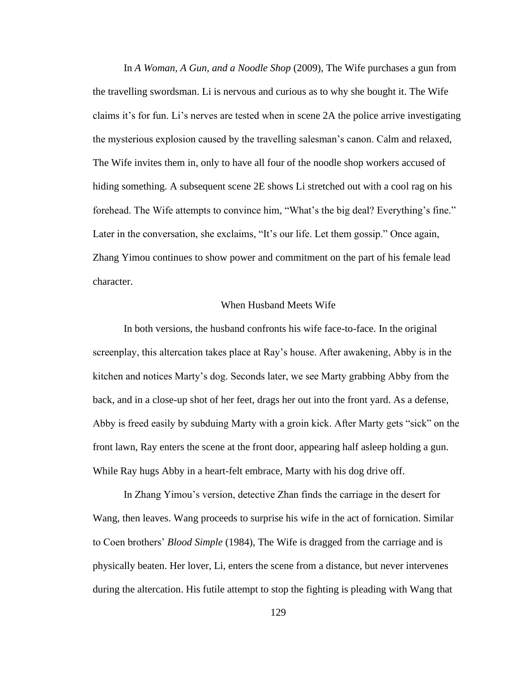In *A Woman, A Gun, and a Noodle Shop* (2009), The Wife purchases a gun from the travelling swordsman. Li is nervous and curious as to why she bought it. The Wife claims it's for fun. Li's nerves are tested when in scene 2A the police arrive investigating the mysterious explosion caused by the travelling salesman's canon. Calm and relaxed, The Wife invites them in, only to have all four of the noodle shop workers accused of hiding something. A subsequent scene 2E shows Li stretched out with a cool rag on his forehead. The Wife attempts to convince him, "What's the big deal? Everything's fine." Later in the conversation, she exclaims, "It's our life. Let them gossip." Once again, Zhang Yimou continues to show power and commitment on the part of his female lead character.

## When Husband Meets Wife

In both versions, the husband confronts his wife face-to-face. In the original screenplay, this altercation takes place at Ray's house. After awakening, Abby is in the kitchen and notices Marty's dog. Seconds later, we see Marty grabbing Abby from the back, and in a close-up shot of her feet, drags her out into the front yard. As a defense, Abby is freed easily by subduing Marty with a groin kick. After Marty gets "sick" on the front lawn, Ray enters the scene at the front door, appearing half asleep holding a gun. While Ray hugs Abby in a heart-felt embrace, Marty with his dog drive off.

In Zhang Yimou's version, detective Zhan finds the carriage in the desert for Wang, then leaves. Wang proceeds to surprise his wife in the act of fornication. Similar to Coen brothers' *Blood Simple* (1984), The Wife is dragged from the carriage and is physically beaten. Her lover, Li, enters the scene from a distance, but never intervenes during the altercation. His futile attempt to stop the fighting is pleading with Wang that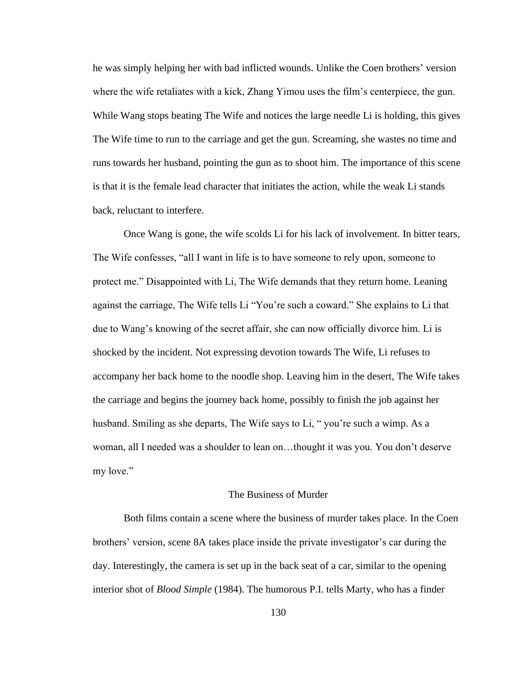he was simply helping her with bad inflicted wounds. Unlike the Coen brothers' version where the wife retaliates with a kick, Zhang Yimou uses the film's centerpiece, the gun. While Wang stops beating The Wife and notices the large needle Li is holding, this gives The Wife time to run to the carriage and get the gun. Screaming, she wastes no time and runs towards her husband, pointing the gun as to shoot him. The importance of this scene is that it is the female lead character that initiates the action, while the weak Li stands back, reluctant to interfere.

Once Wang is gone, the wife scolds Li for his lack of involvement. In bitter tears, The Wife confesses, "all I want in life is to have someone to rely upon, someone to protect me." Disappointed with Li, The Wife demands that they return home. Leaning against the carriage, The Wife tells Li "You're such a coward." She explains to Li that due to Wang's knowing of the secret affair, she can now officially divorce him. Li is shocked by the incident. Not expressing devotion towards The Wife, Li refuses to accompany her back home to the noodle shop. Leaving him in the desert, The Wife takes the carriage and begins the journey back home, possibly to finish the job against her husband. Smiling as she departs, The Wife says to Li, " you're such a wimp. As a woman, all I needed was a shoulder to lean on…thought it was you. You don't deserve my love."

#### The Business of Murder

Both films contain a scene where the business of murder takes place. In the Coen brothers' version, scene 8A takes place inside the private investigator's car during the day. Interestingly, the camera is set up in the back seat of a car, similar to the opening interior shot of *Blood Simple* (1984). The humorous P.I. tells Marty, who has a finder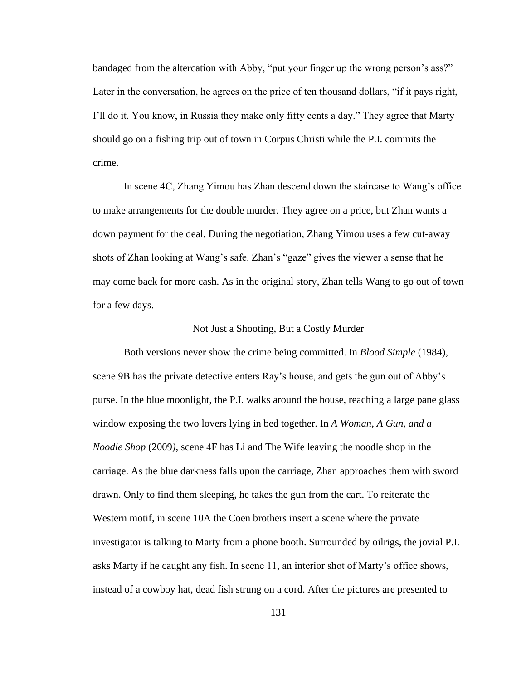bandaged from the altercation with Abby, "put your finger up the wrong person's ass?" Later in the conversation, he agrees on the price of ten thousand dollars, "if it pays right, I'll do it. You know, in Russia they make only fifty cents a day." They agree that Marty should go on a fishing trip out of town in Corpus Christi while the P.I. commits the crime.

In scene 4C, Zhang Yimou has Zhan descend down the staircase to Wang's office to make arrangements for the double murder. They agree on a price, but Zhan wants a down payment for the deal. During the negotiation, Zhang Yimou uses a few cut-away shots of Zhan looking at Wang's safe. Zhan's "gaze" gives the viewer a sense that he may come back for more cash. As in the original story, Zhan tells Wang to go out of town for a few days.

#### Not Just a Shooting, But a Costly Murder

Both versions never show the crime being committed. In *Blood Simple* (1984), scene 9B has the private detective enters Ray's house, and gets the gun out of Abby's purse. In the blue moonlight, the P.I. walks around the house, reaching a large pane glass window exposing the two lovers lying in bed together. In *A Woman, A Gun, and a Noodle Shop* (2009*)*, scene 4F has Li and The Wife leaving the noodle shop in the carriage. As the blue darkness falls upon the carriage, Zhan approaches them with sword drawn. Only to find them sleeping, he takes the gun from the cart. To reiterate the Western motif, in scene 10A the Coen brothers insert a scene where the private investigator is talking to Marty from a phone booth. Surrounded by oilrigs, the jovial P.I. asks Marty if he caught any fish. In scene 11, an interior shot of Marty's office shows, instead of a cowboy hat, dead fish strung on a cord. After the pictures are presented to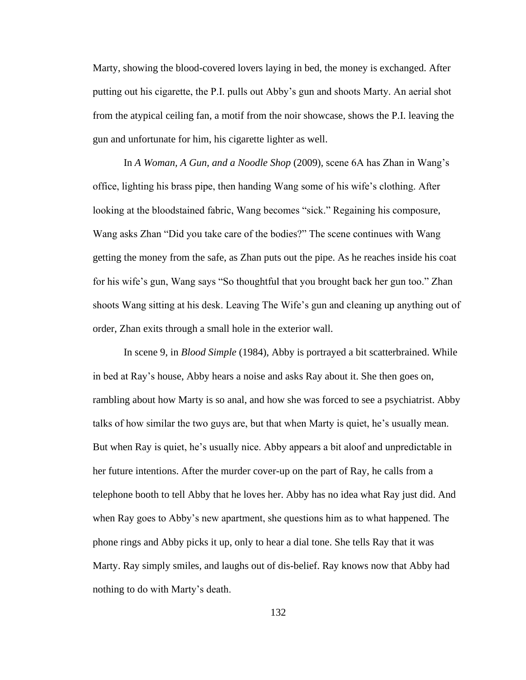Marty, showing the blood-covered lovers laying in bed, the money is exchanged. After putting out his cigarette, the P.I. pulls out Abby's gun and shoots Marty. An aerial shot from the atypical ceiling fan, a motif from the noir showcase, shows the P.I. leaving the gun and unfortunate for him, his cigarette lighter as well.

In *A Woman, A Gun, and a Noodle Shop* (2009)*,* scene 6A has Zhan in Wang's office, lighting his brass pipe, then handing Wang some of his wife's clothing. After looking at the bloodstained fabric, Wang becomes "sick." Regaining his composure, Wang asks Zhan "Did you take care of the bodies?" The scene continues with Wang getting the money from the safe, as Zhan puts out the pipe. As he reaches inside his coat for his wife's gun, Wang says "So thoughtful that you brought back her gun too." Zhan shoots Wang sitting at his desk. Leaving The Wife's gun and cleaning up anything out of order, Zhan exits through a small hole in the exterior wall.

In scene 9, in *Blood Simple* (1984), Abby is portrayed a bit scatterbrained. While in bed at Ray's house, Abby hears a noise and asks Ray about it. She then goes on, rambling about how Marty is so anal, and how she was forced to see a psychiatrist. Abby talks of how similar the two guys are, but that when Marty is quiet, he's usually mean. But when Ray is quiet, he's usually nice. Abby appears a bit aloof and unpredictable in her future intentions. After the murder cover-up on the part of Ray, he calls from a telephone booth to tell Abby that he loves her. Abby has no idea what Ray just did. And when Ray goes to Abby's new apartment, she questions him as to what happened. The phone rings and Abby picks it up, only to hear a dial tone. She tells Ray that it was Marty. Ray simply smiles, and laughs out of dis-belief. Ray knows now that Abby had nothing to do with Marty's death.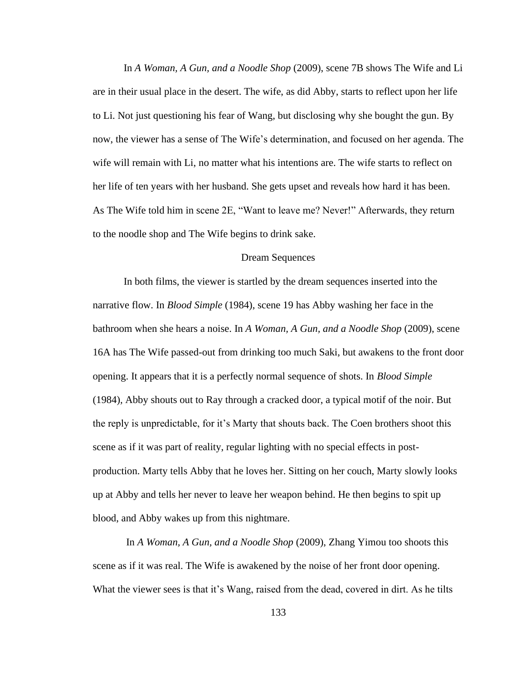In *A Woman, A Gun, and a Noodle Shop* (2009), scene 7B shows The Wife and Li are in their usual place in the desert. The wife, as did Abby, starts to reflect upon her life to Li. Not just questioning his fear of Wang, but disclosing why she bought the gun. By now, the viewer has a sense of The Wife's determination, and focused on her agenda. The wife will remain with Li, no matter what his intentions are. The wife starts to reflect on her life of ten years with her husband. She gets upset and reveals how hard it has been. As The Wife told him in scene 2E, "Want to leave me? Never!" Afterwards, they return to the noodle shop and The Wife begins to drink sake.

### Dream Sequences

In both films, the viewer is startled by the dream sequences inserted into the narrative flow. In *Blood Simple* (1984), scene 19 has Abby washing her face in the bathroom when she hears a noise. In *A Woman, A Gun, and a Noodle Shop* (2009), scene 16A has The Wife passed-out from drinking too much Saki, but awakens to the front door opening. It appears that it is a perfectly normal sequence of shots. In *Blood Simple* (1984)*,* Abby shouts out to Ray through a cracked door, a typical motif of the noir. But the reply is unpredictable, for it's Marty that shouts back. The Coen brothers shoot this scene as if it was part of reality, regular lighting with no special effects in postproduction. Marty tells Abby that he loves her. Sitting on her couch, Marty slowly looks up at Abby and tells her never to leave her weapon behind. He then begins to spit up blood, and Abby wakes up from this nightmare.

In *A Woman, A Gun, and a Noodle Shop* (2009), Zhang Yimou too shoots this scene as if it was real. The Wife is awakened by the noise of her front door opening. What the viewer sees is that it's Wang, raised from the dead, covered in dirt. As he tilts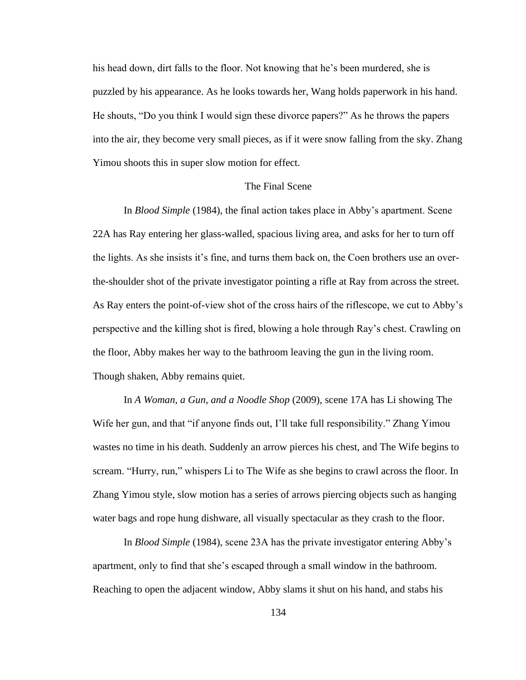his head down, dirt falls to the floor. Not knowing that he's been murdered, she is puzzled by his appearance. As he looks towards her, Wang holds paperwork in his hand. He shouts, "Do you think I would sign these divorce papers?" As he throws the papers into the air, they become very small pieces, as if it were snow falling from the sky. Zhang Yimou shoots this in super slow motion for effect.

# The Final Scene

In *Blood Simple* (1984), the final action takes place in Abby's apartment. Scene 22A has Ray entering her glass-walled, spacious living area, and asks for her to turn off the lights. As she insists it's fine, and turns them back on, the Coen brothers use an overthe-shoulder shot of the private investigator pointing a rifle at Ray from across the street. As Ray enters the point-of-view shot of the cross hairs of the riflescope, we cut to Abby's perspective and the killing shot is fired, blowing a hole through Ray's chest. Crawling on the floor, Abby makes her way to the bathroom leaving the gun in the living room. Though shaken, Abby remains quiet.

In *A Woman, a Gun, and a Noodle Shop* (2009), scene 17A has Li showing The Wife her gun, and that "if anyone finds out, I'll take full responsibility." Zhang Yimou wastes no time in his death. Suddenly an arrow pierces his chest, and The Wife begins to scream. "Hurry, run," whispers Li to The Wife as she begins to crawl across the floor. In Zhang Yimou style, slow motion has a series of arrows piercing objects such as hanging water bags and rope hung dishware, all visually spectacular as they crash to the floor.

In *Blood Simple* (1984), scene 23A has the private investigator entering Abby's apartment, only to find that she's escaped through a small window in the bathroom. Reaching to open the adjacent window, Abby slams it shut on his hand, and stabs his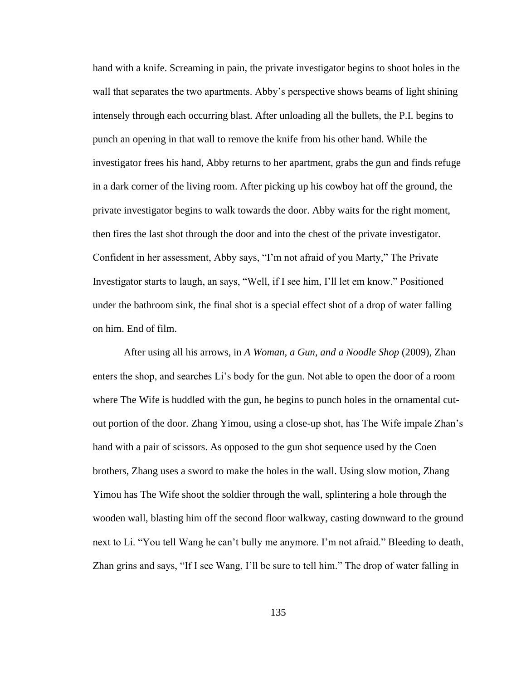hand with a knife. Screaming in pain, the private investigator begins to shoot holes in the wall that separates the two apartments. Abby's perspective shows beams of light shining intensely through each occurring blast. After unloading all the bullets, the P.I. begins to punch an opening in that wall to remove the knife from his other hand. While the investigator frees his hand, Abby returns to her apartment, grabs the gun and finds refuge in a dark corner of the living room. After picking up his cowboy hat off the ground, the private investigator begins to walk towards the door. Abby waits for the right moment, then fires the last shot through the door and into the chest of the private investigator. Confident in her assessment, Abby says, "I'm not afraid of you Marty," The Private Investigator starts to laugh, an says, "Well, if I see him, I'll let em know." Positioned under the bathroom sink, the final shot is a special effect shot of a drop of water falling on him. End of film.

After using all his arrows, in *A Woman, a Gun, and a Noodle Shop* (2009), Zhan enters the shop, and searches Li's body for the gun. Not able to open the door of a room where The Wife is huddled with the gun, he begins to punch holes in the ornamental cutout portion of the door. Zhang Yimou, using a close-up shot, has The Wife impale Zhan's hand with a pair of scissors. As opposed to the gun shot sequence used by the Coen brothers, Zhang uses a sword to make the holes in the wall. Using slow motion, Zhang Yimou has The Wife shoot the soldier through the wall, splintering a hole through the wooden wall, blasting him off the second floor walkway, casting downward to the ground next to Li. "You tell Wang he can't bully me anymore. I'm not afraid." Bleeding to death, Zhan grins and says, "If I see Wang, I'll be sure to tell him." The drop of water falling in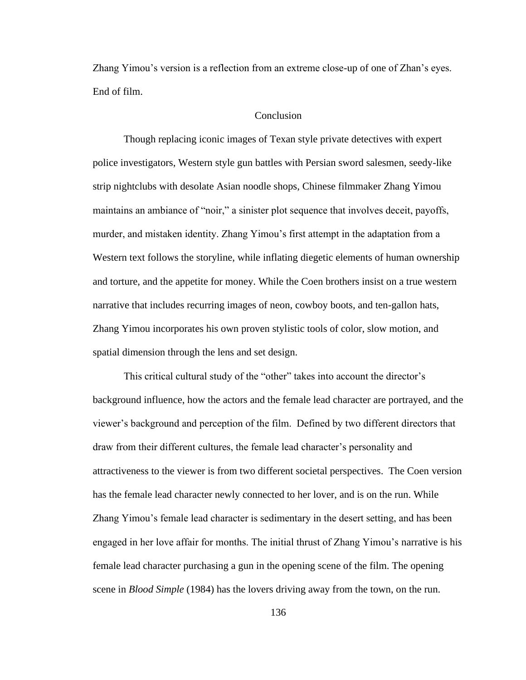Zhang Yimou's version is a reflection from an extreme close-up of one of Zhan's eyes. End of film.

# Conclusion

Though replacing iconic images of Texan style private detectives with expert police investigators, Western style gun battles with Persian sword salesmen, seedy-like strip nightclubs with desolate Asian noodle shops, Chinese filmmaker Zhang Yimou maintains an ambiance of "noir," a sinister plot sequence that involves deceit, payoffs, murder, and mistaken identity. Zhang Yimou's first attempt in the adaptation from a Western text follows the storyline, while inflating diegetic elements of human ownership and torture, and the appetite for money. While the Coen brothers insist on a true western narrative that includes recurring images of neon, cowboy boots, and ten-gallon hats, Zhang Yimou incorporates his own proven stylistic tools of color, slow motion, and spatial dimension through the lens and set design.

This critical cultural study of the "other" takes into account the director's background influence, how the actors and the female lead character are portrayed, and the viewer's background and perception of the film. Defined by two different directors that draw from their different cultures, the female lead character's personality and attractiveness to the viewer is from two different societal perspectives. The Coen version has the female lead character newly connected to her lover, and is on the run. While Zhang Yimou's female lead character is sedimentary in the desert setting, and has been engaged in her love affair for months. The initial thrust of Zhang Yimou's narrative is his female lead character purchasing a gun in the opening scene of the film. The opening scene in *Blood Simple* (1984) has the lovers driving away from the town, on the run.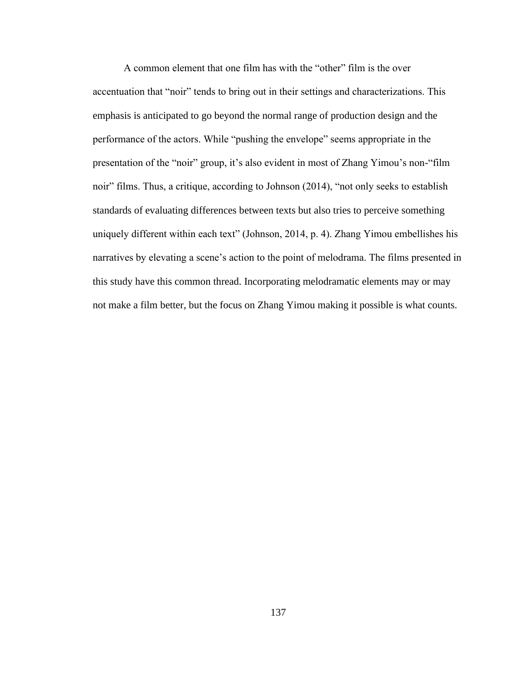A common element that one film has with the "other" film is the over accentuation that "noir" tends to bring out in their settings and characterizations. This emphasis is anticipated to go beyond the normal range of production design and the performance of the actors. While "pushing the envelope" seems appropriate in the presentation of the "noir" group, it's also evident in most of Zhang Yimou's non-"film noir" films. Thus, a critique, according to Johnson (2014), "not only seeks to establish standards of evaluating differences between texts but also tries to perceive something uniquely different within each text" (Johnson, 2014, p. 4). Zhang Yimou embellishes his narratives by elevating a scene's action to the point of melodrama. The films presented in this study have this common thread. Incorporating melodramatic elements may or may not make a film better, but the focus on Zhang Yimou making it possible is what counts.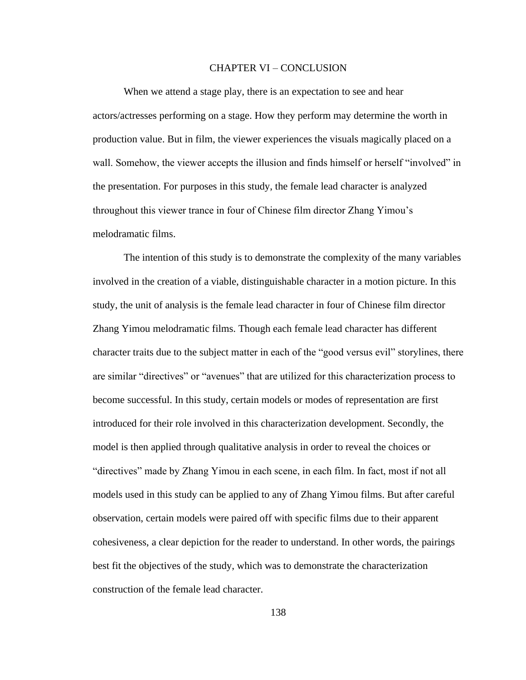## CHAPTER VI – CONCLUSION

When we attend a stage play, there is an expectation to see and hear actors/actresses performing on a stage. How they perform may determine the worth in production value. But in film, the viewer experiences the visuals magically placed on a wall. Somehow, the viewer accepts the illusion and finds himself or herself "involved" in the presentation. For purposes in this study, the female lead character is analyzed throughout this viewer trance in four of Chinese film director Zhang Yimou's melodramatic films.

The intention of this study is to demonstrate the complexity of the many variables involved in the creation of a viable, distinguishable character in a motion picture. In this study, the unit of analysis is the female lead character in four of Chinese film director Zhang Yimou melodramatic films. Though each female lead character has different character traits due to the subject matter in each of the "good versus evil" storylines, there are similar "directives" or "avenues" that are utilized for this characterization process to become successful. In this study, certain models or modes of representation are first introduced for their role involved in this characterization development. Secondly, the model is then applied through qualitative analysis in order to reveal the choices or "directives" made by Zhang Yimou in each scene, in each film. In fact, most if not all models used in this study can be applied to any of Zhang Yimou films. But after careful observation, certain models were paired off with specific films due to their apparent cohesiveness, a clear depiction for the reader to understand. In other words, the pairings best fit the objectives of the study, which was to demonstrate the characterization construction of the female lead character.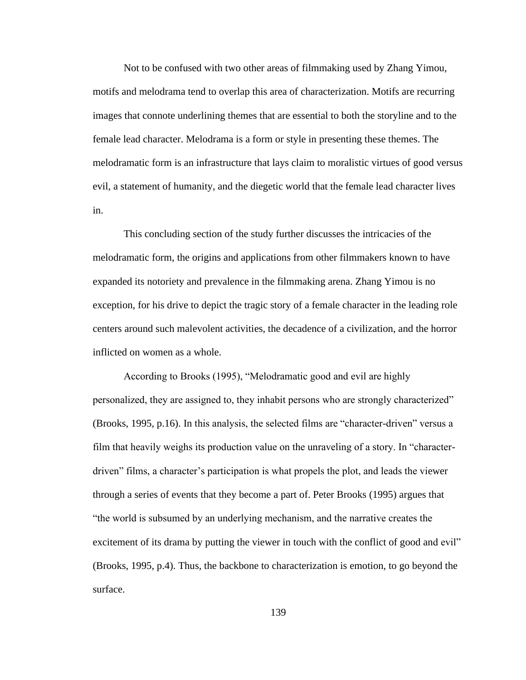Not to be confused with two other areas of filmmaking used by Zhang Yimou, motifs and melodrama tend to overlap this area of characterization. Motifs are recurring images that connote underlining themes that are essential to both the storyline and to the female lead character. Melodrama is a form or style in presenting these themes. The melodramatic form is an infrastructure that lays claim to moralistic virtues of good versus evil, a statement of humanity, and the diegetic world that the female lead character lives in.

This concluding section of the study further discusses the intricacies of the melodramatic form, the origins and applications from other filmmakers known to have expanded its notoriety and prevalence in the filmmaking arena. Zhang Yimou is no exception, for his drive to depict the tragic story of a female character in the leading role centers around such malevolent activities, the decadence of a civilization, and the horror inflicted on women as a whole.

According to Brooks (1995), "Melodramatic good and evil are highly personalized, they are assigned to, they inhabit persons who are strongly characterized" (Brooks, 1995, p.16). In this analysis, the selected films are "character-driven" versus a film that heavily weighs its production value on the unraveling of a story. In "characterdriven" films, a character's participation is what propels the plot, and leads the viewer through a series of events that they become a part of. Peter Brooks (1995) argues that "the world is subsumed by an underlying mechanism, and the narrative creates the excitement of its drama by putting the viewer in touch with the conflict of good and evil" (Brooks, 1995, p.4). Thus, the backbone to characterization is emotion, to go beyond the surface.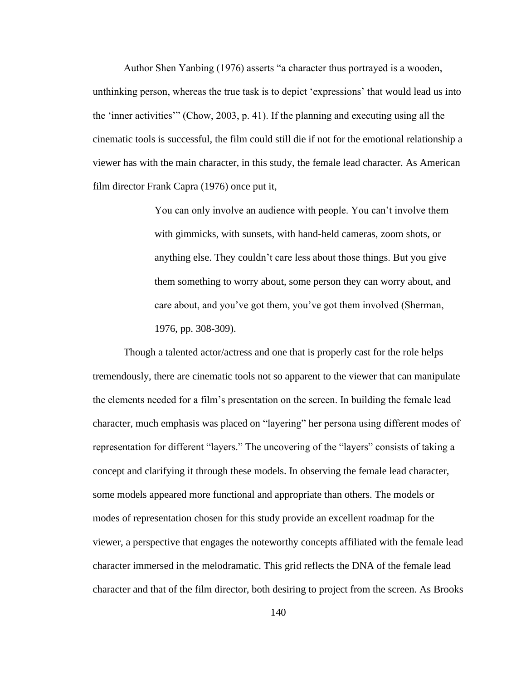Author Shen Yanbing (1976) asserts "a character thus portrayed is a wooden, unthinking person, whereas the true task is to depict 'expressions' that would lead us into the 'inner activities'" (Chow, 2003, p. 41). If the planning and executing using all the cinematic tools is successful, the film could still die if not for the emotional relationship a viewer has with the main character, in this study, the female lead character. As American film director Frank Capra (1976) once put it,

> You can only involve an audience with people. You can't involve them with gimmicks, with sunsets, with hand-held cameras, zoom shots, or anything else. They couldn't care less about those things. But you give them something to worry about, some person they can worry about, and care about, and you've got them, you've got them involved (Sherman, 1976, pp. 308-309).

Though a talented actor/actress and one that is properly cast for the role helps tremendously, there are cinematic tools not so apparent to the viewer that can manipulate the elements needed for a film's presentation on the screen. In building the female lead character, much emphasis was placed on "layering" her persona using different modes of representation for different "layers." The uncovering of the "layers" consists of taking a concept and clarifying it through these models. In observing the female lead character, some models appeared more functional and appropriate than others. The models or modes of representation chosen for this study provide an excellent roadmap for the viewer, a perspective that engages the noteworthy concepts affiliated with the female lead character immersed in the melodramatic. This grid reflects the DNA of the female lead character and that of the film director, both desiring to project from the screen. As Brooks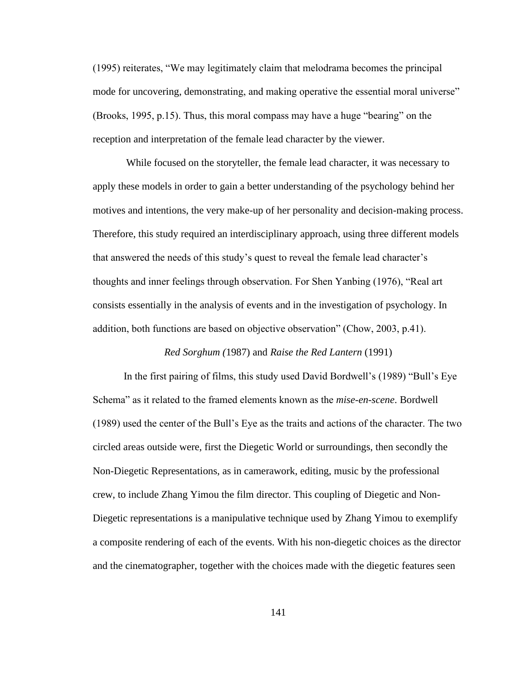(1995) reiterates, "We may legitimately claim that melodrama becomes the principal mode for uncovering, demonstrating, and making operative the essential moral universe" (Brooks, 1995, p.15). Thus, this moral compass may have a huge "bearing" on the reception and interpretation of the female lead character by the viewer.

While focused on the storyteller, the female lead character, it was necessary to apply these models in order to gain a better understanding of the psychology behind her motives and intentions, the very make-up of her personality and decision-making process. Therefore, this study required an interdisciplinary approach, using three different models that answered the needs of this study's quest to reveal the female lead character's thoughts and inner feelings through observation. For Shen Yanbing (1976), "Real art consists essentially in the analysis of events and in the investigation of psychology. In addition, both functions are based on objective observation" (Chow, 2003, p.41).

## *Red Sorghum (*1987) and *Raise the Red Lantern* (1991)

In the first pairing of films, this study used David Bordwell's (1989) "Bull's Eye Schema" as it related to the framed elements known as the *mise-en-scene*. Bordwell (1989) used the center of the Bull's Eye as the traits and actions of the character. The two circled areas outside were, first the Diegetic World or surroundings, then secondly the Non-Diegetic Representations, as in camerawork, editing, music by the professional crew, to include Zhang Yimou the film director. This coupling of Diegetic and Non-Diegetic representations is a manipulative technique used by Zhang Yimou to exemplify a composite rendering of each of the events. With his non-diegetic choices as the director and the cinematographer, together with the choices made with the diegetic features seen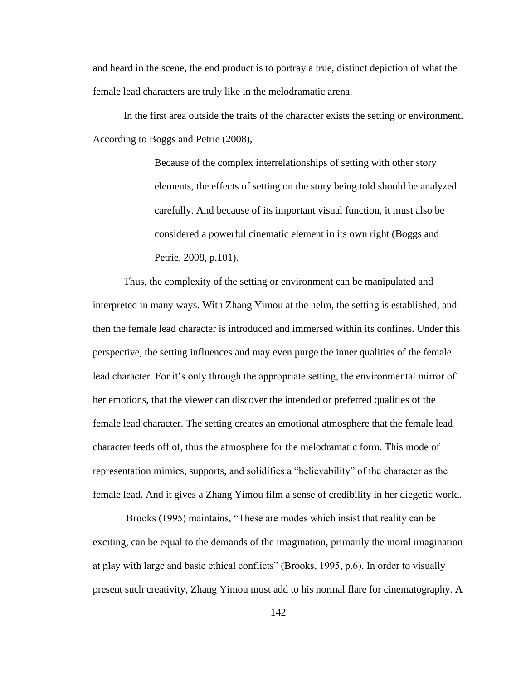and heard in the scene, the end product is to portray a true, distinct depiction of what the female lead characters are truly like in the melodramatic arena.

In the first area outside the traits of the character exists the setting or environment. According to Boggs and Petrie (2008),

> Because of the complex interrelationships of setting with other story elements, the effects of setting on the story being told should be analyzed carefully. And because of its important visual function, it must also be considered a powerful cinematic element in its own right (Boggs and Petrie, 2008, p.101).

Thus, the complexity of the setting or environment can be manipulated and interpreted in many ways. With Zhang Yimou at the helm, the setting is established, and then the female lead character is introduced and immersed within its confines. Under this perspective, the setting influences and may even purge the inner qualities of the female lead character. For it's only through the appropriate setting, the environmental mirror of her emotions, that the viewer can discover the intended or preferred qualities of the female lead character. The setting creates an emotional atmosphere that the female lead character feeds off of, thus the atmosphere for the melodramatic form. This mode of representation mimics, supports, and solidifies a "believability" of the character as the female lead. And it gives a Zhang Yimou film a sense of credibility in her diegetic world.

Brooks (1995) maintains, "These are modes which insist that reality can be exciting, can be equal to the demands of the imagination, primarily the moral imagination at play with large and basic ethical conflicts" (Brooks, 1995, p.6). In order to visually present such creativity, Zhang Yimou must add to his normal flare for cinematography. A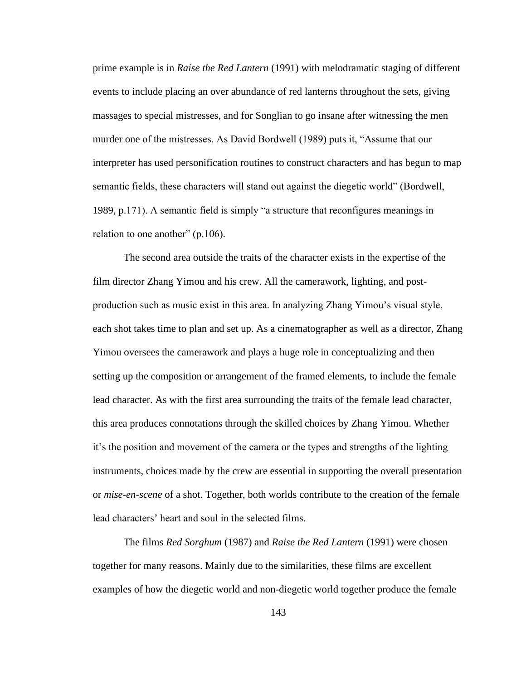prime example is in *Raise the Red Lantern* (1991) with melodramatic staging of different events to include placing an over abundance of red lanterns throughout the sets, giving massages to special mistresses, and for Songlian to go insane after witnessing the men murder one of the mistresses. As David Bordwell (1989) puts it, "Assume that our interpreter has used personification routines to construct characters and has begun to map semantic fields, these characters will stand out against the diegetic world" (Bordwell, 1989, p.171). A semantic field is simply "a structure that reconfigures meanings in relation to one another" (p.106).

The second area outside the traits of the character exists in the expertise of the film director Zhang Yimou and his crew. All the camerawork, lighting, and postproduction such as music exist in this area. In analyzing Zhang Yimou's visual style, each shot takes time to plan and set up. As a cinematographer as well as a director, Zhang Yimou oversees the camerawork and plays a huge role in conceptualizing and then setting up the composition or arrangement of the framed elements, to include the female lead character. As with the first area surrounding the traits of the female lead character, this area produces connotations through the skilled choices by Zhang Yimou. Whether it's the position and movement of the camera or the types and strengths of the lighting instruments, choices made by the crew are essential in supporting the overall presentation or *mise-en-scene* of a shot. Together, both worlds contribute to the creation of the female lead characters' heart and soul in the selected films.

The films *Red Sorghum* (1987) and *Raise the Red Lantern* (1991) were chosen together for many reasons. Mainly due to the similarities, these films are excellent examples of how the diegetic world and non-diegetic world together produce the female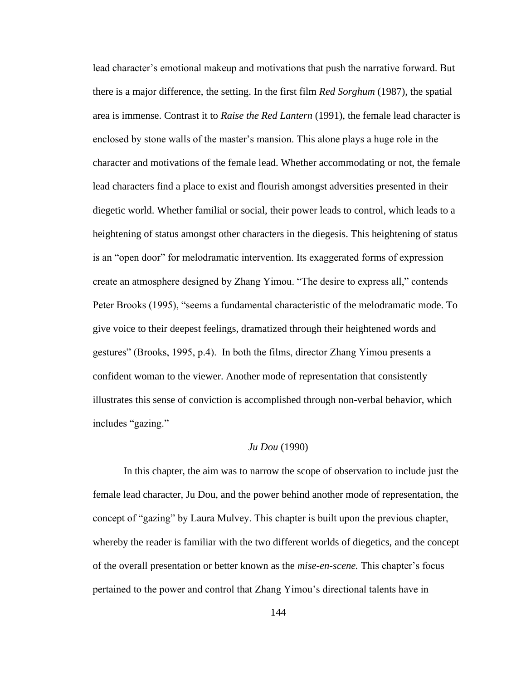lead character's emotional makeup and motivations that push the narrative forward. But there is a major difference, the setting. In the first film *Red Sorghum* (1987)*,* the spatial area is immense. Contrast it to *Raise the Red Lantern* (1991), the female lead character is enclosed by stone walls of the master's mansion. This alone plays a huge role in the character and motivations of the female lead. Whether accommodating or not, the female lead characters find a place to exist and flourish amongst adversities presented in their diegetic world. Whether familial or social, their power leads to control, which leads to a heightening of status amongst other characters in the diegesis. This heightening of status is an "open door" for melodramatic intervention. Its exaggerated forms of expression create an atmosphere designed by Zhang Yimou. "The desire to express all," contends Peter Brooks (1995), "seems a fundamental characteristic of the melodramatic mode. To give voice to their deepest feelings, dramatized through their heightened words and gestures" (Brooks, 1995, p.4). In both the films, director Zhang Yimou presents a confident woman to the viewer. Another mode of representation that consistently illustrates this sense of conviction is accomplished through non-verbal behavior, which includes "gazing."

### *Ju Dou* (1990)

In this chapter, the aim was to narrow the scope of observation to include just the female lead character, Ju Dou, and the power behind another mode of representation, the concept of "gazing" by Laura Mulvey. This chapter is built upon the previous chapter, whereby the reader is familiar with the two different worlds of diegetics, and the concept of the overall presentation or better known as the *mise-en-scene.* This chapter's focus pertained to the power and control that Zhang Yimou's directional talents have in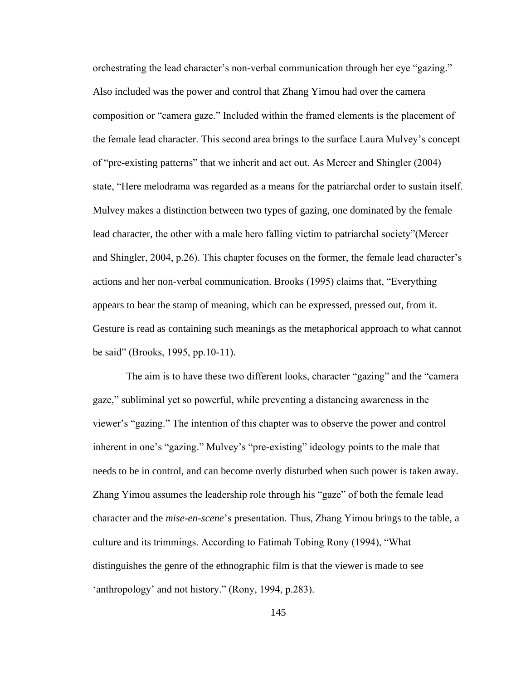orchestrating the lead character's non-verbal communication through her eye "gazing." Also included was the power and control that Zhang Yimou had over the camera composition or "camera gaze." Included within the framed elements is the placement of the female lead character. This second area brings to the surface Laura Mulvey's concept of "pre-existing patterns" that we inherit and act out. As Mercer and Shingler (2004) state, "Here melodrama was regarded as a means for the patriarchal order to sustain itself. Mulvey makes a distinction between two types of gazing, one dominated by the female lead character, the other with a male hero falling victim to patriarchal society"(Mercer and Shingler, 2004, p.26). This chapter focuses on the former, the female lead character's actions and her non-verbal communication. Brooks (1995) claims that, "Everything appears to bear the stamp of meaning, which can be expressed, pressed out, from it. Gesture is read as containing such meanings as the metaphorical approach to what cannot be said" (Brooks, 1995, pp.10-11).

The aim is to have these two different looks, character "gazing" and the "camera gaze," subliminal yet so powerful, while preventing a distancing awareness in the viewer's "gazing." The intention of this chapter was to observe the power and control inherent in one's "gazing." Mulvey's "pre-existing" ideology points to the male that needs to be in control, and can become overly disturbed when such power is taken away. Zhang Yimou assumes the leadership role through his "gaze" of both the female lead character and the *mise-en-scene*'s presentation. Thus, Zhang Yimou brings to the table, a culture and its trimmings. According to Fatimah Tobing Rony (1994), "What distinguishes the genre of the ethnographic film is that the viewer is made to see 'anthropology' and not history." (Rony, 1994, p.283).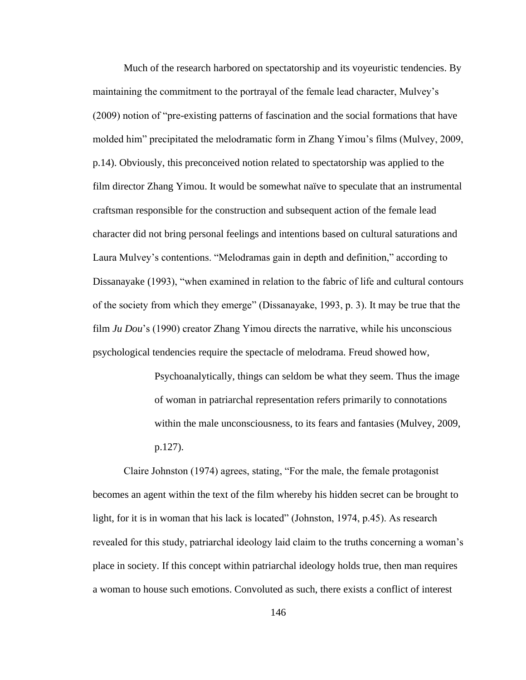Much of the research harbored on spectatorship and its voyeuristic tendencies. By maintaining the commitment to the portrayal of the female lead character, Mulvey's (2009) notion of "pre-existing patterns of fascination and the social formations that have molded him" precipitated the melodramatic form in Zhang Yimou's films (Mulvey, 2009, p.14). Obviously, this preconceived notion related to spectatorship was applied to the film director Zhang Yimou. It would be somewhat naïve to speculate that an instrumental craftsman responsible for the construction and subsequent action of the female lead character did not bring personal feelings and intentions based on cultural saturations and Laura Mulvey's contentions. "Melodramas gain in depth and definition," according to Dissanayake (1993), "when examined in relation to the fabric of life and cultural contours of the society from which they emerge" (Dissanayake, 1993, p. 3). It may be true that the film *Ju Dou*'s (1990) creator Zhang Yimou directs the narrative, while his unconscious psychological tendencies require the spectacle of melodrama. Freud showed how,

> Psychoanalytically, things can seldom be what they seem. Thus the image of woman in patriarchal representation refers primarily to connotations within the male unconsciousness, to its fears and fantasies (Mulvey, 2009, p.127).

Claire Johnston (1974) agrees, stating, "For the male, the female protagonist becomes an agent within the text of the film whereby his hidden secret can be brought to light, for it is in woman that his lack is located" (Johnston, 1974, p.45). As research revealed for this study, patriarchal ideology laid claim to the truths concerning a woman's place in society. If this concept within patriarchal ideology holds true, then man requires a woman to house such emotions. Convoluted as such, there exists a conflict of interest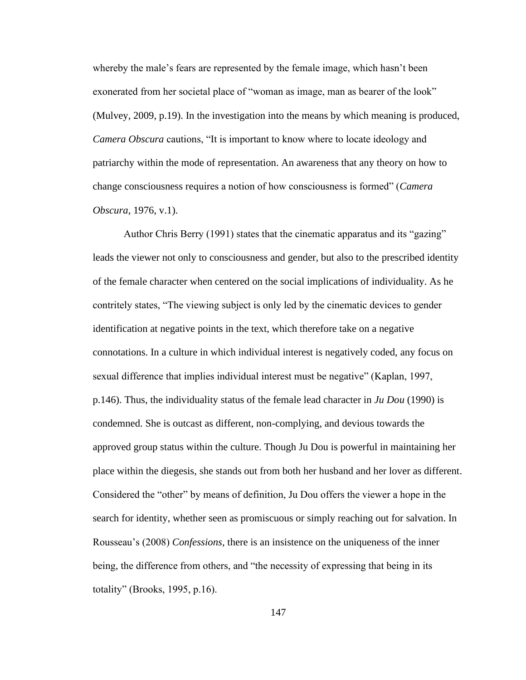whereby the male's fears are represented by the female image, which hasn't been exonerated from her societal place of "woman as image, man as bearer of the look" (Mulvey, 2009, p.19). In the investigation into the means by which meaning is produced, *Camera Obscura* cautions, "It is important to know where to locate ideology and patriarchy within the mode of representation. An awareness that any theory on how to change consciousness requires a notion of how consciousness is formed" (*Camera Obscura*, 1976, v.1).

Author Chris Berry (1991) states that the cinematic apparatus and its "gazing" leads the viewer not only to consciousness and gender, but also to the prescribed identity of the female character when centered on the social implications of individuality. As he contritely states, "The viewing subject is only led by the cinematic devices to gender identification at negative points in the text, which therefore take on a negative connotations. In a culture in which individual interest is negatively coded, any focus on sexual difference that implies individual interest must be negative" (Kaplan, 1997, p.146). Thus, the individuality status of the female lead character in *Ju Dou* (1990) is condemned. She is outcast as different, non-complying, and devious towards the approved group status within the culture. Though Ju Dou is powerful in maintaining her place within the diegesis, she stands out from both her husband and her lover as different. Considered the "other" by means of definition, Ju Dou offers the viewer a hope in the search for identity, whether seen as promiscuous or simply reaching out for salvation. In Rousseau's (2008) *Confessions,* there is an insistence on the uniqueness of the inner being, the difference from others, and "the necessity of expressing that being in its totality" (Brooks, 1995, p.16).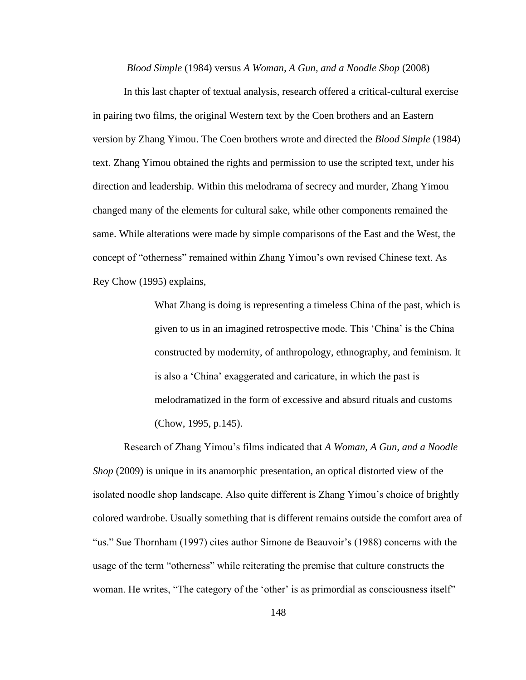*Blood Simple* (1984) versus *A Woman, A Gun, and a Noodle Shop* (2008)

In this last chapter of textual analysis, research offered a critical-cultural exercise in pairing two films, the original Western text by the Coen brothers and an Eastern version by Zhang Yimou. The Coen brothers wrote and directed the *Blood Simple* (1984) text. Zhang Yimou obtained the rights and permission to use the scripted text, under his direction and leadership. Within this melodrama of secrecy and murder, Zhang Yimou changed many of the elements for cultural sake, while other components remained the same. While alterations were made by simple comparisons of the East and the West, the concept of "otherness" remained within Zhang Yimou's own revised Chinese text. As Rey Chow (1995) explains,

> What Zhang is doing is representing a timeless China of the past, which is given to us in an imagined retrospective mode. This 'China' is the China constructed by modernity, of anthropology, ethnography, and feminism. It is also a 'China' exaggerated and caricature, in which the past is melodramatized in the form of excessive and absurd rituals and customs (Chow, 1995, p.145).

Research of Zhang Yimou's films indicated that *A Woman, A Gun, and a Noodle Shop* (2009) is unique in its anamorphic presentation, an optical distorted view of the isolated noodle shop landscape. Also quite different is Zhang Yimou's choice of brightly colored wardrobe. Usually something that is different remains outside the comfort area of "us." Sue Thornham (1997) cites author Simone de Beauvoir's (1988) concerns with the usage of the term "otherness" while reiterating the premise that culture constructs the woman. He writes, "The category of the 'other' is as primordial as consciousness itself"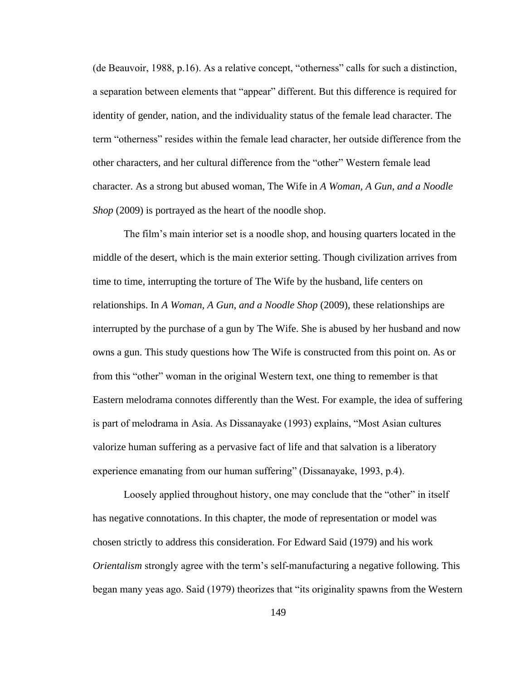(de Beauvoir, 1988, p.16). As a relative concept, "otherness" calls for such a distinction, a separation between elements that "appear" different. But this difference is required for identity of gender, nation, and the individuality status of the female lead character. The term "otherness" resides within the female lead character, her outside difference from the other characters, and her cultural difference from the "other" Western female lead character. As a strong but abused woman, The Wife in *A Woman, A Gun, and a Noodle Shop* (2009) is portrayed as the heart of the noodle shop.

The film's main interior set is a noodle shop, and housing quarters located in the middle of the desert, which is the main exterior setting. Though civilization arrives from time to time, interrupting the torture of The Wife by the husband, life centers on relationships. In *A Woman, A Gun, and a Noodle Shop* (2009)*,* these relationships are interrupted by the purchase of a gun by The Wife. She is abused by her husband and now owns a gun. This study questions how The Wife is constructed from this point on. As or from this "other" woman in the original Western text, one thing to remember is that Eastern melodrama connotes differently than the West. For example, the idea of suffering is part of melodrama in Asia. As Dissanayake (1993) explains, "Most Asian cultures valorize human suffering as a pervasive fact of life and that salvation is a liberatory experience emanating from our human suffering" (Dissanayake, 1993, p.4).

Loosely applied throughout history, one may conclude that the "other" in itself has negative connotations. In this chapter, the mode of representation or model was chosen strictly to address this consideration. For Edward Said (1979) and his work *Orientalism* strongly agree with the term's self-manufacturing a negative following. This began many yeas ago. Said (1979) theorizes that "its originality spawns from the Western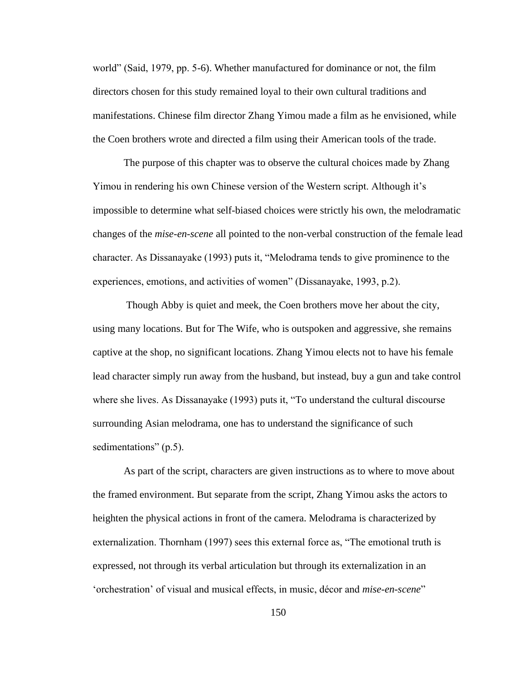world" (Said, 1979, pp. 5-6). Whether manufactured for dominance or not, the film directors chosen for this study remained loyal to their own cultural traditions and manifestations. Chinese film director Zhang Yimou made a film as he envisioned, while the Coen brothers wrote and directed a film using their American tools of the trade.

The purpose of this chapter was to observe the cultural choices made by Zhang Yimou in rendering his own Chinese version of the Western script. Although it's impossible to determine what self-biased choices were strictly his own, the melodramatic changes of the *mise-en-scene* all pointed to the non-verbal construction of the female lead character. As Dissanayake (1993) puts it, "Melodrama tends to give prominence to the experiences, emotions, and activities of women" (Dissanayake, 1993, p.2).

Though Abby is quiet and meek, the Coen brothers move her about the city, using many locations. But for The Wife, who is outspoken and aggressive, she remains captive at the shop, no significant locations. Zhang Yimou elects not to have his female lead character simply run away from the husband, but instead, buy a gun and take control where she lives. As Dissanayake (1993) puts it, "To understand the cultural discourse surrounding Asian melodrama, one has to understand the significance of such sedimentations" (p.5).

As part of the script, characters are given instructions as to where to move about the framed environment. But separate from the script, Zhang Yimou asks the actors to heighten the physical actions in front of the camera. Melodrama is characterized by externalization. Thornham (1997) sees this external force as, "The emotional truth is expressed, not through its verbal articulation but through its externalization in an 'orchestration' of visual and musical effects, in music, décor and *mise-en-scene*"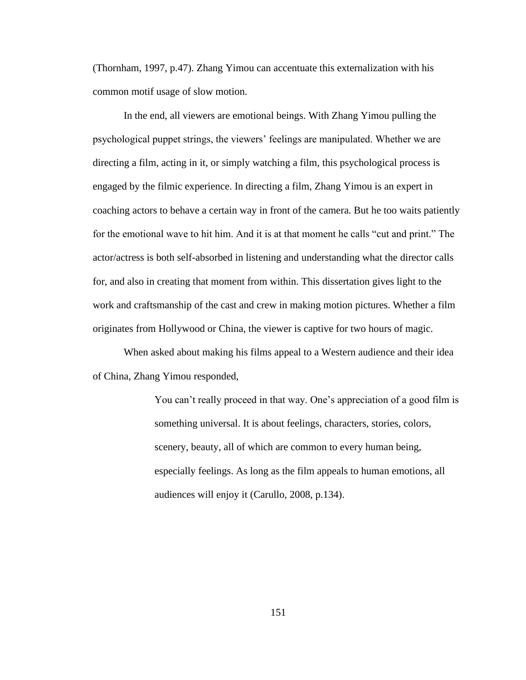(Thornham, 1997, p.47). Zhang Yimou can accentuate this externalization with his common motif usage of slow motion.

In the end, all viewers are emotional beings. With Zhang Yimou pulling the psychological puppet strings, the viewers' feelings are manipulated. Whether we are directing a film, acting in it, or simply watching a film, this psychological process is engaged by the filmic experience. In directing a film, Zhang Yimou is an expert in coaching actors to behave a certain way in front of the camera. But he too waits patiently for the emotional wave to hit him. And it is at that moment he calls "cut and print." The actor/actress is both self-absorbed in listening and understanding what the director calls for, and also in creating that moment from within. This dissertation gives light to the work and craftsmanship of the cast and crew in making motion pictures. Whether a film originates from Hollywood or China, the viewer is captive for two hours of magic.

When asked about making his films appeal to a Western audience and their idea of China, Zhang Yimou responded,

> You can't really proceed in that way. One's appreciation of a good film is something universal. It is about feelings, characters, stories, colors, scenery, beauty, all of which are common to every human being, especially feelings. As long as the film appeals to human emotions, all audiences will enjoy it (Carullo, 2008, p.134).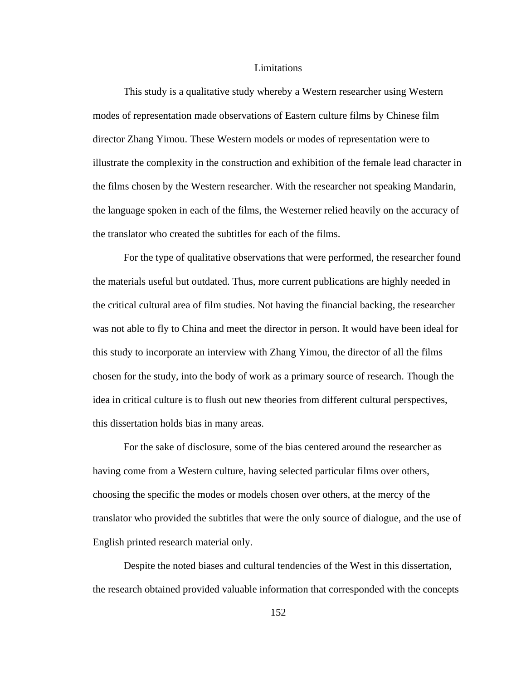## Limitations

This study is a qualitative study whereby a Western researcher using Western modes of representation made observations of Eastern culture films by Chinese film director Zhang Yimou. These Western models or modes of representation were to illustrate the complexity in the construction and exhibition of the female lead character in the films chosen by the Western researcher. With the researcher not speaking Mandarin, the language spoken in each of the films, the Westerner relied heavily on the accuracy of the translator who created the subtitles for each of the films.

For the type of qualitative observations that were performed, the researcher found the materials useful but outdated. Thus, more current publications are highly needed in the critical cultural area of film studies. Not having the financial backing, the researcher was not able to fly to China and meet the director in person. It would have been ideal for this study to incorporate an interview with Zhang Yimou, the director of all the films chosen for the study, into the body of work as a primary source of research. Though the idea in critical culture is to flush out new theories from different cultural perspectives, this dissertation holds bias in many areas.

For the sake of disclosure, some of the bias centered around the researcher as having come from a Western culture, having selected particular films over others, choosing the specific the modes or models chosen over others, at the mercy of the translator who provided the subtitles that were the only source of dialogue, and the use of English printed research material only.

Despite the noted biases and cultural tendencies of the West in this dissertation, the research obtained provided valuable information that corresponded with the concepts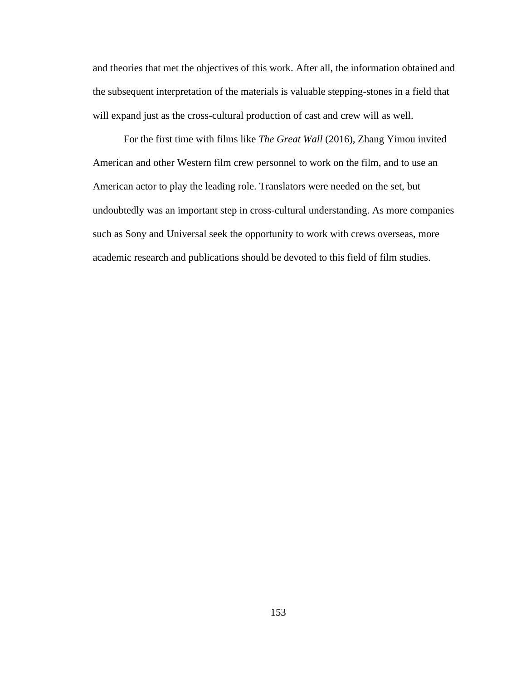and theories that met the objectives of this work. After all, the information obtained and the subsequent interpretation of the materials is valuable stepping-stones in a field that will expand just as the cross-cultural production of cast and crew will as well.

For the first time with films like *The Great Wall* (2016)*,* Zhang Yimou invited American and other Western film crew personnel to work on the film, and to use an American actor to play the leading role. Translators were needed on the set, but undoubtedly was an important step in cross-cultural understanding. As more companies such as Sony and Universal seek the opportunity to work with crews overseas, more academic research and publications should be devoted to this field of film studies.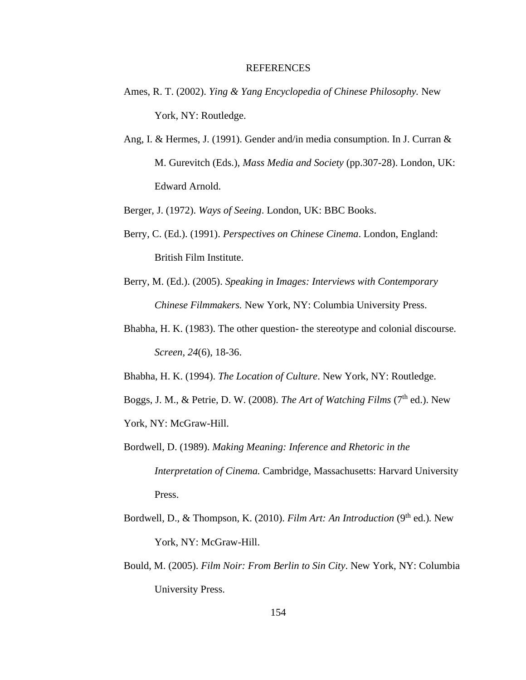## REFERENCES

- Ames, R. T. (2002). *Ying & Yang Encyclopedia of Chinese Philosophy.* New York, NY: Routledge.
- Ang, I. & Hermes, J. (1991). Gender and/in media consumption. In J. Curran & M. Gurevitch (Eds.), *Mass Media and Society* (pp.307-28). London, UK: Edward Arnold.

Berger, J. (1972). *Ways of Seeing*. London, UK: BBC Books.

- Berry, C. (Ed.). (1991). *Perspectives on Chinese Cinema*. London, England: British Film Institute.
- Berry, M. (Ed.). (2005). *Speaking in Images: Interviews with Contemporary Chinese Filmmakers.* New York, NY: Columbia University Press.
- Bhabha, H. K. (1983). The other question- the stereotype and colonial discourse. *Screen, 24*(6), 18-36.

Bhabha, H. K. (1994). *The Location of Culture*. New York, NY: Routledge.

Boggs, J. M., & Petrie, D. W. (2008). *The Art of Watching Films* (7<sup>th</sup> ed.). New

York, NY: McGraw-Hill.

- Bordwell, D. (1989). *Making Meaning: Inference and Rhetoric in the Interpretation of Cinema.* Cambridge, Massachusetts: Harvard University Press.
- Bordwell, D., & Thompson, K. (2010). *Film Art: An Introduction* (9<sup>th</sup> ed.). New York, NY: McGraw-Hill.
- Bould, M. (2005). *Film Noir: From Berlin to Sin City*. New York, NY: Columbia University Press.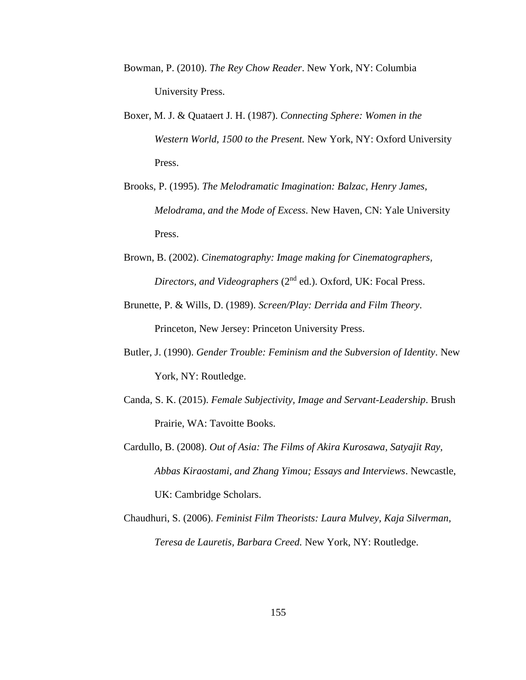- Bowman, P. (2010). *The Rey Chow Reader*. New York, NY: Columbia University Press.
- Boxer, M. J. & Quataert J. H. (1987). *Connecting Sphere: Women in the Western World, 1500 to the Present.* New York, NY: Oxford University Press.
- Brooks, P. (1995). *The Melodramatic Imagination: Balzac, Henry James, Melodrama, and the Mode of Excess*. New Haven, CN: Yale University Press.
- Brown, B. (2002). *Cinematography: Image making for Cinematographers, Directors, and Videographers* (2nd ed.). Oxford, UK: Focal Press.
- Brunette, P. & Wills, D. (1989). *Screen/Play: Derrida and Film Theory*. Princeton, New Jersey: Princeton University Press.
- Butler, J. (1990). *Gender Trouble: Feminism and the Subversion of Identity*. New York, NY: Routledge.
- Canda, S. K. (2015). *Female Subjectivity, Image and Servant-Leadership*. Brush Prairie, WA: Tavoitte Books.
- Cardullo, B. (2008). *Out of Asia: The Films of Akira Kurosawa, Satyajit Ray, Abbas Kiraostami, and Zhang Yimou; Essays and Interviews*. Newcastle, UK: Cambridge Scholars.
- Chaudhuri, S. (2006). *Feminist Film Theorists: Laura Mulvey, Kaja Silverman, Teresa de Lauretis, Barbara Creed.* New York, NY: Routledge.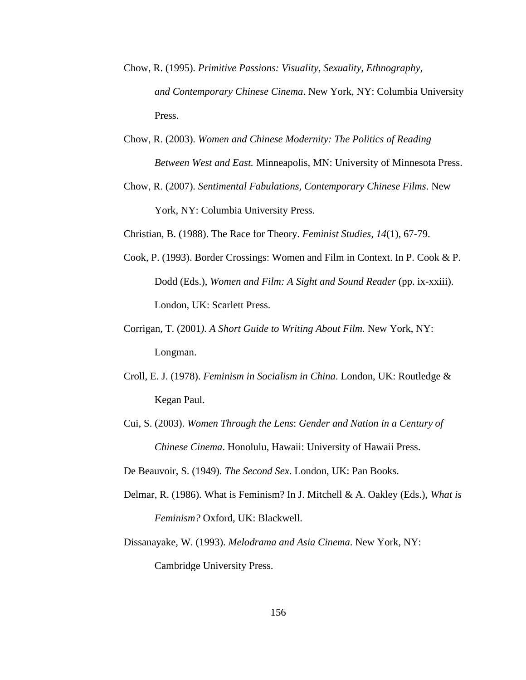- Chow, R. (1995). *Primitive Passions: Visuality, Sexuality, Ethnography, and Contemporary Chinese Cinema*. New York, NY: Columbia University Press.
- Chow, R. (2003). *Women and Chinese Modernity: The Politics of Reading Between West and East.* Minneapolis, MN: University of Minnesota Press.
- Chow, R. (2007). *Sentimental Fabulations, Contemporary Chinese Films*. New York, NY: Columbia University Press.

Christian, B. (1988). The Race for Theory. *Feminist Studies, 14*(1), 67-79.

- Cook, P. (1993). Border Crossings: Women and Film in Context. In P. Cook & P. Dodd (Eds.), *Women and Film: A Sight and Sound Reader* (pp. ix-xxiii). London, UK: Scarlett Press.
- Corrigan, T. (2001*). A Short Guide to Writing About Film.* New York, NY: Longman.
- Croll, E. J. (1978). *Feminism in Socialism in China*. London, UK: Routledge & Kegan Paul.
- Cui, S. (2003). *Women Through the Lens*: *Gender and Nation in a Century of Chinese Cinema*. Honolulu, Hawaii: University of Hawaii Press.

De Beauvoir, S. (1949). *The Second Sex*. London, UK: Pan Books.

- Delmar, R. (1986). What is Feminism? In J. Mitchell & A. Oakley (Eds.), *What is Feminism?* Oxford, UK: Blackwell.
- Dissanayake, W. (1993). *Melodrama and Asia Cinema*. New York, NY: Cambridge University Press.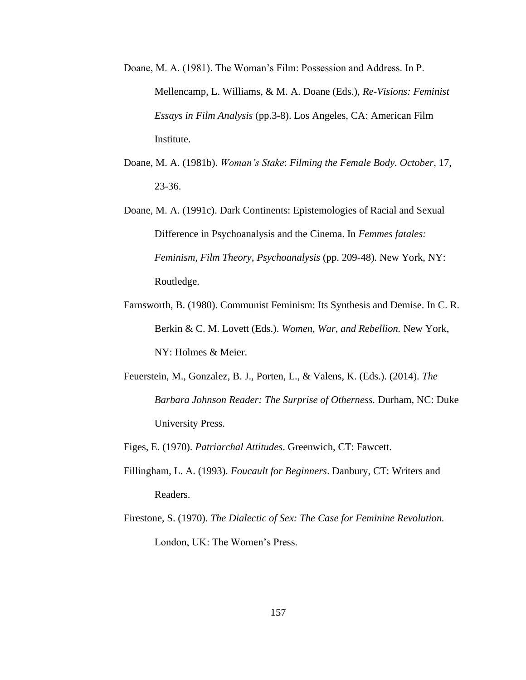- Doane, M. A. (1981). The Woman's Film: Possession and Address. In P. Mellencamp, L. Williams, & M. A. Doane (Eds.), *Re-Visions: Feminist Essays in Film Analysis* (pp.3-8). Los Angeles, CA: American Film Institute.
- Doane, M. A. (1981b). *Woman's Stake*: *Filming the Female Body. October*, 17, 23-36.
- Doane, M. A. (1991c). Dark Continents: Epistemologies of Racial and Sexual Difference in Psychoanalysis and the Cinema. In *Femmes fatales: Feminism, Film Theory, Psychoanalysis* (pp. 209-48)*.* New York, NY: Routledge.
- Farnsworth, B. (1980). Communist Feminism: Its Synthesis and Demise. In C. R. Berkin & C. M. Lovett (Eds.). *Women, War, and Rebellion.* New York, NY: Holmes & Meier.
- Feuerstein, M., Gonzalez, B. J., Porten, L., & Valens, K. (Eds.). (2014). *The Barbara Johnson Reader: The Surprise of Otherness.* Durham, NC: Duke University Press.
- Figes, E. (1970). *Patriarchal Attitudes*. Greenwich, CT: Fawcett.
- Fillingham, L. A. (1993). *Foucault for Beginners*. Danbury, CT: Writers and Readers.
- Firestone, S. (1970). *The Dialectic of Sex: The Case for Feminine Revolution.* London, UK: The Women's Press.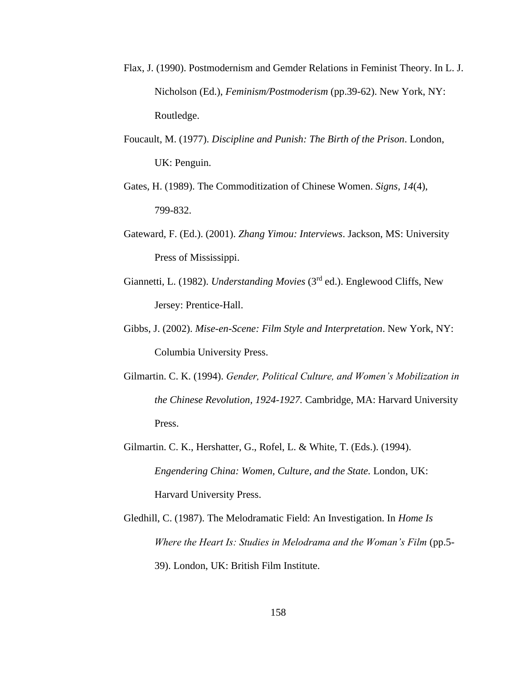- Flax, J. (1990). Postmodernism and Gemder Relations in Feminist Theory. In L. J. Nicholson (Ed.), *Feminism/Postmoderism* (pp.39-62). New York, NY: Routledge.
- Foucault, M. (1977). *Discipline and Punish: The Birth of the Prison*. London, UK: Penguin.
- Gates, H. (1989). The Commoditization of Chinese Women. *Signs, 14*(4), 799-832.
- Gateward, F. (Ed.). (2001). *Zhang Yimou: Interviews*. Jackson, MS: University Press of Mississippi.
- Giannetti, L. (1982). *Understanding Movies* (3rd ed.). Englewood Cliffs, New Jersey: Prentice-Hall.
- Gibbs, J. (2002). *Mise-en-Scene: Film Style and Interpretation*. New York, NY: Columbia University Press.
- Gilmartin. C. K. (1994). *Gender, Political Culture, and Women's Mobilization in the Chinese Revolution, 1924-1927.* Cambridge, MA: Harvard University Press.
- Gilmartin. C. K., Hershatter, G., Rofel, L. & White, T. (Eds.). (1994). *Engendering China: Women, Culture, and the State.* London, UK: Harvard University Press.
- Gledhill, C. (1987). The Melodramatic Field: An Investigation. In *Home Is Where the Heart Is: Studies in Melodrama and the Woman's Film* (pp.5- 39). London, UK: British Film Institute.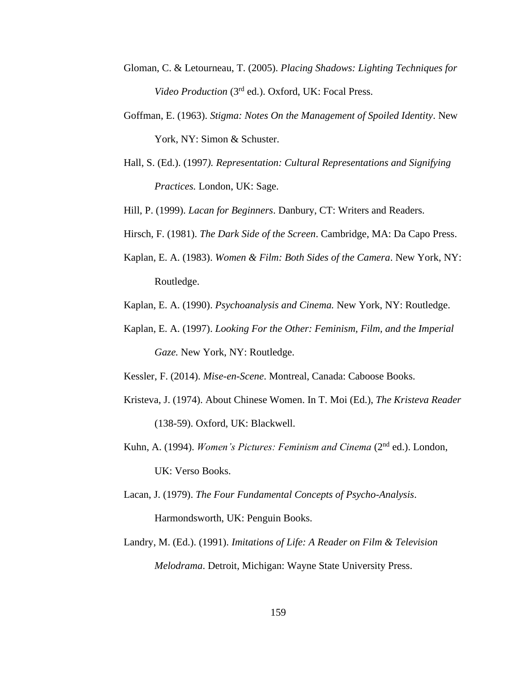- Gloman, C. & Letourneau, T. (2005). *Placing Shadows: Lighting Techniques for Video Production* (3rd ed.). Oxford, UK: Focal Press.
- Goffman, E. (1963). *Stigma: Notes On the Management of Spoiled Identity*. New York, NY: Simon & Schuster.
- Hall, S. (Ed.). (1997*). Representation: Cultural Representations and Signifying Practices.* London, UK: Sage.
- Hill, P. (1999). *Lacan for Beginners*. Danbury, CT: Writers and Readers.
- Hirsch, F. (1981). *The Dark Side of the Screen*. Cambridge, MA: Da Capo Press.
- Kaplan, E. A. (1983). *Women & Film: Both Sides of the Camera*. New York, NY: Routledge.
- Kaplan, E. A. (1990). *Psychoanalysis and Cinema.* New York, NY: Routledge.
- Kaplan, E. A. (1997). *Looking For the Other: Feminism, Film, and the Imperial Gaze.* New York, NY: Routledge.

Kessler, F. (2014). *Mise-en-Scene*. Montreal, Canada: Caboose Books.

- Kristeva, J. (1974). About Chinese Women. In T. Moi (Ed.), *The Kristeva Reader* (138-59). Oxford, UK: Blackwell.
- Kuhn, A. (1994). *Women's Pictures: Feminism and Cinema* (2<sup>nd</sup> ed.). London, UK: Verso Books.
- Lacan, J. (1979). *The Four Fundamental Concepts of Psycho-Analysis*. Harmondsworth, UK: Penguin Books.
- Landry, M. (Ed.). (1991). *Imitations of Life: A Reader on Film & Television Melodrama*. Detroit, Michigan: Wayne State University Press.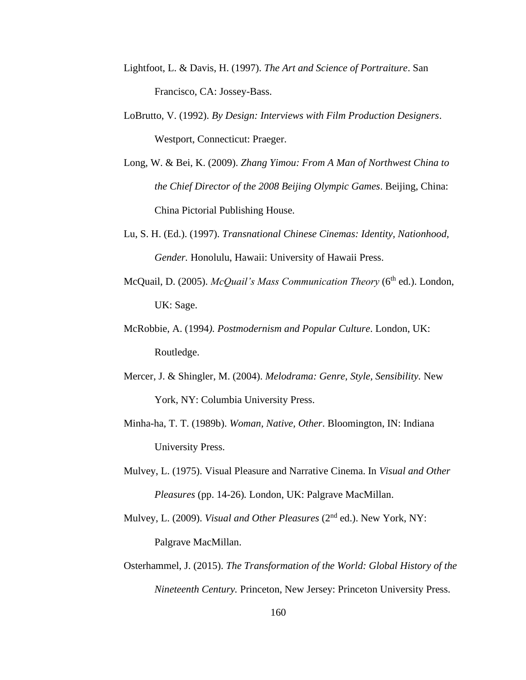- Lightfoot, L. & Davis, H. (1997). *The Art and Science of Portraiture*. San Francisco, CA: Jossey-Bass.
- LoBrutto, V. (1992). *By Design: Interviews with Film Production Designers*. Westport, Connecticut: Praeger.
- Long, W. & Bei, K. (2009). *Zhang Yimou: From A Man of Northwest China to the Chief Director of the 2008 Beijing Olympic Games*. Beijing, China: China Pictorial Publishing House.
- Lu, S. H. (Ed.). (1997). *Transnational Chinese Cinemas: Identity, Nationhood, Gender.* Honolulu, Hawaii: University of Hawaii Press.
- McQuail, D. (2005). *McQuail's Mass Communication Theory* (6<sup>th</sup> ed.). London, UK: Sage.
- McRobbie, A. (1994*). Postmodernism and Popular Culture*. London, UK: Routledge.
- Mercer, J. & Shingler, M. (2004). *Melodrama: Genre, Style, Sensibility.* New York, NY: Columbia University Press.
- Minha-ha, T. T. (1989b). *Woman, Native, Other*. Bloomington, IN: Indiana University Press.
- Mulvey, L. (1975). Visual Pleasure and Narrative Cinema. In *Visual and Other Pleasures* (pp. 14-26)*.* London, UK: Palgrave MacMillan.
- Mulvey, L. (2009). *Visual and Other Pleasures* (2nd ed.). New York, NY: Palgrave MacMillan.
- Osterhammel, J. (2015). *The Transformation of the World: Global History of the Nineteenth Century.* Princeton, New Jersey: Princeton University Press.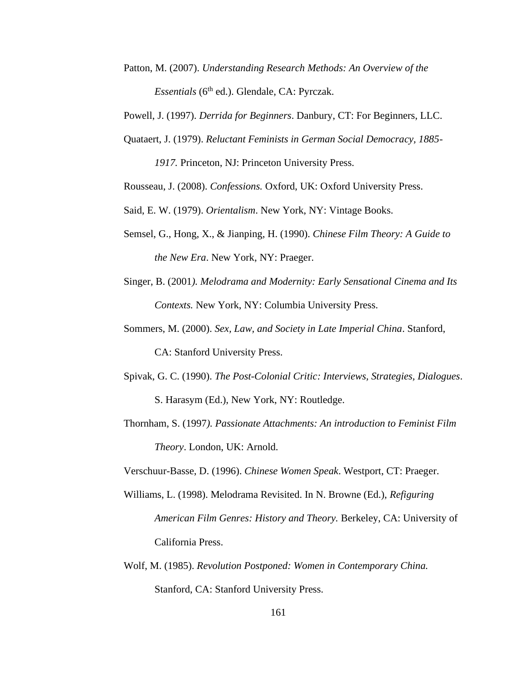Patton, M. (2007). *Understanding Research Methods: An Overview of the Essentials* (6<sup>th</sup> ed.). Glendale, CA: Pyrczak.

Powell, J. (1997). *Derrida for Beginners*. Danbury, CT: For Beginners, LLC.

Quataert, J. (1979). *Reluctant Feminists in German Social Democracy, 1885- 1917.* Princeton, NJ: Princeton University Press.

Rousseau, J. (2008). *Confessions.* Oxford, UK: Oxford University Press.

Said, E. W. (1979). *Orientalism*. New York, NY: Vintage Books.

- Semsel, G., Hong, X., & Jianping, H. (1990). *Chinese Film Theory: A Guide to the New Era*. New York, NY: Praeger.
- Singer, B. (2001*). Melodrama and Modernity: Early Sensational Cinema and Its Contexts.* New York, NY: Columbia University Press.
- Sommers, M. (2000). *Sex, Law, and Society in Late Imperial China*. Stanford, CA: Stanford University Press.
- Spivak, G. C. (1990). *The Post-Colonial Critic: Interviews, Strategies, Dialogues*. S. Harasym (Ed.), New York, NY: Routledge.
- Thornham, S. (1997*). Passionate Attachments: An introduction to Feminist Film Theory*. London, UK: Arnold.
- Verschuur-Basse, D. (1996). *Chinese Women Speak*. Westport, CT: Praeger.
- Williams, L. (1998). Melodrama Revisited. In N. Browne (Ed.), *Refiguring American Film Genres: History and Theory.* Berkeley, CA: University of California Press.
- Wolf, M. (1985). *Revolution Postponed: Women in Contemporary China.* Stanford, CA: Stanford University Press.